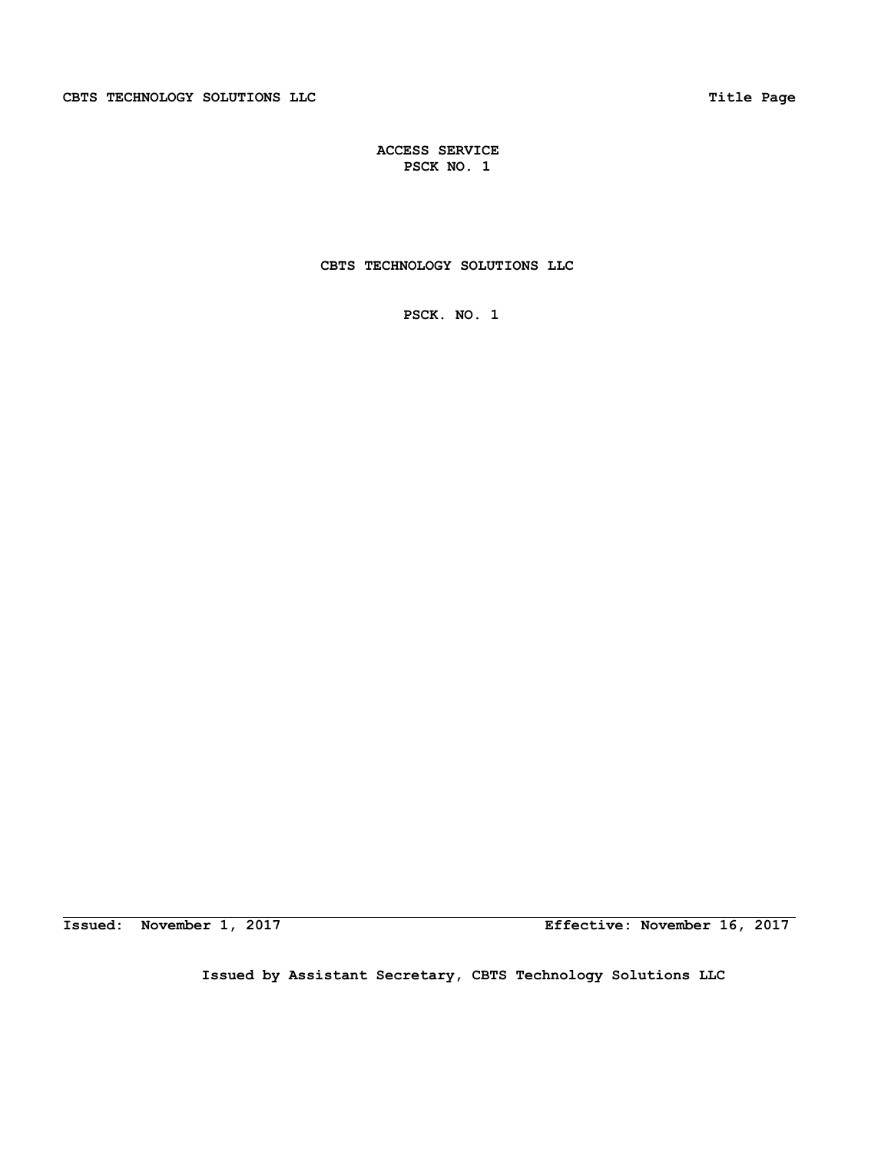# **CBTS TECHNOLOGY SOLUTIONS LLC**

 **PSCK. NO. 1** 

**Issued: November 1, 2017 Effective: November 16, 2017**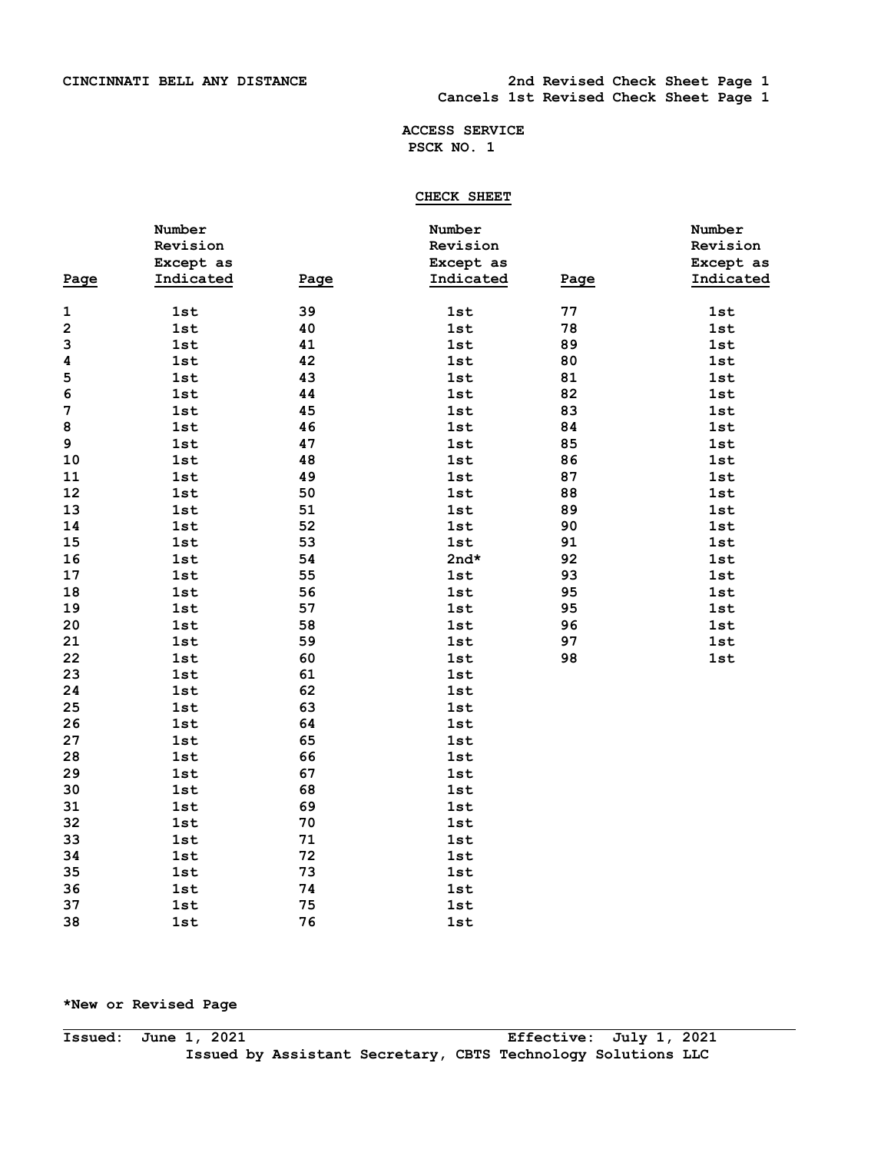# **CHECK SHEET**

|             | Number     |      | Number    |      | Number     |
|-------------|------------|------|-----------|------|------------|
|             | Revision   |      | Revision  |      | Revision   |
|             | Except as  |      | Except as |      | Except as  |
| Page        | Indicated  | Page | Indicated | Page | Indicated  |
|             |            |      |           |      |            |
| $\mathbf 1$ | 1st        | 39   | 1st       | 77   | 1st        |
| $\mathbf 2$ | <b>1st</b> | 40   | 1st       | 78   | 1st        |
| 3           | 1st        | 41   | 1st       | 89   | $1st$      |
| 4           | 1st        | 42   | 1st       | 80   | 1st        |
| 5           | 1st        | 43   | 1st       | 81   | 1st        |
| 6           | <b>1st</b> | 44   | 1st       | 82   | 1st        |
| 7           | 1st        | 45   | 1st       | 83   | <b>1st</b> |
| 8           | 1st        | 46   | 1st       | 84   | <b>1st</b> |
| 9           | <b>1st</b> | 47   | 1st       | 85   | <b>1st</b> |
| 10          | <b>1st</b> | 48   | 1st       | 86   | 1st        |
| 11          | 1st        | 49   | 1st       | 87   | 1st        |
| 12          | <b>1st</b> | 50   | 1st       | 88   | <b>1st</b> |
| 13          | 1st        | 51   | 1st       | 89   | 1st        |
| 14          | 1st        | 52   | 1st       | 90   | 1st        |
| 15          | <b>1st</b> | 53   | 1st       | 91   | <b>1st</b> |
| 16          | 1st        | 54   | $2nd*$    | 92   | 1st        |
| 17          | 1st        | 55   | 1st       | 93   | 1st        |
| 18          | <b>1st</b> | 56   | 1st       | 95   | 1st        |
| 19          | 1st        | 57   | 1st       | 95   | <b>1st</b> |
| 20          | 1st        | 58   | 1st       | 96   | <b>1st</b> |
| 21          | 1st        | 59   | 1st       | 97   | 1st        |
| 22          | 1st        | 60   | 1st       | 98   | 1st        |
| 23          | 1st        | 61   | 1st       |      |            |
| 24          | 1st        | 62   | 1st       |      |            |
| 25          | <b>1st</b> | 63   | 1st       |      |            |
| 26          | 1st        | 64   | 1st       |      |            |
| 27          | 1st        | 65   | 1st       |      |            |
| 28          | 1st        | 66   | 1st       |      |            |
| 29          | <b>1st</b> | 67   | 1st       |      |            |
| 30          | 1st        | 68   | 1st       |      |            |
| 31          | 1st        | 69   | 1st       |      |            |
| 32          | 1st        | 70   | 1st       |      |            |
| 33          | <b>1st</b> | 71   | 1st       |      |            |
| 34          | 1st        | 72   | 1st       |      |            |
| 35          | <b>1st</b> | 73   | 1st       |      |            |
| 36          | 1st        | 74   | 1st       |      |            |
| 37          | 1st        | 75   | 1st       |      |            |
| 38          | 1st        | 76   | 1st       |      |            |

# **\*New or Revised Page**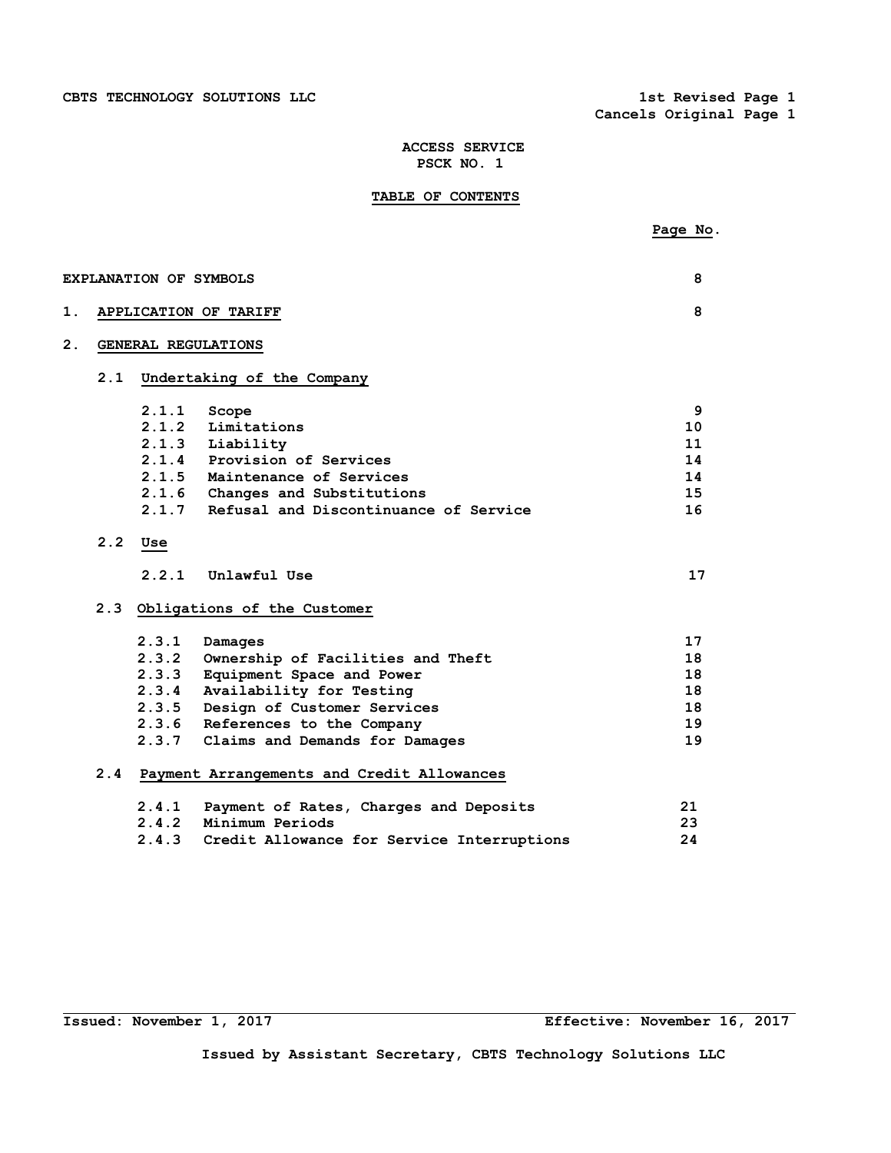**Cancels Original Page 1** 

# **ACCESS SERVICE PSCK NO. 1**

# **TABLE OF CONTENTS**

|                  |     |       |                                            | Page No. |
|------------------|-----|-------|--------------------------------------------|----------|
|                  |     |       |                                            |          |
|                  |     |       | <b>EXPLANATION OF SYMBOLS</b>              | 8        |
| 1.               |     |       | APPLICATION OF TARIFF                      | 8        |
| $\overline{2}$ . |     |       | GENERAL REGULATIONS                        |          |
|                  | 2.1 |       | Undertaking of the Company                 |          |
|                  |     | 2.1.1 | Scope                                      | 9        |
|                  |     | 2.1.2 | Limitations                                | 10       |
|                  |     |       | 2.1.3 Liability                            | 11       |
|                  |     |       | 2.1.4 Provision of Services                | 14       |
|                  |     |       | 2.1.5 Maintenance of Services              | 14       |
|                  |     |       | 2.1.6 Changes and Substitutions            | 15       |
|                  |     | 2.1.7 | Refusal and Discontinuance of Service      | 16       |
|                  | 2.2 | Use   |                                            |          |
|                  |     | 2.2.1 | Unlawful Use                               | 17       |
|                  |     |       | 2.3 Obligations of the Customer            |          |
|                  |     | 2.3.1 | Damages                                    | 17       |
|                  |     | 2.3.2 | Ownership of Facilities and Theft          | 18       |
|                  |     | 2.3.3 | Equipment Space and Power                  | 18       |
|                  |     | 2.3.4 | Availability for Testing                   | 18       |
|                  |     | 2.3.5 | Design of Customer Services                | 18       |
|                  |     | 2.3.6 | References to the Company                  | 19       |
|                  |     | 2.3.7 | Claims and Demands for Damages             | 19       |
|                  | 2.4 |       | Payment Arrangements and Credit Allowances |          |
|                  |     | 2.4.1 | Payment of Rates, Charges and Deposits     | 21       |
|                  |     | 2.4.2 | Minimum Periods                            | 23       |
|                  |     | 2.4.3 | Credit Allowance for Service Interruptions | 24       |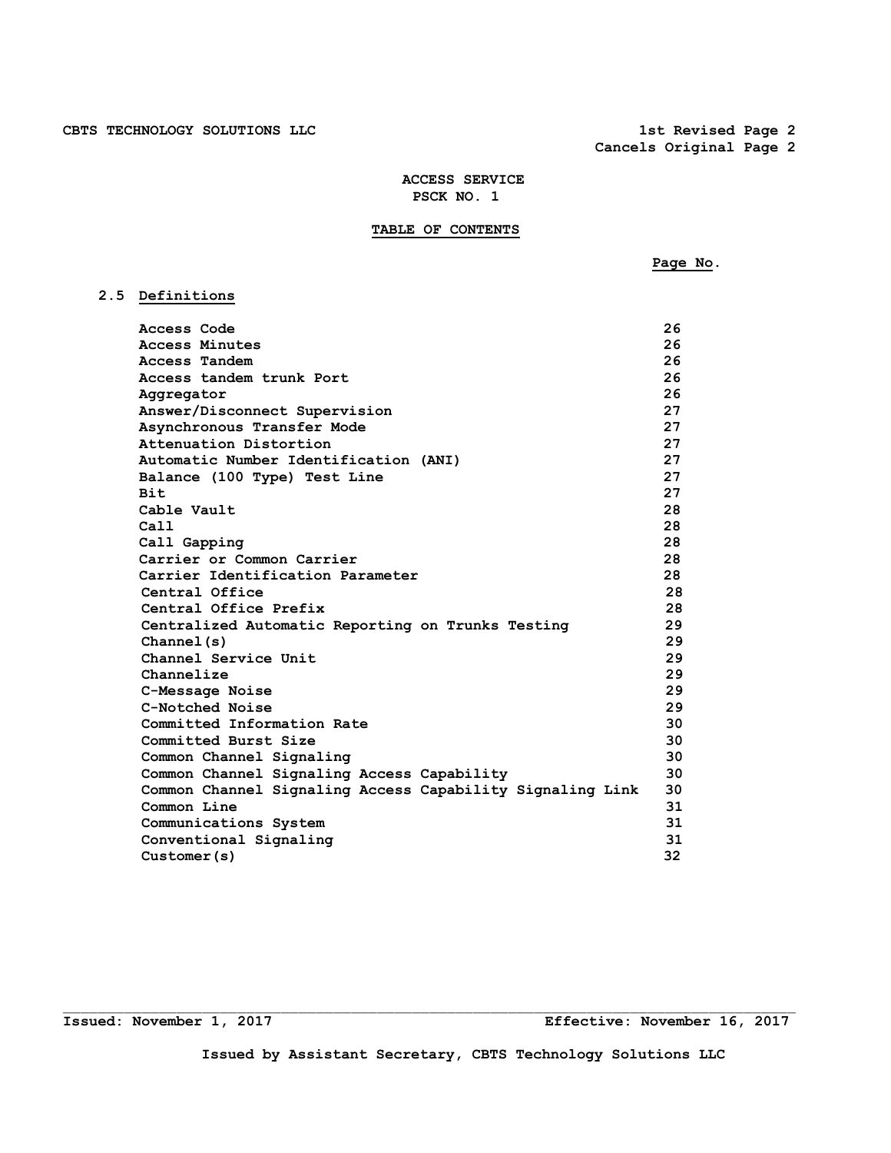# **TABLE OF CONTENTS**

 **Page No.** 

# **2.5 Definitions**

| Access Code                                               | 26 |
|-----------------------------------------------------------|----|
| Access Minutes                                            | 26 |
| Access Tandem                                             | 26 |
| Access tandem trunk Port                                  | 26 |
| Aggregator                                                | 26 |
| Answer/Disconnect Supervision                             | 27 |
| Asynchronous Transfer Mode                                | 27 |
| Attenuation Distortion                                    | 27 |
| Automatic Number Identification (ANI)                     | 27 |
| Balance (100 Type) Test Line                              | 27 |
| <b>Bit</b>                                                | 27 |
| Cable Vault                                               | 28 |
| Ca11                                                      | 28 |
| Call Gapping                                              | 28 |
| Carrier or Common Carrier                                 | 28 |
| Carrier Identification Parameter                          | 28 |
| Central Office                                            | 28 |
| Central Office Prefix                                     | 28 |
| Centralized Automatic Reporting on Trunks Testing         | 29 |
| Channel(s)                                                | 29 |
| Channel Service Unit                                      | 29 |
| Channelize                                                | 29 |
| C-Message Noise                                           | 29 |
| C-Notched Noise                                           | 29 |
| Committed Information Rate                                | 30 |
| Committed Burst Size                                      | 30 |
| Common Channel Signaling                                  | 30 |
| Common Channel Signaling Access Capability                | 30 |
| Common Channel Signaling Access Capability Signaling Link | 30 |
| Common Line                                               | 31 |
| Communications System                                     | 31 |
| Conventional Signaling                                    | 31 |
| Customer(s)                                               | 32 |

 $\Box$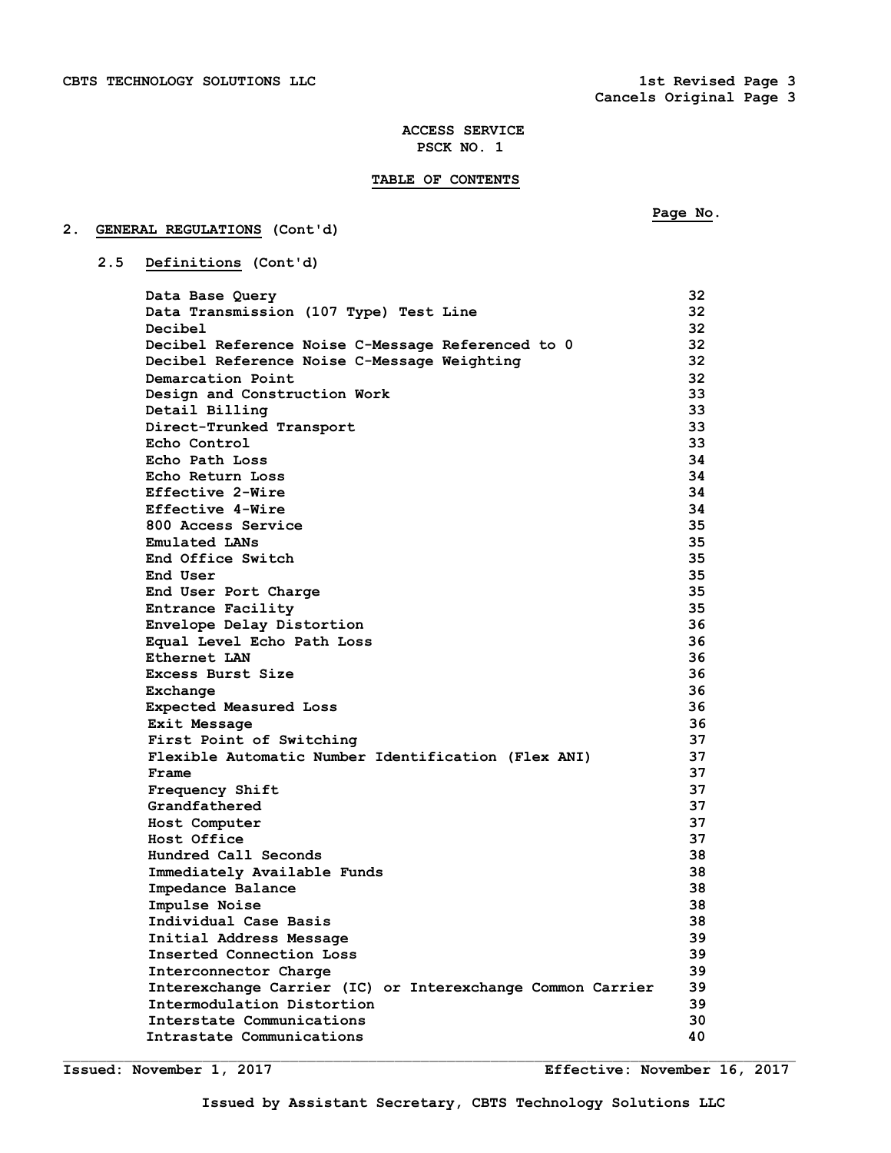## **TABLE OF CONTENTS**

# **2. GENERAL REGULATIONS (Cont'd)**

 **Page No.** 

 **2.5 Definitions (Cont'd)** 

| Data Base Query                                            | 32  |
|------------------------------------------------------------|-----|
| Data Transmission (107 Type) Test Line                     | 32  |
| Decibel                                                    | 32  |
| Decibel Reference Noise C-Message Referenced to 0          | 32  |
| Decibel Reference Noise C-Message Weighting                | 32  |
| Demarcation Point                                          | 32  |
| Design and Construction Work                               | 33. |
| Detail Billing                                             | 33  |
| Direct-Trunked Transport                                   | 33  |
| Echo Control                                               | 33. |
| Echo Path Loss                                             | 34  |
| Echo Return Loss                                           | 34  |
| Effective 2-Wire                                           | 34  |
| Effective 4-Wire                                           | 34  |
| 800 Access Service                                         | 35  |
| <b>Emulated LANs</b>                                       | 35  |
| End Office Switch                                          | 35  |
| End User                                                   | 35  |
| End User Port Charge                                       | 35  |
| Entrance Facility                                          | 35  |
| Envelope Delay Distortion                                  | 36  |
| Equal Level Echo Path Loss                                 | 36  |
| Ethernet LAN                                               | 36  |
| Excess Burst Size                                          | 36  |
| Exchange                                                   | 36  |
| Expected Measured Loss                                     | 36  |
| Exit Message                                               | 36  |
| First Point of Switching                                   | 37  |
| Flexible Automatic Number Identification (Flex ANI)        | 37  |
| Frame                                                      | 37  |
| <b>Frequency Shift</b>                                     | 37  |
| Grandfathered                                              | 37  |
| Host Computer                                              | 37  |
| Host Office                                                | 37  |
| Hundred Call Seconds                                       | 38  |
| Immediately Available Funds                                | 38  |
| Impedance Balance                                          | 38  |
| Impulse Noise                                              | 38  |
| Individual Case Basis                                      | 38  |
| Initial Address Message                                    | 39  |
| Inserted Connection Loss                                   | 39  |
| Interconnector Charge                                      | 39  |
| Interexchange Carrier (IC) or Interexchange Common Carrier | 39  |
| Intermodulation Distortion                                 | 39  |
| Interstate Communications                                  | 30  |
| Intrastate Communications                                  | 40  |
|                                                            |     |

 $\mathcal{L}_\text{max}$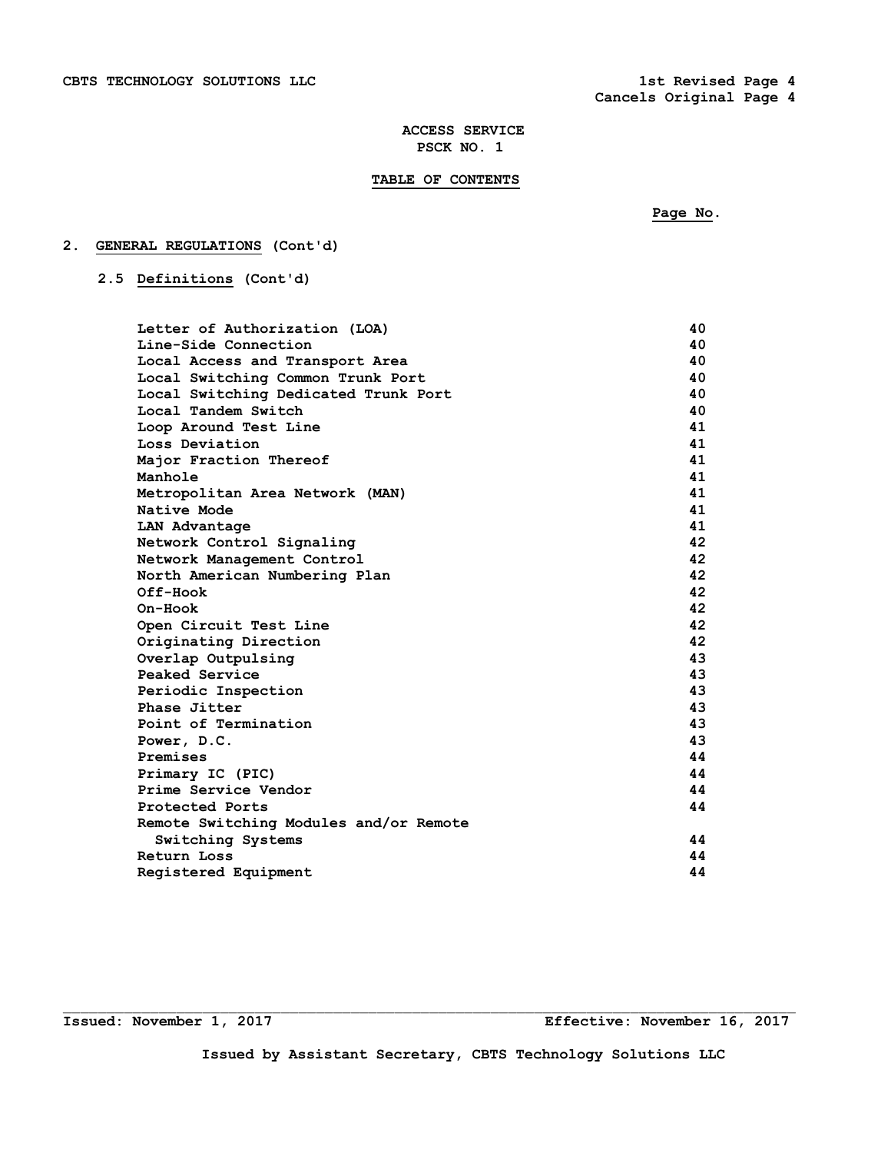# **TABLE OF CONTENTS**

 **Page No.** 

# **2. GENERAL REGULATIONS (Cont'd)**

 **2.5 Definitions (Cont'd)** 

| Letter of Authorization (LOA)          | 40  |
|----------------------------------------|-----|
| Line-Side Connection                   | 40. |
| Local Access and Transport Area        | 40  |
| Local Switching Common Trunk Port      | 40  |
| Local Switching Dedicated Trunk Port   | 40  |
| Local Tandem Switch                    | 40  |
| Loop Around Test Line                  | 41  |
| Loss Deviation                         | 41  |
| Major Fraction Thereof                 | 41  |
| Manhole                                | 41  |
| Metropolitan Area Network (MAN)        | 41  |
| Native Mode                            | 41  |
| LAN Advantage                          | 41  |
| Network Control Signaling              | 42  |
| Network Management Control             | 42  |
| North American Numbering Plan          | 42  |
| Off-Hook                               | 42  |
| On-Hook                                | 42  |
| Open Circuit Test Line                 | 42  |
| Originating Direction                  | 42  |
| Overlap Outpulsing                     | 43  |
| Peaked Service                         | 43  |
| Periodic Inspection                    | 43  |
| Phase Jitter                           | 43  |
| Point of Termination                   | 43  |
| Power, D.C.                            | 43  |
| Premises                               | 44  |
| Primary IC (PIC)                       | 44  |
| Prime Service Vendor                   | 44  |
| Protected Ports                        | 44  |
| Remote Switching Modules and/or Remote |     |
| Switching Systems                      | 44  |
| Return Loss                            | 44  |
| Registered Equipment                   | 44  |

**Issued: November 1, 2017 Effective: November 16, 2017** 

 $\Box$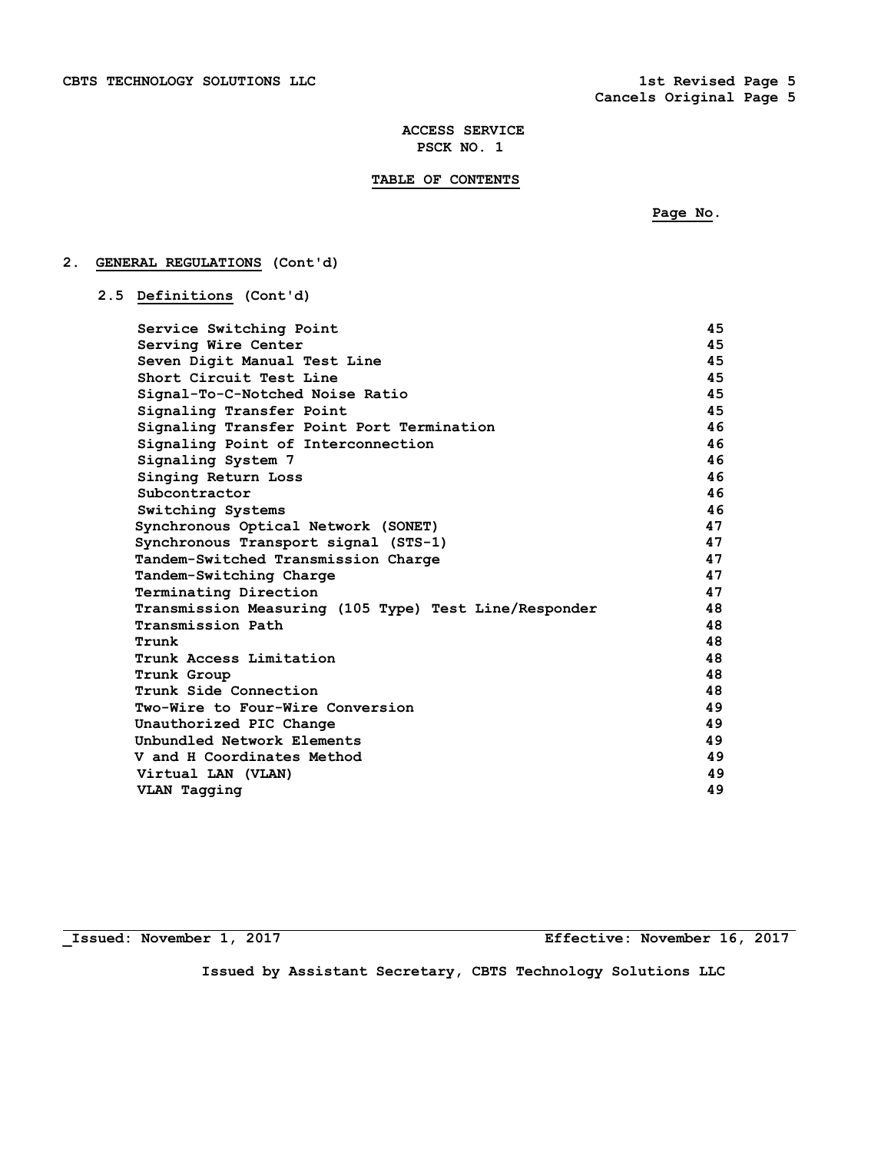# **TABLE OF CONTENTS**

 **Page No.** 

# **2. GENERAL REGULATIONS (Cont'd)**

 **2.5 Definitions (Cont'd)** 

| Service Switching Point                               | 45 |
|-------------------------------------------------------|----|
| Serving Wire Center                                   | 45 |
| Seven Digit Manual Test Line                          | 45 |
| Short Circuit Test Line                               | 45 |
| Signal-To-C-Notched Noise Ratio                       | 45 |
| Signaling Transfer Point                              | 45 |
| Signaling Transfer Point Port Termination             | 46 |
| Signaling Point of Interconnection                    | 46 |
| Signaling System 7                                    | 46 |
| Singing Return Loss                                   | 46 |
| Subcontractor                                         | 46 |
| Switching Systems                                     | 46 |
| Synchronous Optical Network (SONET)                   | 47 |
| Synchronous Transport signal (STS-1)                  | 47 |
| Tandem-Switched Transmission Charge                   | 47 |
| Tandem-Switching Charge                               | 47 |
| Terminating Direction                                 | 47 |
| Transmission Measuring (105 Type) Test Line/Responder | 48 |
| Transmission Path                                     | 48 |
| Trunk                                                 | 48 |
| Trunk Access Limitation                               | 48 |
| Trunk Group                                           | 48 |
| Trunk Side Connection                                 | 48 |
| Two-Wire to Four-Wire Conversion                      | 49 |
| Unauthorized PIC Change                               | 49 |
| Unbundled Network Elements                            | 49 |
| V and H Coordinates Method                            | 49 |
| Virtual LAN (VLAN)                                    | 49 |
| VLAN Tagging                                          | 49 |
|                                                       |    |

**\_Issued: November 1, 2017 Effective: November 16, 2017**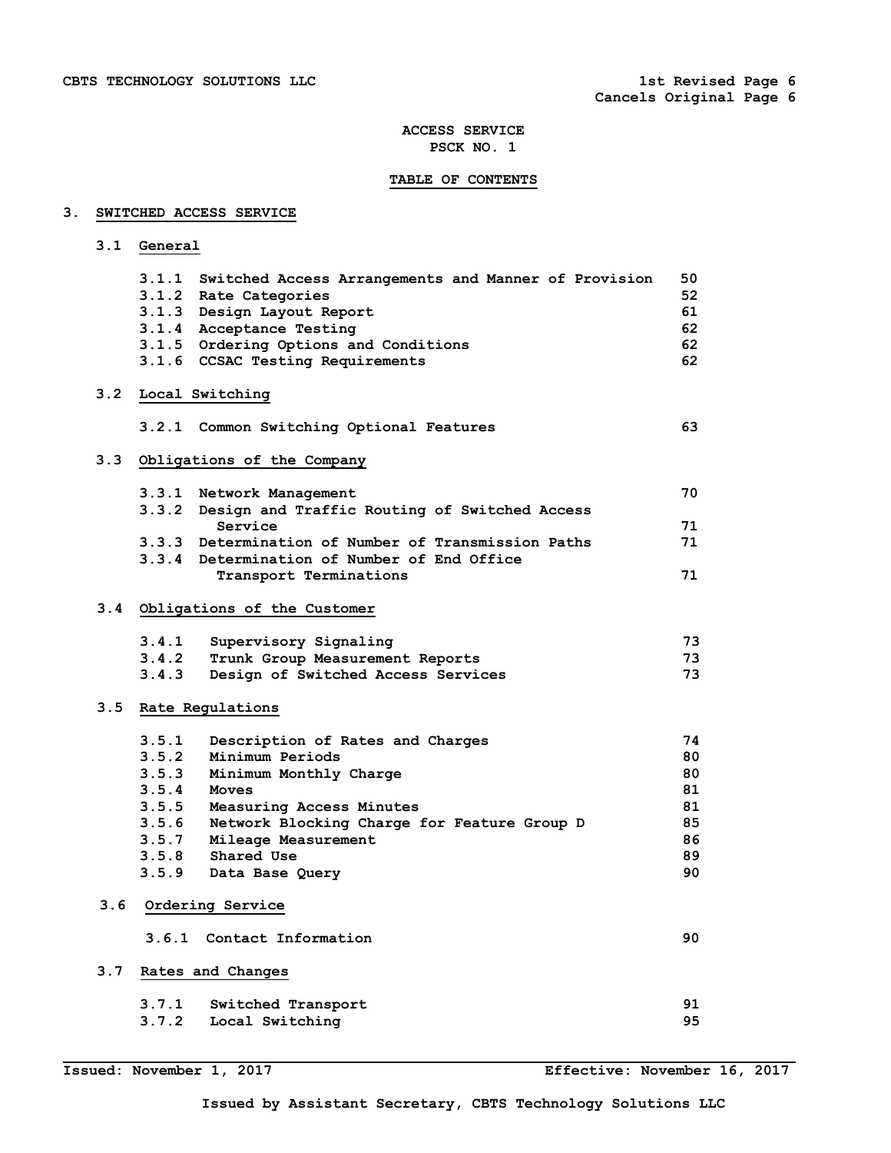# **TABLE OF CONTENTS**

# **3. SWITCHED ACCESS SERVICE**

 **3.1 General** 

|     |       | 3.1.1 Switched Access Arrangements and Manner of Provision     | 50 |
|-----|-------|----------------------------------------------------------------|----|
|     |       | 3.1.2 Rate Categories                                          | 52 |
|     |       | 3.1.3 Design Layout Report                                     | 61 |
|     |       | 3.1.4 Acceptance Testing                                       | 62 |
|     |       | 3.1.5 Ordering Options and Conditions                          | 62 |
|     |       | 3.1.6 CCSAC Testing Requirements                               | 62 |
|     |       | 3.2 Local Switching                                            |    |
|     |       | 3.2.1 Common Switching Optional Features                       | 63 |
| 3.3 |       | Obligations of the Company                                     |    |
|     |       | 3.3.1 Network Management                                       | 70 |
|     |       | 3.3.2 Design and Traffic Routing of Switched Access<br>Service | 71 |
|     |       | 3.3.3 Determination of Number of Transmission Paths            | 71 |
|     |       | 3.3.4 Determination of Number of End Office                    |    |
|     |       | Transport Terminations                                         | 71 |
|     |       |                                                                |    |
|     |       | 3.4 Obligations of the Customer                                |    |
|     | 3.4.1 | Supervisory Signaling                                          | 73 |
|     |       | 3.4.2 Trunk Group Measurement Reports                          | 73 |
|     | 3.4.3 | Design of Switched Access Services                             | 73 |
|     |       | 3.5 Rate Regulations                                           |    |
|     | 3.5.1 | Description of Rates and Charges                               | 74 |
|     | 3.5.2 | Minimum Periods                                                | 80 |
|     | 3.5.3 | Minimum Monthly Charge                                         | 80 |
|     |       | $3.5.4$ Moves                                                  | 81 |
|     | 3.5.5 | Measuring Access Minutes                                       | 81 |
|     |       | 3.5.6 Network Blocking Charge for Feature Group D              | 85 |
|     |       | 3.5.7 Mileage Measurement                                      | 86 |
|     | 3.5.8 | <b>Shared Use</b>                                              | 89 |
|     |       | 3.5.9 Data Base Query                                          | 90 |
| 3.6 |       | Ordering Service                                               |    |
|     |       | 3.6.1 Contact Information                                      | 90 |
| 3.7 |       | Rates and Changes                                              |    |
|     | 3.7.1 | Switched Transport                                             | 91 |
|     | 3.7.2 | Local Switching                                                | 95 |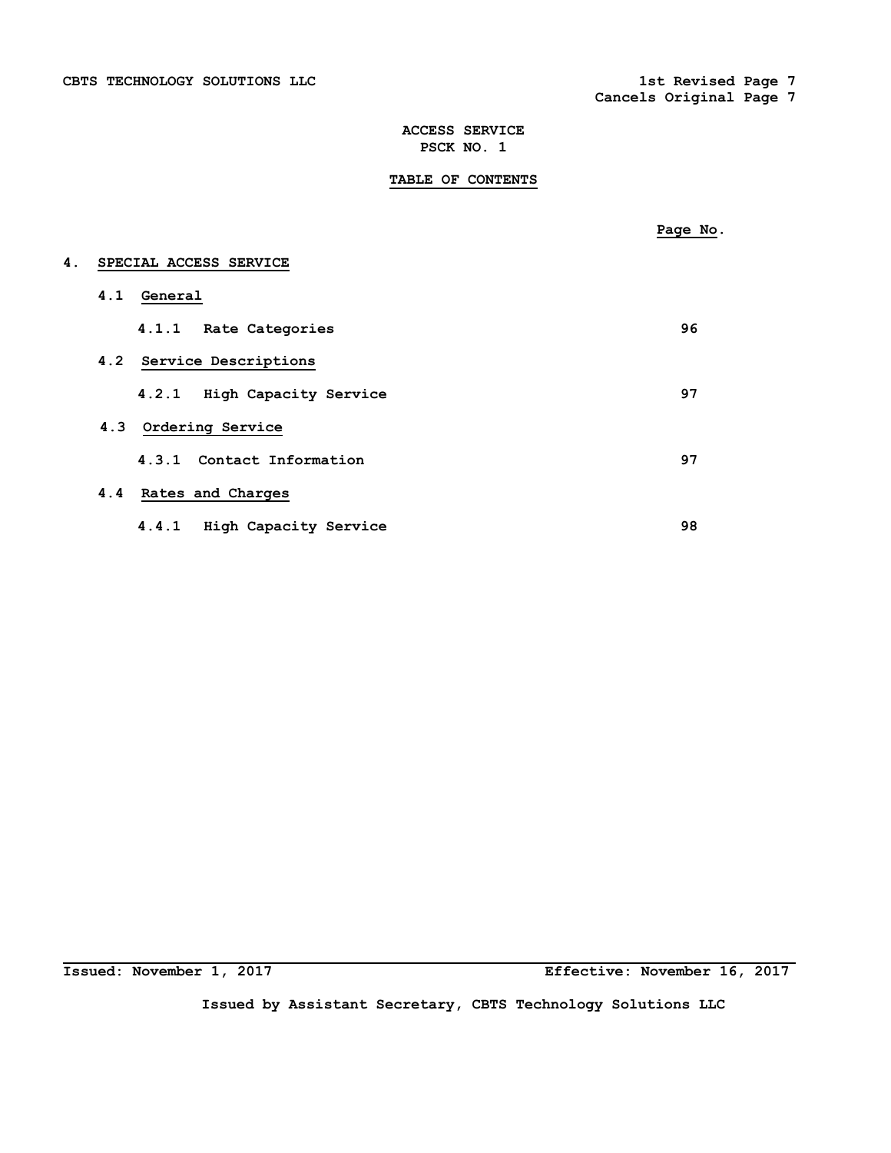**TABLE OF CONTENTS** 

|    |     |                                | Page No. |
|----|-----|--------------------------------|----------|
| 4. |     | SPECIAL ACCESS SERVICE         |          |
|    | 4.1 | General                        |          |
|    |     | 4.1.1 Rate Categories          | 96       |
|    |     | 4.2 Service Descriptions       |          |
|    |     | High Capacity Service<br>4.2.1 | 97       |
|    |     | 4.3 Ordering Service           |          |
|    |     | 4.3.1 Contact Information      | 97       |
|    |     | 4.4 Rates and Charges          |          |
|    |     | 4.4.1 High Capacity Service    | 98       |

**Issued: November 1, 2017 Effective: November 16, 2017**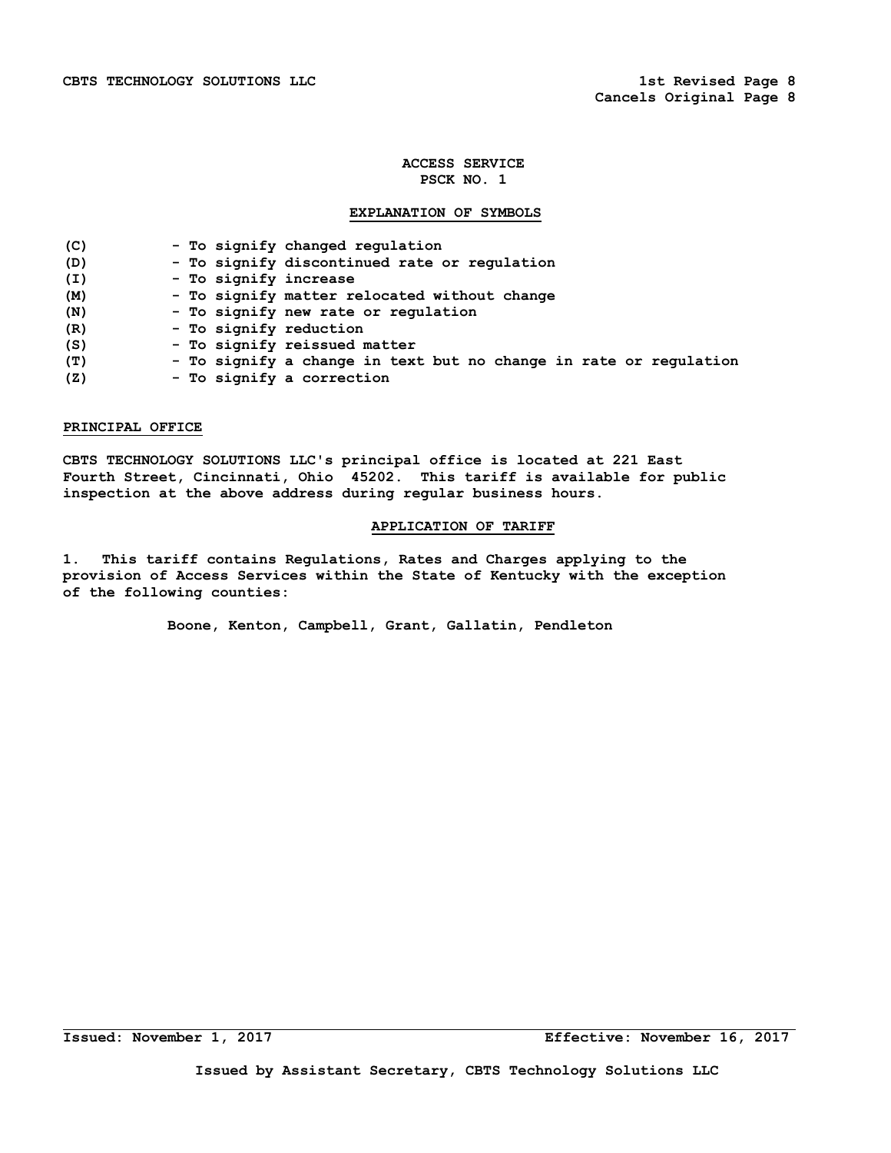# **EXPLANATION OF SYMBOLS**

| (C) | - To signify changed regulation                                   |
|-----|-------------------------------------------------------------------|
| (D) | - To signify discontinued rate or regulation                      |
| (I) | - To signify increase                                             |
| (M) | - To signify matter relocated without change                      |
| (N) | - To signify new rate or regulation                               |
| (R) | - To signify reduction                                            |
| (S) | - To signify reissued matter                                      |
| (T) | - To signify a change in text but no change in rate or regulation |
| (Z) | - To signify a correction                                         |

## **PRINCIPAL OFFICE**

**CBTS TECHNOLOGY SOLUTIONS LLC's principal office is located at 221 East Fourth Street, Cincinnati, Ohio 45202. This tariff is available for public inspection at the above address during regular business hours.** 

# **APPLICATION OF TARIFF**

**1. This tariff contains Regulations, Rates and Charges applying to the provision of Access Services within the State of Kentucky with the exception of the following counties:** 

 **Boone, Kenton, Campbell, Grant, Gallatin, Pendleton**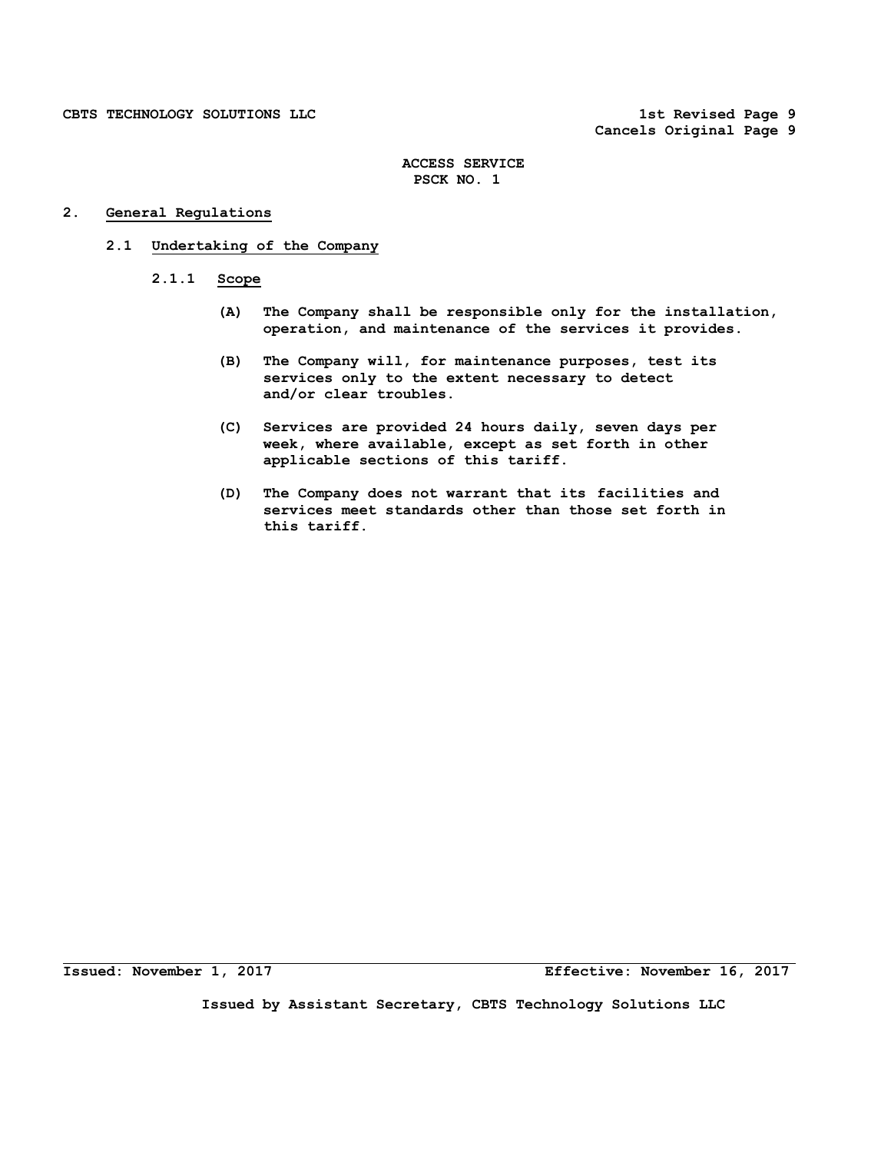**Cancels Original Page 9** 

# **ACCESS SERVICE PSCK NO. 1**

# **2. General Regulations**

# **2.1 Undertaking of the Company**

- **2.1.1 Scope** 
	- **(A) The Company shall be responsible only for the installation, operation, and maintenance of the services it provides.**
	- **(B) The Company will, for maintenance purposes, test its services only to the extent necessary to detect and/or clear troubles.**
	- **(C) Services are provided 24 hours daily, seven days per week, where available, except as set forth in other applicable sections of this tariff.**
	- **(D) The Company does not warrant that its facilities and services meet standards other than those set forth in this tariff.**

**Issued: November 1, 2017 Effective: November 16, 2017**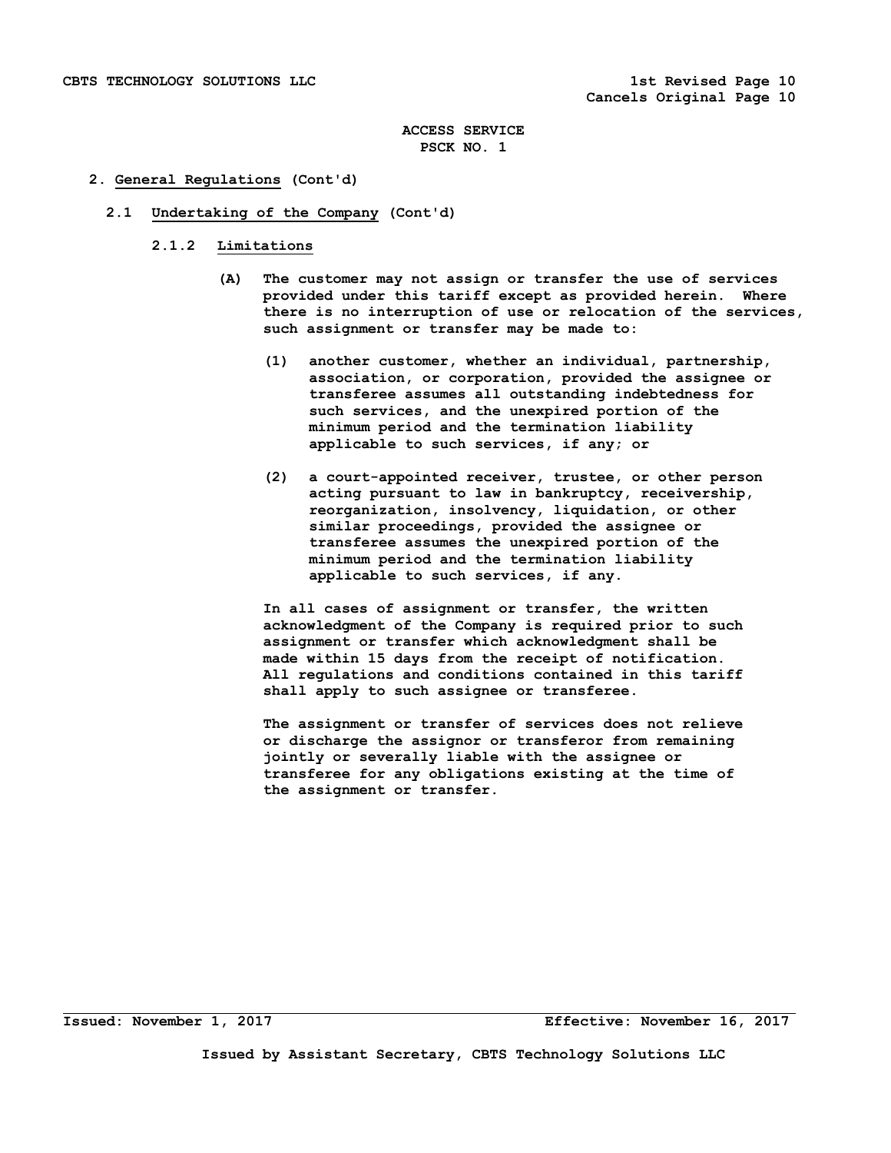## **2. General Regulations (Cont'd)**

### **2.1 Undertaking of the Company (Cont'd)**

## **2.1.2 Limitations**

- **(A) The customer may not assign or transfer the use of services provided under this tariff except as provided herein. Where there is no interruption of use or relocation of the services, such assignment or transfer may be made to:** 
	- **(1) another customer, whether an individual, partnership, association, or corporation, provided the assignee or transferee assumes all outstanding indebtedness for such services, and the unexpired portion of the minimum period and the termination liability applicable to such services, if any; or**
	- **(2) a court-appointed receiver, trustee, or other person acting pursuant to law in bankruptcy, receivership, reorganization, insolvency, liquidation, or other similar proceedings, provided the assignee or transferee assumes the unexpired portion of the minimum period and the termination liability applicable to such services, if any.**

 **In all cases of assignment or transfer, the written acknowledgment of the Company is required prior to such assignment or transfer which acknowledgment shall be made within 15 days from the receipt of notification. All regulations and conditions contained in this tariff shall apply to such assignee or transferee.** 

 **The assignment or transfer of services does not relieve or discharge the assignor or transferor from remaining jointly or severally liable with the assignee or transferee for any obligations existing at the time of the assignment or transfer.**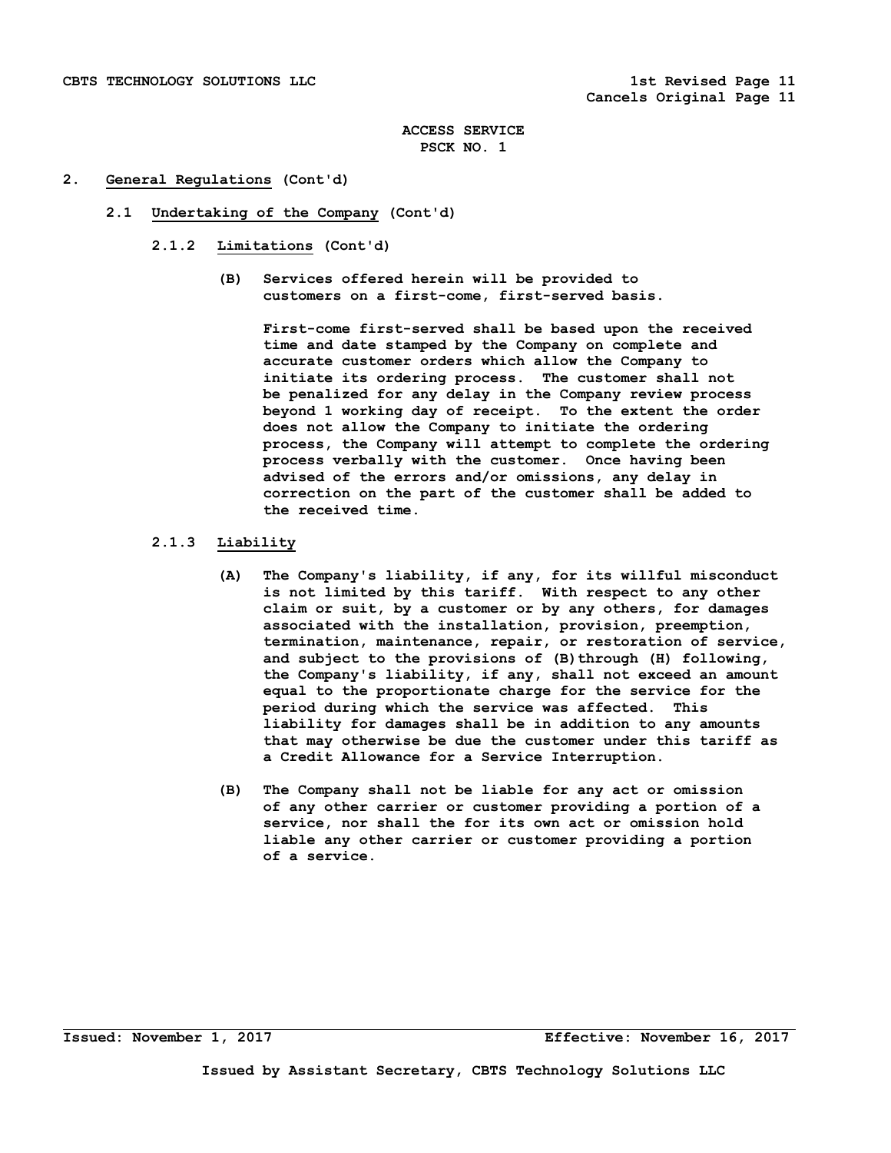## **2. General Regulations (Cont'd)**

- **2.1 Undertaking of the Company (Cont'd)** 
	- **2.1.2 Limitations (Cont'd)** 
		- **(B) Services offered herein will be provided to customers on a first-come, first-served basis.**

 **First-come first-served shall be based upon the received time and date stamped by the Company on complete and accurate customer orders which allow the Company to initiate its ordering process. The customer shall not be penalized for any delay in the Company review process beyond 1 working day of receipt. To the extent the order does not allow the Company to initiate the ordering process, the Company will attempt to complete the ordering process verbally with the customer. Once having been advised of the errors and/or omissions, any delay in correction on the part of the customer shall be added to the received time.** 

# **2.1.3 Liability**

- **(A) The Company's liability, if any, for its willful misconduct is not limited by this tariff. With respect to any other claim or suit, by a customer or by any others, for damages associated with the installation, provision, preemption, termination, maintenance, repair, or restoration of service,**  and subject to the provisions of (B) through (H) following,  **the Company's liability, if any, shall not exceed an amount equal to the proportionate charge for the service for the period during which the service was affected. This liability for damages shall be in addition to any amounts that may otherwise be due the customer under this tariff as a Credit Allowance for a Service Interruption.**
- **(B) The Company shall not be liable for any act or omission of any other carrier or customer providing a portion of a service, nor shall the for its own act or omission hold liable any other carrier or customer providing a portion of a service.**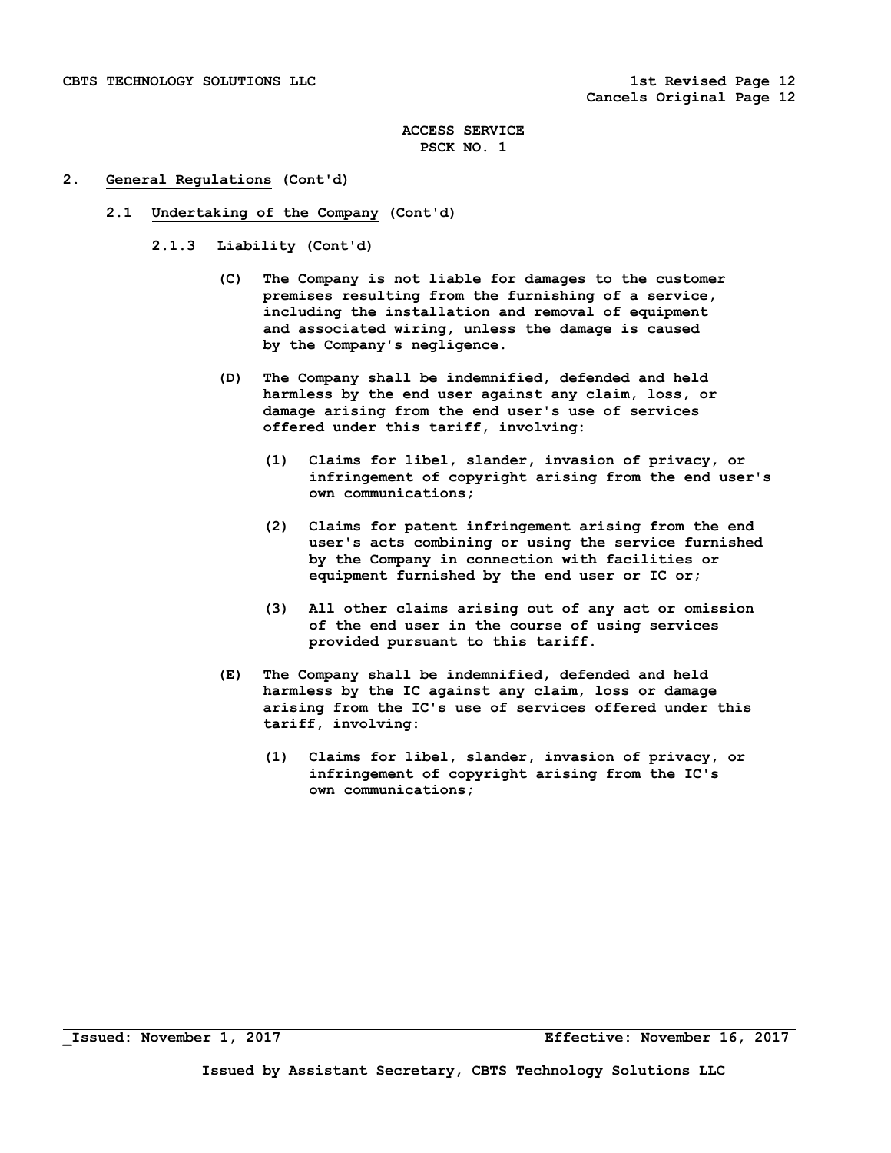## **2. General Regulations (Cont'd)**

- **2.1 Undertaking of the Company (Cont'd)** 
	- **2.1.3 Liability (Cont'd)** 
		- **(C) The Company is not liable for damages to the customer premises resulting from the furnishing of a service, including the installation and removal of equipment and associated wiring, unless the damage is caused by the Company's negligence.**
		- **(D) The Company shall be indemnified, defended and held harmless by the end user against any claim, loss, or damage arising from the end user's use of services offered under this tariff, involving:** 
			- **(1) Claims for libel, slander, invasion of privacy, or infringement of copyright arising from the end user's own communications;**
			- **(2) Claims for patent infringement arising from the end user's acts combining or using the service furnished by the Company in connection with facilities or equipment furnished by the end user or IC or;**
			- **(3) All other claims arising out of any act or omission of the end user in the course of using services provided pursuant to this tariff.**
		- **(E) The Company shall be indemnified, defended and held harmless by the IC against any claim, loss or damage arising from the IC's use of services offered under this tariff, involving:** 
			- **(1) Claims for libel, slander, invasion of privacy, or infringement of copyright arising from the IC's own communications;**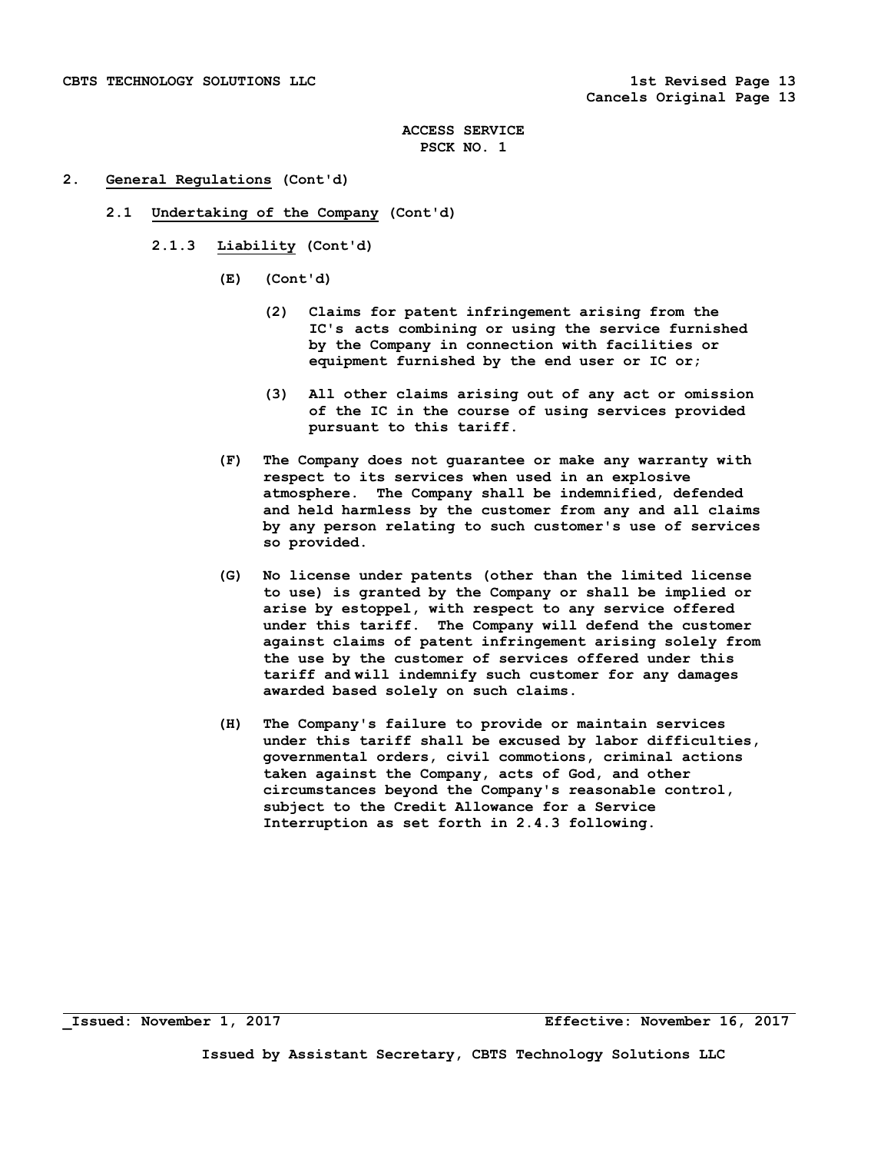## **2. General Regulations (Cont'd)**

- **2.1 Undertaking of the Company (Cont'd)** 
	- **2.1.3 Liability (Cont'd)** 
		- **(E) (Cont'd)** 
			- **(2) Claims for patent infringement arising from the IC's acts combining or using the service furnished by the Company in connection with facilities or equipment furnished by the end user or IC or;**
			- **(3) All other claims arising out of any act or omission of the IC in the course of using services provided pursuant to this tariff.**
		- **(F) The Company does not guarantee or make any warranty with respect to its services when used in an explosive atmosphere. The Company shall be indemnified, defended and held harmless by the customer from any and all claims by any person relating to such customer's use of services so provided.**
		- **(G) No license under patents (other than the limited license to use) is granted by the Company or shall be implied or arise by estoppel, with respect to any service offered under this tariff. The Company will defend the customer against claims of patent infringement arising solely from the use by the customer of services offered under this tariff and will indemnify such customer for any damages awarded based solely on such claims.**
		- **(H) The Company's failure to provide or maintain services under this tariff shall be excused by labor difficulties, governmental orders, civil commotions, criminal actions taken against the Company, acts of God, and other circumstances beyond the Company's reasonable control, subject to the Credit Allowance for a Service Interruption as set forth in 2.4.3 following.**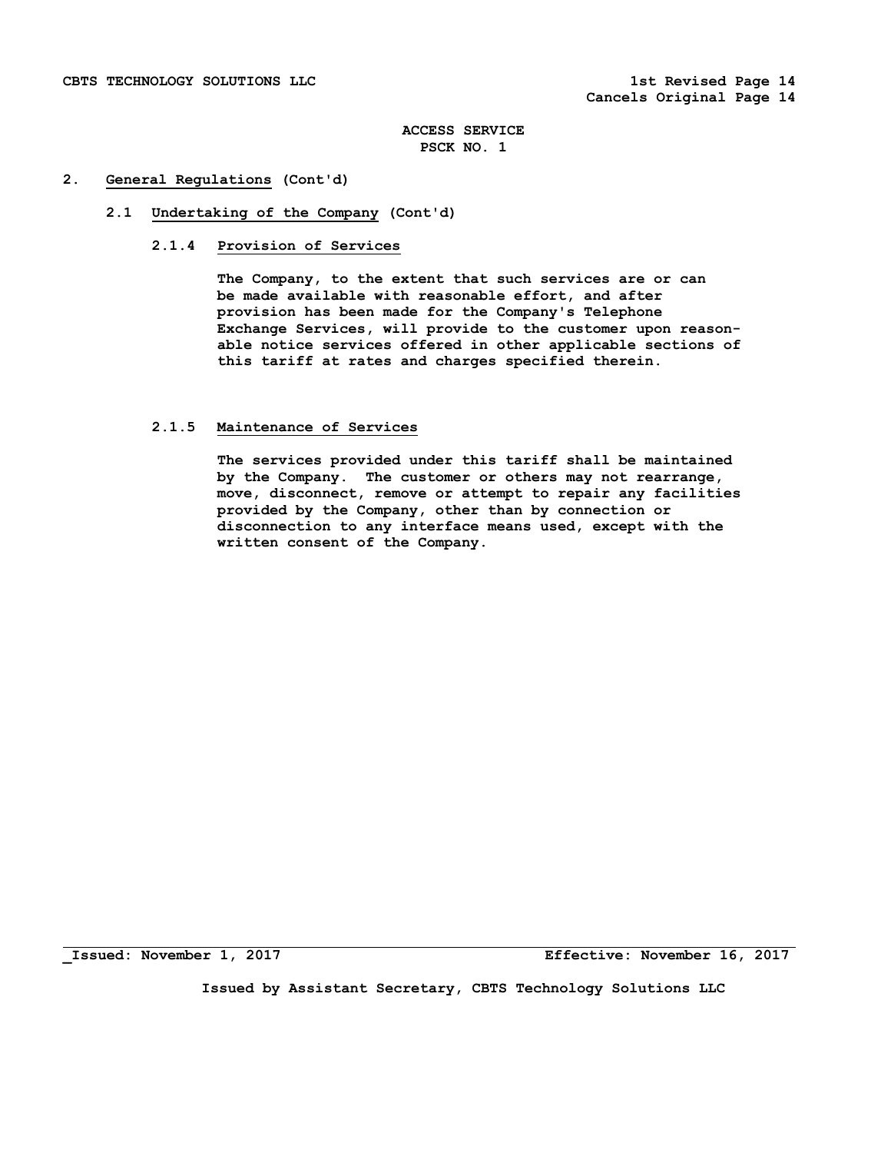### **2. General Regulations (Cont'd)**

## **2.1 Undertaking of the Company (Cont'd)**

## **2.1.4 Provision of Services**

 **The Company, to the extent that such services are or can be made available with reasonable effort, and after provision has been made for the Company's Telephone Exchange Services, will provide to the customer upon reason able notice services offered in other applicable sections of this tariff at rates and charges specified therein.** 

## **2.1.5 Maintenance of Services**

 **The services provided under this tariff shall be maintained by the Company. The customer or others may not rearrange, move, disconnect, remove or attempt to repair any facilities provided by the Company, other than by connection or disconnection to any interface means used, except with the written consent of the Company.** 

**\_Issued: November 1, 2017 Effective: November 16, 2017**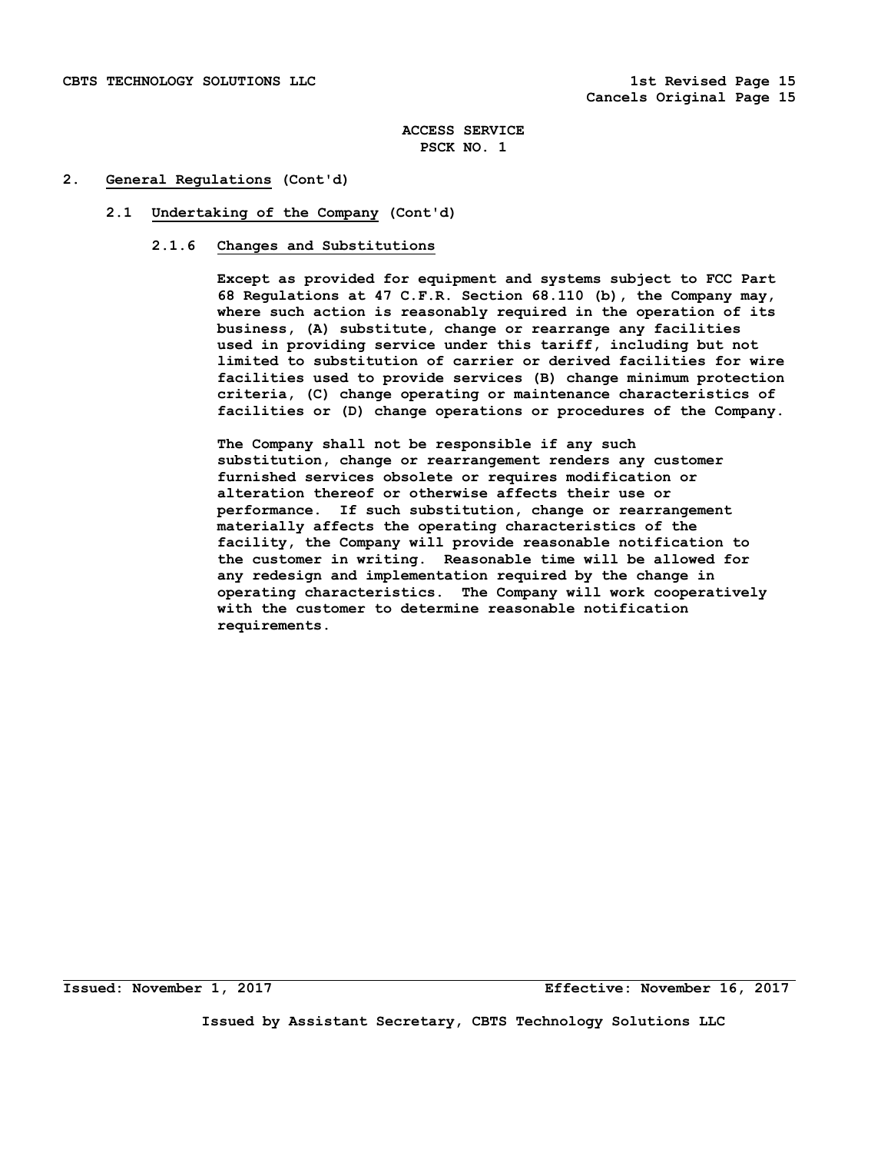## **2. General Regulations (Cont'd)**

## **2.1 Undertaking of the Company (Cont'd)**

## **2.1.6 Changes and Substitutions**

 **Except as provided for equipment and systems subject to FCC Part 68 Regulations at 47 C.F.R. Section 68.110 (b), the Company may, where such action is reasonably required in the operation of its business, (A) substitute, change or rearrange any facilities used in providing service under this tariff, including but not limited to substitution of carrier or derived facilities for wire facilities used to provide services (B) change minimum protection criteria, (C) change operating or maintenance characteristics of facilities or (D) change operations or procedures of the Company.** 

**The Company shall not be responsible if any such substitution, change or rearrangement renders any customer furnished services obsolete or requires modification or alteration thereof or otherwise affects their use or performance. If such substitution, change or rearrangement materially affects the operating characteristics of the facility, the Company will provide reasonable notification to the customer in writing. Reasonable time will be allowed for any redesign and implementation required by the change in operating characteristics. The Company will work cooperatively with the customer to determine reasonable notification requirements.** 

**Issued: November 1, 2017 Effective: November 16, 2017**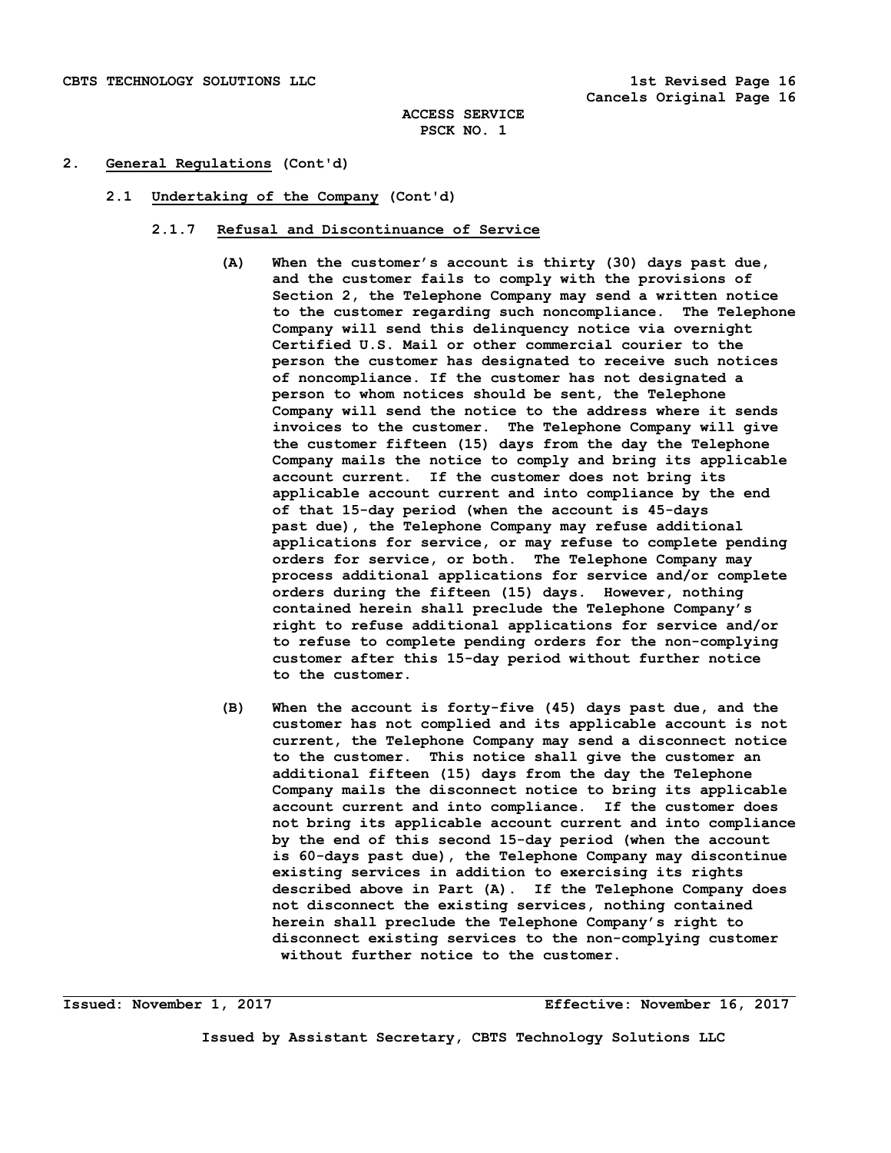## **2. General Regulations (Cont'd)**

 **2.1 Undertaking of the Company (Cont'd)** 

### **2.1.7 Refusal and Discontinuance of Service**

- **(A) When the customer's account is thirty (30) days past due, and the customer fails to comply with the provisions of Section 2, the Telephone Company may send a written notice to the customer regarding such noncompliance. The Telephone Company will send this delinquency notice via overnight Certified U.S. Mail or other commercial courier to the person the customer has designated to receive such notices of noncompliance. If the customer has not designated a person to whom notices should be sent, the Telephone Company will send the notice to the address where it sends invoices to the customer. The Telephone Company will give the customer fifteen (15) days from the day the Telephone Company mails the notice to comply and bring its applicable account current. If the customer does not bring its applicable account current and into compliance by the end of that 15-day period (when the account is 45-days past due), the Telephone Company may refuse additional applications for service, or may refuse to complete pending orders for service, or both. The Telephone Company may process additional applications for service and/or complete orders during the fifteen (15) days. However, nothing contained herein shall preclude the Telephone Company's right to refuse additional applications for service and/or to refuse to complete pending orders for the non-complying customer after this 15-day period without further notice to the customer.**
- **(B) When the account is forty-five (45) days past due, and the customer has not complied and its applicable account is not current, the Telephone Company may send a disconnect notice to the customer. This notice shall give the customer an additional fifteen (15) days from the day the Telephone Company mails the disconnect notice to bring its applicable account current and into compliance. If the customer does not bring its applicable account current and into compliance by the end of this second 15-day period (when the account is 60-days past due), the Telephone Company may discontinue existing services in addition to exercising its rights described above in Part (A). If the Telephone Company does not disconnect the existing services, nothing contained herein shall preclude the Telephone Company's right to disconnect existing services to the non-complying customer without further notice to the customer.**

**Issued: November 1, 2017 Effective: November 16, 2017**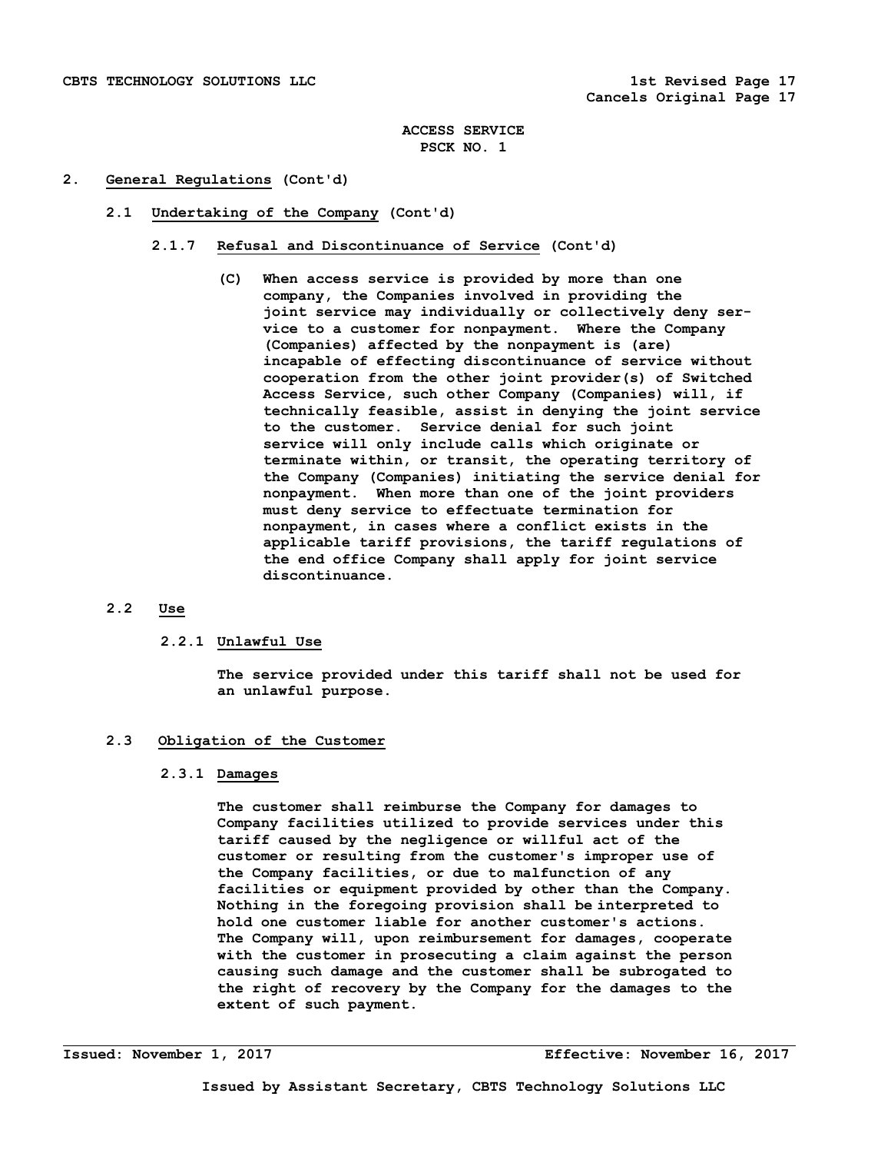## **2. General Regulations (Cont'd)**

- **2.1 Undertaking of the Company (Cont'd)** 
	- **2.1.7 Refusal and Discontinuance of Service (Cont'd)** 
		- **(C) When access service is provided by more than one company, the Companies involved in providing the joint service may individually or collectively deny ser vice to a customer for nonpayment. Where the Company (Companies) affected by the nonpayment is (are) incapable of effecting discontinuance of service without cooperation from the other joint provider(s) of Switched Access Service, such other Company (Companies) will, if technically feasible, assist in denying the joint service to the customer. Service denial for such joint service will only include calls which originate or terminate within, or transit, the operating territory of the Company (Companies) initiating the service denial for nonpayment. When more than one of the joint providers must deny service to effectuate termination for nonpayment, in cases where a conflict exists in the applicable tariff provisions, the tariff regulations of the end office Company shall apply for joint service discontinuance.**

# **2.2 Use**

# **2.2.1 Unlawful Use**

 **The service provided under this tariff shall not be used for an unlawful purpose.** 

# **2.3 Obligation of the Customer**

## **2.3.1 Damages**

 **The customer shall reimburse the Company for damages to Company facilities utilized to provide services under this tariff caused by the negligence or willful act of the customer or resulting from the customer's improper use of the Company facilities, or due to malfunction of any facilities or equipment provided by other than the Company. Nothing in the foregoing provision shall be interpreted to hold one customer liable for another customer's actions. The Company will, upon reimbursement for damages, cooperate with the customer in prosecuting a claim against the person causing such damage and the customer shall be subrogated to the right of recovery by the Company for the damages to the extent of such payment.**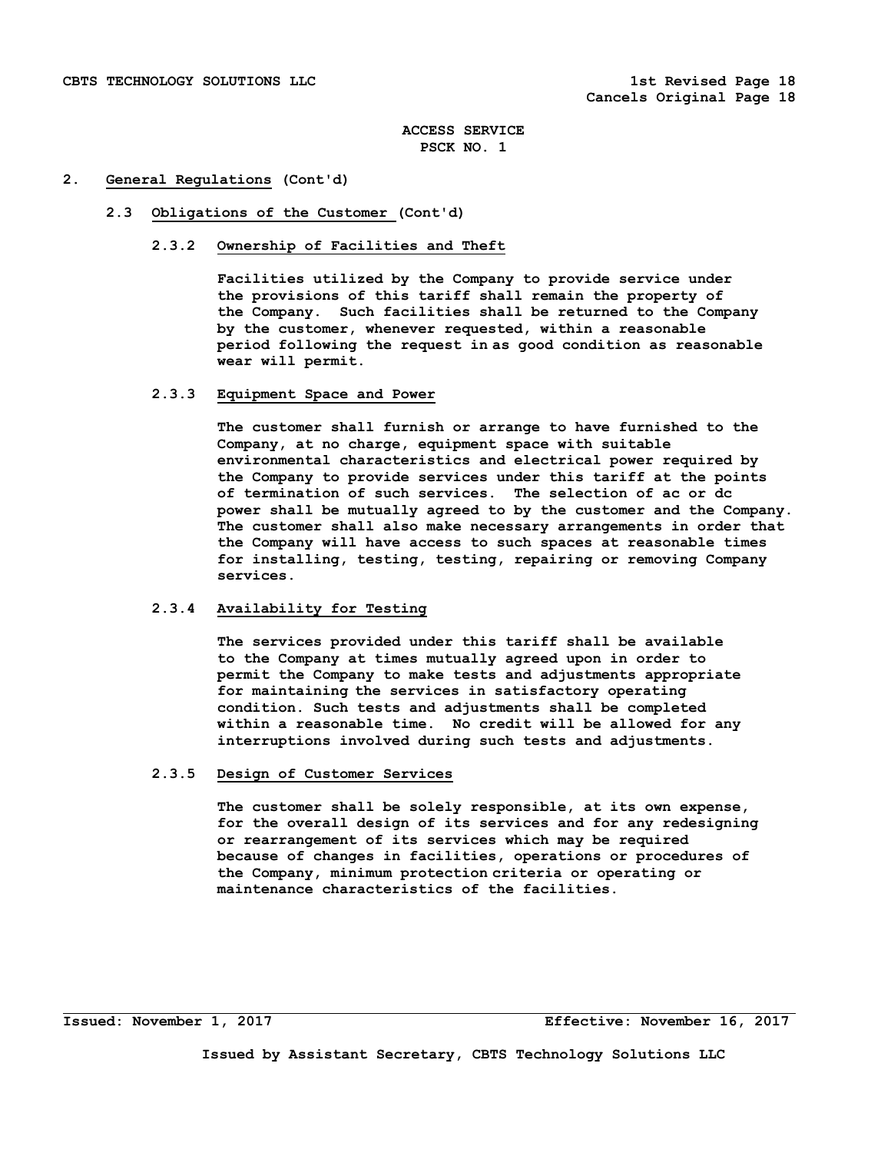## **2. General Regulations (Cont'd)**

## **2.3 Obligations of the Customer (Cont'd)**

## **2.3.2 Ownership of Facilities and Theft**

 **Facilities utilized by the Company to provide service under the provisions of this tariff shall remain the property of the Company. Such facilities shall be returned to the Company by the customer, whenever requested, within a reasonable period following the request in as good condition as reasonable wear will permit.** 

### **2.3.3 Equipment Space and Power**

 **The customer shall furnish or arrange to have furnished to the Company, at no charge, equipment space with suitable environmental characteristics and electrical power required by the Company to provide services under this tariff at the points of termination of such services. The selection of ac or dc power shall be mutually agreed to by the customer and the Company. The customer shall also make necessary arrangements in order that the Company will have access to such spaces at reasonable times for installing, testing, testing, repairing or removing Company services.** 

# **2.3.4 Availability for Testing**

 **The services provided under this tariff shall be available to the Company at times mutually agreed upon in order to permit the Company to make tests and adjustments appropriate for maintaining the services in satisfactory operating condition. Such tests and adjustments shall be completed within a reasonable time. No credit will be allowed for any interruptions involved during such tests and adjustments.** 

### **2.3.5 Design of Customer Services**

 **The customer shall be solely responsible, at its own expense, for the overall design of its services and for any redesigning or rearrangement of its services which may be required because of changes in facilities, operations or procedures of the Company, minimum protection criteria or operating or maintenance characteristics of the facilities.**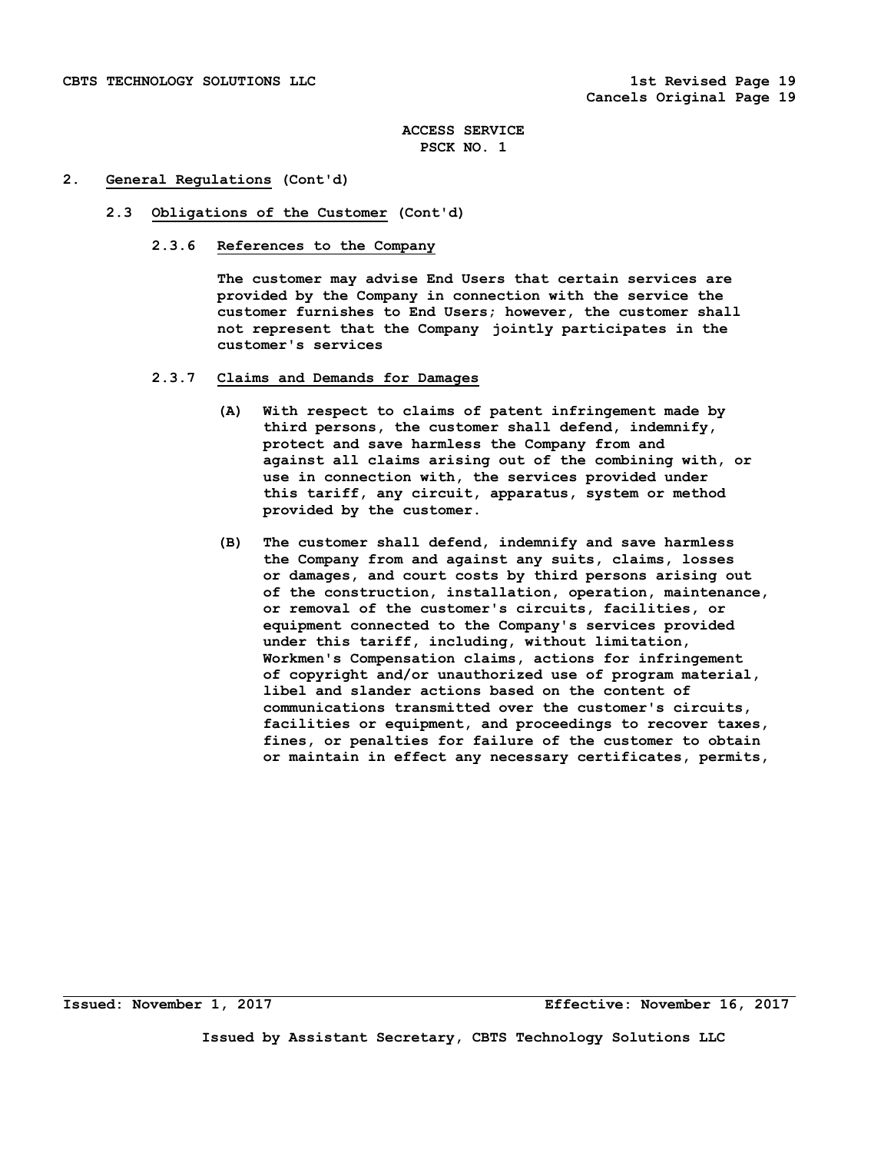## **2. General Regulations (Cont'd)**

### **2.3 Obligations of the Customer (Cont'd)**

 **2.3.6 References to the Company** 

 **The customer may advise End Users that certain services are provided by the Company in connection with the service the customer furnishes to End Users; however, the customer shall not represent that the Company jointly participates in the customer's services** 

- **2.3.7 Claims and Demands for Damages** 
	- **(A) With respect to claims of patent infringement made by third persons, the customer shall defend, indemnify, protect and save harmless the Company from and against all claims arising out of the combining with, or use in connection with, the services provided under this tariff, any circuit, apparatus, system or method provided by the customer.**
	- **(B) The customer shall defend, indemnify and save harmless the Company from and against any suits, claims, losses or damages, and court costs by third persons arising out of the construction, installation, operation, maintenance, or removal of the customer's circuits, facilities, or equipment connected to the Company's services provided under this tariff, including, without limitation, Workmen's Compensation claims, actions for infringement of copyright and/or unauthorized use of program material, libel and slander actions based on the content of communications transmitted over the customer's circuits, facilities or equipment, and proceedings to recover taxes, fines, or penalties for failure of the customer to obtain or maintain in effect any necessary certificates, permits,**

**Issued: November 1, 2017 Effective: November 16, 2017**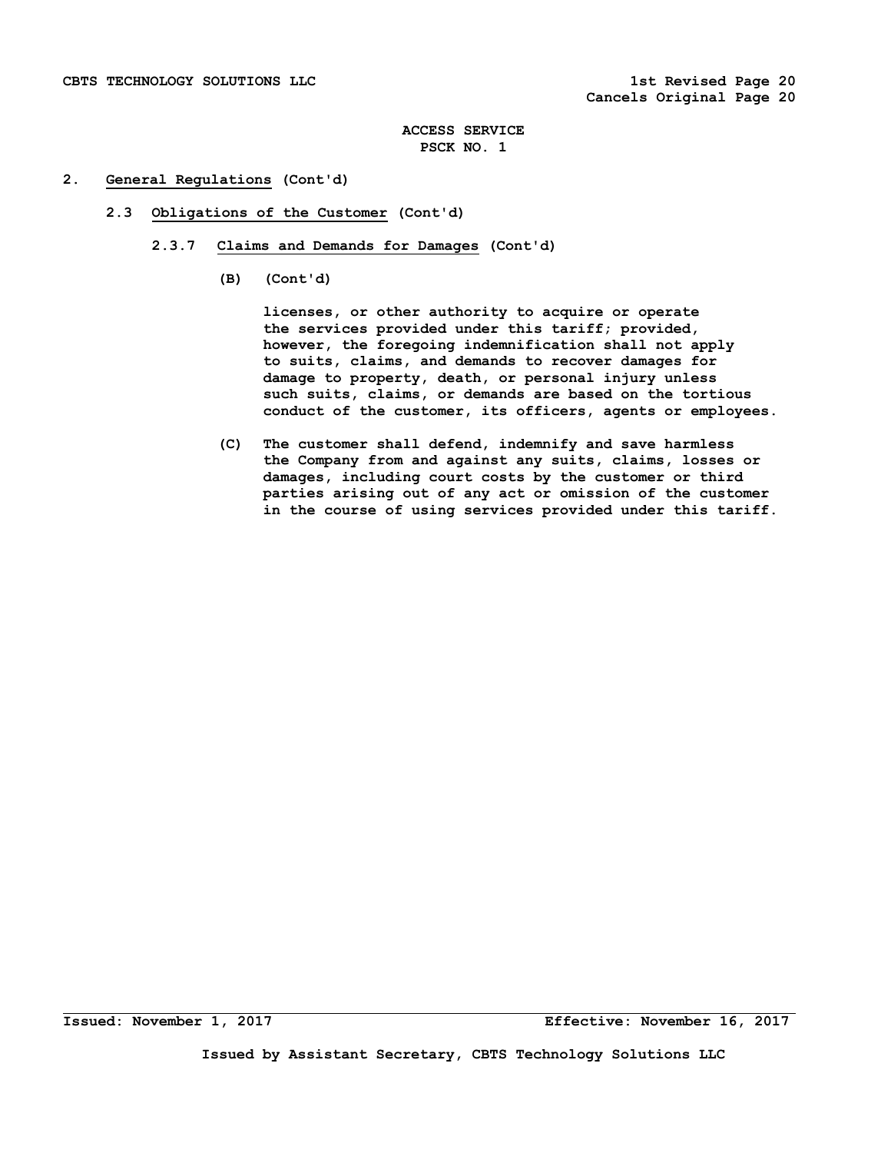## **2. General Regulations (Cont'd)**

- **2.3 Obligations of the Customer (Cont'd)** 
	- **2.3.7 Claims and Demands for Damages (Cont'd)** 
		- **(B) (Cont'd)**

 **licenses, or other authority to acquire or operate the services provided under this tariff; provided, however, the foregoing indemnification shall not apply to suits, claims, and demands to recover damages for damage to property, death, or personal injury unless such suits, claims, or demands are based on the tortious conduct of the customer, its officers, agents or employees.** 

 **(C) The customer shall defend, indemnify and save harmless the Company from and against any suits, claims, losses or damages, including court costs by the customer or third parties arising out of any act or omission of the customer in the course of using services provided under this tariff.**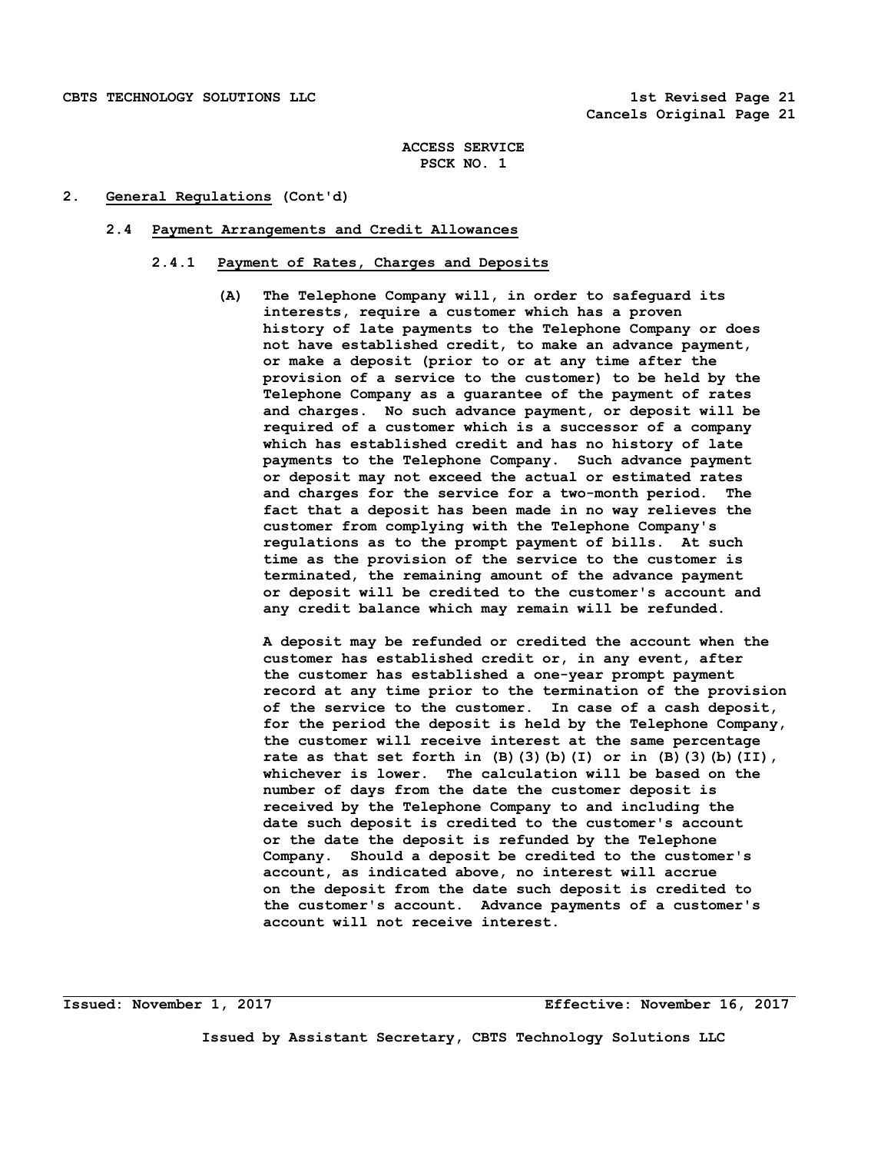## **2. General Regulations (Cont'd)**

### **2.4 Payment Arrangements and Credit Allowances**

# **2.4.1 Payment of Rates, Charges and Deposits**

 **(A) The Telephone Company will, in order to safeguard its interests, require a customer which has a proven history of late payments to the Telephone Company or does not have established credit, to make an advance payment, or make a deposit (prior to or at any time after the provision of a service to the customer) to be held by the Telephone Company as a guarantee of the payment of rates and charges. No such advance payment, or deposit will be required of a customer which is a successor of a company which has established credit and has no history of late payments to the Telephone Company. Such advance payment or deposit may not exceed the actual or estimated rates and charges for the service for a two-month period. The fact that a deposit has been made in no way relieves the customer from complying with the Telephone Company's regulations as to the prompt payment of bills. At such time as the provision of the service to the customer is terminated, the remaining amount of the advance payment or deposit will be credited to the customer's account and any credit balance which may remain will be refunded.** 

 **A deposit may be refunded or credited the account when the customer has established credit or, in any event, after the customer has established a one-year prompt payment record at any time prior to the termination of the provision of the service to the customer. In case of a cash deposit, for the period the deposit is held by the Telephone Company, the customer will receive interest at the same percentage rate as that set forth in (B)(3)(b)(I) or in (B)(3)(b)(II), whichever is lower. The calculation will be based on the number of days from the date the customer deposit is received by the Telephone Company to and including the date such deposit is credited to the customer's account or the date the deposit is refunded by the Telephone Company. Should a deposit be credited to the customer's account, as indicated above, no interest will accrue on the deposit from the date such deposit is credited to the customer's account. Advance payments of a customer's account will not receive interest.** 

**Issued: November 1, 2017 Effective: November 16, 2017**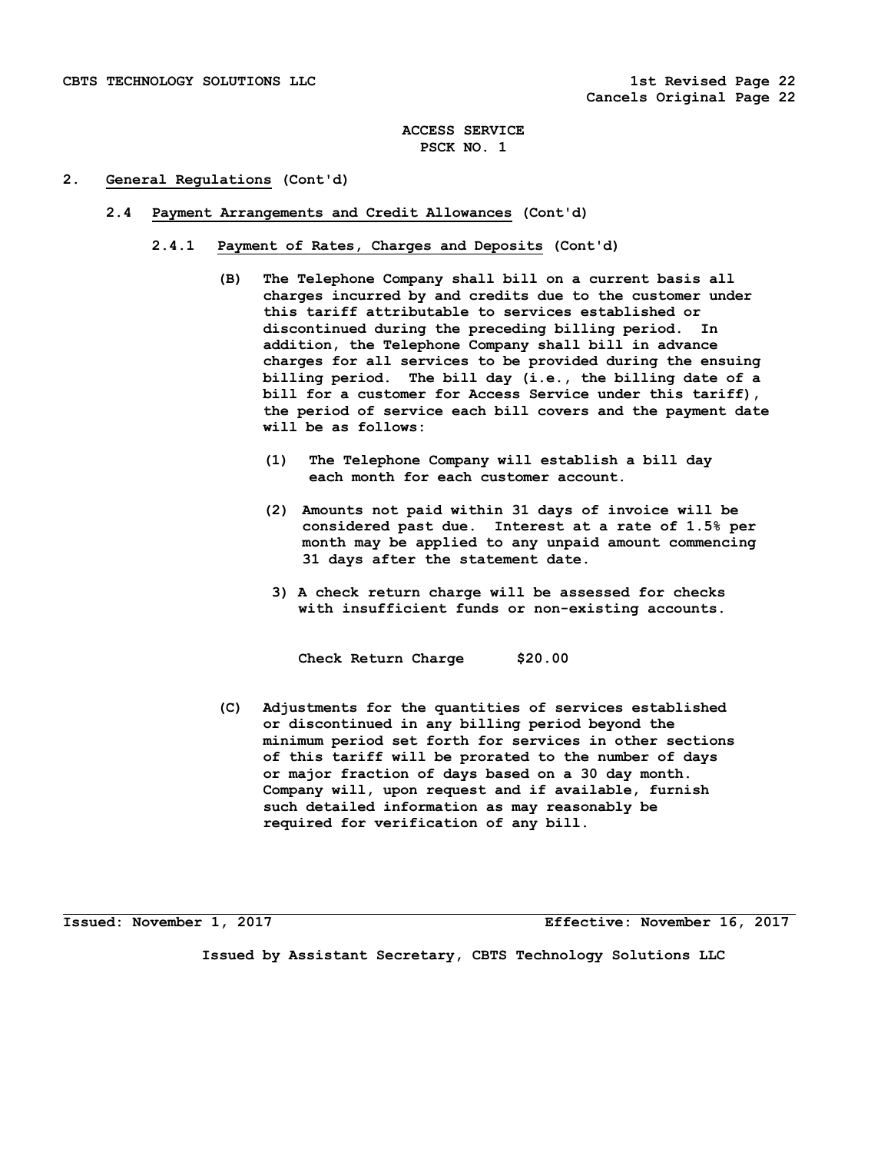## **2. General Regulations (Cont'd)**

- **2.4 Payment Arrangements and Credit Allowances (Cont'd)** 
	- **2.4.1 Payment of Rates, Charges and Deposits (Cont'd)** 
		- **(B) The Telephone Company shall bill on a current basis all charges incurred by and credits due to the customer under this tariff attributable to services established or discontinued during the preceding billing period. In addition, the Telephone Company shall bill in advance charges for all services to be provided during the ensuing billing period. The bill day (i.e., the billing date of a bill for a customer for Access Service under this tariff), the period of service each bill covers and the payment date will be as follows:** 
			- **(1) The Telephone Company will establish a bill day each month for each customer account.**
			- **(2) Amounts not paid within 31 days of invoice will be considered past due. Interest at a rate of 1.5% per month may be applied to any unpaid amount commencing 31 days after the statement date.**
			- **3) A check return charge will be assessed for checks with insufficient funds or non-existing accounts.**

 **Check Return Charge \$20.00** 

 **(C) Adjustments for the quantities of services established or discontinued in any billing period beyond the minimum period set forth for services in other sections of this tariff will be prorated to the number of days or major fraction of days based on a 30 day month. Company will, upon request and if available, furnish such detailed information as may reasonably be required for verification of any bill.** 

**Issued: November 1, 2017 Effective: November 16, 2017**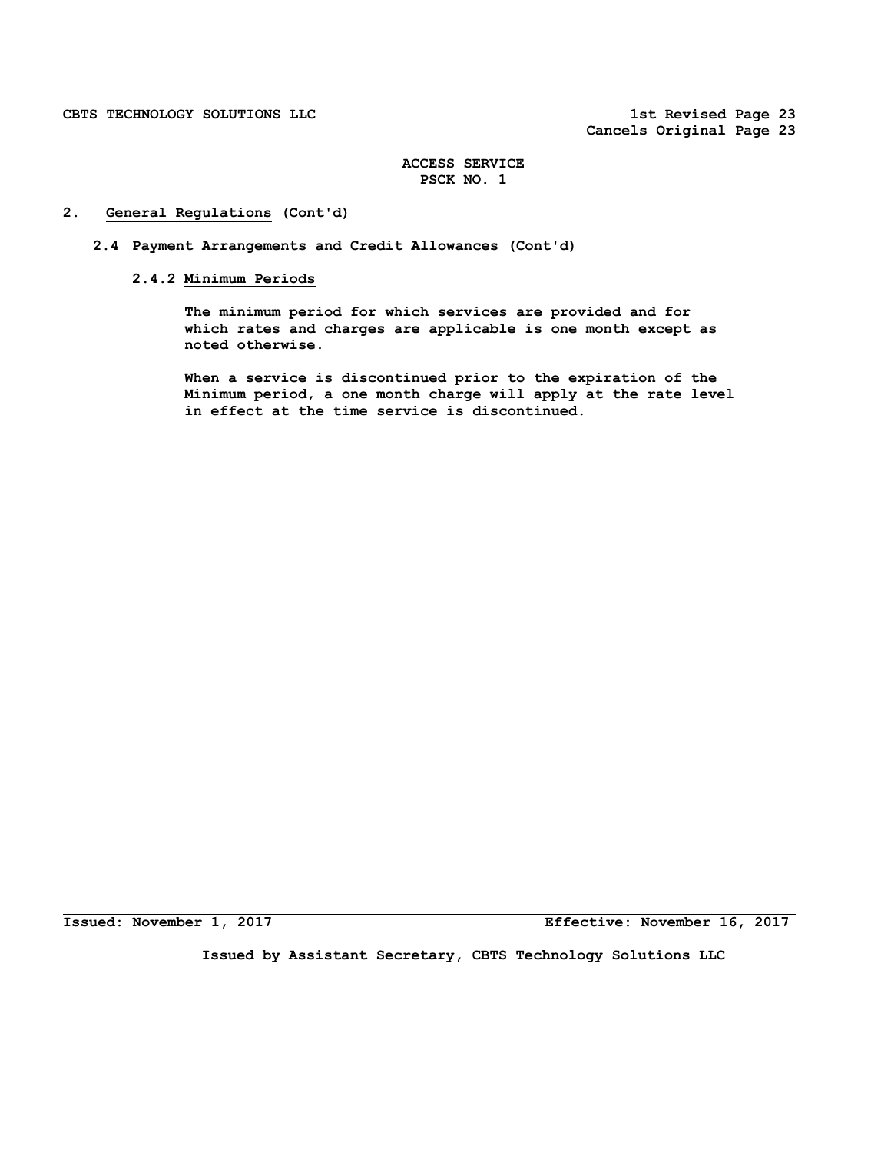# **2. General Regulations (Cont'd)**

- **2.4 Payment Arrangements and Credit Allowances (Cont'd)** 
	- **2.4.2 Minimum Periods**

 **The minimum period for which services are provided and for which rates and charges are applicable is one month except as noted otherwise.** 

 **When a service is discontinued prior to the expiration of the Minimum period, a one month charge will apply at the rate level in effect at the time service is discontinued.** 

**Issued: November 1, 2017 Effective: November 16, 2017**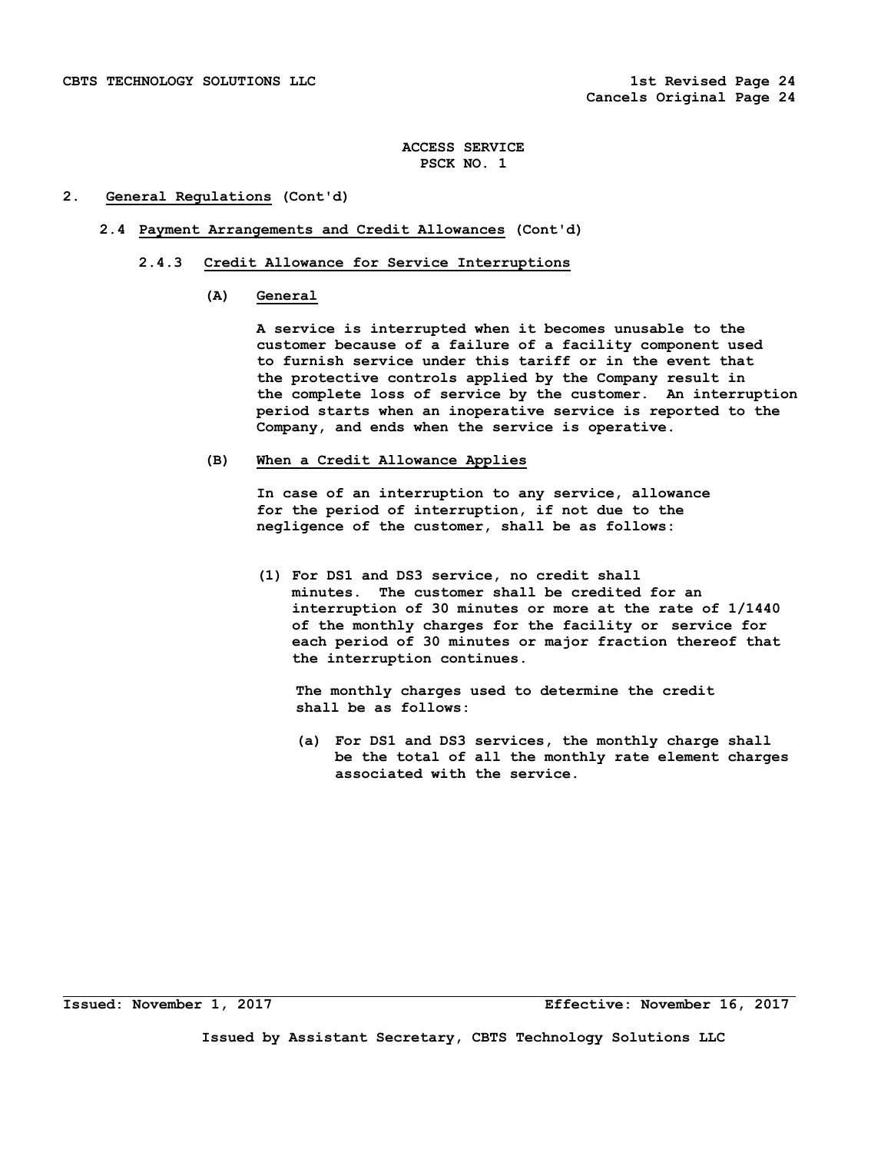## **2. General Regulations (Cont'd)**

- **2.4 Payment Arrangements and Credit Allowances (Cont'd)** 
	- **2.4.3 Credit Allowance for Service Interruptions** 
		- **(A) General**

 **A service is interrupted when it becomes unusable to the customer because of a failure of a facility component used to furnish service under this tariff or in the event that the protective controls applied by the Company result in the complete loss of service by the customer. An interruption period starts when an inoperative service is reported to the Company, and ends when the service is operative.** 

## **(B) When a Credit Allowance Applies**

 **In case of an interruption to any service, allowance for the period of interruption, if not due to the negligence of the customer, shall be as follows:** 

 **(1) For DS1 and DS3 service, no credit shall minutes. The customer shall be credited for an interruption of 30 minutes or more at the rate of 1/1440 of the monthly charges for the facility or service for each period of 30 minutes or major fraction thereof that the interruption continues.** 

 **The monthly charges used to determine the credit shall be as follows:** 

 **(a) For DS1 and DS3 services, the monthly charge shall be the total of all the monthly rate element charges associated with the service.** 

**Issued: November 1, 2017 Effective: November 16, 2017**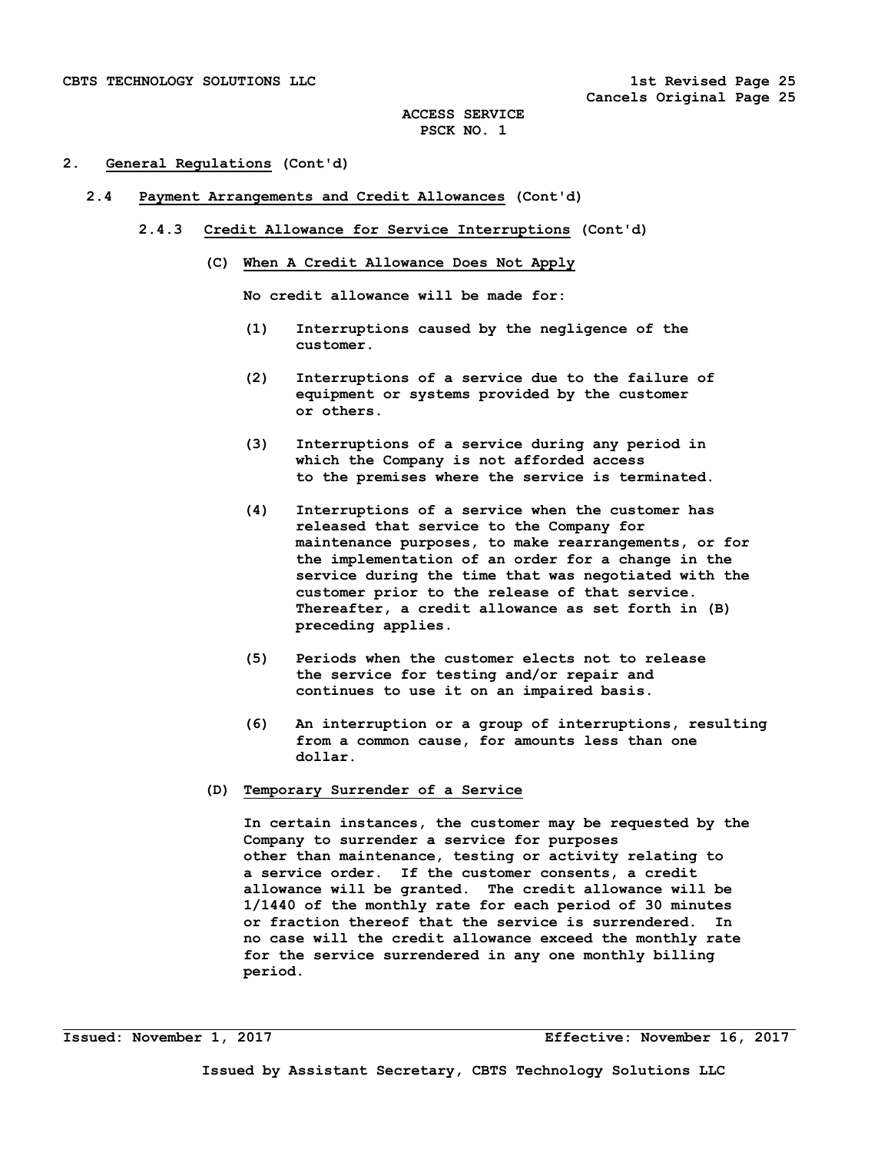## **2. General Regulations (Cont'd)**

- **2.4 Payment Arrangements and Credit Allowances (Cont'd)** 
	- **2.4.3 Credit Allowance for Service Interruptions (Cont'd)** 
		- **(C) When A Credit Allowance Does Not Apply**

 **No credit allowance will be made for:** 

- **(1) Interruptions caused by the negligence of the customer.**
- **(2) Interruptions of a service due to the failure of equipment or systems provided by the customer or others.**
- **(3) Interruptions of a service during any period in which the Company is not afforded access to the premises where the service is terminated.**
- **(4) Interruptions of a service when the customer has released that service to the Company for maintenance purposes, to make rearrangements, or for the implementation of an order for a change in the service during the time that was negotiated with the customer prior to the release of that service. Thereafter, a credit allowance as set forth in (B) preceding applies.**
- **(5) Periods when the customer elects not to release the service for testing and/or repair and continues to use it on an impaired basis.**
- **(6) An interruption or a group of interruptions, resulting from a common cause, for amounts less than one dollar.**
- **(D) Temporary Surrender of a Service**

 **In certain instances, the customer may be requested by the Company to surrender a service for purposes other than maintenance, testing or activity relating to a service order. If the customer consents, a credit allowance will be granted. The credit allowance will be 1/1440 of the monthly rate for each period of 30 minutes or fraction thereof that the service is surrendered. In no case will the credit allowance exceed the monthly rate for the service surrendered in any one monthly billing period.**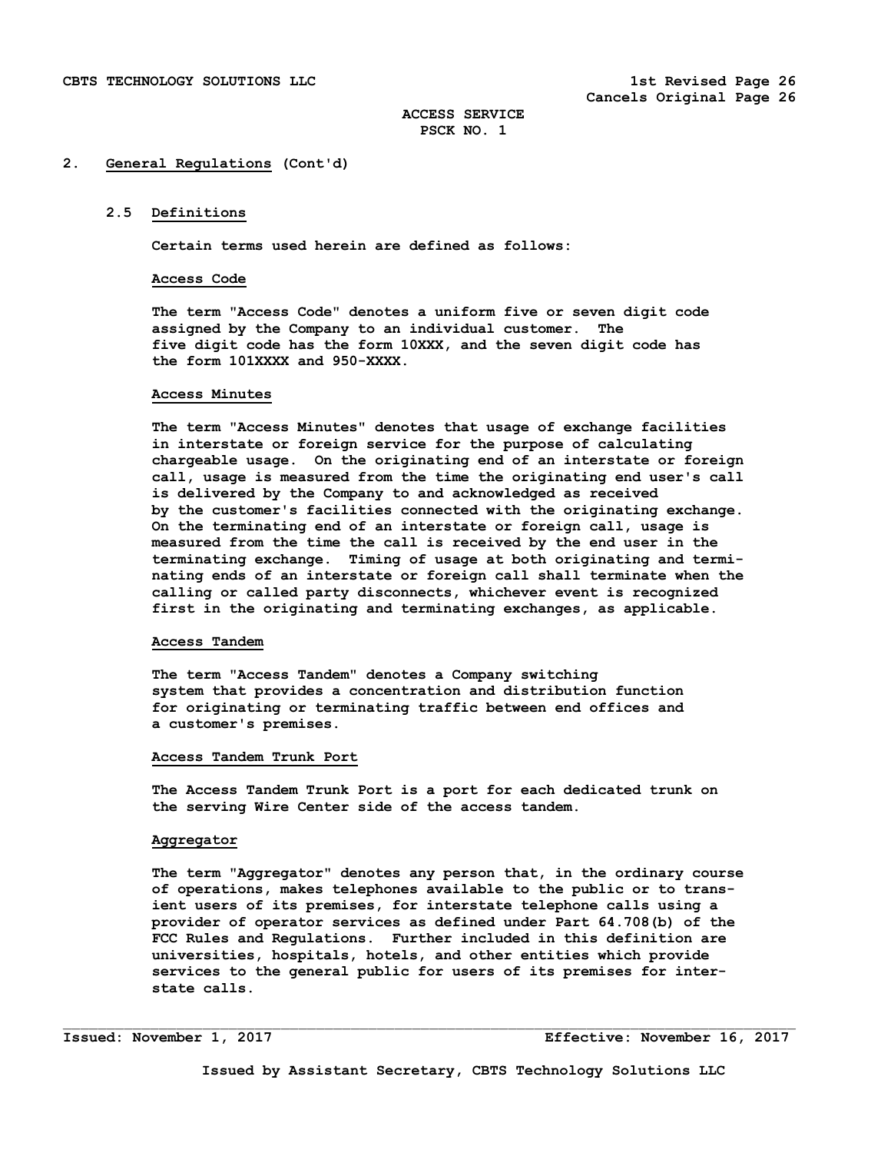## **2.5 Definitions**

**Certain terms used herein are defined as follows:** 

### **Access Code**

 **The term "Access Code" denotes a uniform five or seven digit code assigned by the Company to an individual customer. The five digit code has the form 10XXX, and the seven digit code has the form 101XXXX and 950-XXXX.** 

### **Access Minutes**

 **The term "Access Minutes" denotes that usage of exchange facilities in interstate or foreign service for the purpose of calculating chargeable usage. On the originating end of an interstate or foreign call, usage is measured from the time the originating end user's call is delivered by the Company to and acknowledged as received by the customer's facilities connected with the originating exchange. On the terminating end of an interstate or foreign call, usage is measured from the time the call is received by the end user in the terminating exchange. Timing of usage at both originating and termi nating ends of an interstate or foreign call shall terminate when the calling or called party disconnects, whichever event is recognized first in the originating and terminating exchanges, as applicable.** 

### **Access Tandem**

 **The term "Access Tandem" denotes a Company switching system that provides a concentration and distribution function for originating or terminating traffic between end offices and a customer's premises.** 

## **Access Tandem Trunk Port**

 **The Access Tandem Trunk Port is a port for each dedicated trunk on the serving Wire Center side of the access tandem.** 

## **Aggregator**

 **The term "Aggregator" denotes any person that, in the ordinary course of operations, makes telephones available to the public or to trans ient users of its premises, for interstate telephone calls using a provider of operator services as defined under Part 64.708(b) of the FCC Rules and Regulations. Further included in this definition are universities, hospitals, hotels, and other entities which provide services to the general public for users of its premises for inter state calls.** 

**Issued: November 1, 2017 Effective: November 16, 2017**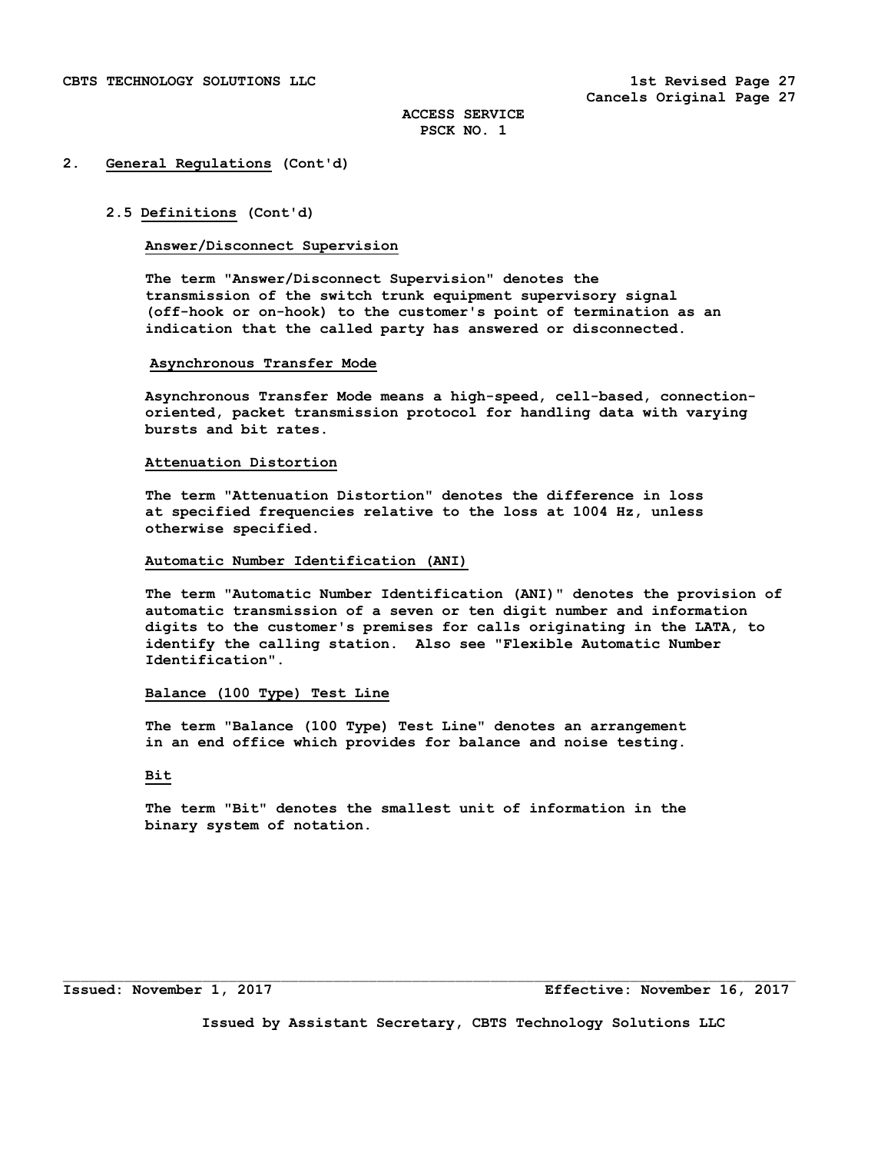## **2.5 Definitions (Cont'd)**

# **Answer/Disconnect Supervision**

 **The term "Answer/Disconnect Supervision" denotes the transmission of the switch trunk equipment supervisory signal (off-hook or on-hook) to the customer's point of termination as an indication that the called party has answered or disconnected.** 

### **Asynchronous Transfer Mode**

**Asynchronous Transfer Mode means a high-speed, cell-based, connectionoriented, packet transmission protocol for handling data with varying bursts and bit rates.** 

# **Attenuation Distortion**

 **The term "Attenuation Distortion" denotes the difference in loss at specified frequencies relative to the loss at 1004 Hz, unless otherwise specified.** 

### **Automatic Number Identification (ANI)**

 **The term "Automatic Number Identification (ANI)" denotes the provision of automatic transmission of a seven or ten digit number and information digits to the customer's premises for calls originating in the LATA, to identify the calling station. Also see "Flexible Automatic Number Identification".** 

## **Balance (100 Type) Test Line**

 **The term "Balance (100 Type) Test Line" denotes an arrangement in an end office which provides for balance and noise testing.** 

## **Bit**

 **The term "Bit" denotes the smallest unit of information in the binary system of notation.** 

**Issued: November 1, 2017 Effective: November 16, 2017** 

**Issued by Assistant Secretary, CBTS Technology Solutions LLC**

 $\Box$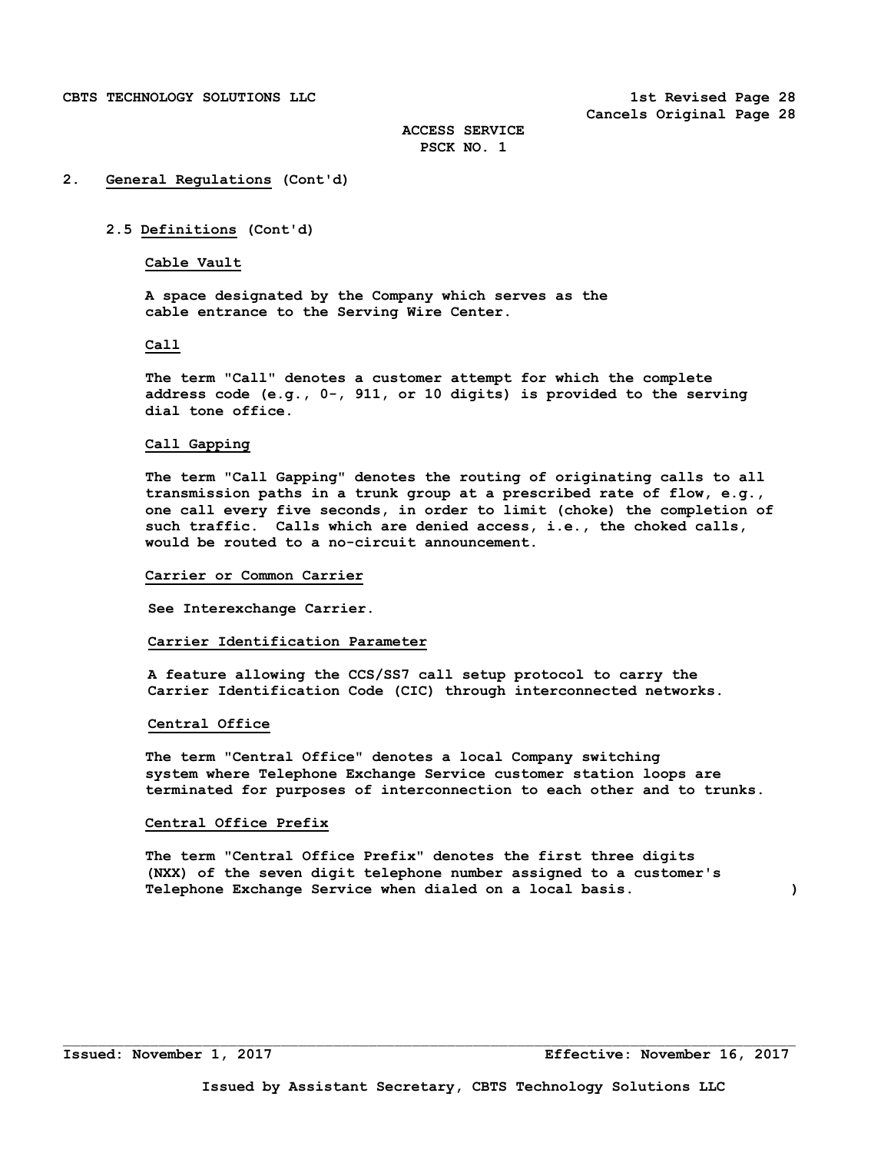## **2. General Regulations (Cont'd)**

## **2.5 Definitions (Cont'd)**

# **Cable Vault**

 **A space designated by the Company which serves as the cable entrance to the Serving Wire Center.** 

## **Call**

 **The term "Call" denotes a customer attempt for which the complete address code (e.g., 0-, 911, or 10 digits) is provided to the serving dial tone office.** 

### **Call Gapping**

 **The term "Call Gapping" denotes the routing of originating calls to all transmission paths in a trunk group at a prescribed rate of flow, e.g., one call every five seconds, in order to limit (choke) the completion of such traffic. Calls which are denied access, i.e., the choked calls, would be routed to a no-circuit announcement.** 

### **Carrier or Common Carrier**

 **See Interexchange Carrier.** 

### **Carrier Identification Parameter**

 **A feature allowing the CCS/SS7 call setup protocol to carry the Carrier Identification Code (CIC) through interconnected networks.** 

### **Central Office**

 **The term "Central Office" denotes a local Company switching system where Telephone Exchange Service customer station loops are terminated for purposes of interconnection to each other and to trunks.** 

## **Central Office Prefix**

 **The term "Central Office Prefix" denotes the first three digits (NXX) of the seven digit telephone number assigned to a customer's Telephone Exchange Service when dialed on a local basis. )**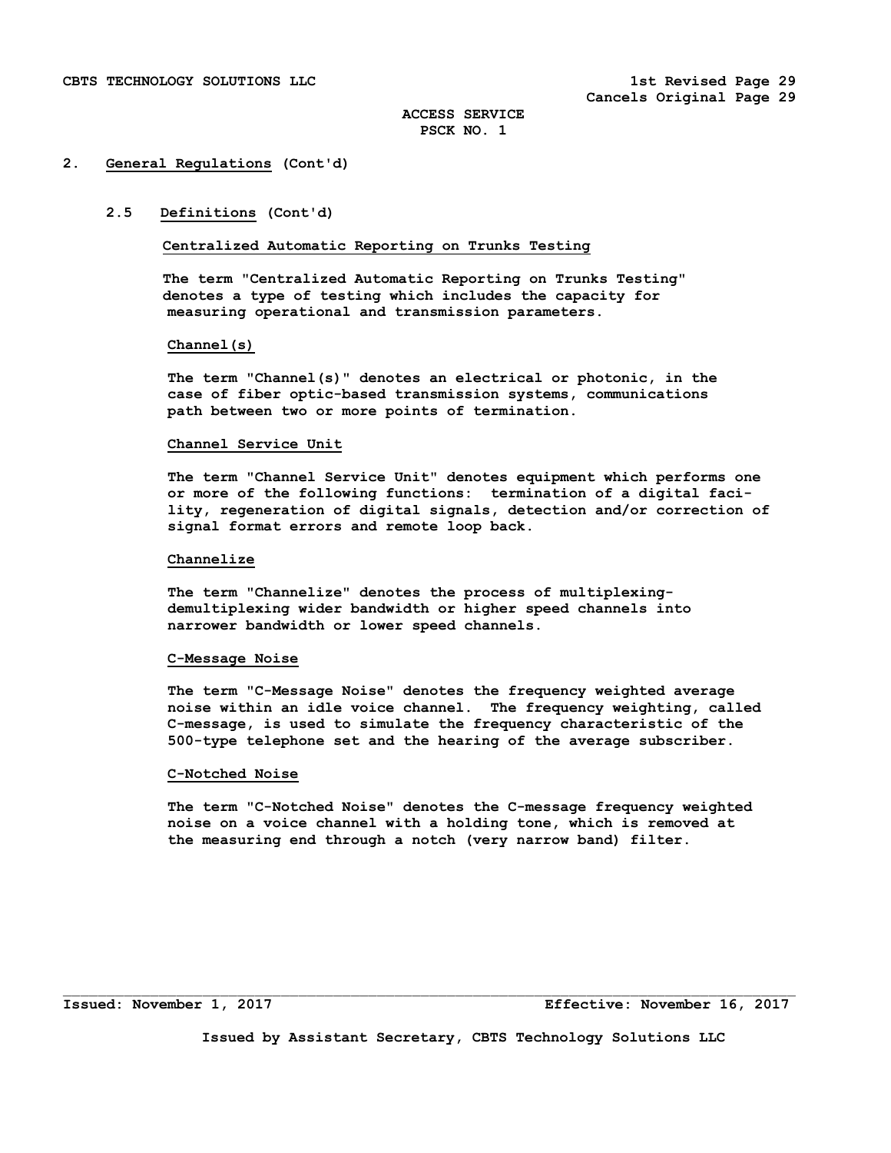# **2.5 Definitions (Cont'd)**

**Centralized Automatic Reporting on Trunks Testing** 

 **The term "Centralized Automatic Reporting on Trunks Testing" denotes a type of testing which includes the capacity for measuring operational and transmission parameters.** 

### **Channel(s)**

 **The term "Channel(s)" denotes an electrical or photonic, in the case of fiber optic-based transmission systems, communications path between two or more points of termination.** 

### **Channel Service Unit**

 **The term "Channel Service Unit" denotes equipment which performs one or more of the following functions: termination of a digital faci lity, regeneration of digital signals, detection and/or correction of signal format errors and remote loop back.** 

### **Channelize**

 **The term "Channelize" denotes the process of multiplexing demultiplexing wider bandwidth or higher speed channels into narrower bandwidth or lower speed channels.** 

## **C-Message Noise**

 **The term "C-Message Noise" denotes the frequency weighted average noise within an idle voice channel. The frequency weighting, called C-message, is used to simulate the frequency characteristic of the 500-type telephone set and the hearing of the average subscriber.** 

### **C-Notched Noise**

 **The term "C-Notched Noise" denotes the C-message frequency weighted noise on a voice channel with a holding tone, which is removed at the measuring end through a notch (very narrow band) filter.** 

**Issued by Assistant Secretary, CBTS Technology Solutions LLC** 

 $\mathcal{L}_\text{max}$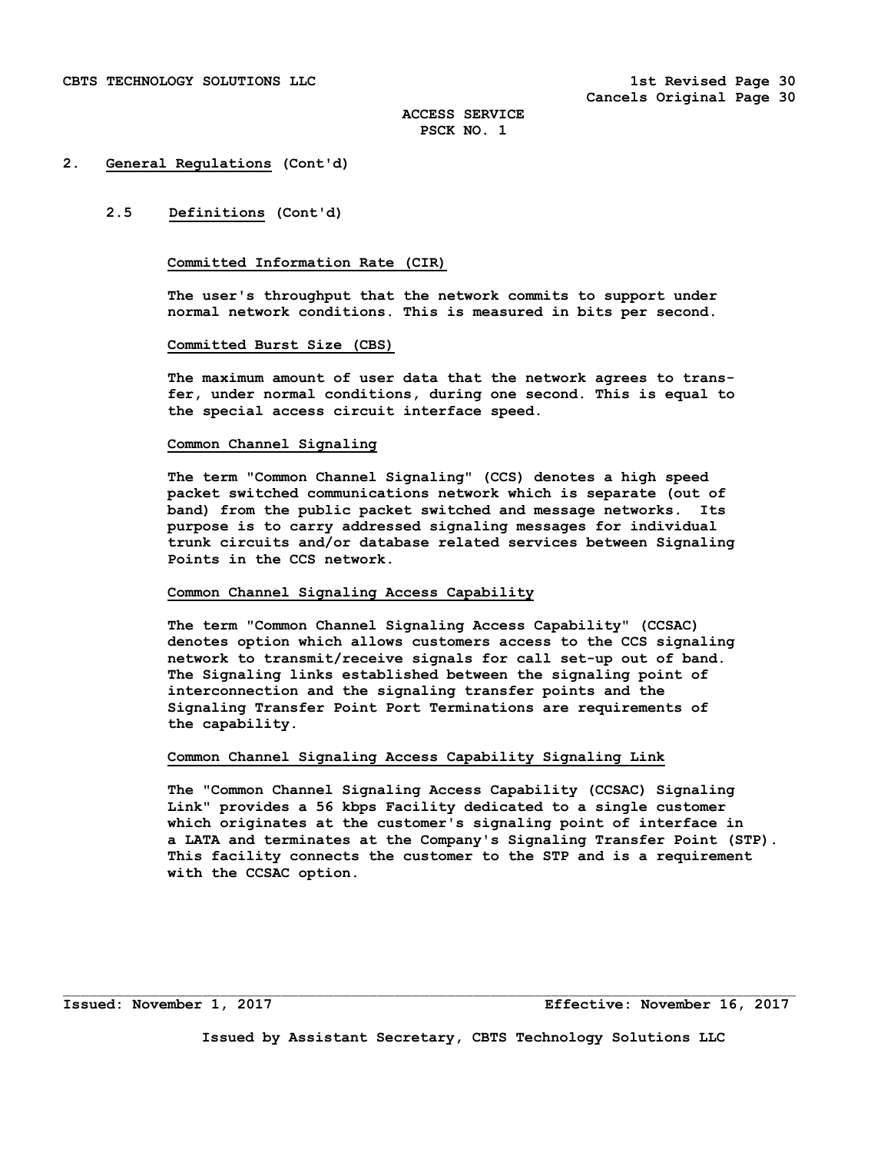## **2.5 Definitions (Cont'd)**

## **Committed Information Rate (CIR)**

 **The user's throughput that the network commits to support under normal network conditions. This is measured in bits per second.** 

### **Committed Burst Size (CBS)**

 **The maximum amount of user data that the network agrees to trans fer, under normal conditions, during one second. This is equal to the special access circuit interface speed.** 

### **Common Channel Signaling**

 **The term "Common Channel Signaling" (CCS) denotes a high speed packet switched communications network which is separate (out of band) from the public packet switched and message networks. Its purpose is to carry addressed signaling messages for individual trunk circuits and/or database related services between Signaling Points in the CCS network.** 

## **Common Channel Signaling Access Capability**

 **The term "Common Channel Signaling Access Capability" (CCSAC) denotes option which allows customers access to the CCS signaling network to transmit/receive signals for call set-up out of band. The Signaling links established between the signaling point of interconnection and the signaling transfer points and the Signaling Transfer Point Port Terminations are requirements of the capability.** 

## **Common Channel Signaling Access Capability Signaling Link**

 **The "Common Channel Signaling Access Capability (CCSAC) Signaling Link" provides a 56 kbps Facility dedicated to a single customer which originates at the customer's signaling point of interface in a LATA and terminates at the Company's Signaling Transfer Point (STP). This facility connects the customer to the STP and is a requirement with the CCSAC option.** 

**Issued: November 1, 2017 Effective: November 16, 2017** 

**Issued by Assistant Secretary, CBTS Technology Solutions LLC** 

 $\mathcal{L}_\text{max}$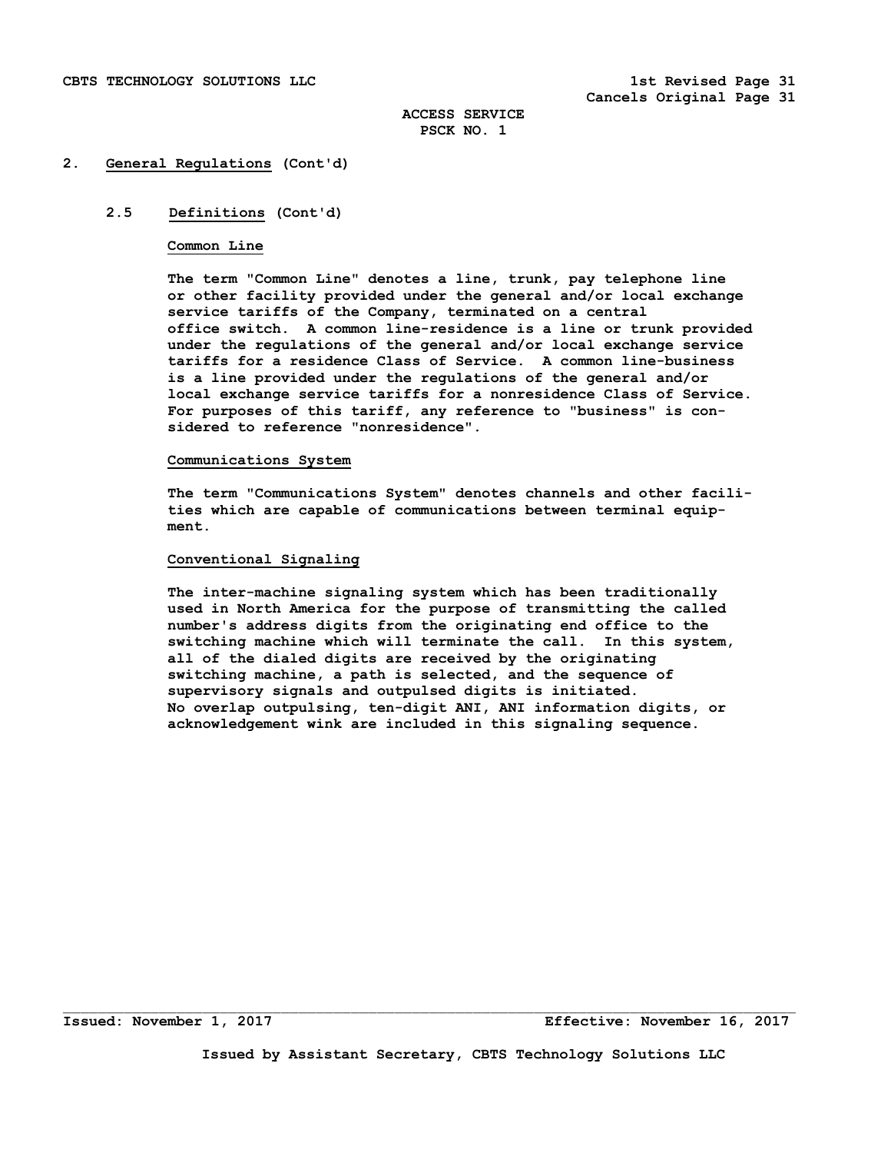## **2.5 Definitions (Cont'd)**

### **Common Line**

 **The term "Common Line" denotes a line, trunk, pay telephone line or other facility provided under the general and/or local exchange service tariffs of the Company, terminated on a central office switch. A common line-residence is a line or trunk provided under the regulations of the general and/or local exchange service tariffs for a residence Class of Service. A common line-business is a line provided under the regulations of the general and/or local exchange service tariffs for a nonresidence Class of Service. For purposes of this tariff, any reference to "business" is con sidered to reference "nonresidence".** 

### **Communications System**

**The term "Communications System" denotes channels and other facili ties which are capable of communications between terminal equip ment.** 

## **Conventional Signaling**

 **The inter-machine signaling system which has been traditionally used in North America for the purpose of transmitting the called number's address digits from the originating end office to the switching machine which will terminate the call. In this system, all of the dialed digits are received by the originating switching machine, a path is selected, and the sequence of supervisory signals and outpulsed digits is initiated. No overlap outpulsing, ten-digit ANI, ANI information digits, or acknowledgement wink are included in this signaling sequence.** 

 $\Box$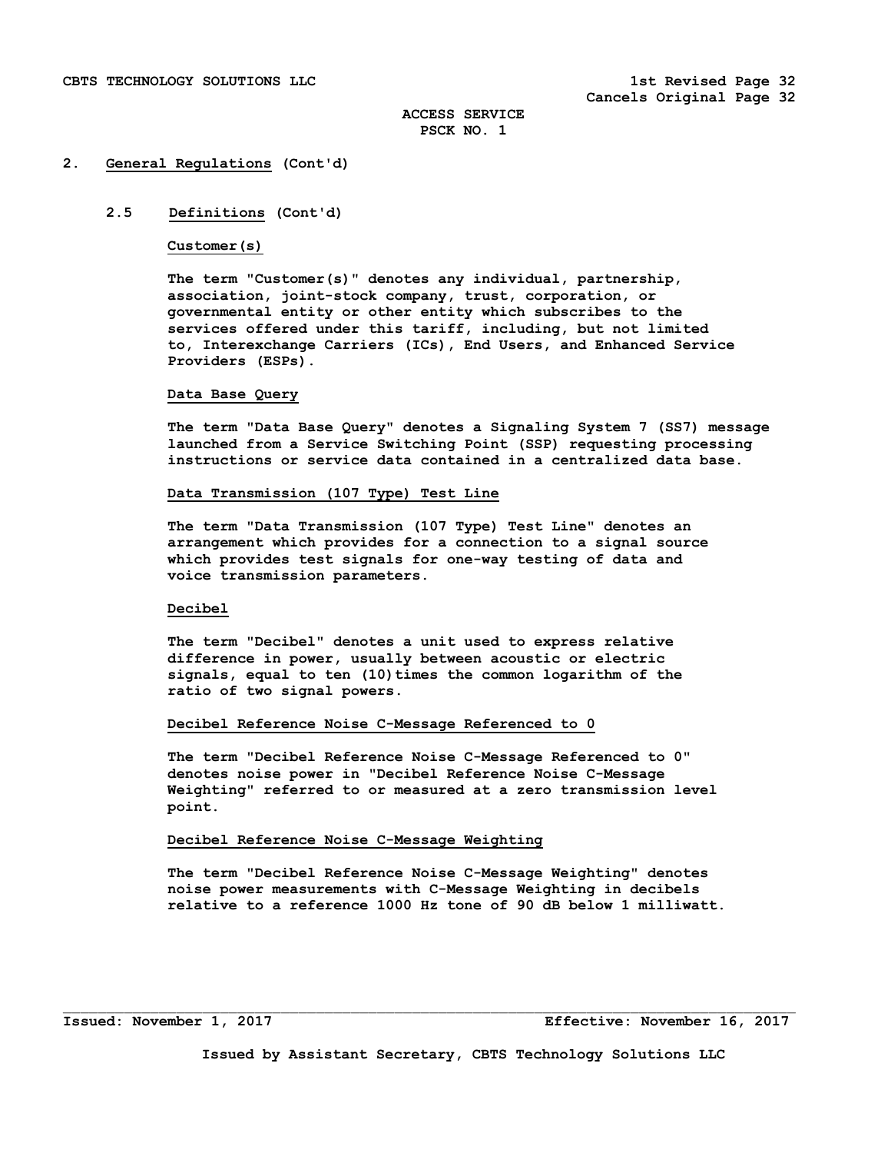# **2.5 Definitions (Cont'd)**

**Customer(s)** 

 **The term "Customer(s)" denotes any individual, partnership, association, joint-stock company, trust, corporation, or governmental entity or other entity which subscribes to the services offered under this tariff, including, but not limited to, Interexchange Carriers (ICs), End Users, and Enhanced Service Providers (ESPs).** 

### **Data Base Query**

 **The term "Data Base Query" denotes a Signaling System 7 (SS7) message launched from a Service Switching Point (SSP) requesting processing instructions or service data contained in a centralized data base.** 

### **Data Transmission (107 Type) Test Line**

 **The term "Data Transmission (107 Type) Test Line" denotes an arrangement which provides for a connection to a signal source which provides test signals for one-way testing of data and voice transmission parameters.** 

## **Decibel**

 **The term "Decibel" denotes a unit used to express relative difference in power, usually between acoustic or electric**  signals, equal to ten (10) times the common logarithm of the **ratio of two signal powers.** 

### **Decibel Reference Noise C-Message Referenced to 0**

**The term "Decibel Reference Noise C-Message Referenced to 0" denotes noise power in "Decibel Reference Noise C-Message Weighting" referred to or measured at a zero transmission level point.** 

## **Decibel Reference Noise C-Message Weighting**

**The term "Decibel Reference Noise C-Message Weighting" denotes noise power measurements with C-Message Weighting in decibels relative to a reference 1000 Hz tone of 90 dB below 1 milliwatt.** 

 $\Box$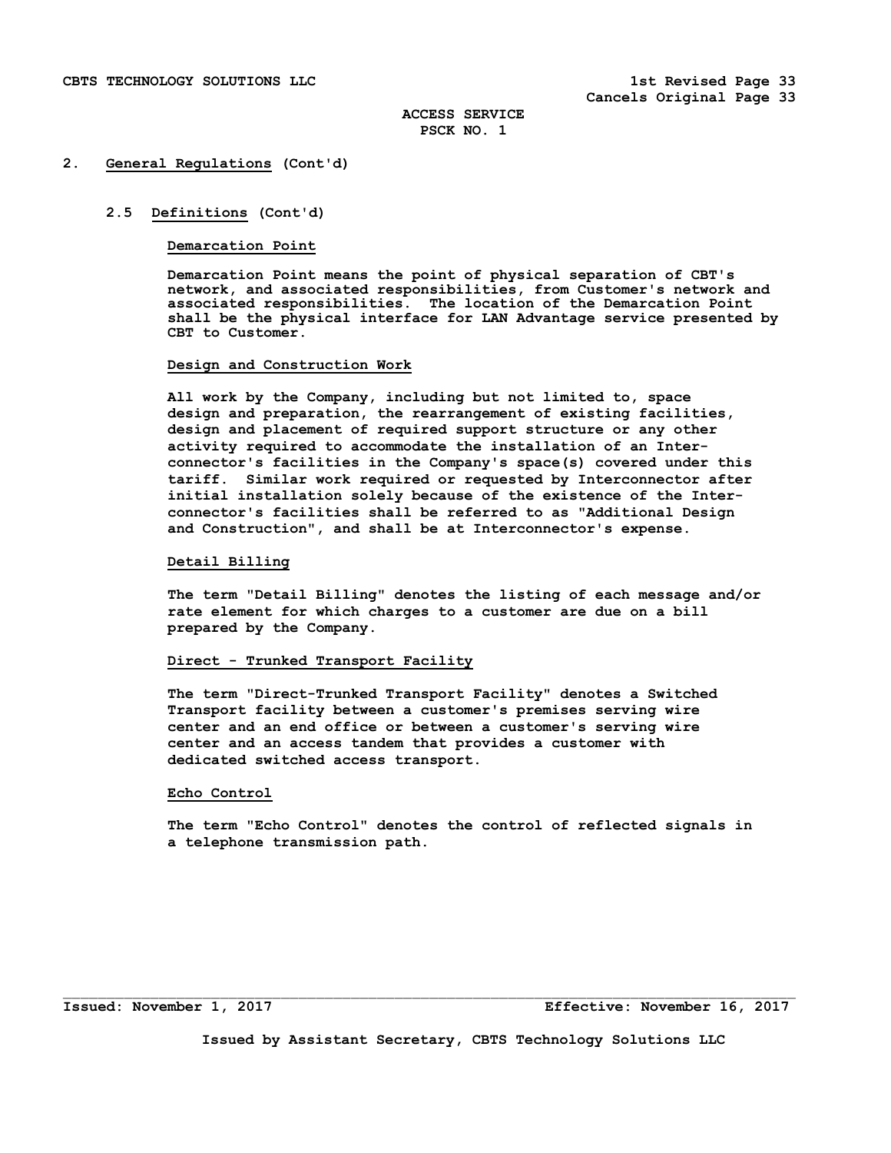## **2.5 Definitions (Cont'd)**

### **Demarcation Point**

 **Demarcation Point means the point of physical separation of CBT's network, and associated responsibilities, from Customer's network and associated responsibilities. The location of the Demarcation Point shall be the physical interface for LAN Advantage service presented by CBT to Customer.** 

### **Design and Construction Work**

 **All work by the Company, including but not limited to, space design and preparation, the rearrangement of existing facilities, design and placement of required support structure or any other activity required to accommodate the installation of an Interconnector's facilities in the Company's space(s) covered under this tariff. Similar work required or requested by Interconnector after initial installation solely because of the existence of the Interconnector's facilities shall be referred to as "Additional Design and Construction", and shall be at Interconnector's expense.** 

## **Detail Billing**

 **The term "Detail Billing" denotes the listing of each message and/or rate element for which charges to a customer are due on a bill prepared by the Company.** 

## **Direct - Trunked Transport Facility**

 **The term "Direct-Trunked Transport Facility" denotes a Switched Transport facility between a customer's premises serving wire center and an end office or between a customer's serving wire center and an access tandem that provides a customer with dedicated switched access transport.** 

## **Echo Control**

 **The term "Echo Control" denotes the control of reflected signals in a telephone transmission path.** 

**Issued: November 1, 2017 Effective: November 16, 2017**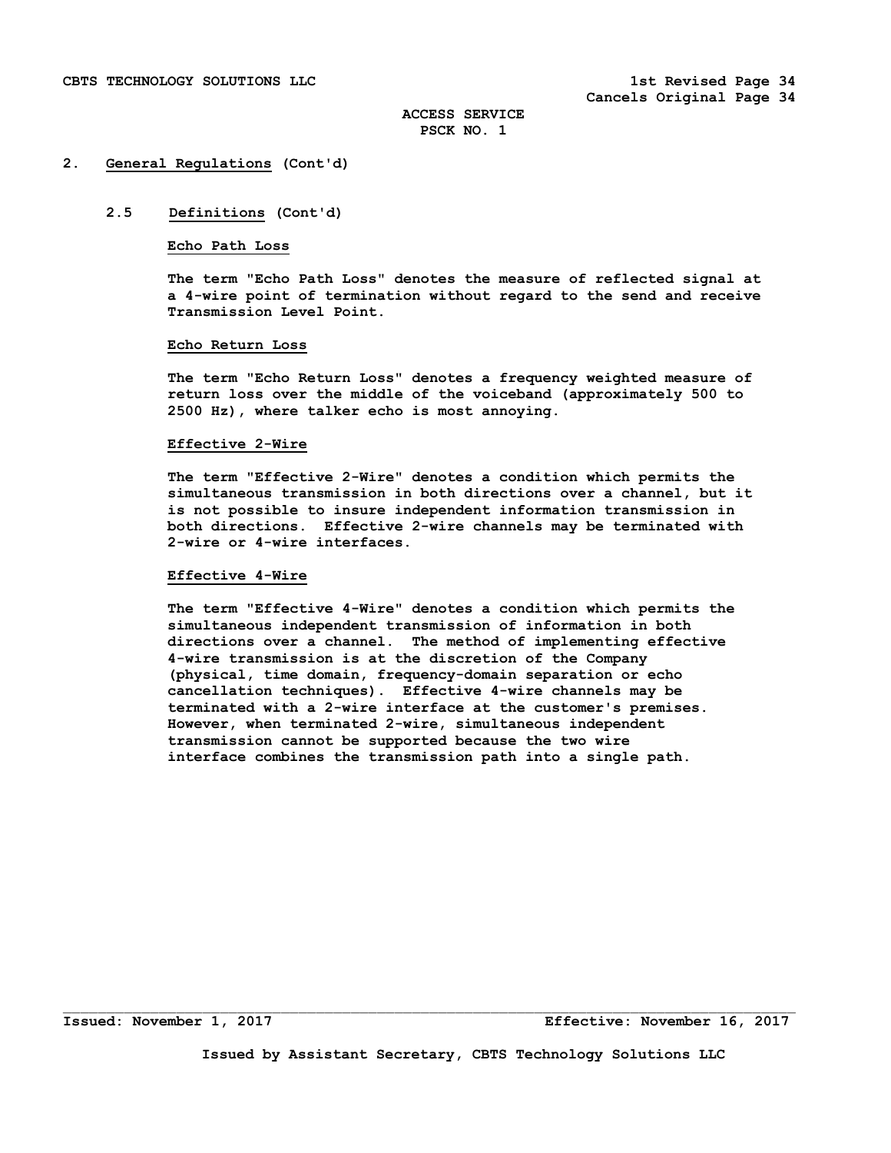## **2.5 Definitions (Cont'd)**

### **Echo Path Loss**

 **The term "Echo Path Loss" denotes the measure of reflected signal at a 4-wire point of termination without regard to the send and receive Transmission Level Point.** 

### **Echo Return Loss**

 **The term "Echo Return Loss" denotes a frequency weighted measure of return loss over the middle of the voiceband (approximately 500 to 2500 Hz), where talker echo is most annoying.** 

### **Effective 2-Wire**

 **The term "Effective 2-Wire" denotes a condition which permits the simultaneous transmission in both directions over a channel, but it is not possible to insure independent information transmission in both directions. Effective 2-wire channels may be terminated with 2-wire or 4-wire interfaces.** 

### **Effective 4-Wire**

 **The term "Effective 4-Wire" denotes a condition which permits the simultaneous independent transmission of information in both directions over a channel. The method of implementing effective 4-wire transmission is at the discretion of the Company (physical, time domain, frequency-domain separation or echo cancellation techniques). Effective 4-wire channels may be terminated with a 2-wire interface at the customer's premises. However, when terminated 2-wire, simultaneous independent transmission cannot be supported because the two wire interface combines the transmission path into a single path.** 

 $\Box$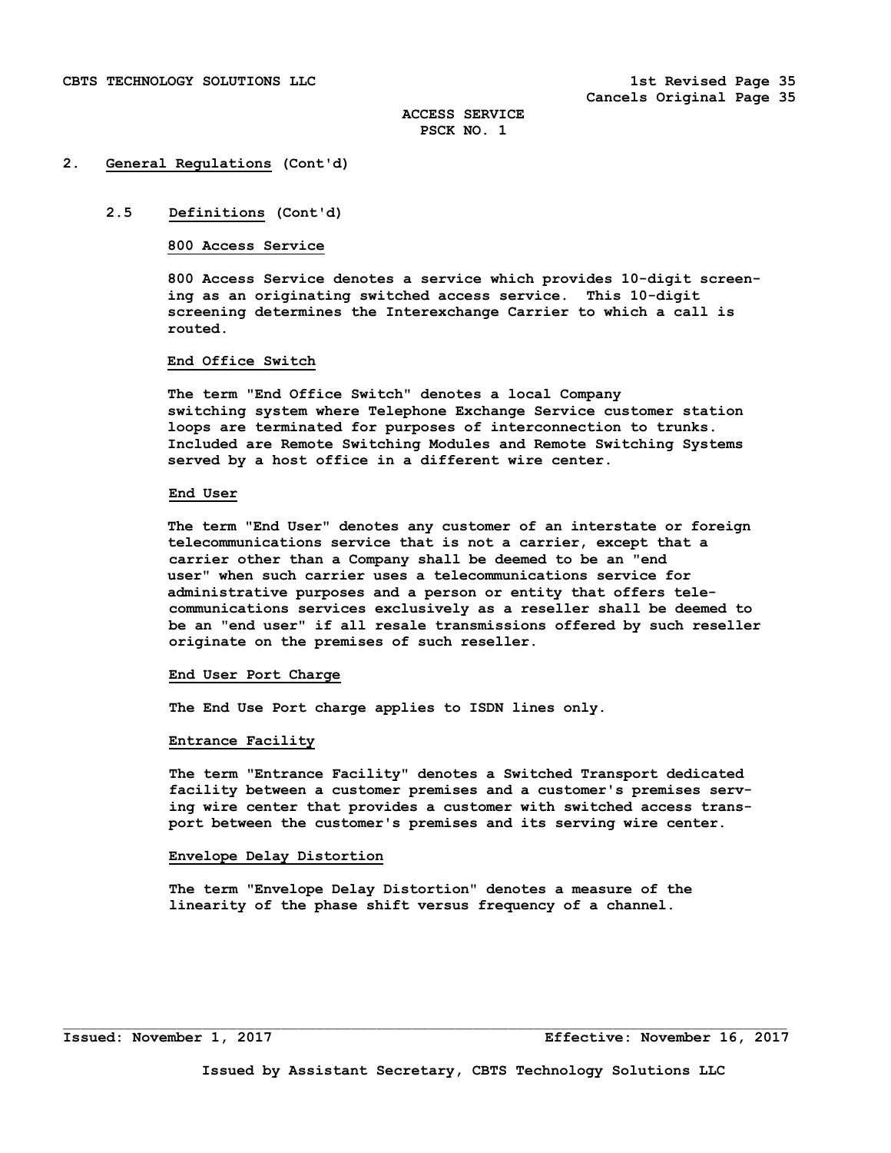# **2.5 Definitions (Cont'd)**

## **800 Access Service**

 **800 Access Service denotes a service which provides 10-digit screen ing as an originating switched access service. This 10-digit screening determines the Interexchange Carrier to which a call is routed.** 

# **End Office Switch**

 **The term "End Office Switch" denotes a local Company switching system where Telephone Exchange Service customer station loops are terminated for purposes of interconnection to trunks. Included are Remote Switching Modules and Remote Switching Systems served by a host office in a different wire center.** 

#### **End User**

**The term "End User" denotes any customer of an interstate or foreign telecommunications service that is not a carrier, except that a carrier other than a Company shall be deemed to be an "end user" when such carrier uses a telecommunications service for administrative purposes and a person or entity that offers tele communications services exclusively as a reseller shall be deemed to be an "end user" if all resale transmissions offered by such reseller originate on the premises of such reseller.** 

#### **End User Port Charge**

 **The End Use Port charge applies to ISDN lines only.** 

#### **Entrance Facility**

 **The term "Entrance Facility" denotes a Switched Transport dedicated facility between a customer premises and a customer's premises serv ing wire center that provides a customer with switched access trans port between the customer's premises and its serving wire center.** 

#### **Envelope Delay Distortion**

 **The term "Envelope Delay Distortion" denotes a measure of the linearity of the phase shift versus frequency of a channel.**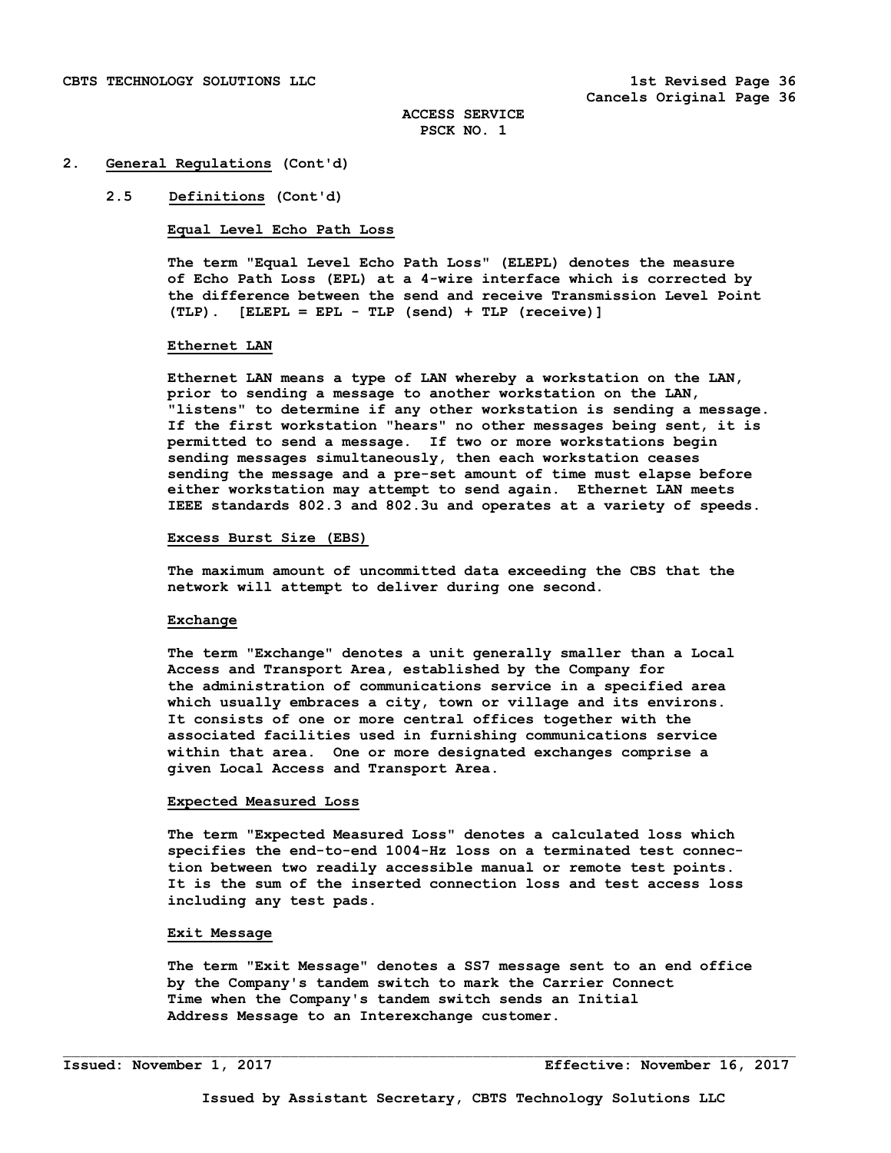#### **2.5 Definitions (Cont'd)**

**Equal Level Echo Path Loss** 

 **The term "Equal Level Echo Path Loss" (ELEPL) denotes the measure of Echo Path Loss (EPL) at a 4-wire interface which is corrected by the difference between the send and receive Transmission Level Point (TLP). [ELEPL = EPL - TLP (send) + TLP (receive)]** 

#### **Ethernet LAN**

**Ethernet LAN means a type of LAN whereby a workstation on the LAN, prior to sending a message to another workstation on the LAN, "listens" to determine if any other workstation is sending a message. If the first workstation "hears" no other messages being sent, it is permitted to send a message. If two or more workstations begin sending messages simultaneously, then each workstation ceases sending the message and a pre-set amount of time must elapse before either workstation may attempt to send again. Ethernet LAN meets IEEE standards 802.3 and 802.3u and operates at a variety of speeds.** 

#### **Excess Burst Size (EBS)**

 **The maximum amount of uncommitted data exceeding the CBS that the network will attempt to deliver during one second.** 

#### **Exchange**

 **The term "Exchange" denotes a unit generally smaller than a Local Access and Transport Area, established by the Company for the administration of communications service in a specified area which usually embraces a city, town or village and its environs. It consists of one or more central offices together with the associated facilities used in furnishing communications service within that area. One or more designated exchanges comprise a given Local Access and Transport Area.** 

#### **Expected Measured Loss**

 **The term "Expected Measured Loss" denotes a calculated loss which specifies the end-to-end 1004-Hz loss on a terminated test connec tion between two readily accessible manual or remote test points. It is the sum of the inserted connection loss and test access loss including any test pads.** 

# **Exit Message**

 **The term "Exit Message" denotes a SS7 message sent to an end office by the Company's tandem switch to mark the Carrier Connect Time when the Company's tandem switch sends an Initial Address Message to an Interexchange customer.**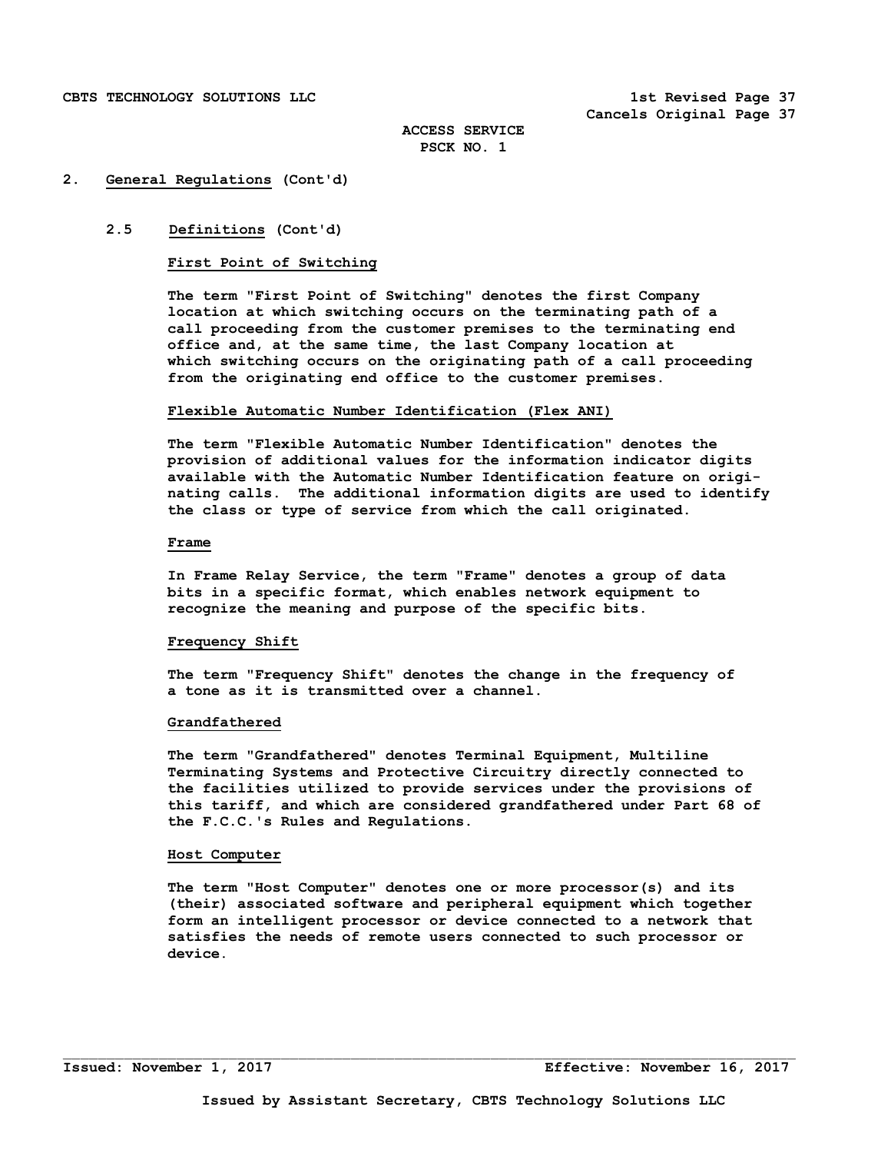## **2. General Regulations (Cont'd)**

#### **2.5 Definitions (Cont'd)**

## **First Point of Switching**

 **The term "First Point of Switching" denotes the first Company location at which switching occurs on the terminating path of a call proceeding from the customer premises to the terminating end office and, at the same time, the last Company location at which switching occurs on the originating path of a call proceeding from the originating end office to the customer premises.** 

#### **Flexible Automatic Number Identification (Flex ANI)**

**The term "Flexible Automatic Number Identification" denotes the provision of additional values for the information indicator digits available with the Automatic Number Identification feature on origi nating calls. The additional information digits are used to identify the class or type of service from which the call originated.** 

#### **Frame**

 **In Frame Relay Service, the term "Frame" denotes a group of data bits in a specific format, which enables network equipment to recognize the meaning and purpose of the specific bits.** 

#### **Frequency Shift**

 **The term "Frequency Shift" denotes the change in the frequency of a tone as it is transmitted over a channel.** 

#### **Grandfathered**

 **The term "Grandfathered" denotes Terminal Equipment, Multiline Terminating Systems and Protective Circuitry directly connected to the facilities utilized to provide services under the provisions of this tariff, and which are considered grandfathered under Part 68 of the F.C.C.'s Rules and Regulations.** 

#### **Host Computer**

 **The term "Host Computer" denotes one or more processor(s) and its (their) associated software and peripheral equipment which together form an intelligent processor or device connected to a network that satisfies the needs of remote users connected to such processor or device.**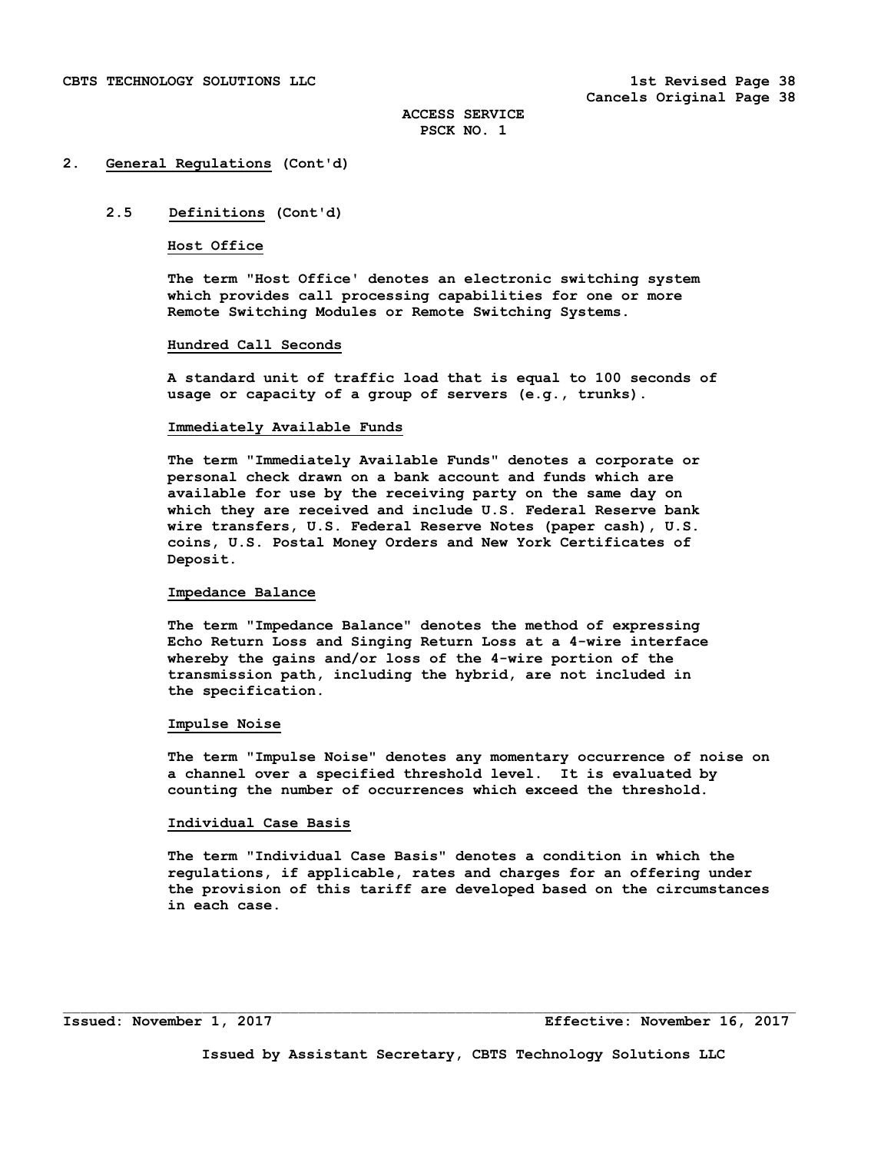# **2.5 Definitions (Cont'd)**

#### **Host Office**

 **The term "Host Office' denotes an electronic switching system which provides call processing capabilities for one or more Remote Switching Modules or Remote Switching Systems.** 

#### **Hundred Call Seconds**

 **A standard unit of traffic load that is equal to 100 seconds of usage or capacity of a group of servers (e.g., trunks).** 

#### **Immediately Available Funds**

 **The term "Immediately Available Funds" denotes a corporate or personal check drawn on a bank account and funds which are available for use by the receiving party on the same day on which they are received and include U.S. Federal Reserve bank wire transfers, U.S. Federal Reserve Notes (paper cash), U.S. coins, U.S. Postal Money Orders and New York Certificates of Deposit.** 

## **Impedance Balance**

 **The term "Impedance Balance" denotes the method of expressing Echo Return Loss and Singing Return Loss at a 4-wire interface whereby the gains and/or loss of the 4-wire portion of the transmission path, including the hybrid, are not included in the specification.** 

#### **Impulse Noise**

 **The term "Impulse Noise" denotes any momentary occurrence of noise on a channel over a specified threshold level. It is evaluated by counting the number of occurrences which exceed the threshold.** 

## **Individual Case Basis**

 **The term "Individual Case Basis" denotes a condition in which the regulations, if applicable, rates and charges for an offering under the provision of this tariff are developed based on the circumstances in each case.**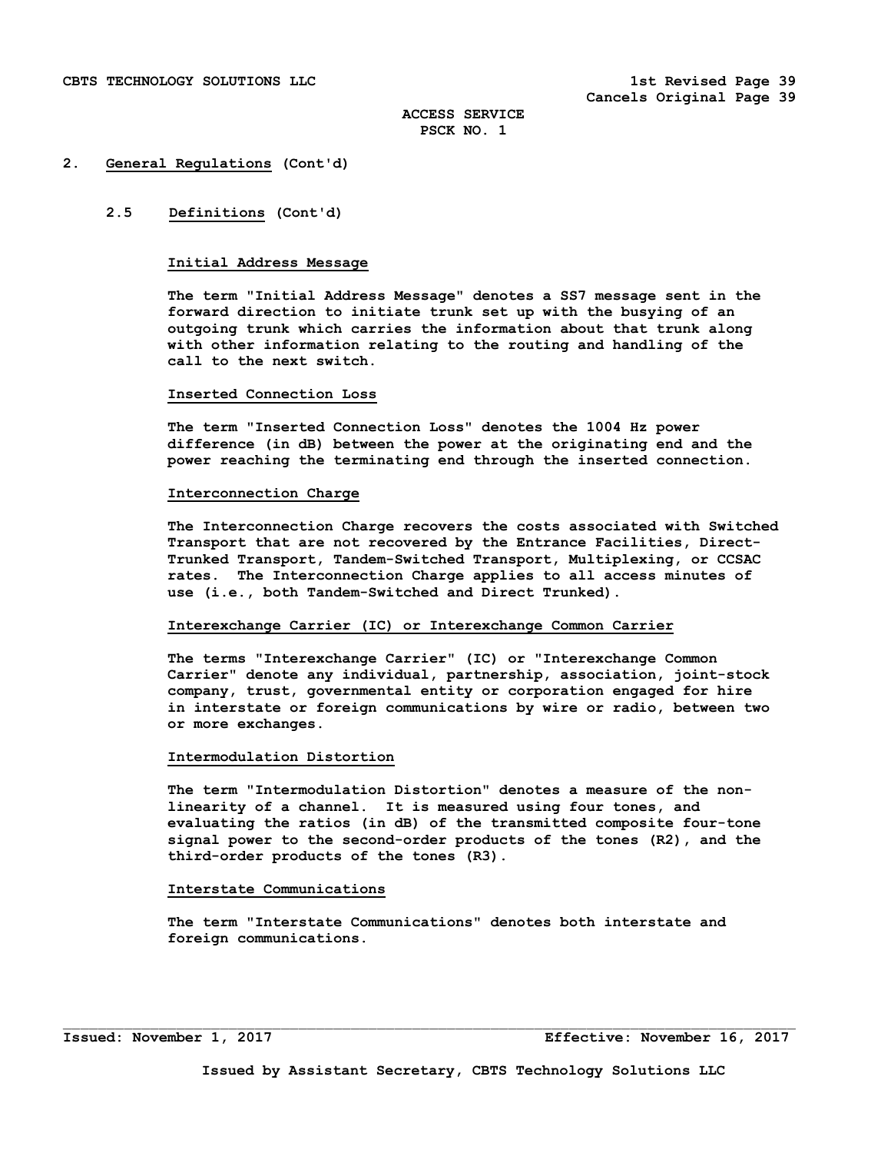## **2.5 Definitions (Cont'd)**

## **Initial Address Message**

 **The term "Initial Address Message" denotes a SS7 message sent in the forward direction to initiate trunk set up with the busying of an outgoing trunk which carries the information about that trunk along with other information relating to the routing and handling of the call to the next switch.** 

#### **Inserted Connection Loss**

 **The term "Inserted Connection Loss" denotes the 1004 Hz power difference (in dB) between the power at the originating end and the power reaching the terminating end through the inserted connection.** 

#### **Interconnection Charge**

 **The Interconnection Charge recovers the costs associated with Switched Transport that are not recovered by the Entrance Facilities, Direct- Trunked Transport, Tandem-Switched Transport, Multiplexing, or CCSAC rates. The Interconnection Charge applies to all access minutes of use (i.e., both Tandem-Switched and Direct Trunked).** 

## **Interexchange Carrier (IC) or Interexchange Common Carrier**

 **The terms "Interexchange Carrier" (IC) or "Interexchange Common Carrier" denote any individual, partnership, association, joint-stock company, trust, governmental entity or corporation engaged for hire in interstate or foreign communications by wire or radio, between two or more exchanges.** 

#### **Intermodulation Distortion**

 **The term "Intermodulation Distortion" denotes a measure of the non linearity of a channel. It is measured using four tones, and evaluating the ratios (in dB) of the transmitted composite four-tone signal power to the second-order products of the tones (R2), and the third-order products of the tones (R3).** 

## **Interstate Communications**

 **The term "Interstate Communications" denotes both interstate and foreign communications.**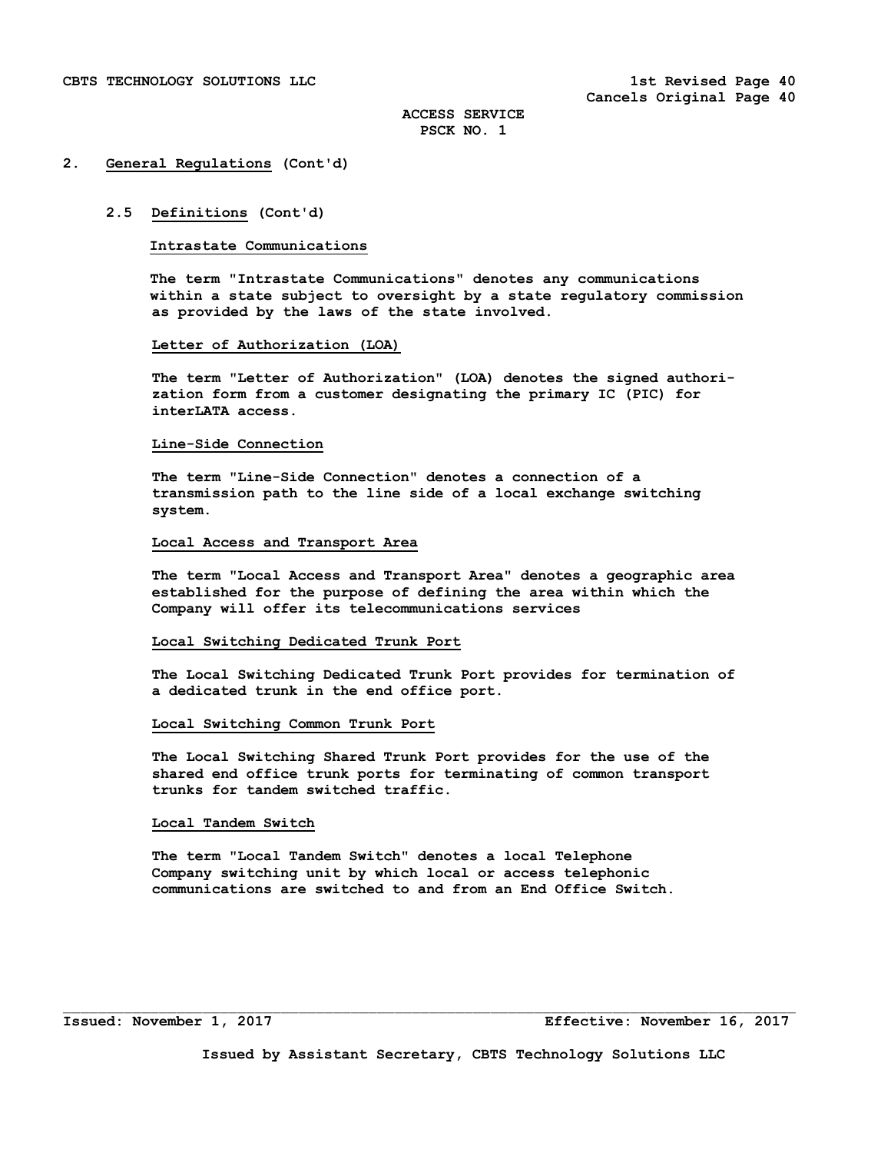#### **2.5 Definitions (Cont'd)**

#### **Intrastate Communications**

 **The term "Intrastate Communications" denotes any communications within a state subject to oversight by a state regulatory commission as provided by the laws of the state involved.** 

#### **Letter of Authorization (LOA)**

 **The term "Letter of Authorization" (LOA) denotes the signed authori zation form from a customer designating the primary IC (PIC) for interLATA access.** 

#### **Line-Side Connection**

 **The term "Line-Side Connection" denotes a connection of a transmission path to the line side of a local exchange switching system.** 

# **Local Access and Transport Area**

 **The term "Local Access and Transport Area" denotes a geographic area established for the purpose of defining the area within which the Company will offer its telecommunications services** 

#### **Local Switching Dedicated Trunk Port**

 **The Local Switching Dedicated Trunk Port provides for termination of a dedicated trunk in the end office port.** 

#### **Local Switching Common Trunk Port**

 **The Local Switching Shared Trunk Port provides for the use of the shared end office trunk ports for terminating of common transport trunks for tandem switched traffic.** 

# **Local Tandem Switch**

 **The term "Local Tandem Switch" denotes a local Telephone Company switching unit by which local or access telephonic communications are switched to and from an End Office Switch.**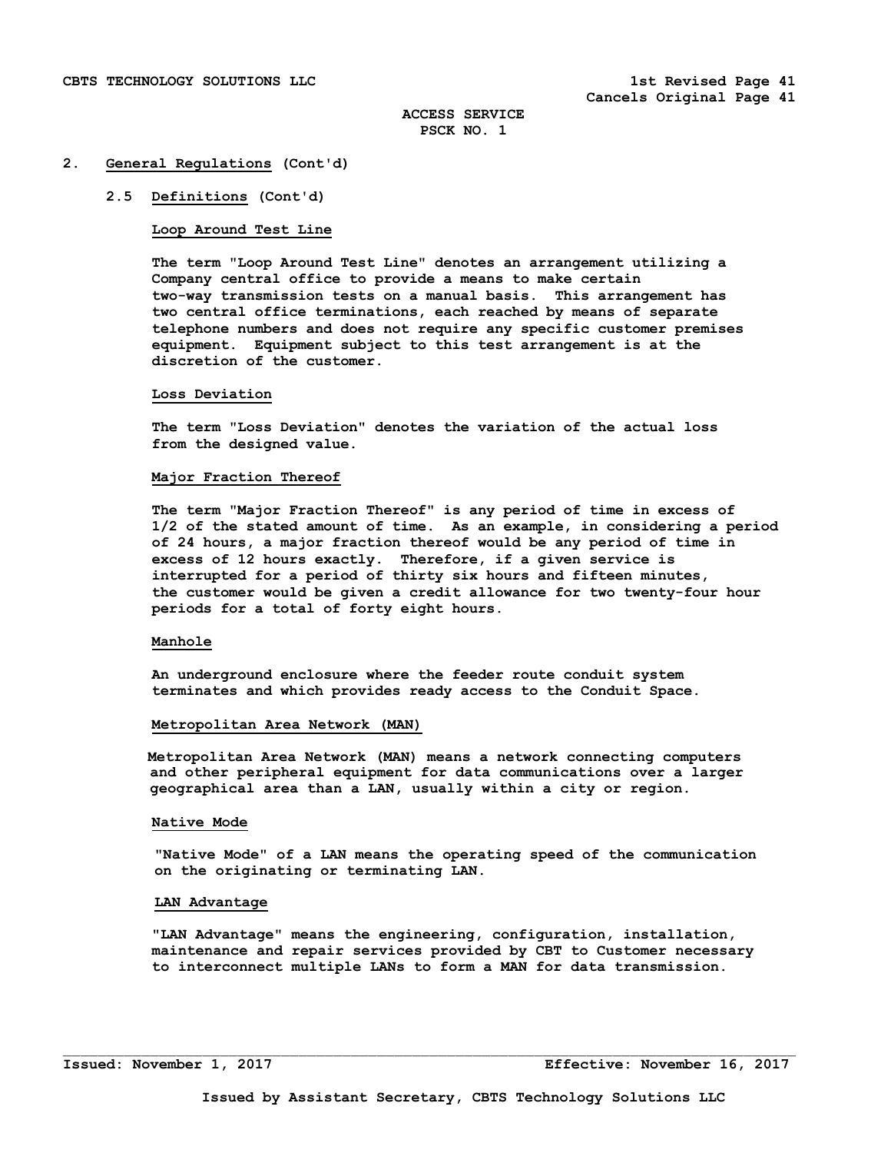## **2.5 Definitions (Cont'd)**

## **Loop Around Test Line**

 **The term "Loop Around Test Line" denotes an arrangement utilizing a Company central office to provide a means to make certain two-way transmission tests on a manual basis. This arrangement has two central office terminations, each reached by means of separate telephone numbers and does not require any specific customer premises equipment. Equipment subject to this test arrangement is at the discretion of the customer.** 

#### **Loss Deviation**

 **The term "Loss Deviation" denotes the variation of the actual loss from the designed value.** 

#### **Major Fraction Thereof**

 **The term "Major Fraction Thereof" is any period of time in excess of 1/2 of the stated amount of time. As an example, in considering a period of 24 hours, a major fraction thereof would be any period of time in excess of 12 hours exactly. Therefore, if a given service is interrupted for a period of thirty six hours and fifteen minutes, the customer would be given a credit allowance for two twenty-four hour periods for a total of forty eight hours.** 

#### **Manhole**

 **An underground enclosure where the feeder route conduit system terminates and which provides ready access to the Conduit Space.** 

#### **Metropolitan Area Network (MAN)**

 **Metropolitan Area Network (MAN) means a network connecting computers and other peripheral equipment for data communications over a larger geographical area than a LAN, usually within a city or region.** 

## **Native Mode**

 **"Native Mode" of a LAN means the operating speed of the communication on the originating or terminating LAN.** 

## **LAN Advantage**

 **"LAN Advantage" means the engineering, configuration, installation, maintenance and repair services provided by CBT to Customer necessary to interconnect multiple LANs to form a MAN for data transmission.**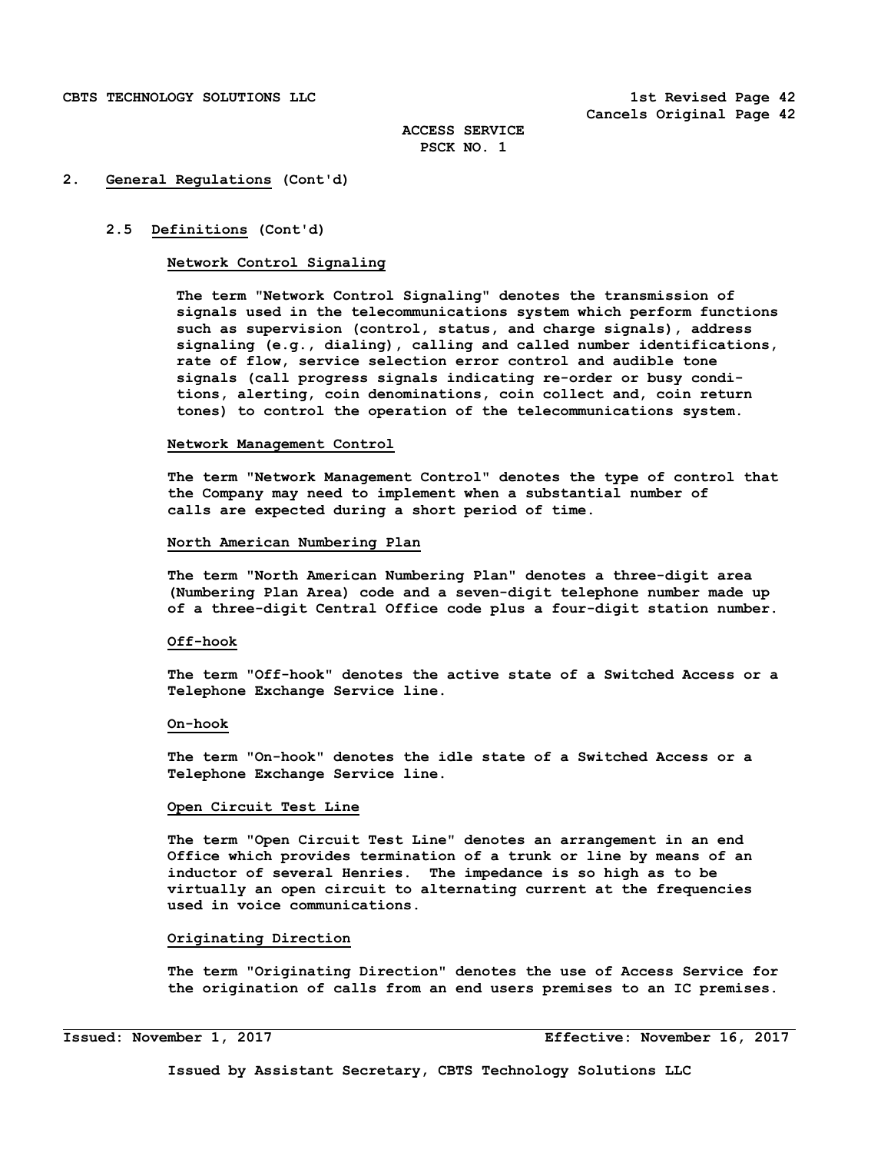## **2.5 Definitions (Cont'd)**

## **Network Control Signaling**

 **The term "Network Control Signaling" denotes the transmission of signals used in the telecommunications system which perform functions such as supervision (control, status, and charge signals), address signaling (e.g., dialing), calling and called number identifications, rate of flow, service selection error control and audible tone signals (call progress signals indicating re-order or busy condi tions, alerting, coin denominations, coin collect and, coin return tones) to control the operation of the telecommunications system.** 

#### **Network Management Control**

 **The term "Network Management Control" denotes the type of control that the Company may need to implement when a substantial number of calls are expected during a short period of time.** 

# **North American Numbering Plan**

 **The term "North American Numbering Plan" denotes a three-digit area (Numbering Plan Area) code and a seven-digit telephone number made up of a three-digit Central Office code plus a four-digit station number.** 

#### **Off-hook**

 **The term "Off-hook" denotes the active state of a Switched Access or a Telephone Exchange Service line.** 

#### **On-hook**

 **The term "On-hook" denotes the idle state of a Switched Access or a Telephone Exchange Service line.** 

## **Open Circuit Test Line**

 **The term "Open Circuit Test Line" denotes an arrangement in an end Office which provides termination of a trunk or line by means of an inductor of several Henries. The impedance is so high as to be virtually an open circuit to alternating current at the frequencies used in voice communications.** 

#### **Originating Direction**

 **The term "Originating Direction" denotes the use of Access Service for the origination of calls from an end users premises to an IC premises.** 

i<br>S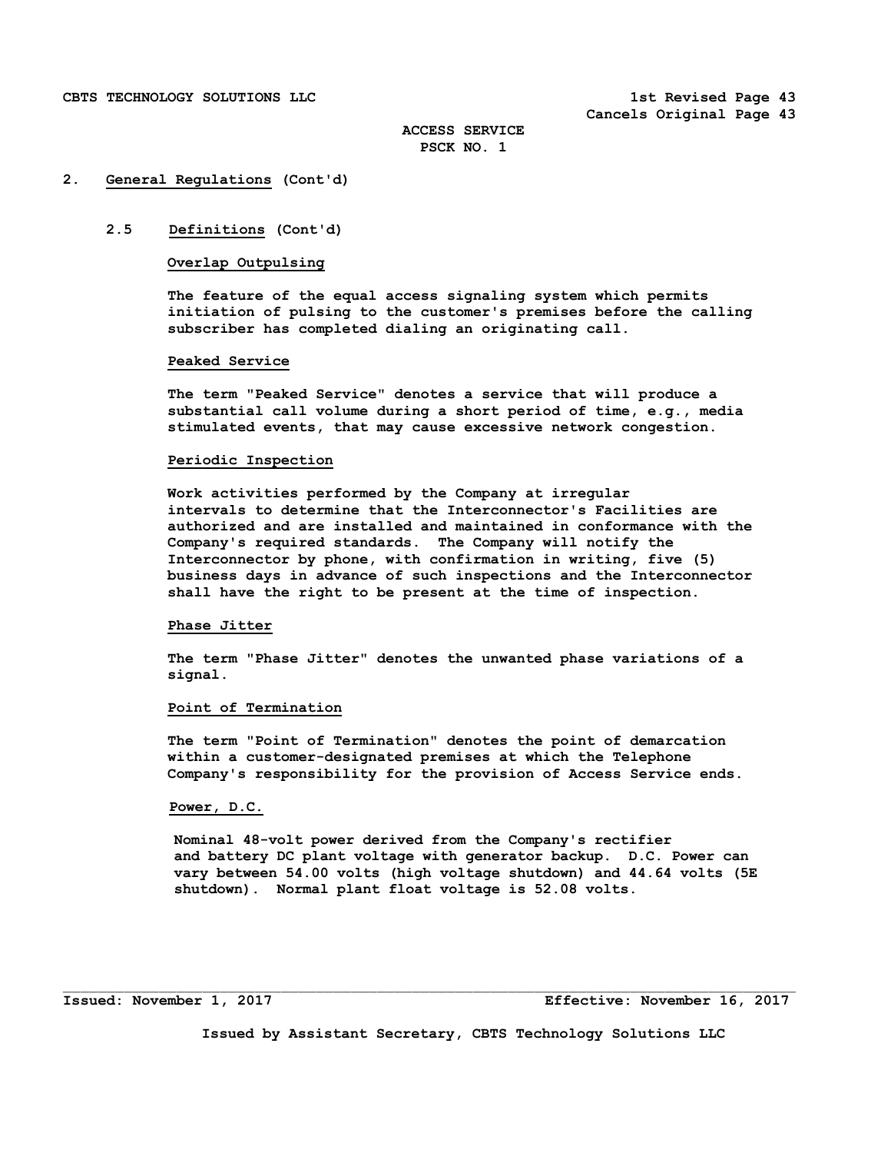## **2. General Regulations (Cont'd)**

# **2.5 Definitions (Cont'd)**

# **Overlap Outpulsing**

 **The feature of the equal access signaling system which permits initiation of pulsing to the customer's premises before the calling subscriber has completed dialing an originating call.** 

#### **Peaked Service**

 **The term "Peaked Service" denotes a service that will produce a substantial call volume during a short period of time, e.g., media stimulated events, that may cause excessive network congestion.** 

#### **Periodic Inspection**

 **Work activities performed by the Company at irregular intervals to determine that the Interconnector's Facilities are authorized and are installed and maintained in conformance with the Company's required standards. The Company will notify the Interconnector by phone, with confirmation in writing, five (5) business days in advance of such inspections and the Interconnector shall have the right to be present at the time of inspection.** 

#### **Phase Jitter**

 **The term "Phase Jitter" denotes the unwanted phase variations of a signal.** 

## **Point of Termination**

 **The term "Point of Termination" denotes the point of demarcation within a customer-designated premises at which the Telephone Company's responsibility for the provision of Access Service ends.** 

## **Power, D.C.**

 **Nominal 48-volt power derived from the Company's rectifier and battery DC plant voltage with generator backup. D.C. Power can vary between 54.00 volts (high voltage shutdown) and 44.64 volts (5E shutdown). Normal plant float voltage is 52.08 volts.** 

**Issued: November 1, 2017 Effective: November 16, 2017**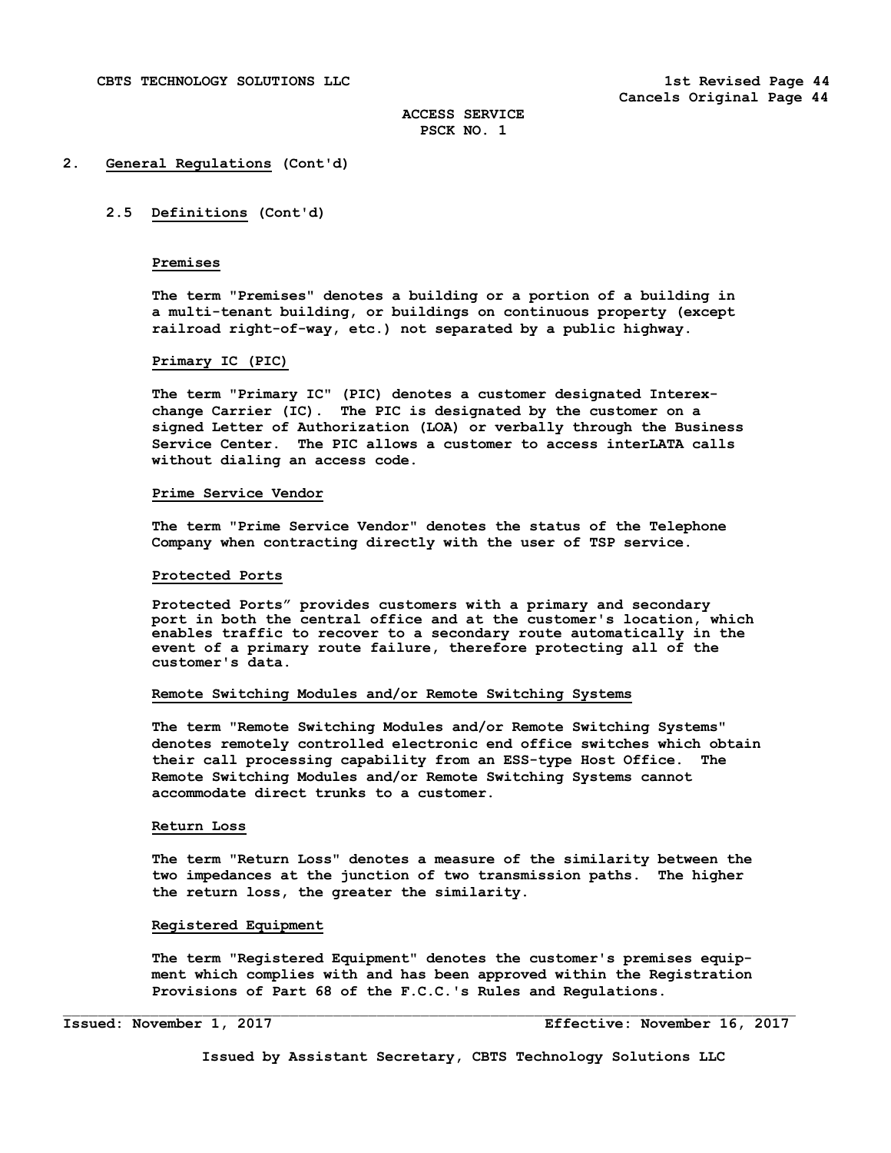# **2.5 Definitions (Cont'd)**

# **Premises**

 **The term "Premises" denotes a building or a portion of a building in a multi-tenant building, or buildings on continuous property (except railroad right-of-way, etc.) not separated by a public highway.** 

## **Primary IC (PIC)**

 **The term "Primary IC" (PIC) denotes a customer designated Interex change Carrier (IC). The PIC is designated by the customer on a signed Letter of Authorization (LOA) or verbally through the Business Service Center. The PIC allows a customer to access interLATA calls without dialing an access code.** 

#### **Prime Service Vendor**

 **The term "Prime Service Vendor" denotes the status of the Telephone Company when contracting directly with the user of TSP service.** 

#### **Protected Ports**

**Protected Ports" provides customers with a primary and secondary port in both the central office and at the customer's location, which enables traffic to recover to a secondary route automatically in the event of a primary route failure, therefore protecting all of the customer's data.** 

#### **Remote Switching Modules and/or Remote Switching Systems**

 **The term "Remote Switching Modules and/or Remote Switching Systems" denotes remotely controlled electronic end office switches which obtain their call processing capability from an ESS-type Host Office. The Remote Switching Modules and/or Remote Switching Systems cannot accommodate direct trunks to a customer.** 

#### **Return Loss**

 **The term "Return Loss" denotes a measure of the similarity between the two impedances at the junction of two transmission paths. The higher the return loss, the greater the similarity.** 

#### **Registered Equipment**

 **The term "Registered Equipment" denotes the customer's premises equip ment which complies with and has been approved within the Registration Provisions of Part 68 of the F.C.C.'s Rules and Regulations.**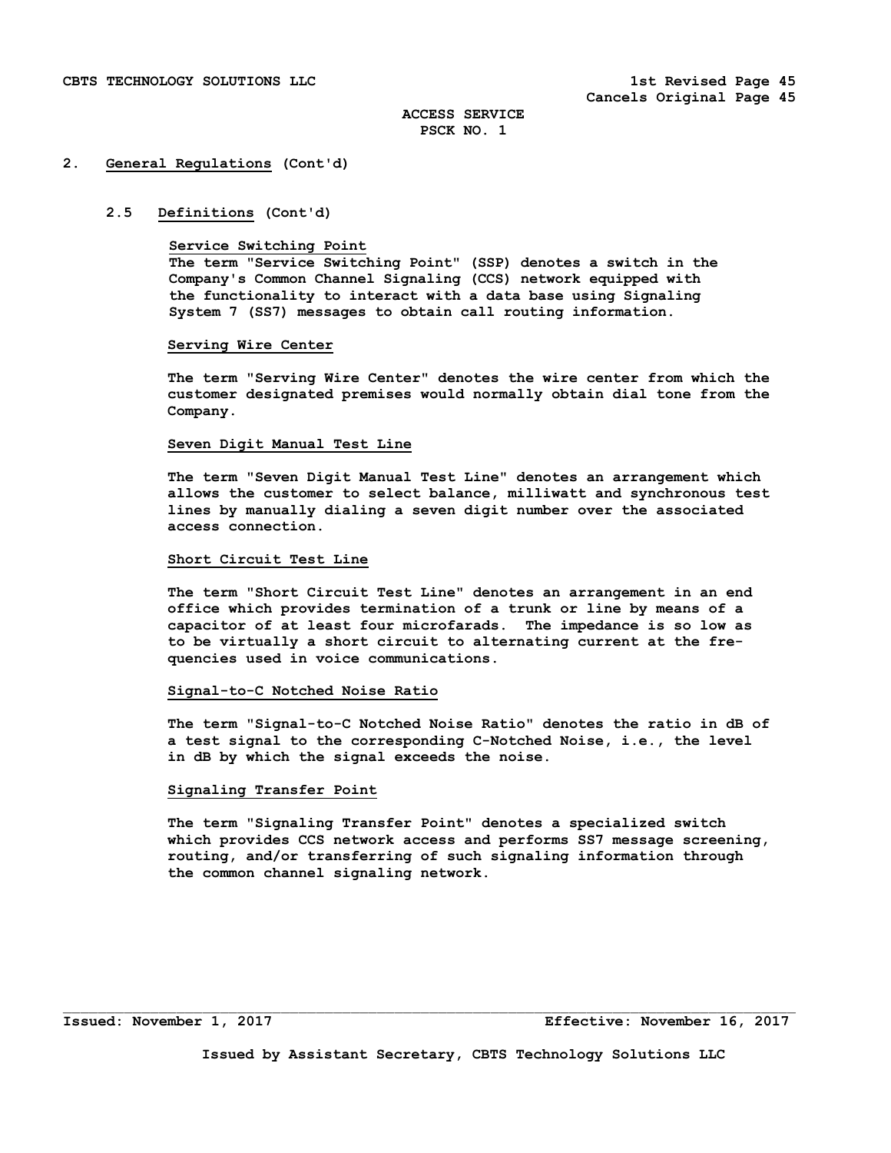## **2. General Regulations (Cont'd)**

#### **2.5 Definitions (Cont'd)**

#### **Service Switching Point**

 **The term "Service Switching Point" (SSP) denotes a switch in the Company's Common Channel Signaling (CCS) network equipped with the functionality to interact with a data base using Signaling System 7 (SS7) messages to obtain call routing information.** 

#### **Serving Wire Center**

 **The term "Serving Wire Center" denotes the wire center from which the customer designated premises would normally obtain dial tone from the Company.** 

#### **Seven Digit Manual Test Line**

 **The term "Seven Digit Manual Test Line" denotes an arrangement which allows the customer to select balance, milliwatt and synchronous test lines by manually dialing a seven digit number over the associated access connection.** 

#### **Short Circuit Test Line**

 **The term "Short Circuit Test Line" denotes an arrangement in an end office which provides termination of a trunk or line by means of a capacitor of at least four microfarads. The impedance is so low as to be virtually a short circuit to alternating current at the fre quencies used in voice communications.** 

## **Signal-to-C Notched Noise Ratio**

 **The term "Signal-to-C Notched Noise Ratio" denotes the ratio in dB of a test signal to the corresponding C-Notched Noise, i.e., the level in dB by which the signal exceeds the noise.** 

## **Signaling Transfer Point**

 **The term "Signaling Transfer Point" denotes a specialized switch which provides CCS network access and performs SS7 message screening, routing, and/or transferring of such signaling information through the common channel signaling network.**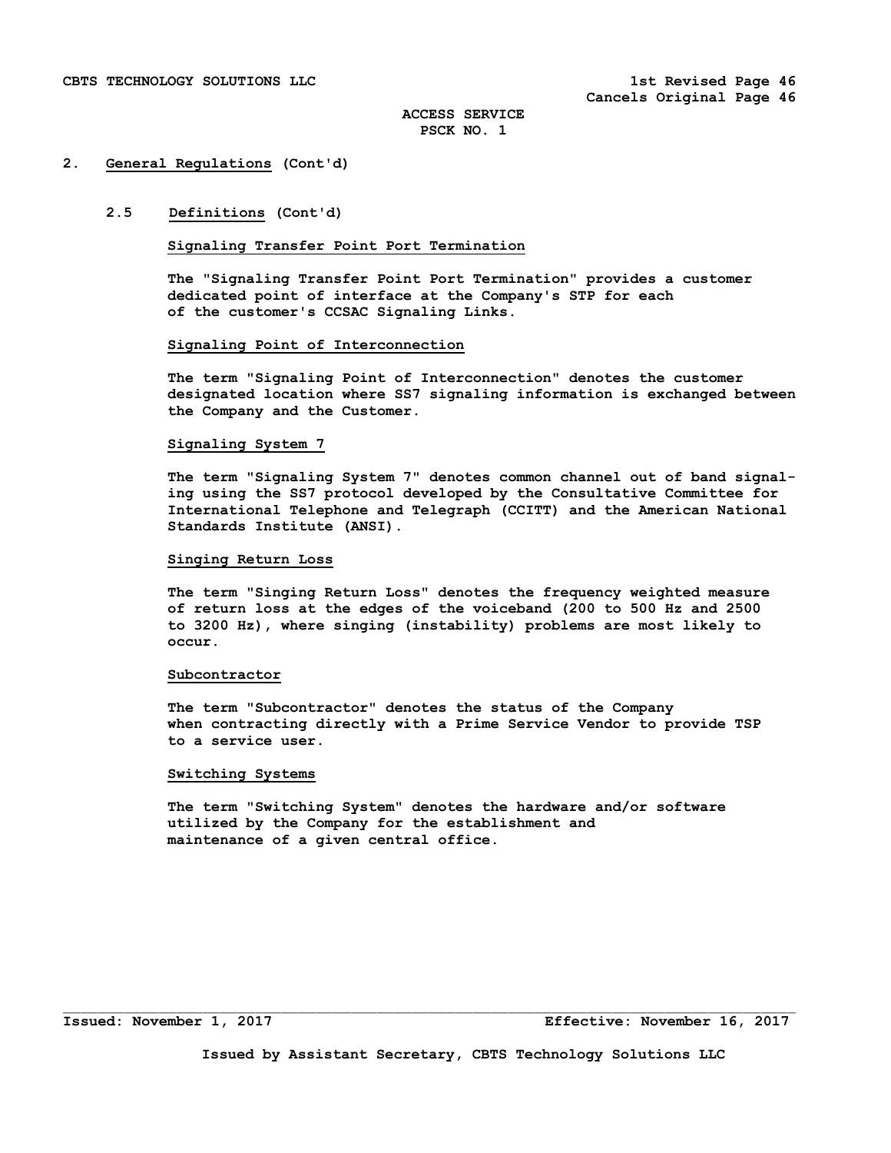# **2.5 Definitions (Cont'd)**

# **Signaling Transfer Point Port Termination**

 **The "Signaling Transfer Point Port Termination" provides a customer dedicated point of interface at the Company's STP for each of the customer's CCSAC Signaling Links.** 

#### **Signaling Point of Interconnection**

 **The term "Signaling Point of Interconnection" denotes the customer designated location where SS7 signaling information is exchanged between the Company and the Customer.** 

#### **Signaling System 7**

 **The term "Signaling System 7" denotes common channel out of band signal ing using the SS7 protocol developed by the Consultative Committee for International Telephone and Telegraph (CCITT) and the American National Standards Institute (ANSI).** 

# **Singing Return Loss**

 **The term "Singing Return Loss" denotes the frequency weighted measure of return loss at the edges of the voiceband (200 to 500 Hz and 2500 to 3200 Hz), where singing (instability) problems are most likely to occur.** 

#### **Subcontractor**

 **The term "Subcontractor" denotes the status of the Company when contracting directly with a Prime Service Vendor to provide TSP to a service user.** 

#### **Switching Systems**

 **The term "Switching System" denotes the hardware and/or software utilized by the Company for the establishment and maintenance of a given central office.**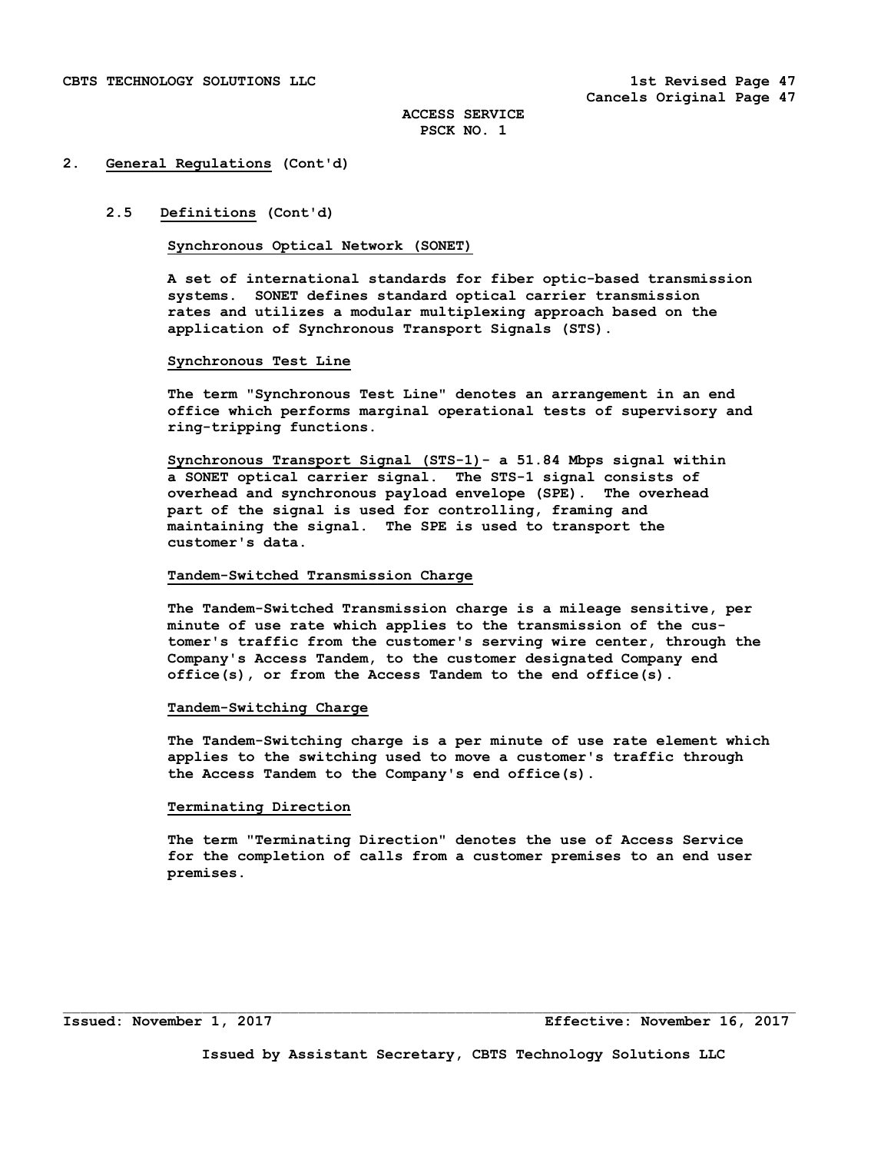# **2.5 Definitions (Cont'd)**

## **Synchronous Optical Network (SONET)**

**A set of international standards for fiber optic-based transmission systems. SONET defines standard optical carrier transmission rates and utilizes a modular multiplexing approach based on the application of Synchronous Transport Signals (STS).** 

#### **Synchronous Test Line**

 **The term "Synchronous Test Line" denotes an arrangement in an end office which performs marginal operational tests of supervisory and ring-tripping functions.** 

 **Synchronous Transport Signal (STS-1)- a 51.84 Mbps signal within a SONET optical carrier signal. The STS-1 signal consists of overhead and synchronous payload envelope (SPE). The overhead part of the signal is used for controlling, framing and maintaining the signal. The SPE is used to transport the customer's data.** 

## **Tandem-Switched Transmission Charge**

 **The Tandem-Switched Transmission charge is a mileage sensitive, per minute of use rate which applies to the transmission of the cus tomer's traffic from the customer's serving wire center, through the Company's Access Tandem, to the customer designated Company end office(s), or from the Access Tandem to the end office(s).** 

#### **Tandem-Switching Charge**

 **The Tandem-Switching charge is a per minute of use rate element which applies to the switching used to move a customer's traffic through the Access Tandem to the Company's end office(s).** 

## **Terminating Direction**

 **The term "Terminating Direction" denotes the use of Access Service for the completion of calls from a customer premises to an end user premises.**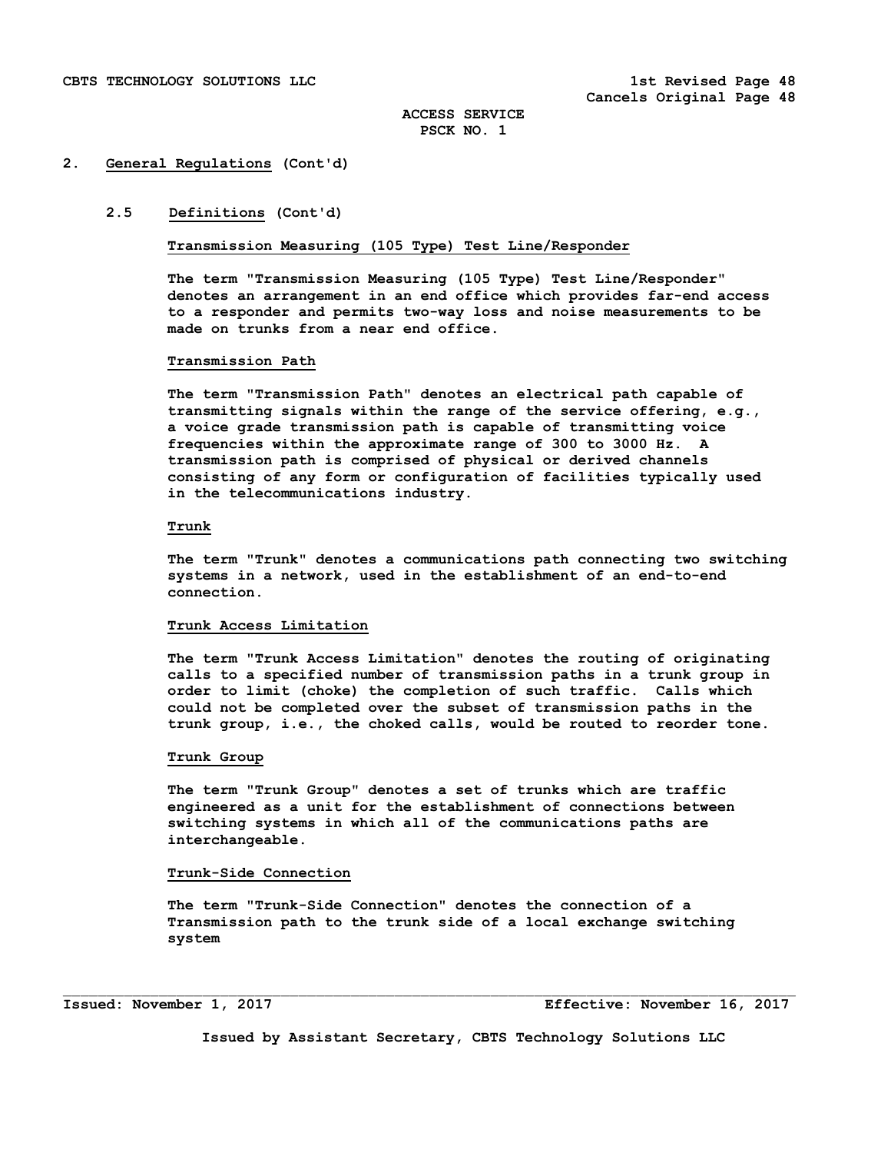# **2.5 Definitions (Cont'd)**

**Transmission Measuring (105 Type) Test Line/Responder** 

**The term "Transmission Measuring (105 Type) Test Line/Responder" denotes an arrangement in an end office which provides far-end access to a responder and permits two-way loss and noise measurements to be made on trunks from a near end office.** 

#### **Transmission Path**

 **The term "Transmission Path" denotes an electrical path capable of transmitting signals within the range of the service offering, e.g., a voice grade transmission path is capable of transmitting voice frequencies within the approximate range of 300 to 3000 Hz. A transmission path is comprised of physical or derived channels consisting of any form or configuration of facilities typically used in the telecommunications industry.** 

#### **Trunk**

 **The term "Trunk" denotes a communications path connecting two switching systems in a network, used in the establishment of an end-to-end connection.** 

#### **Trunk Access Limitation**

 **The term "Trunk Access Limitation" denotes the routing of originating calls to a specified number of transmission paths in a trunk group in order to limit (choke) the completion of such traffic. Calls which could not be completed over the subset of transmission paths in the trunk group, i.e., the choked calls, would be routed to reorder tone.** 

## **Trunk Group**

 **The term "Trunk Group" denotes a set of trunks which are traffic engineered as a unit for the establishment of connections between switching systems in which all of the communications paths are interchangeable.** 

#### **Trunk-Side Connection**

 **The term "Trunk-Side Connection" denotes the connection of a Transmission path to the trunk side of a local exchange switching system** 

 $\mathcal{L}_\text{max}$ 

**Issued: November 1, 2017 Effective: November 16, 2017**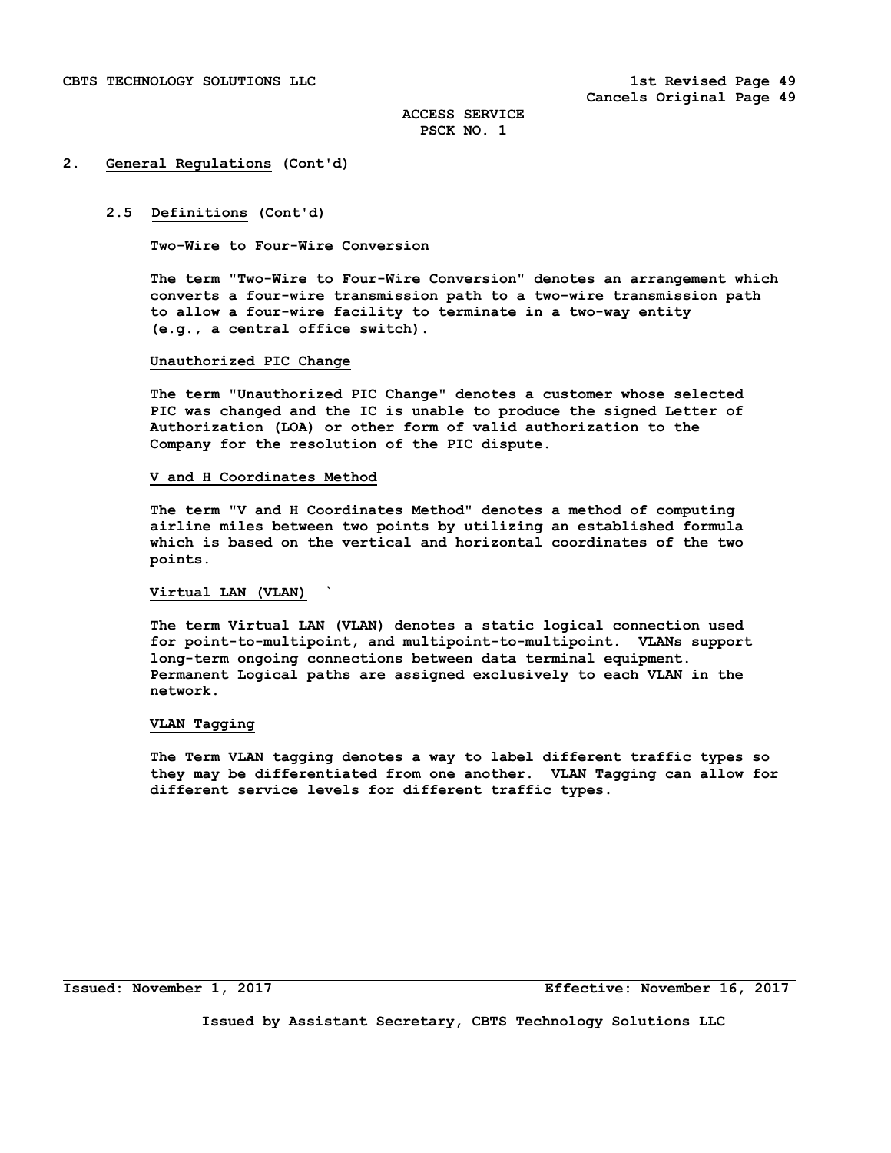## **2.5 Definitions (Cont'd)**

## **Two-Wire to Four-Wire Conversion**

 **The term "Two-Wire to Four-Wire Conversion" denotes an arrangement which converts a four-wire transmission path to a two-wire transmission path to allow a four-wire facility to terminate in a two-way entity (e.g., a central office switch).** 

#### **Unauthorized PIC Change**

 **The term "Unauthorized PIC Change" denotes a customer whose selected PIC was changed and the IC is unable to produce the signed Letter of Authorization (LOA) or other form of valid authorization to the Company for the resolution of the PIC dispute.** 

#### **V and H Coordinates Method**

 **The term "V and H Coordinates Method" denotes a method of computing airline miles between two points by utilizing an established formula which is based on the vertical and horizontal coordinates of the two points.** 

# **Virtual LAN (VLAN) `**

 **The term Virtual LAN (VLAN) denotes a static logical connection used for point-to-multipoint, and multipoint-to-multipoint. VLANs support long-term ongoing connections between data terminal equipment. Permanent Logical paths are assigned exclusively to each VLAN in the network.** 

#### **VLAN Tagging**

 **The Term VLAN tagging denotes a way to label different traffic types so they may be differentiated from one another. VLAN Tagging can allow for different service levels for different traffic types.** 

i<br>S

**Issued: November 1, 2017 Effective: November 16, 2017**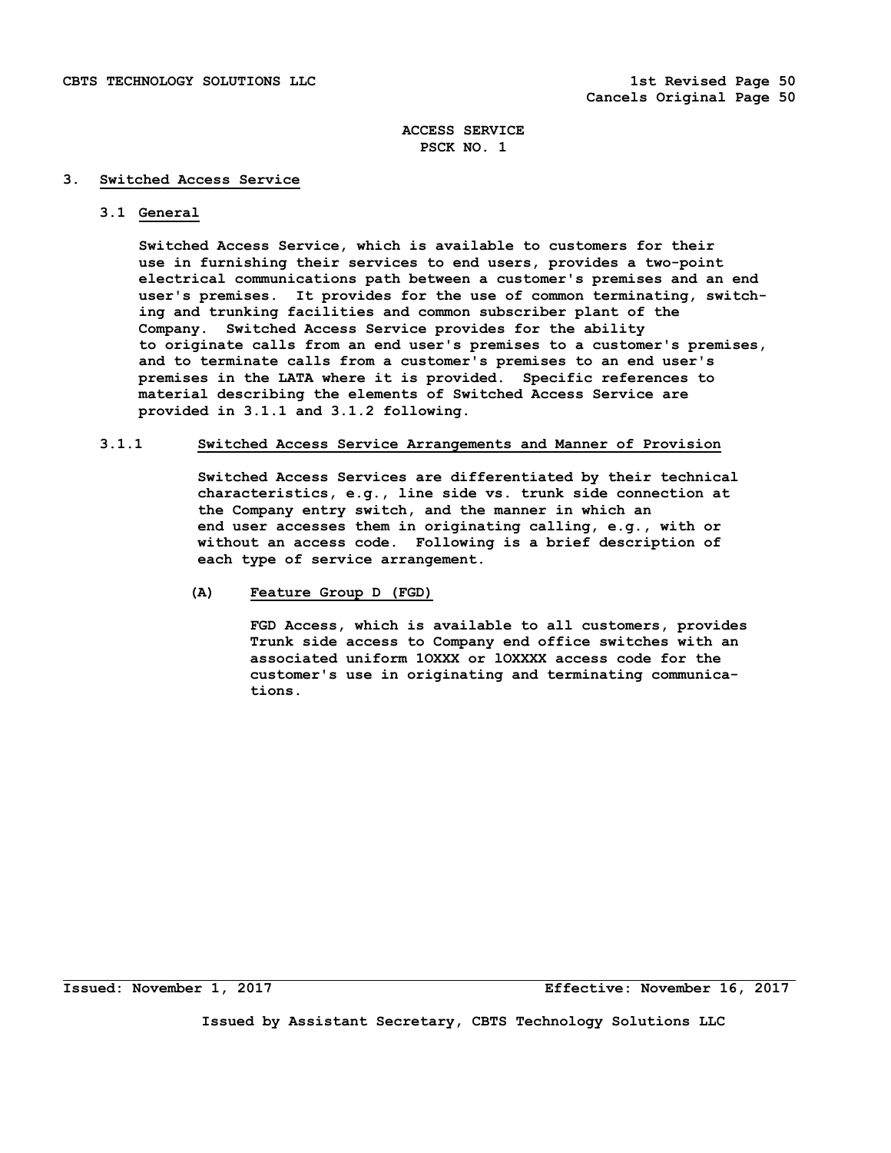## **3. Switched Access Service**

# **3.1 General**

 **Switched Access Service, which is available to customers for their use in furnishing their services to end users, provides a two-point electrical communications path between a customer's premises and an end user's premises. It provides for the use of common terminating, switch ing and trunking facilities and common subscriber plant of the Company. Switched Access Service provides for the ability to originate calls from an end user's premises to a customer's premises, and to terminate calls from a customer's premises to an end user's premises in the LATA where it is provided. Specific references to material describing the elements of Switched Access Service are provided in 3.1.1 and 3.1.2 following.** 

# **3.1.1 Switched Access Service Arrangements and Manner of Provision**

 **Switched Access Services are differentiated by their technical characteristics, e.g., line side vs. trunk side connection at the Company entry switch, and the manner in which an end user accesses them in originating calling, e.g., with or without an access code. Following is a brief description of each type of service arrangement.** 

# **(A) Feature Group D (FGD)**

 **FGD Access, which is available to all customers, provides Trunk side access to Company end office switches with an associated uniform 1OXXX or lOXXXX access code for the customer's use in originating and terminating communica tions.** 

**Issued: November 1, 2017 Effective: November 16, 2017**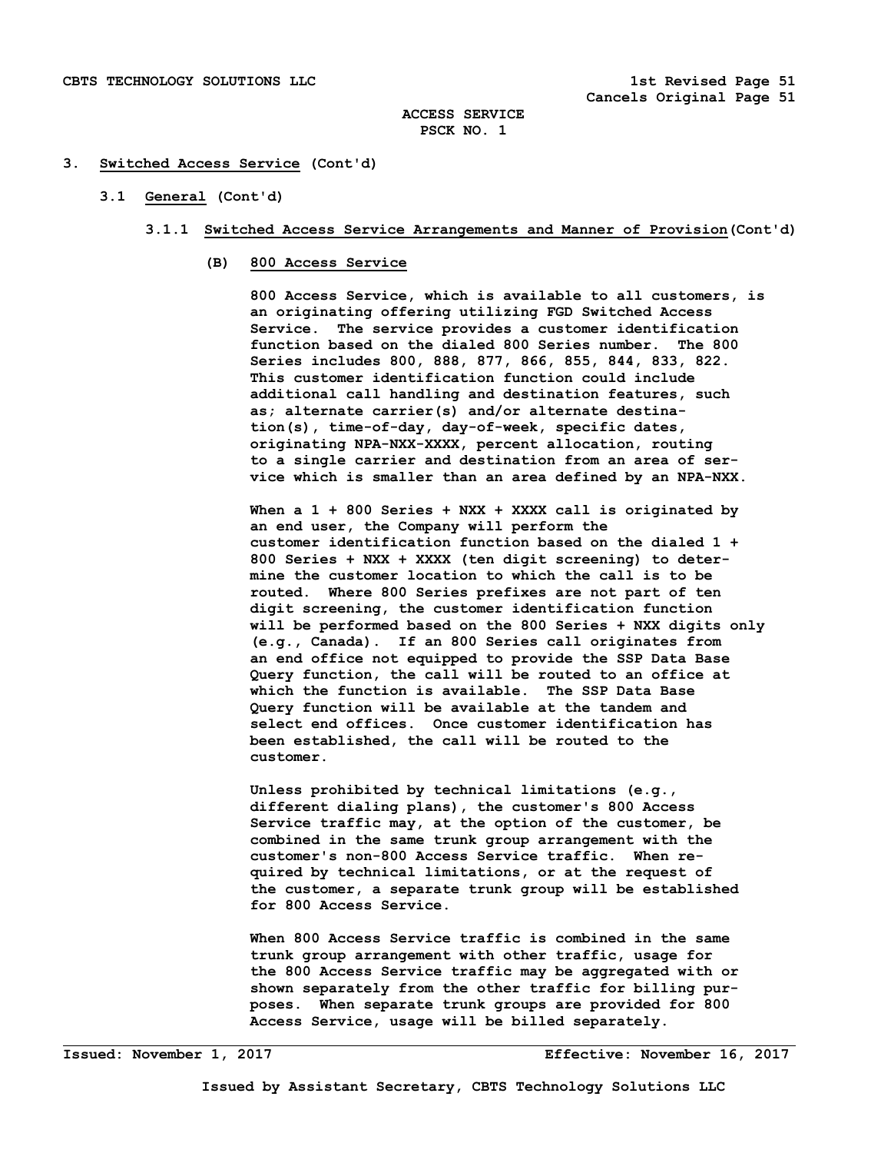## **3. Switched Access Service (Cont'd)**

## **3.1 General (Cont'd)**

- **3.1.1 Switched Access Service Arrangements and Manner of Provision(Cont'd)** 
	- **(B) 800 Access Service**

 **800 Access Service, which is available to all customers, is an originating offering utilizing FGD Switched Access Service. The service provides a customer identification function based on the dialed 800 Series number. The 800 Series includes 800, 888, 877, 866, 855, 844, 833, 822. This customer identification function could include additional call handling and destination features, such as; alternate carrier(s) and/or alternate destina tion(s), time-of-day, day-of-week, specific dates, originating NPA-NXX-XXXX, percent allocation, routing to a single carrier and destination from an area of ser vice which is smaller than an area defined by an NPA-NXX.** 

 **When a 1 + 800 Series + NXX + XXXX call is originated by an end user, the Company will perform the customer identification function based on the dialed 1 + 800 Series + NXX + XXXX (ten digit screening) to deter mine the customer location to which the call is to be routed. Where 800 Series prefixes are not part of ten digit screening, the customer identification function will be performed based on the 800 Series + NXX digits only (e.g., Canada). If an 800 Series call originates from an end office not equipped to provide the SSP Data Base Query function, the call will be routed to an office at which the function is available. The SSP Data Base Query function will be available at the tandem and select end offices. Once customer identification has been established, the call will be routed to the customer.** 

 **Unless prohibited by technical limitations (e.g., different dialing plans), the customer's 800 Access Service traffic may, at the option of the customer, be combined in the same trunk group arrangement with the customer's non-800 Access Service traffic. When re quired by technical limitations, or at the request of the customer, a separate trunk group will be established for 800 Access Service.** 

 **When 800 Access Service traffic is combined in the same trunk group arrangement with other traffic, usage for the 800 Access Service traffic may be aggregated with or shown separately from the other traffic for billing pur poses. When separate trunk groups are provided for 800 Access Service, usage will be billed separately.**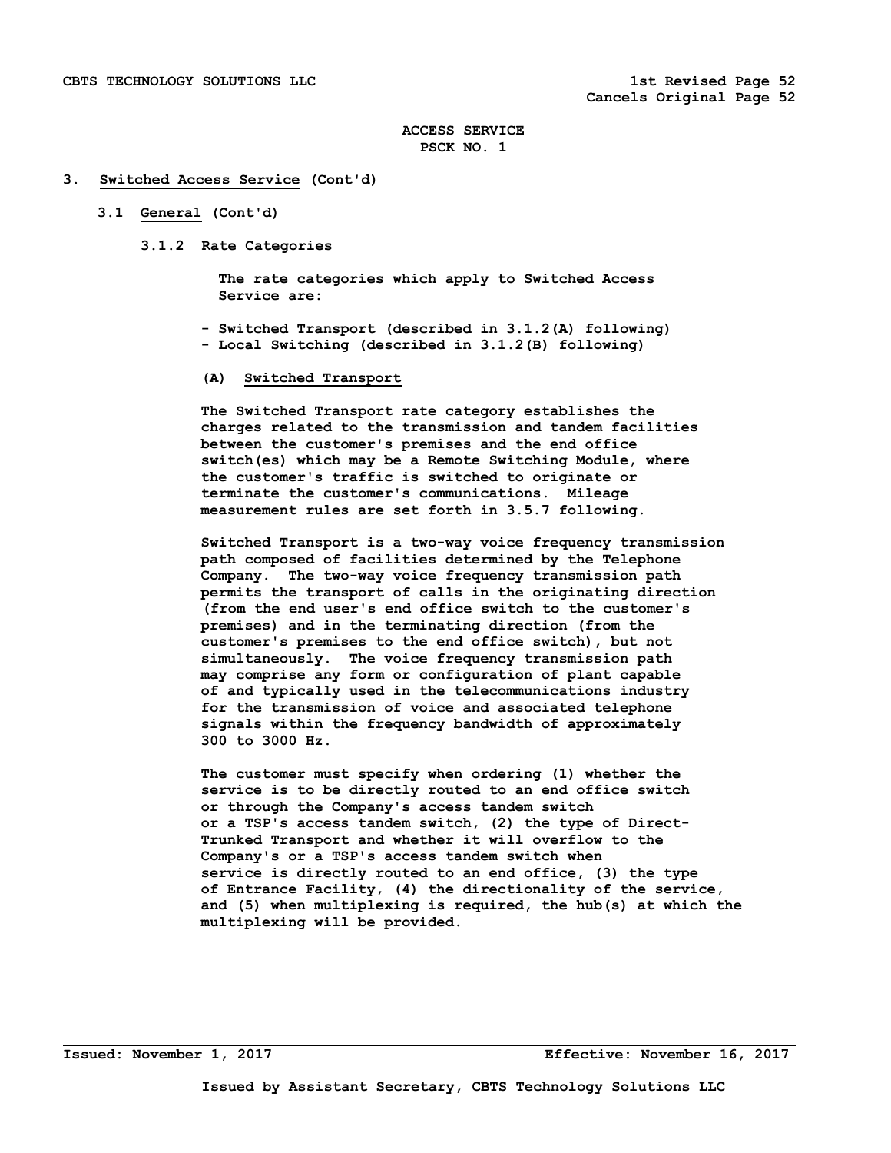#### **3. Switched Access Service (Cont'd)**

# **3.1 General (Cont'd)**

# **3.1.2 Rate Categories**

 **The rate categories which apply to Switched Access Service are:** 

 **- Switched Transport (described in 3.1.2(A) following) - Local Switching (described in 3.1.2(B) following)** 

# **(A) Switched Transport**

 **The Switched Transport rate category establishes the charges related to the transmission and tandem facilities between the customer's premises and the end office switch(es) which may be a Remote Switching Module, where the customer's traffic is switched to originate or terminate the customer's communications. Mileage measurement rules are set forth in 3.5.7 following.** 

 **Switched Transport is a two-way voice frequency transmission path composed of facilities determined by the Telephone Company. The two-way voice frequency transmission path permits the transport of calls in the originating direction (from the end user's end office switch to the customer's premises) and in the terminating direction (from the customer's premises to the end office switch), but not simultaneously. The voice frequency transmission path may comprise any form or configuration of plant capable of and typically used in the telecommunications industry for the transmission of voice and associated telephone signals within the frequency bandwidth of approximately 300 to 3000 Hz.** 

 **The customer must specify when ordering (1) whether the service is to be directly routed to an end office switch or through the Company's access tandem switch or a TSP's access tandem switch, (2) the type of Direct- Trunked Transport and whether it will overflow to the Company's or a TSP's access tandem switch when service is directly routed to an end office, (3) the type of Entrance Facility, (4) the directionality of the service, and (5) when multiplexing is required, the hub(s) at which the multiplexing will be provided.** 

**Issued: November 1, 2017 Effective: November 16, 2017**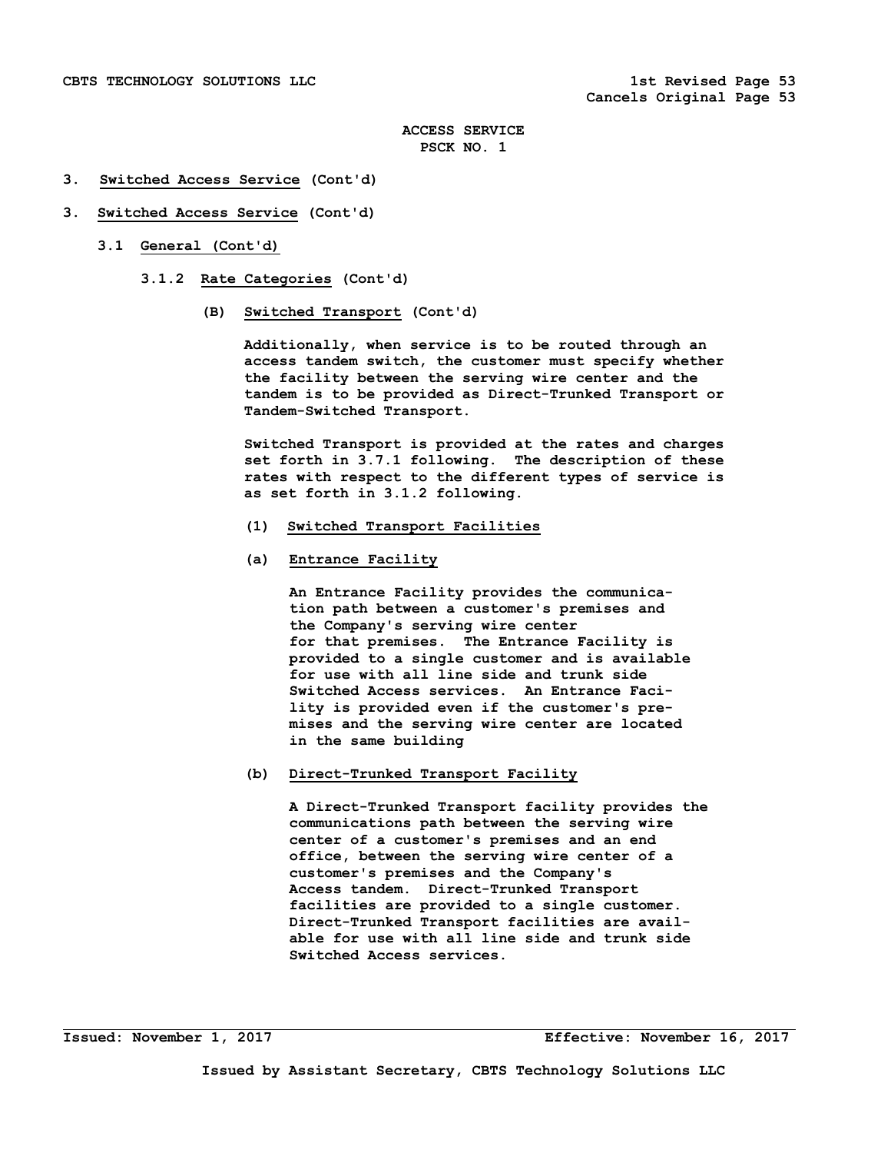## **3. Switched Access Service (Cont'd)**

## **3. Switched Access Service (Cont'd)**

- **3.1 General (Cont'd)** 
	- **3.1.2 Rate Categories (Cont'd)** 
		- **(B) Switched Transport (Cont'd)**

 **Additionally, when service is to be routed through an access tandem switch, the customer must specify whether the facility between the serving wire center and the tandem is to be provided as Direct-Trunked Transport or Tandem-Switched Transport.** 

 **Switched Transport is provided at the rates and charges set forth in 3.7.1 following. The description of these rates with respect to the different types of service is as set forth in 3.1.2 following.** 

- **(1) Switched Transport Facilities**
- **(a) Entrance Facility**

 **An Entrance Facility provides the communica tion path between a customer's premises and the Company's serving wire center for that premises. The Entrance Facility is provided to a single customer and is available for use with all line side and trunk side Switched Access services. An Entrance Faci lity is provided even if the customer's pre mises and the serving wire center are located in the same building** 

 **(b) Direct-Trunked Transport Facility** 

 **A Direct-Trunked Transport facility provides the communications path between the serving wire center of a customer's premises and an end office, between the serving wire center of a customer's premises and the Company's Access tandem. Direct-Trunked Transport facilities are provided to a single customer. Direct-Trunked Transport facilities are avail able for use with all line side and trunk side Switched Access services.**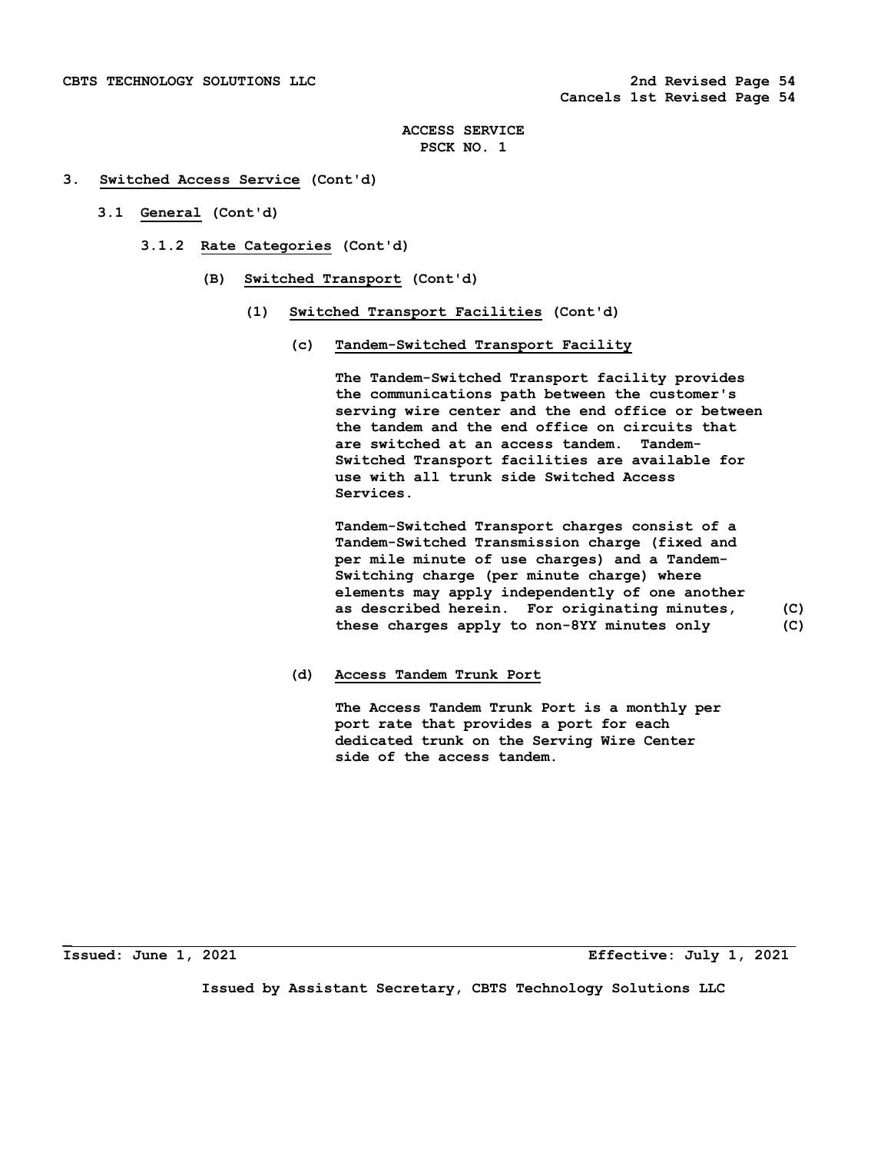#### **3. Switched Access Service (Cont'd)**

- **3.1 General (Cont'd)** 
	- **3.1.2 Rate Categories (Cont'd)** 
		- **(B) Switched Transport (Cont'd)** 
			- **(1) Switched Transport Facilities (Cont'd)** 
				- **(c) Tandem-Switched Transport Facility**

 **The Tandem-Switched Transport facility provides the communications path between the customer's serving wire center and the end office or between the tandem and the end office on circuits that are switched at an access tandem. Tandem- Switched Transport facilities are available for use with all trunk side Switched Access Services.** 

 **Tandem-Switched Transport charges consist of a Tandem-Switched Transmission charge (fixed and per mile minute of use charges) and a Tandem- Switching charge (per minute charge) where elements may apply independently of one another as described herein. For originating minutes, (C) these charges apply to non-8YY minutes only (C)**

 **(d) Access Tandem Trunk Port** 

 **The Access Tandem Trunk Port is a monthly per port rate that provides a port for each dedicated trunk on the Serving Wire Center side of the access tandem.** 

**\_**

**Issued: June 1, 2021 Effective: July 1, 2021**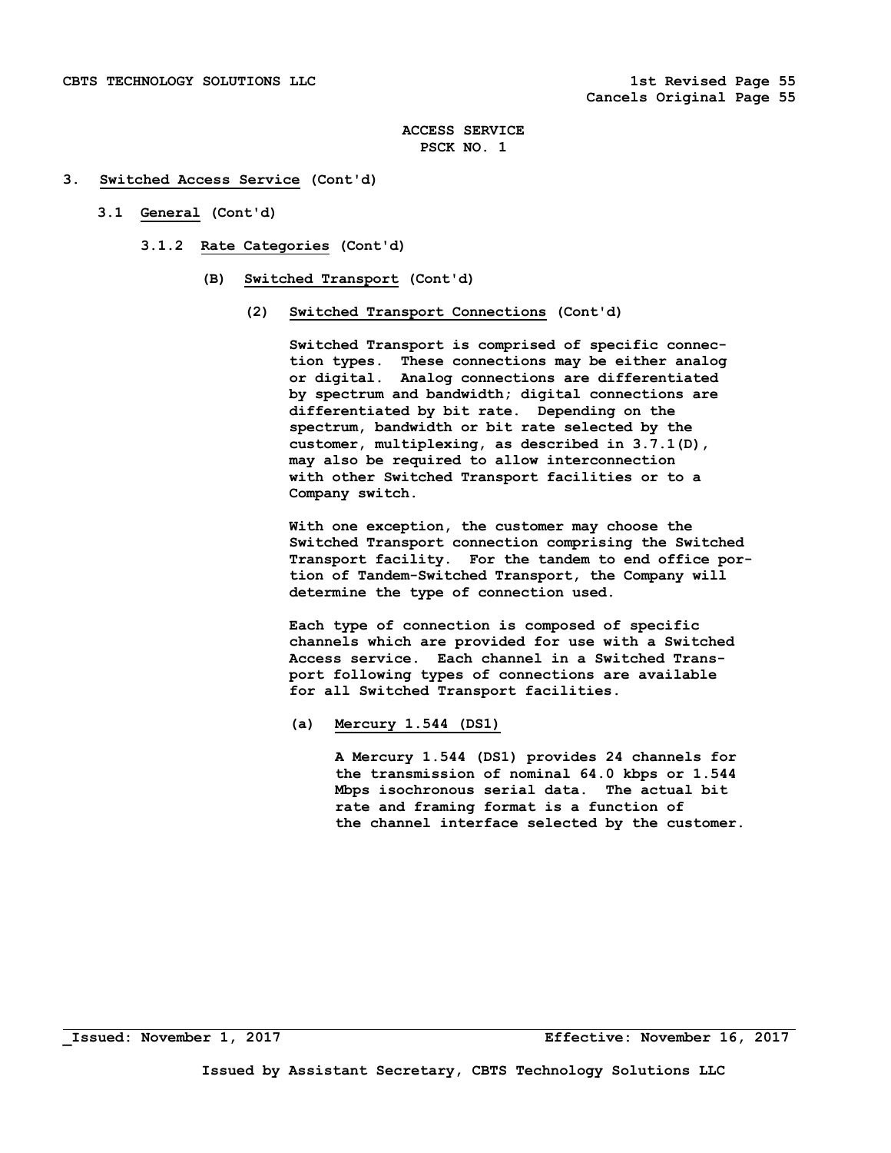## **3. Switched Access Service (Cont'd)**

- **3.1 General (Cont'd)** 
	- **3.1.2 Rate Categories (Cont'd)** 
		- **(B) Switched Transport (Cont'd)** 
			- **(2) Switched Transport Connections (Cont'd)**

 **Switched Transport is comprised of specific connec tion types. These connections may be either analog or digital. Analog connections are differentiated by spectrum and bandwidth; digital connections are differentiated by bit rate. Depending on the spectrum, bandwidth or bit rate selected by the customer, multiplexing, as described in 3.7.1(D), may also be required to allow interconnection with other Switched Transport facilities or to a Company switch.** 

 **With one exception, the customer may choose the Switched Transport connection comprising the Switched Transport facility. For the tandem to end office por tion of Tandem-Switched Transport, the Company will determine the type of connection used.** 

 **Each type of connection is composed of specific channels which are provided for use with a Switched Access service. Each channel in a Switched Trans port following types of connections are available for all Switched Transport facilities.** 

 **(a) Mercury 1.544 (DS1)** 

 **A Mercury 1.544 (DS1) provides 24 channels for the transmission of nominal 64.0 kbps or 1.544 Mbps isochronous serial data. The actual bit rate and framing format is a function of the channel interface selected by the customer.**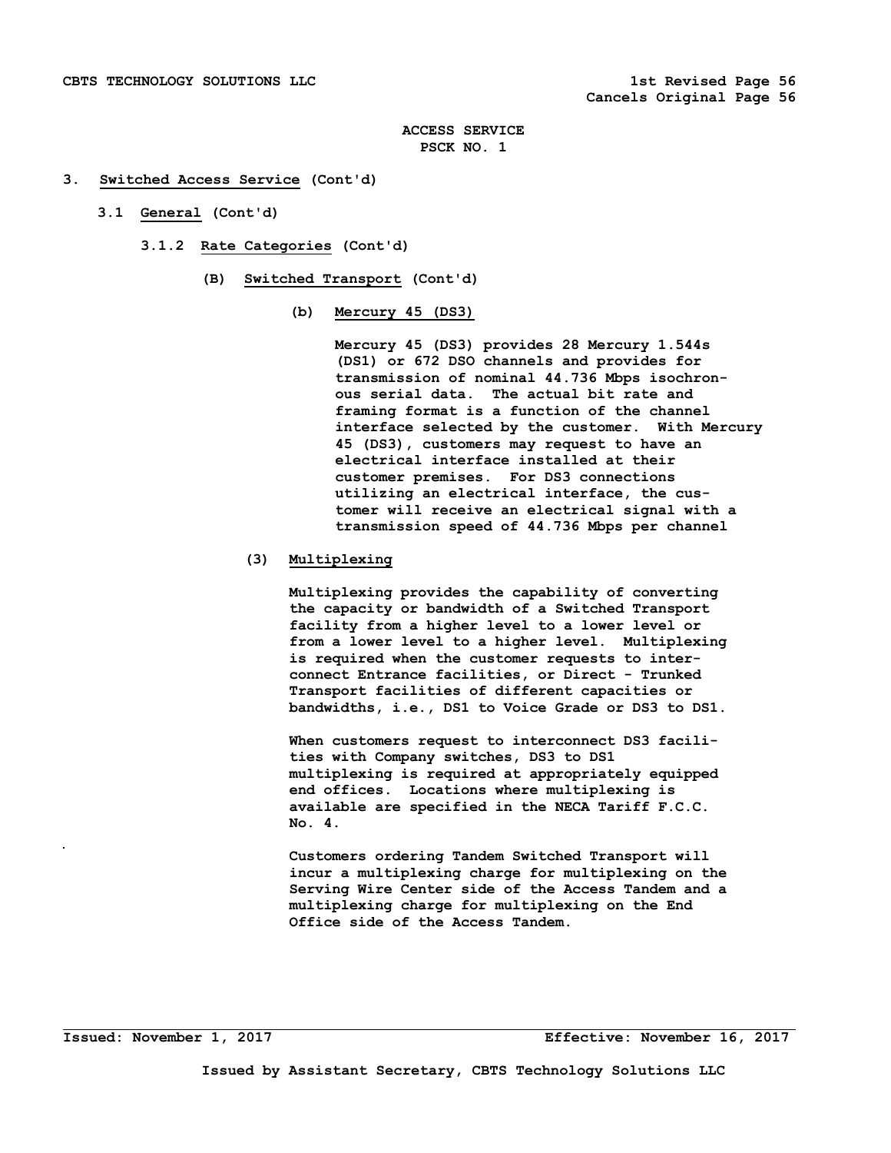## **3. Switched Access Service (Cont'd)**

- **3.1 General (Cont'd)** 
	- **3.1.2 Rate Categories (Cont'd)** 
		- **(B) Switched Transport (Cont'd)** 
			- **(b) Mercury 45 (DS3)**

 **Mercury 45 (DS3) provides 28 Mercury 1.544s (DS1) or 672 DSO channels and provides for transmission of nominal 44.736 Mbps isochron ous serial data. The actual bit rate and framing format is a function of the channel interface selected by the customer. With Mercury 45 (DS3), customers may request to have an electrical interface installed at their customer premises. For DS3 connections utilizing an electrical interface, the cus tomer will receive an electrical signal with a transmission speed of 44.736 Mbps per channel** 

## **(3) Multiplexing**

 **Multiplexing provides the capability of converting the capacity or bandwidth of a Switched Transport facility from a higher level to a lower level or from a lower level to a higher level. Multiplexing is required when the customer requests to inter connect Entrance facilities, or Direct - Trunked Transport facilities of different capacities or bandwidths, i.e., DS1 to Voice Grade or DS3 to DS1.** 

 **When customers request to interconnect DS3 facili ties with Company switches, DS3 to DS1 multiplexing is required at appropriately equipped end offices. Locations where multiplexing is available are specified in the NECA Tariff F.C.C. No. 4.** 

 **Customers ordering Tandem Switched Transport will incur a multiplexing charge for multiplexing on the Serving Wire Center side of the Access Tandem and a multiplexing charge for multiplexing on the End Office side of the Access Tandem.**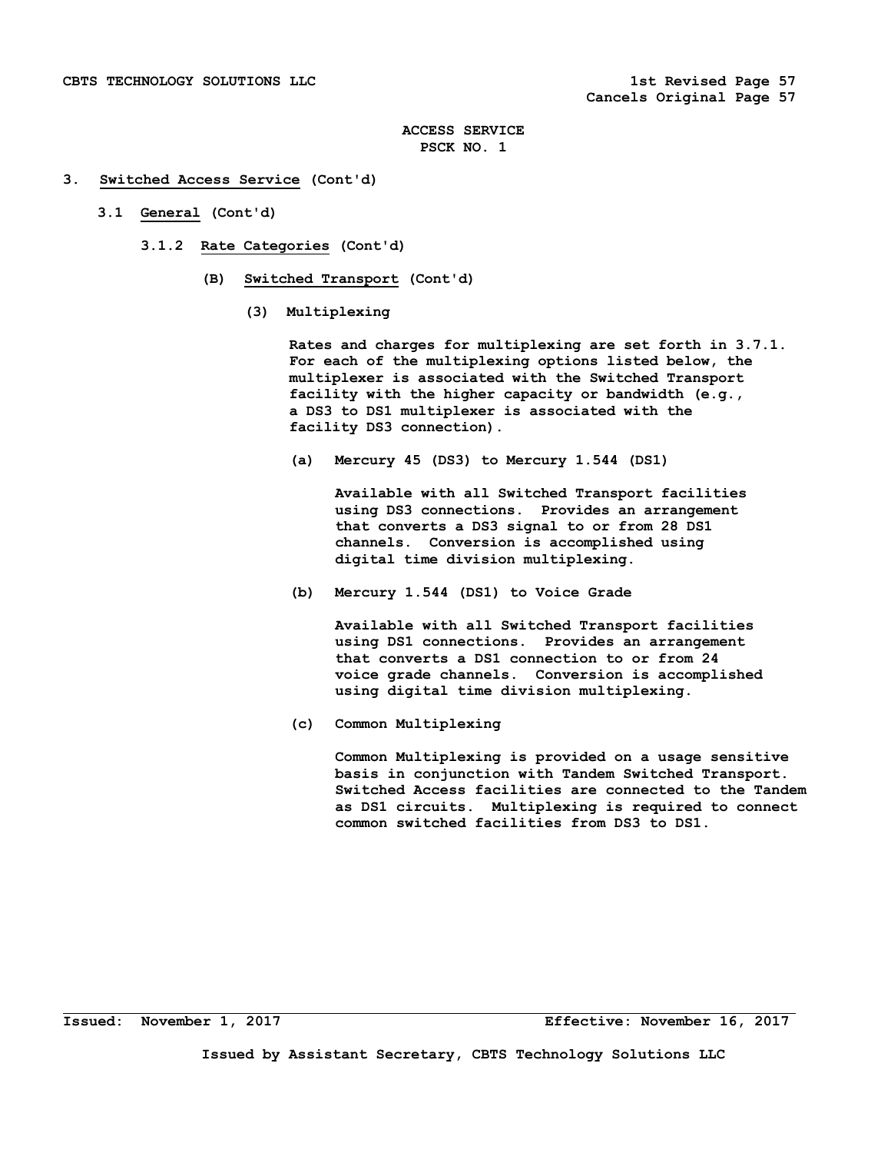## **3. Switched Access Service (Cont'd)**

- **3.1 General (Cont'd)** 
	- **3.1.2 Rate Categories (Cont'd)** 
		- **(B) Switched Transport (Cont'd)** 
			- **(3) Multiplexing**

 **Rates and charges for multiplexing are set forth in 3.7.1. For each of the multiplexing options listed below, the multiplexer is associated with the Switched Transport facility with the higher capacity or bandwidth (e.g., a DS3 to DS1 multiplexer is associated with the facility DS3 connection).** 

 **(a) Mercury 45 (DS3) to Mercury 1.544 (DS1)** 

 **Available with all Switched Transport facilities using DS3 connections. Provides an arrangement that converts a DS3 signal to or from 28 DS1 channels. Conversion is accomplished using digital time division multiplexing.** 

 **(b) Mercury 1.544 (DS1) to Voice Grade** 

 **Available with all Switched Transport facilities using DS1 connections. Provides an arrangement that converts a DS1 connection to or from 24 voice grade channels. Conversion is accomplished using digital time division multiplexing.** 

 **(c) Common Multiplexing** 

 **Common Multiplexing is provided on a usage sensitive basis in conjunction with Tandem Switched Transport. Switched Access facilities are connected to the Tandem as DS1 circuits. Multiplexing is required to connect common switched facilities from DS3 to DS1.**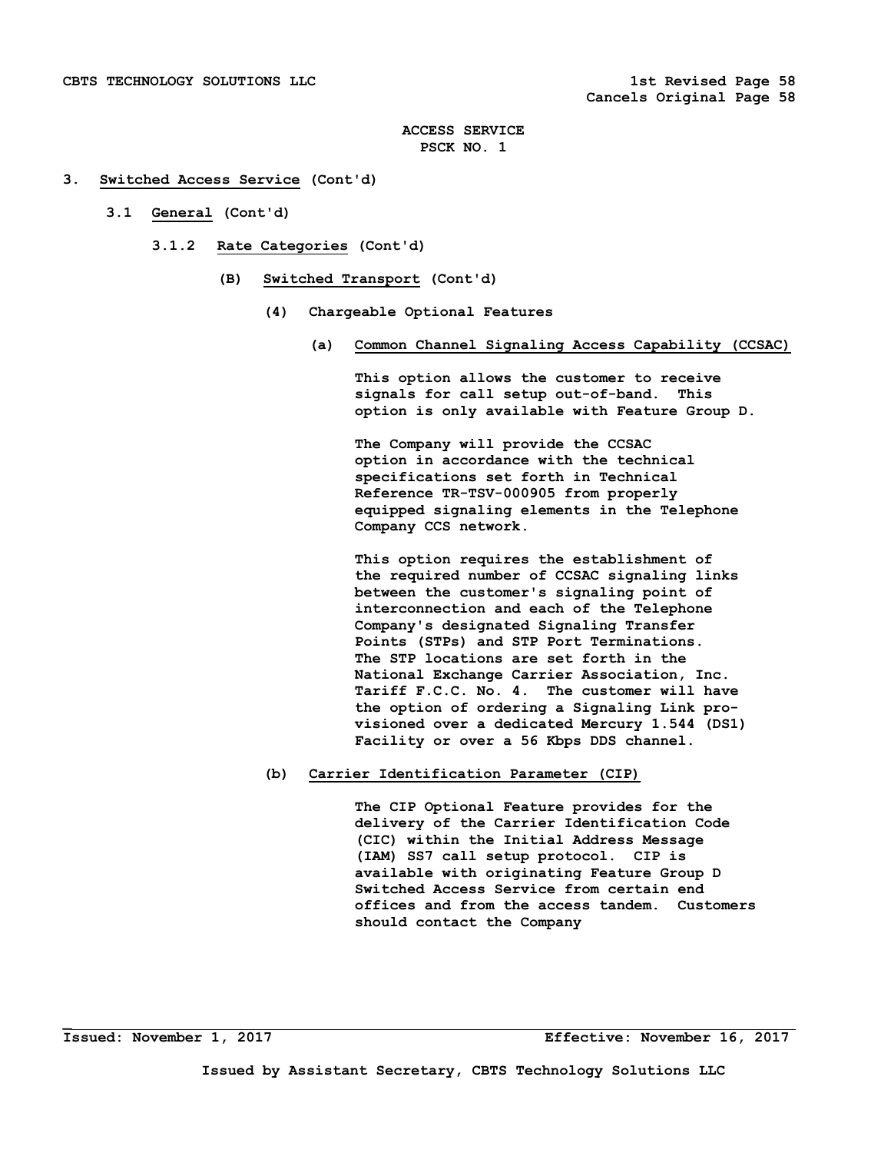## **3. Switched Access Service (Cont'd)**

- **3.1 General (Cont'd)** 
	- **3.1.2 Rate Categories (Cont'd)** 
		- **(B) Switched Transport (Cont'd)** 
			- **(4) Chargeable Optional Features** 
				- **(a) Common Channel Signaling Access Capability (CCSAC)**

 **This option allows the customer to receive signals for call setup out-of-band. This option is only available with Feature Group D.** 

 **The Company will provide the CCSAC option in accordance with the technical specifications set forth in Technical Reference TR-TSV-000905 from properly equipped signaling elements in the Telephone Company CCS network.** 

 **This option requires the establishment of the required number of CCSAC signaling links between the customer's signaling point of interconnection and each of the Telephone Company's designated Signaling Transfer Points (STPs) and STP Port Terminations. The STP locations are set forth in the National Exchange Carrier Association, Inc. Tariff F.C.C. No. 4. The customer will have the option of ordering a Signaling Link pro visioned over a dedicated Mercury 1.544 (DS1) Facility or over a 56 Kbps DDS channel.** 

## **(b) Carrier Identification Parameter (CIP)**

 **The CIP Optional Feature provides for the delivery of the Carrier Identification Code (CIC) within the Initial Address Message (IAM) SS7 call setup protocol. CIP is available with originating Feature Group D Switched Access Service from certain end offices and from the access tandem. Customers should contact the Company** 

**\_**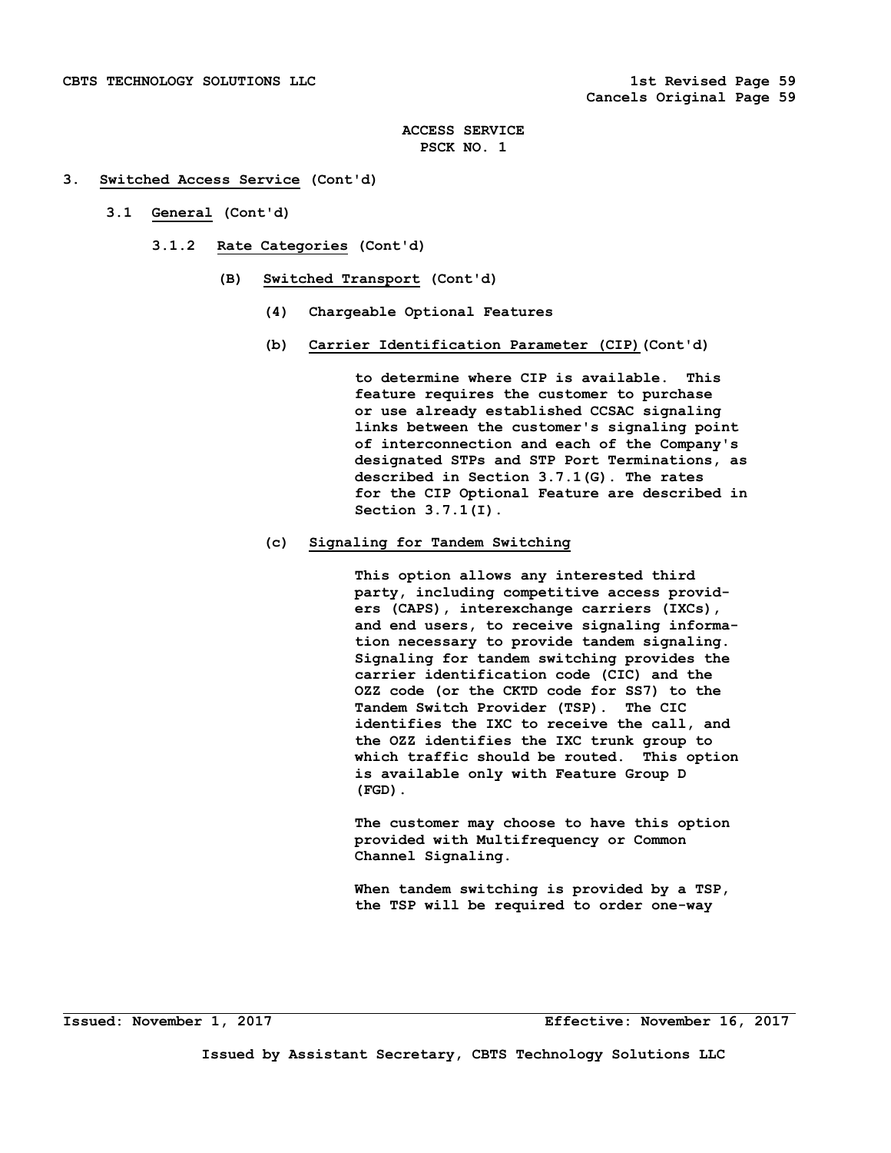# **3. Switched Access Service (Cont'd)**

- **3.1 General (Cont'd)** 
	- **3.1.2 Rate Categories (Cont'd)** 
		- **(B) Switched Transport (Cont'd)** 
			- **(4) Chargeable Optional Features**
			- **(b) Carrier Identification Parameter (CIP)(Cont'd)**

 **to determine where CIP is available. This feature requires the customer to purchase or use already established CCSAC signaling links between the customer's signaling point of interconnection and each of the Company's designated STPs and STP Port Terminations, as described in Section 3.7.1(G). The rates for the CIP Optional Feature are described in Section 3.7.1(I).** 

# **(c) Signaling for Tandem Switching**

 **This option allows any interested third party, including competitive access provid ers (CAPS), interexchange carriers (IXCs), and end users, to receive signaling informa tion necessary to provide tandem signaling. Signaling for tandem switching provides the carrier identification code (CIC) and the OZZ code (or the CKTD code for SS7) to the Tandem Switch Provider (TSP). The CIC identifies the IXC to receive the call, and the OZZ identifies the IXC trunk group to which traffic should be routed. This option is available only with Feature Group D (FGD).** 

 **The customer may choose to have this option provided with Multifrequency or Common Channel Signaling.** 

 **When tandem switching is provided by a TSP, the TSP will be required to order one-way**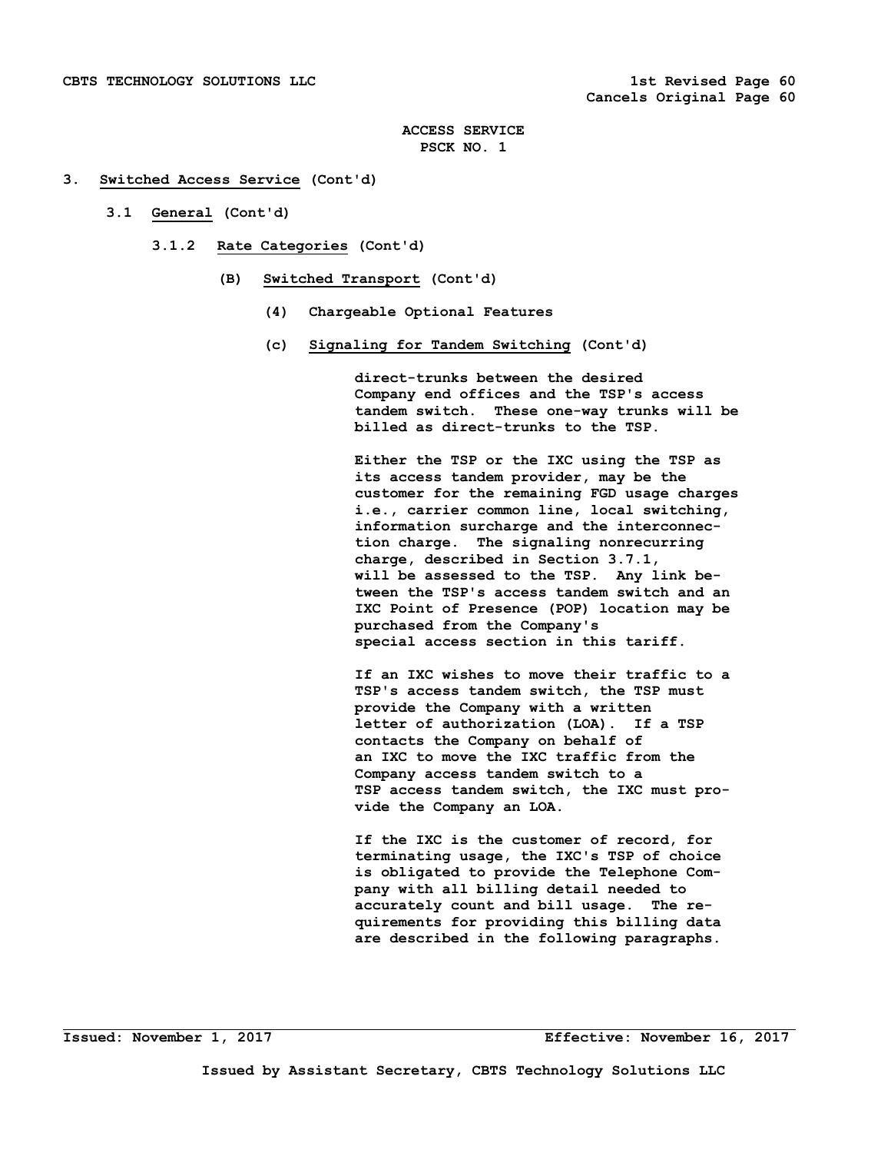## **3. Switched Access Service (Cont'd)**

- **3.1 General (Cont'd)** 
	- **3.1.2 Rate Categories (Cont'd)** 
		- **(B) Switched Transport (Cont'd)** 
			- **(4) Chargeable Optional Features**
			- **(c) Signaling for Tandem Switching (Cont'd)**

 **direct-trunks between the desired Company end offices and the TSP's access tandem switch. These one-way trunks will be billed as direct-trunks to the TSP.** 

 **Either the TSP or the IXC using the TSP as its access tandem provider, may be the customer for the remaining FGD usage charges i.e., carrier common line, local switching, information surcharge and the interconnec tion charge. The signaling nonrecurring charge, described in Section 3.7.1, will be assessed to the TSP. Any link be tween the TSP's access tandem switch and an IXC Point of Presence (POP) location may be purchased from the Company's special access section in this tariff.** 

 **If an IXC wishes to move their traffic to a TSP's access tandem switch, the TSP must provide the Company with a written letter of authorization (LOA). If a TSP contacts the Company on behalf of an IXC to move the IXC traffic from the Company access tandem switch to a TSP access tandem switch, the IXC must pro vide the Company an LOA.** 

 **If the IXC is the customer of record, for terminating usage, the IXC's TSP of choice is obligated to provide the Telephone Com pany with all billing detail needed to accurately count and bill usage. The re quirements for providing this billing data are described in the following paragraphs.**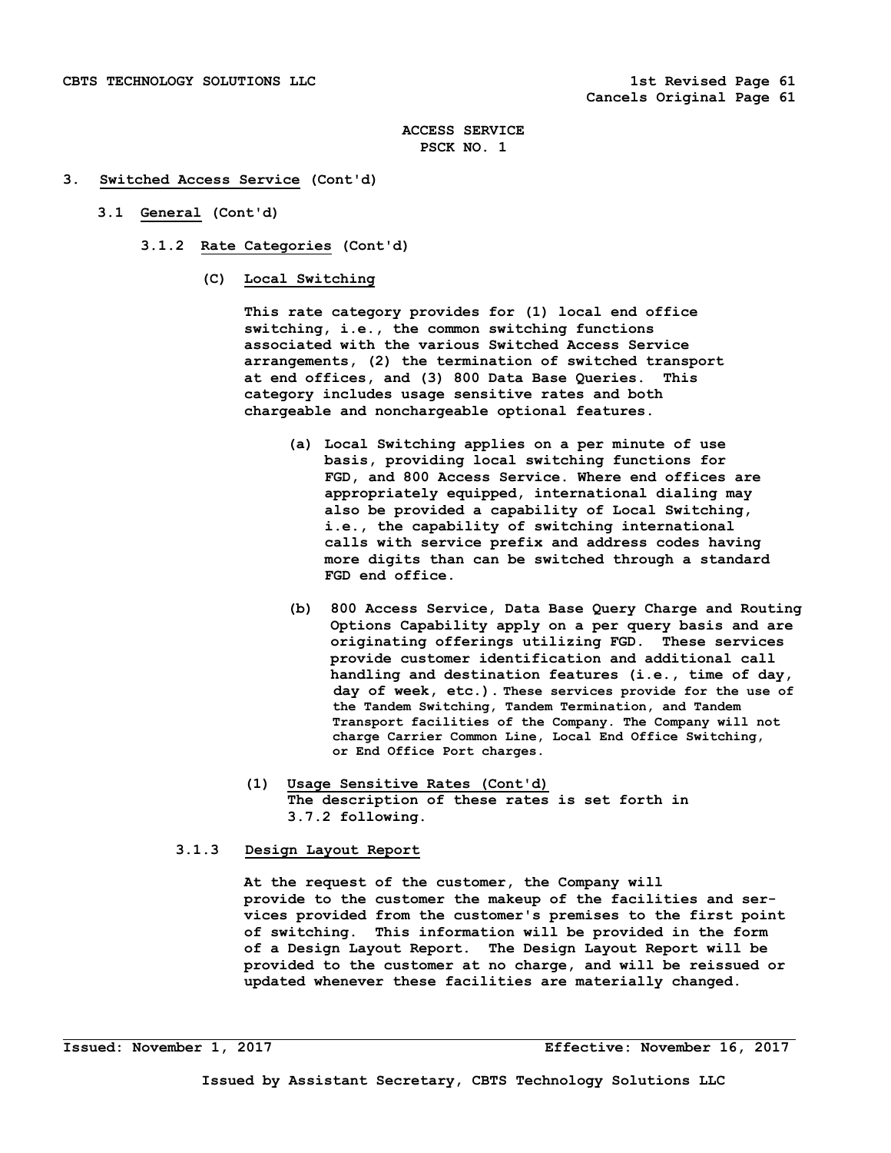## **3. Switched Access Service (Cont'd)**

- **3.1 General (Cont'd)** 
	- **3.1.2 Rate Categories (Cont'd)** 
		- **(C) Local Switching**

 **This rate category provides for (1) local end office switching, i.e., the common switching functions associated with the various Switched Access Service arrangements, (2) the termination of switched transport at end offices, and (3) 800 Data Base Queries. This category includes usage sensitive rates and both chargeable and nonchargeable optional features.** 

- **(a) Local Switching applies on a per minute of use basis, providing local switching functions for FGD, and 800 Access Service. Where end offices are appropriately equipped, international dialing may also be provided a capability of Local Switching, i.e., the capability of switching international calls with service prefix and address codes having more digits than can be switched through a standard FGD end office.**
- **(b) 800 Access Service, Data Base Query Charge and Routing Options Capability apply on a per query basis and are originating offerings utilizing FGD. These services provide customer identification and additional call handling and destination features (i.e., time of day, day of week, etc.). These services provide for the use of the Tandem Switching, Tandem Termination, and Tandem Transport facilities of the Company. The Company will not charge Carrier Common Line, Local End Office Switching, or End Office Port charges.**
- **(1) Usage Sensitive Rates (Cont'd) The description of these rates is set forth in 3.7.2 following.**

# **3.1.3 Design Layout Report**

 **At the request of the customer, the Company will provide to the customer the makeup of the facilities and ser vices provided from the customer's premises to the first point of switching. This information will be provided in the form of a Design Layout Report. The Design Layout Report will be provided to the customer at no charge, and will be reissued or updated whenever these facilities are materially changed.**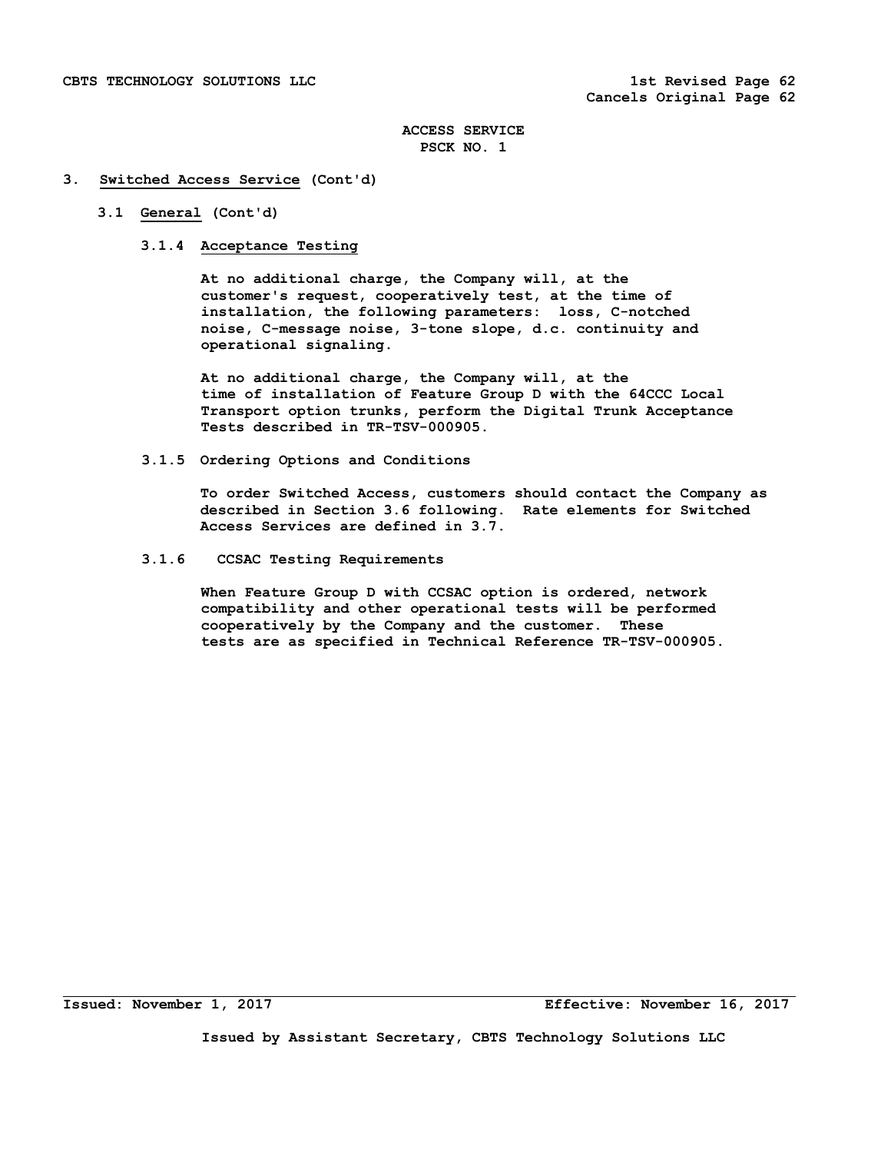## **3. Switched Access Service (Cont'd)**

# **3.1 General (Cont'd)**

## **3.1.4 Acceptance Testing**

 **At no additional charge, the Company will, at the customer's request, cooperatively test, at the time of installation, the following parameters: loss, C-notched noise, C-message noise, 3-tone slope, d.c. continuity and operational signaling.** 

 **At no additional charge, the Company will, at the time of installation of Feature Group D with the 64CCC Local Transport option trunks, perform the Digital Trunk Acceptance Tests described in TR-TSV-000905.** 

 **3.1.5 Ordering Options and Conditions** 

 **To order Switched Access, customers should contact the Company as described in Section 3.6 following. Rate elements for Switched Access Services are defined in 3.7.** 

 **3.1.6 CCSAC Testing Requirements** 

 **When Feature Group D with CCSAC option is ordered, network compatibility and other operational tests will be performed cooperatively by the Company and the customer. These tests are as specified in Technical Reference TR-TSV-000905.**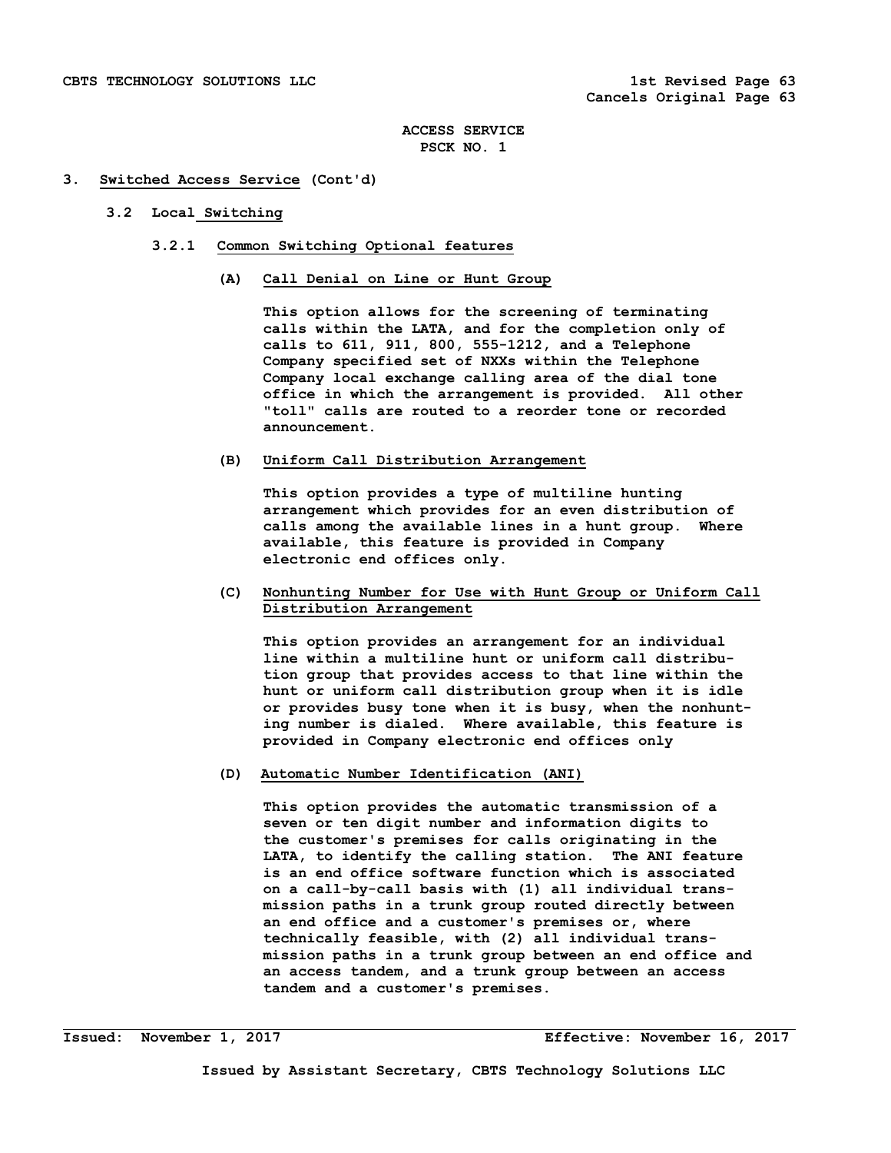#### **3. Switched Access Service (Cont'd)**

## **3.2 Local Switching**

- **3.2.1 Common Switching Optional features** 
	- **(A) Call Denial on Line or Hunt Group**

 **This option allows for the screening of terminating calls within the LATA, and for the completion only of calls to 611, 911, 800, 555-1212, and a Telephone Company specified set of NXXs within the Telephone Company local exchange calling area of the dial tone office in which the arrangement is provided. All other "toll" calls are routed to a reorder tone or recorded announcement.** 

## **(B) Uniform Call Distribution Arrangement**

 **This option provides a type of multiline hunting arrangement which provides for an even distribution of calls among the available lines in a hunt group. Where available, this feature is provided in Company electronic end offices only.** 

# **(C) Nonhunting Number for Use with Hunt Group or Uniform Call Distribution Arrangement**

 **This option provides an arrangement for an individual line within a multiline hunt or uniform call distribu tion group that provides access to that line within the hunt or uniform call distribution group when it is idle or provides busy tone when it is busy, when the nonhunt ing number is dialed. Where available, this feature is provided in Company electronic end offices only** 

## **(D) Automatic Number Identification (ANI)**

 **This option provides the automatic transmission of a seven or ten digit number and information digits to the customer's premises for calls originating in the LATA, to identify the calling station. The ANI feature is an end office software function which is associated on a call-by-call basis with (1) all individual trans mission paths in a trunk group routed directly between an end office and a customer's premises or, where technically feasible, with (2) all individual trans mission paths in a trunk group between an end office and an access tandem, and a trunk group between an access tandem and a customer's premises.**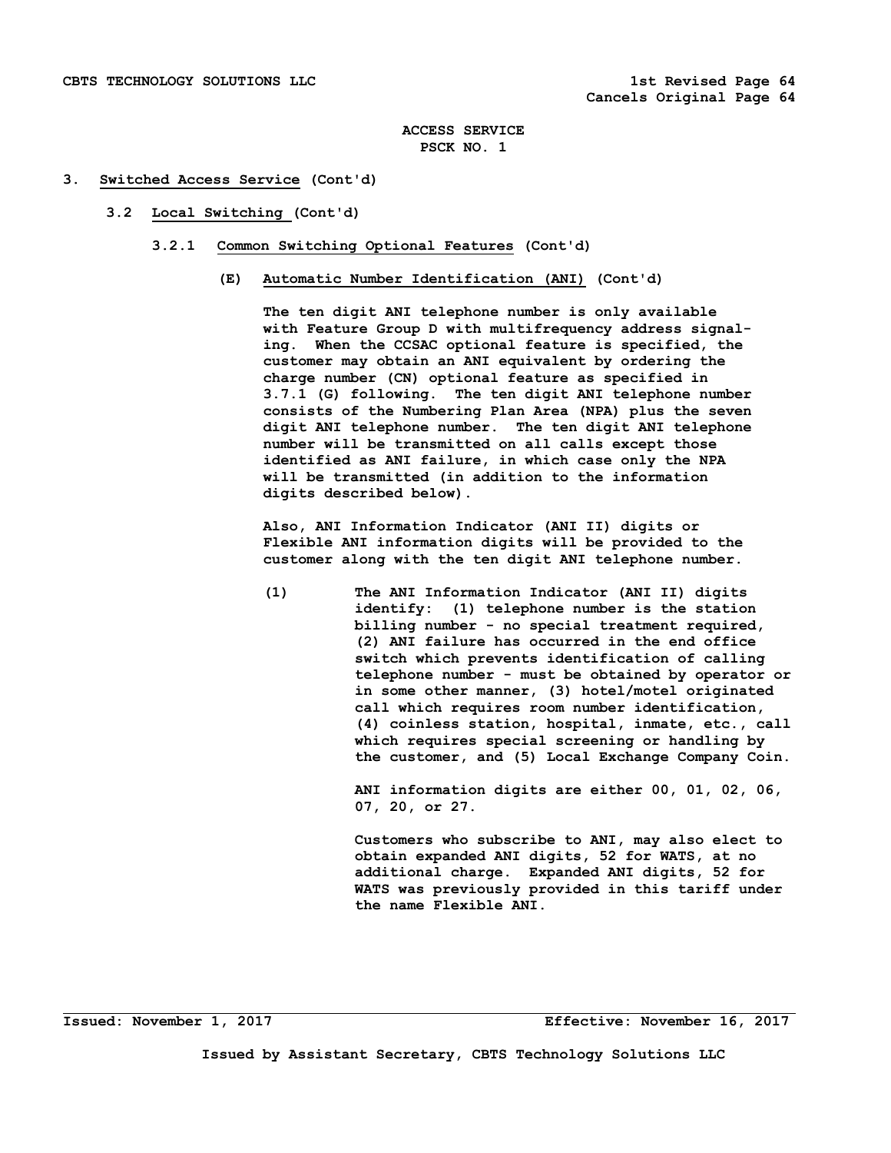## **3. Switched Access Service (Cont'd)**

- **3.2 Local Switching (Cont'd)** 
	- **3.2.1 Common Switching Optional Features (Cont'd)** 
		- **(E) Automatic Number Identification (ANI) (Cont'd)**

 **The ten digit ANI telephone number is only available with Feature Group D with multifrequency address signal ing. When the CCSAC optional feature is specified, the customer may obtain an ANI equivalent by ordering the charge number (CN) optional feature as specified in 3.7.1 (G) following. The ten digit ANI telephone number consists of the Numbering Plan Area (NPA) plus the seven digit ANI telephone number. The ten digit ANI telephone number will be transmitted on all calls except those identified as ANI failure, in which case only the NPA will be transmitted (in addition to the information digits described below).** 

 **Also, ANI Information Indicator (ANI II) digits or Flexible ANI information digits will be provided to the customer along with the ten digit ANI telephone number.** 

 **(1) The ANI Information Indicator (ANI II) digits identify: (1) telephone number is the station billing number - no special treatment required, (2) ANI failure has occurred in the end office switch which prevents identification of calling telephone number - must be obtained by operator or in some other manner, (3) hotel/motel originated call which requires room number identification, (4) coinless station, hospital, inmate, etc., call which requires special screening or handling by the customer, and (5) Local Exchange Company Coin.** 

> **ANI information digits are either 00, 01, 02, 06, 07, 20, or 27.**

> **Customers who subscribe to ANI, may also elect to obtain expanded ANI digits, 52 for WATS, at no additional charge. Expanded ANI digits, 52 for WATS was previously provided in this tariff under the name Flexible ANI.**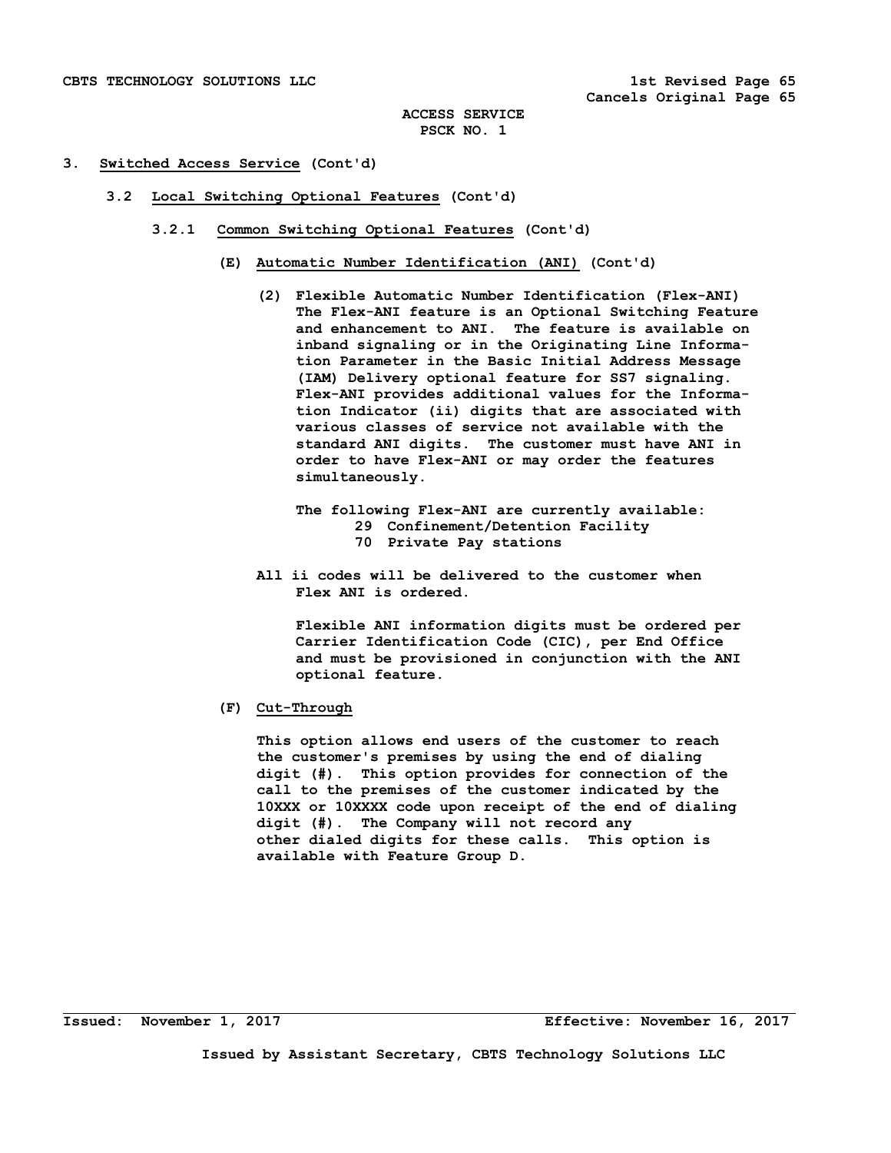## **3. Switched Access Service (Cont'd)**

- **3.2 Local Switching Optional Features (Cont'd)** 
	- **3.2.1 Common Switching Optional Features (Cont'd)** 
		- **(E) Automatic Number Identification (ANI) (Cont'd)** 
			- **(2) Flexible Automatic Number Identification (Flex-ANI) The Flex-ANI feature is an Optional Switching Feature and enhancement to ANI. The feature is available on inband signaling or in the Originating Line Informa tion Parameter in the Basic Initial Address Message (IAM) Delivery optional feature for SS7 signaling. Flex-ANI provides additional values for the Informa tion Indicator (ii) digits that are associated with various classes of service not available with the standard ANI digits. The customer must have ANI in order to have Flex-ANI or may order the features simultaneously.** 
				- **The following Flex-ANI are currently available: 29 Confinement/Detention Facility 70 Private Pay stations**
			- **All ii codes will be delivered to the customer when Flex ANI is ordered.**

 **Flexible ANI information digits must be ordered per Carrier Identification Code (CIC), per End Office and must be provisioned in conjunction with the ANI optional feature.** 

 **(F) Cut-Through** 

 **This option allows end users of the customer to reach the customer's premises by using the end of dialing digit (#). This option provides for connection of the call to the premises of the customer indicated by the 10XXX or 10XXXX code upon receipt of the end of dialing digit (#). The Company will not record any other dialed digits for these calls. This option is available with Feature Group D.**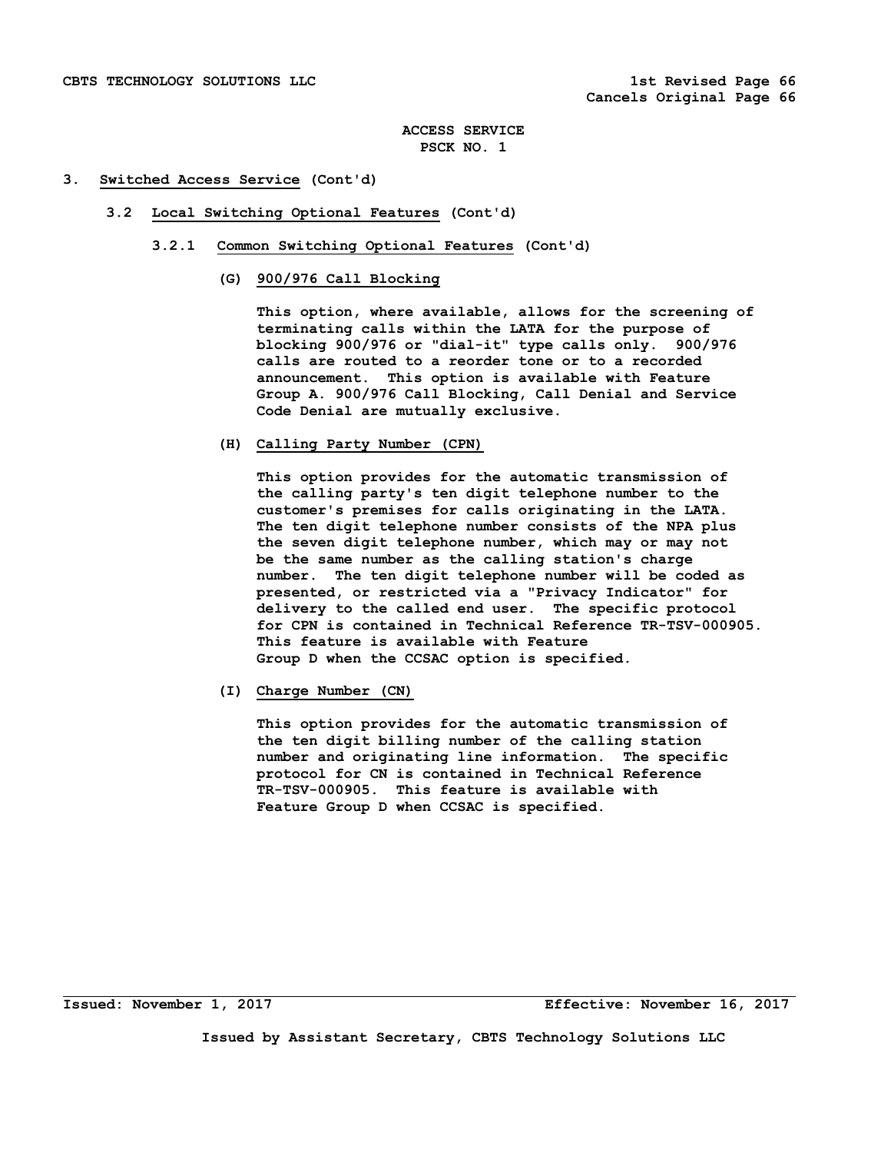## **3. Switched Access Service (Cont'd)**

- **3.2 Local Switching Optional Features (Cont'd)** 
	- **3.2.1 Common Switching Optional Features (Cont'd)** 
		- **(G) 900/976 Call Blocking**

 **This option, where available, allows for the screening of terminating calls within the LATA for the purpose of blocking 900/976 or "dial-it" type calls only. 900/976 calls are routed to a reorder tone or to a recorded announcement. This option is available with Feature Group A. 900/976 Call Blocking, Call Denial and Service Code Denial are mutually exclusive.** 

 **(H) Calling Party Number (CPN)** 

 **This option provides for the automatic transmission of the calling party's ten digit telephone number to the customer's premises for calls originating in the LATA. The ten digit telephone number consists of the NPA plus the seven digit telephone number, which may or may not be the same number as the calling station's charge number. The ten digit telephone number will be coded as presented, or restricted via a "Privacy Indicator" for delivery to the called end user. The specific protocol for CPN is contained in Technical Reference TR-TSV-000905. This feature is available with Feature Group D when the CCSAC option is specified.** 

 **(I) Charge Number (CN)** 

 **This option provides for the automatic transmission of the ten digit billing number of the calling station number and originating line information. The specific protocol for CN is contained in Technical Reference TR-TSV-000905. This feature is available with Feature Group D when CCSAC is specified.**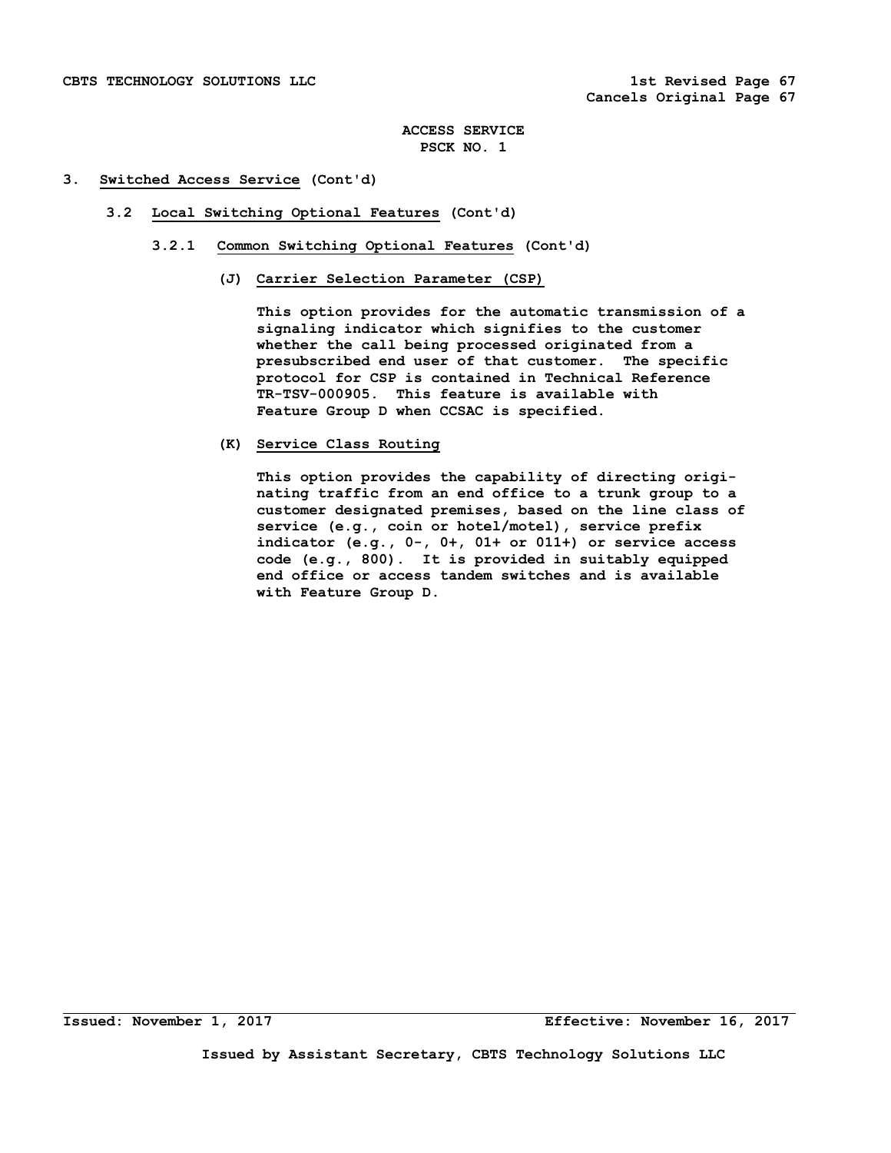# **3. Switched Access Service (Cont'd)**

- **3.2 Local Switching Optional Features (Cont'd)** 
	- **3.2.1 Common Switching Optional Features (Cont'd)** 
		- **(J) Carrier Selection Parameter (CSP)**

 **This option provides for the automatic transmission of a signaling indicator which signifies to the customer whether the call being processed originated from a presubscribed end user of that customer. The specific protocol for CSP is contained in Technical Reference TR-TSV-000905. This feature is available with Feature Group D when CCSAC is specified.** 

 **(K) Service Class Routing** 

 **This option provides the capability of directing origi nating traffic from an end office to a trunk group to a customer designated premises, based on the line class of service (e.g., coin or hotel/motel), service prefix indicator (e.g., 0-, 0+, 01+ or 011+) or service access code (e.g., 800). It is provided in suitably equipped end office or access tandem switches and is available with Feature Group D.**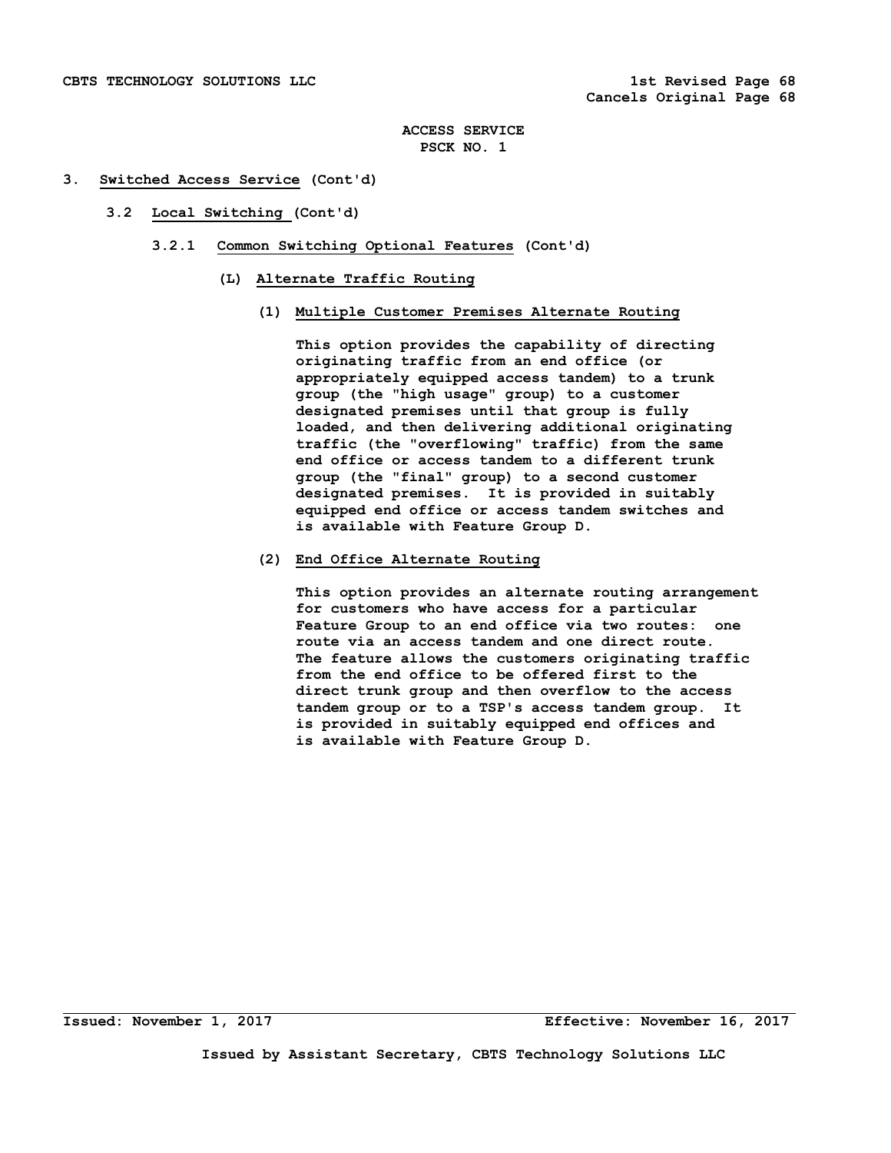# **3. Switched Access Service (Cont'd)**

- **3.2 Local Switching (Cont'd)** 
	- **3.2.1 Common Switching Optional Features (Cont'd)** 
		- **(L) Alternate Traffic Routing** 
			- **(1) Multiple Customer Premises Alternate Routing**

 **This option provides the capability of directing originating traffic from an end office (or appropriately equipped access tandem) to a trunk group (the "high usage" group) to a customer designated premises until that group is fully loaded, and then delivering additional originating traffic (the "overflowing" traffic) from the same end office or access tandem to a different trunk group (the "final" group) to a second customer designated premises. It is provided in suitably equipped end office or access tandem switches and is available with Feature Group D.** 

 **(2) End Office Alternate Routing** 

 **This option provides an alternate routing arrangement for customers who have access for a particular Feature Group to an end office via two routes: one route via an access tandem and one direct route. The feature allows the customers originating traffic from the end office to be offered first to the direct trunk group and then overflow to the access tandem group or to a TSP's access tandem group. It is provided in suitably equipped end offices and is available with Feature Group D.**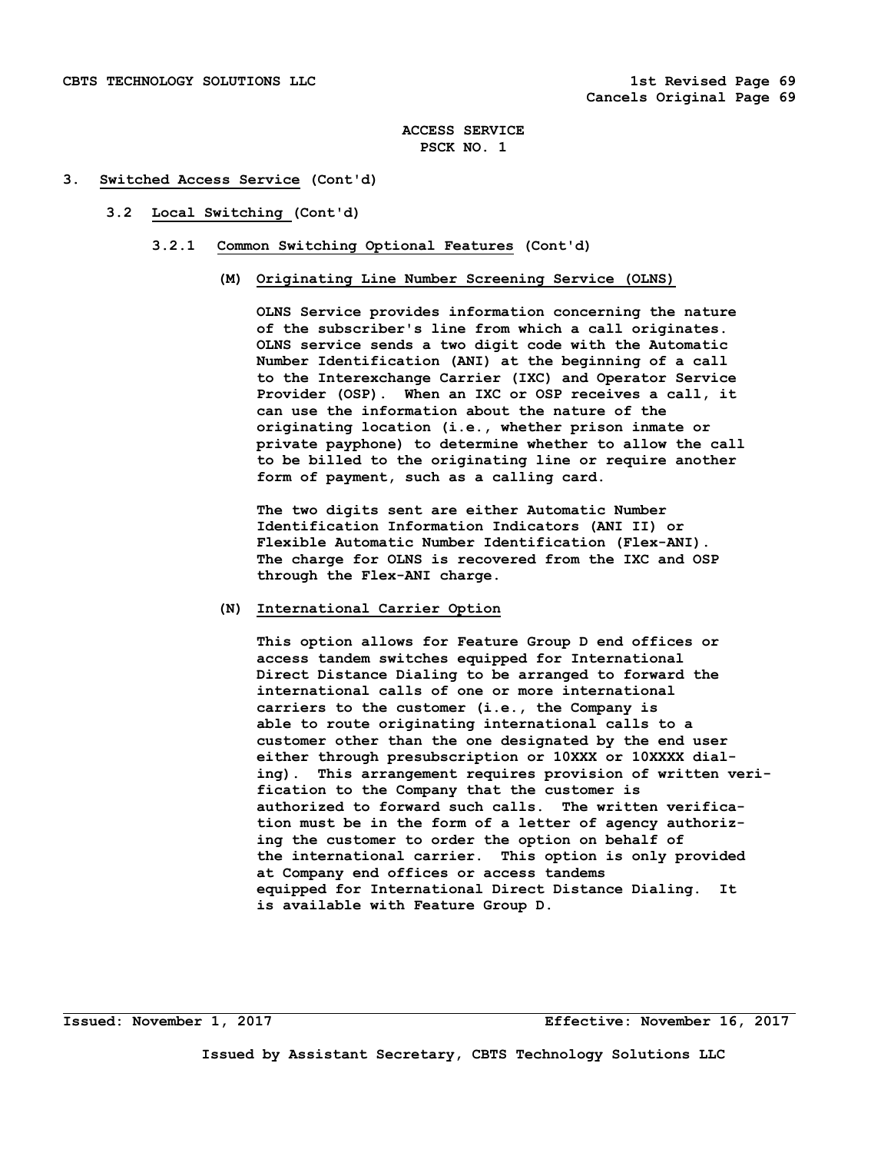## **3. Switched Access Service (Cont'd)**

- **3.2 Local Switching (Cont'd)** 
	- **3.2.1 Common Switching Optional Features (Cont'd)** 
		- **(M) Originating Line Number Screening Service (OLNS)**

 **OLNS Service provides information concerning the nature of the subscriber's line from which a call originates. OLNS service sends a two digit code with the Automatic Number Identification (ANI) at the beginning of a call to the Interexchange Carrier (IXC) and Operator Service Provider (OSP). When an IXC or OSP receives a call, it can use the information about the nature of the originating location (i.e., whether prison inmate or private payphone) to determine whether to allow the call to be billed to the originating line or require another form of payment, such as a calling card.** 

 **The two digits sent are either Automatic Number Identification Information Indicators (ANI II) or Flexible Automatic Number Identification (Flex-ANI). The charge for OLNS is recovered from the IXC and OSP through the Flex-ANI charge.** 

## **(N) International Carrier Option**

 **This option allows for Feature Group D end offices or access tandem switches equipped for International Direct Distance Dialing to be arranged to forward the international calls of one or more international carriers to the customer (i.e., the Company is able to route originating international calls to a customer other than the one designated by the end user either through presubscription or 10XXX or 10XXXX dial ing). This arrangement requires provision of written veri fication to the Company that the customer is authorized to forward such calls. The written verifica tion must be in the form of a letter of agency authoriz ing the customer to order the option on behalf of the international carrier. This option is only provided at Company end offices or access tandems equipped for International Direct Distance Dialing. It is available with Feature Group D.**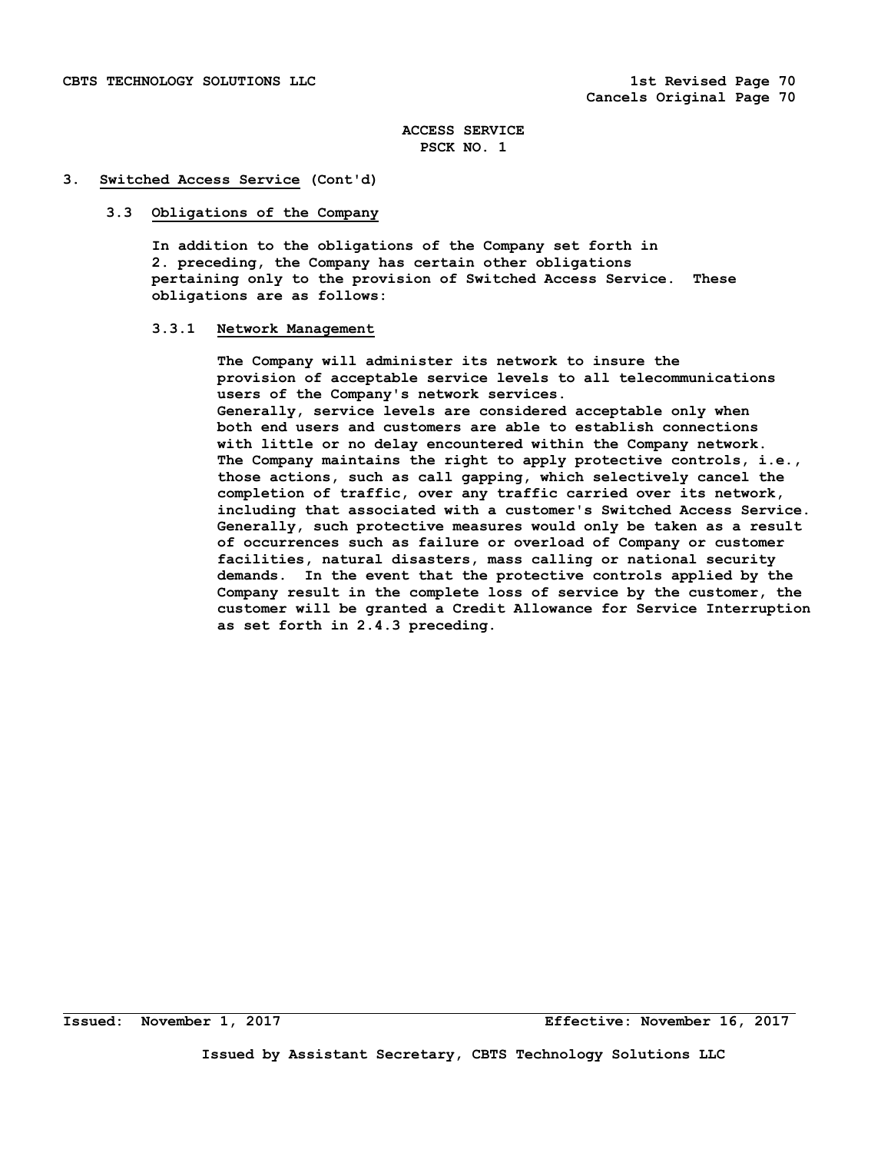## **3. Switched Access Service (Cont'd)**

## **3.3 Obligations of the Company**

 **In addition to the obligations of the Company set forth in 2. preceding, the Company has certain other obligations pertaining only to the provision of Switched Access Service. These obligations are as follows:** 

## **3.3.1 Network Management**

 **The Company will administer its network to insure the provision of acceptable service levels to all telecommunications users of the Company's network services. Generally, service levels are considered acceptable only when both end users and customers are able to establish connections with little or no delay encountered within the Company network. The Company maintains the right to apply protective controls, i.e., those actions, such as call gapping, which selectively cancel the completion of traffic, over any traffic carried over its network, including that associated with a customer's Switched Access Service. Generally, such protective measures would only be taken as a result of occurrences such as failure or overload of Company or customer facilities, natural disasters, mass calling or national security demands. In the event that the protective controls applied by the Company result in the complete loss of service by the customer, the customer will be granted a Credit Allowance for Service Interruption as set forth in 2.4.3 preceding.**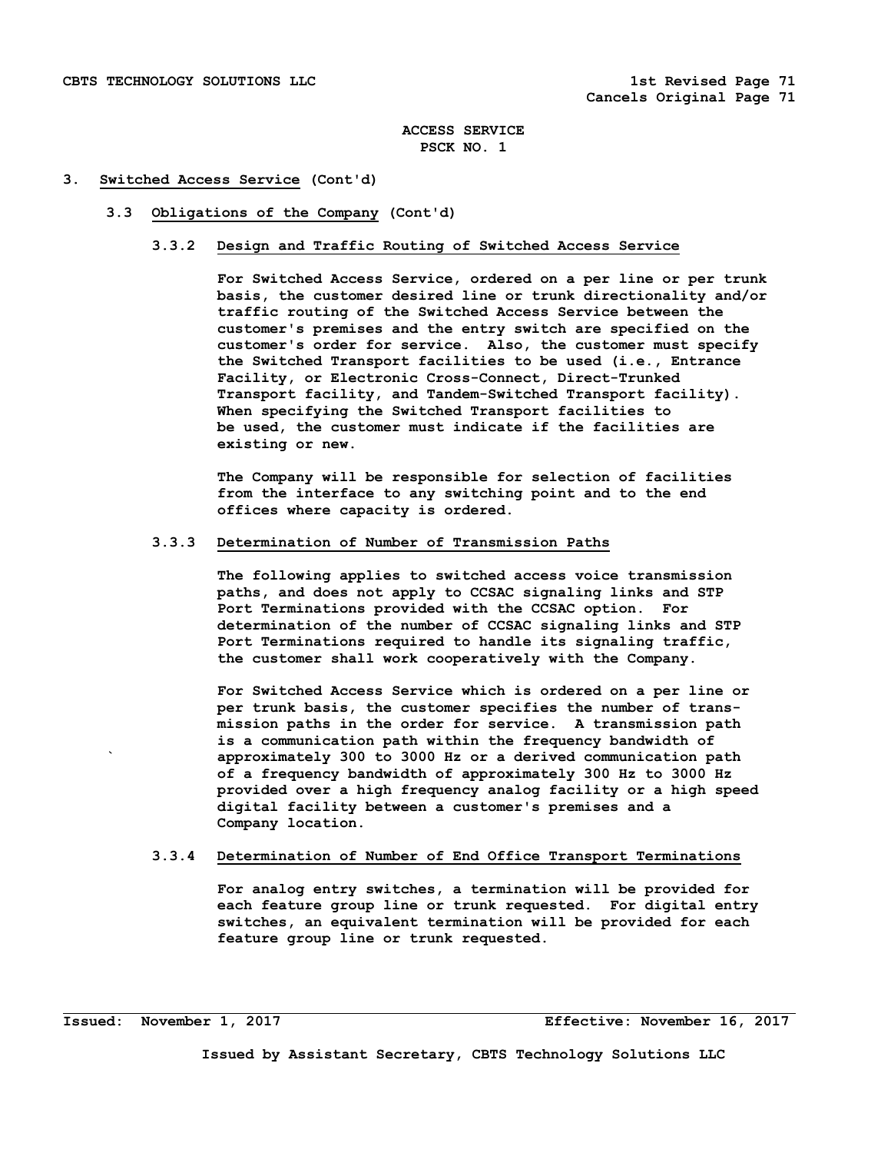#### **3. Switched Access Service (Cont'd)**

#### **3.3 Obligations of the Company (Cont'd)**

#### **3.3.2 Design and Traffic Routing of Switched Access Service**

 **For Switched Access Service, ordered on a per line or per trunk basis, the customer desired line or trunk directionality and/or traffic routing of the Switched Access Service between the customer's premises and the entry switch are specified on the customer's order for service. Also, the customer must specify the Switched Transport facilities to be used (i.e., Entrance Facility, or Electronic Cross-Connect, Direct-Trunked Transport facility, and Tandem-Switched Transport facility). When specifying the Switched Transport facilities to be used, the customer must indicate if the facilities are existing or new.** 

 **The Company will be responsible for selection of facilities from the interface to any switching point and to the end offices where capacity is ordered.** 

## **3.3.3 Determination of Number of Transmission Paths**

 **The following applies to switched access voice transmission paths, and does not apply to CCSAC signaling links and STP Port Terminations provided with the CCSAC option. For determination of the number of CCSAC signaling links and STP Port Terminations required to handle its signaling traffic, the customer shall work cooperatively with the Company.** 

 **For Switched Access Service which is ordered on a per line or per trunk basis, the customer specifies the number of trans mission paths in the order for service. A transmission path is a communication path within the frequency bandwidth of ` approximately 300 to 3000 Hz or a derived communication path of a frequency bandwidth of approximately 300 Hz to 3000 Hz provided over a high frequency analog facility or a high speed digital facility between a customer's premises and a Company location.** 

## **3.3.4 Determination of Number of End Office Transport Terminations**

 **For analog entry switches, a termination will be provided for each feature group line or trunk requested. For digital entry switches, an equivalent termination will be provided for each feature group line or trunk requested.**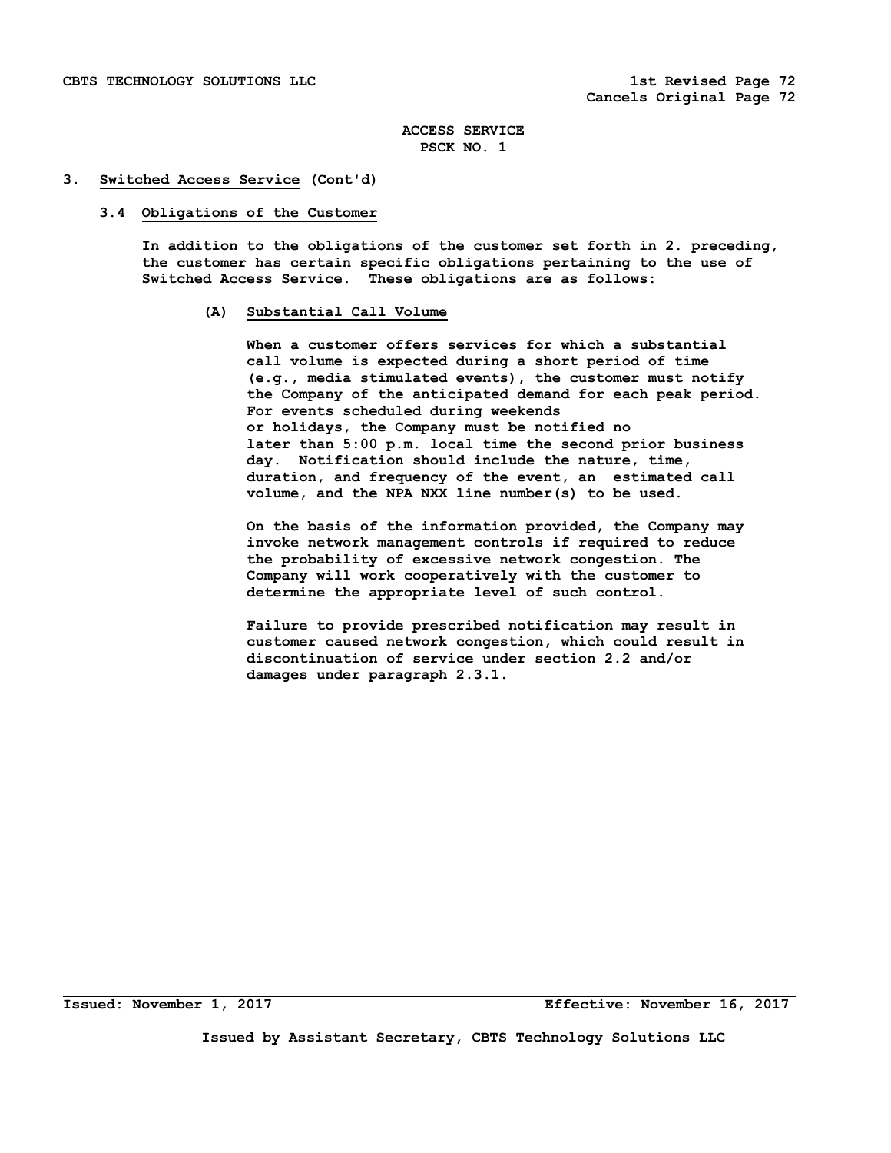#### **3. Switched Access Service (Cont'd)**

#### **3.4 Obligations of the Customer**

 **In addition to the obligations of the customer set forth in 2. preceding, the customer has certain specific obligations pertaining to the use of Switched Access Service. These obligations are as follows:** 

## **(A) Substantial Call Volume**

 **When a customer offers services for which a substantial call volume is expected during a short period of time (e.g., media stimulated events), the customer must notify the Company of the anticipated demand for each peak period. For events scheduled during weekends or holidays, the Company must be notified no later than 5:00 p.m. local time the second prior business day. Notification should include the nature, time, duration, and frequency of the event, an estimated call volume, and the NPA NXX line number(s) to be used.** 

 **On the basis of the information provided, the Company may invoke network management controls if required to reduce the probability of excessive network congestion. The Company will work cooperatively with the customer to determine the appropriate level of such control.** 

 **Failure to provide prescribed notification may result in customer caused network congestion, which could result in discontinuation of service under section 2.2 and/or damages under paragraph 2.3.1.** 

**Issued: November 1, 2017 Effective: November 16, 2017**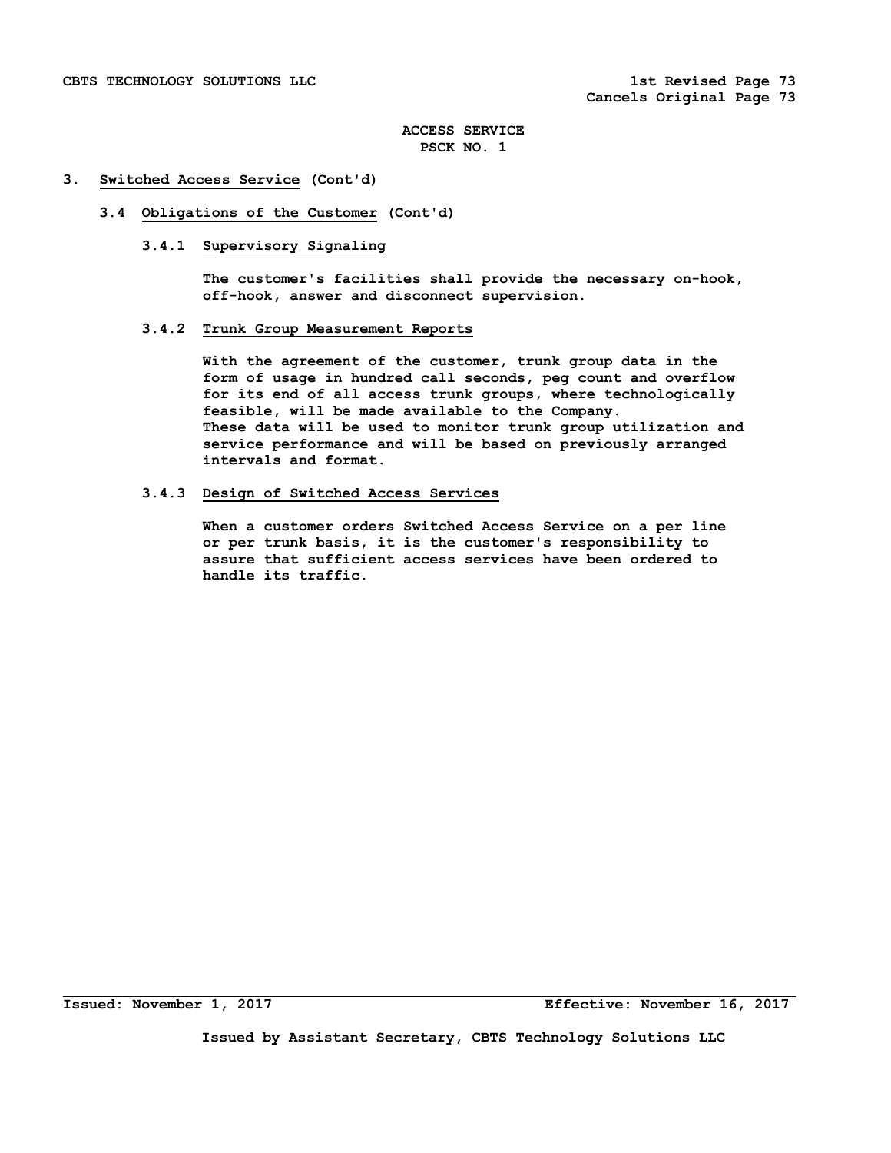#### **3. Switched Access Service (Cont'd)**

# **3.4 Obligations of the Customer (Cont'd)**

### **3.4.1 Supervisory Signaling**

 **The customer's facilities shall provide the necessary on-hook, off-hook, answer and disconnect supervision.** 

## **3.4.2 Trunk Group Measurement Reports**

 **With the agreement of the customer, trunk group data in the form of usage in hundred call seconds, peg count and overflow for its end of all access trunk groups, where technologically feasible, will be made available to the Company. These data will be used to monitor trunk group utilization and service performance and will be based on previously arranged intervals and format.** 

#### **3.4.3 Design of Switched Access Services**

 **When a customer orders Switched Access Service on a per line or per trunk basis, it is the customer's responsibility to assure that sufficient access services have been ordered to handle its traffic.**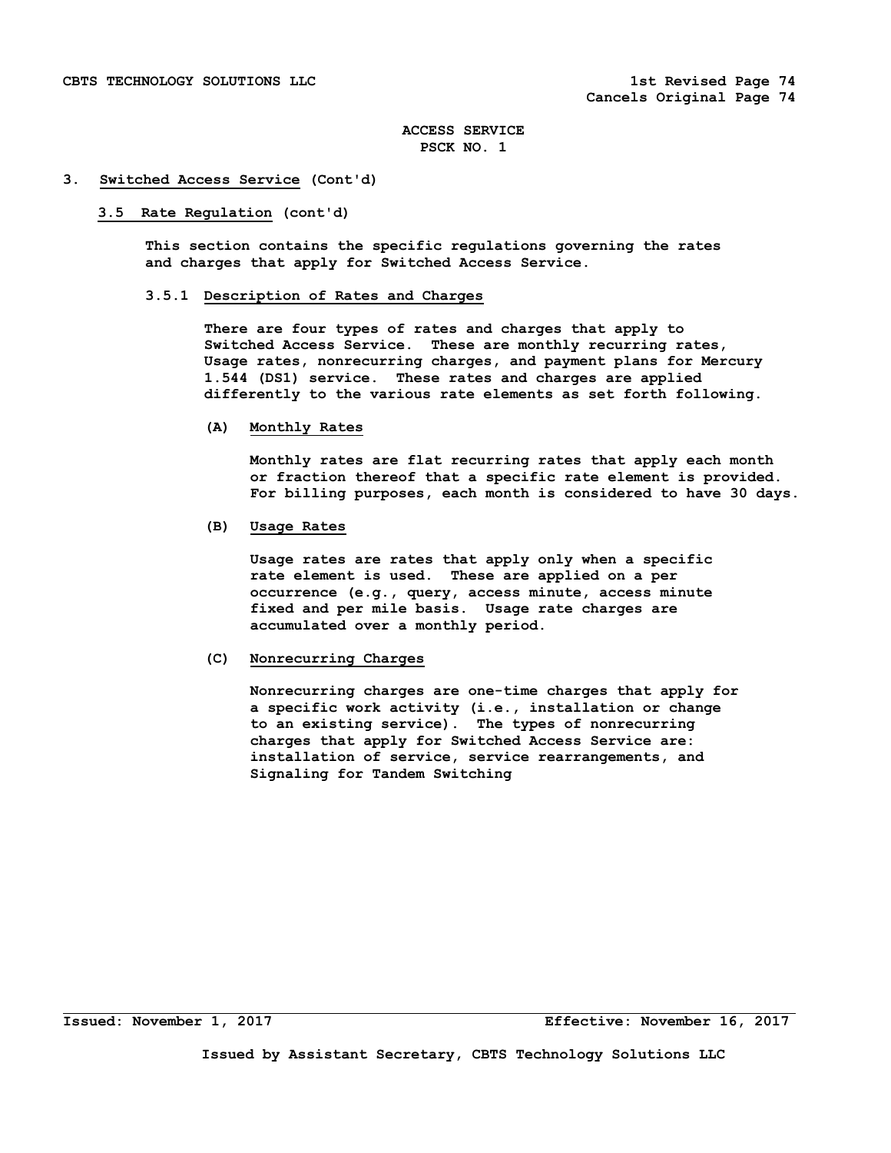#### **3. Switched Access Service (Cont'd)**

#### **3.5 Rate Regulation (cont'd)**

 **This section contains the specific regulations governing the rates and charges that apply for Switched Access Service.** 

# **3.5.1 Description of Rates and Charges**

 **There are four types of rates and charges that apply to Switched Access Service. These are monthly recurring rates, Usage rates, nonrecurring charges, and payment plans for Mercury 1.544 (DS1) service. These rates and charges are applied differently to the various rate elements as set forth following.** 

#### **(A) Monthly Rates**

 **Monthly rates are flat recurring rates that apply each month or fraction thereof that a specific rate element is provided. For billing purposes, each month is considered to have 30 days.** 

## **(B) Usage Rates**

 **Usage rates are rates that apply only when a specific rate element is used. These are applied on a per occurrence (e.g., query, access minute, access minute fixed and per mile basis. Usage rate charges are accumulated over a monthly period.** 

## **(C) Nonrecurring Charges**

 **Nonrecurring charges are one-time charges that apply for a specific work activity (i.e., installation or change to an existing service). The types of nonrecurring charges that apply for Switched Access Service are: installation of service, service rearrangements, and Signaling for Tandem Switching**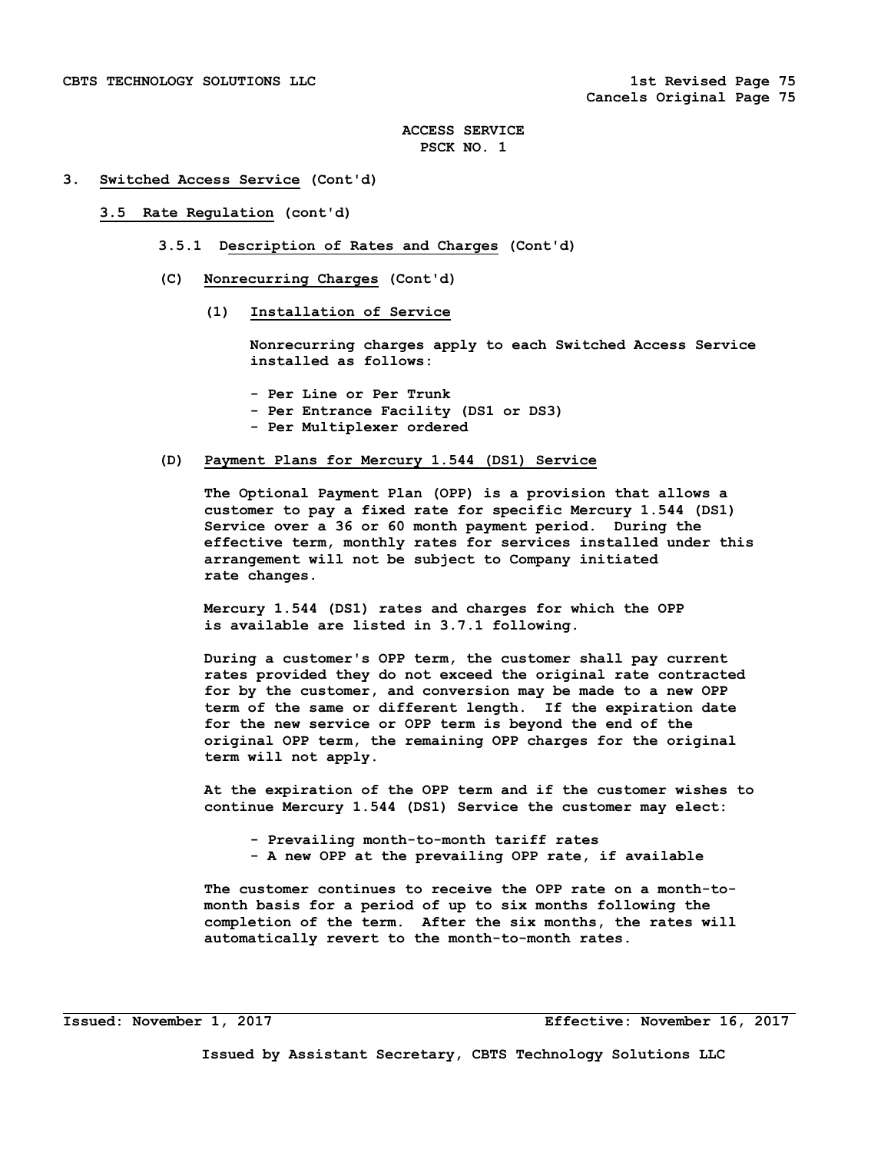#### **3. Switched Access Service (Cont'd)**

#### **3.5 Rate Regulation (cont'd)**

- **3.5.1 Description of Rates and Charges (Cont'd)**
- **(C) Nonrecurring Charges (Cont'd)** 
	- **(1) Installation of Service**

 **Nonrecurring charges apply to each Switched Access Service installed as follows:** 

- **Per Line or Per Trunk**
- **Per Entrance Facility (DS1 or DS3)**
- **Per Multiplexer ordered**

#### **(D) Payment Plans for Mercury 1.544 (DS1) Service**

 **The Optional Payment Plan (OPP) is a provision that allows a customer to pay a fixed rate for specific Mercury 1.544 (DS1) Service over a 36 or 60 month payment period. During the effective term, monthly rates for services installed under this arrangement will not be subject to Company initiated rate changes.** 

 **Mercury 1.544 (DS1) rates and charges for which the OPP is available are listed in 3.7.1 following.** 

 **During a customer's OPP term, the customer shall pay current rates provided they do not exceed the original rate contracted for by the customer, and conversion may be made to a new OPP term of the same or different length. If the expiration date for the new service or OPP term is beyond the end of the original OPP term, the remaining OPP charges for the original term will not apply.** 

 **At the expiration of the OPP term and if the customer wishes to continue Mercury 1.544 (DS1) Service the customer may elect:** 

- **Prevailing month-to-month tariff rates**
- **A new OPP at the prevailing OPP rate, if available**

 **The customer continues to receive the OPP rate on a month-to month basis for a period of up to six months following the completion of the term. After the six months, the rates will automatically revert to the month-to-month rates.**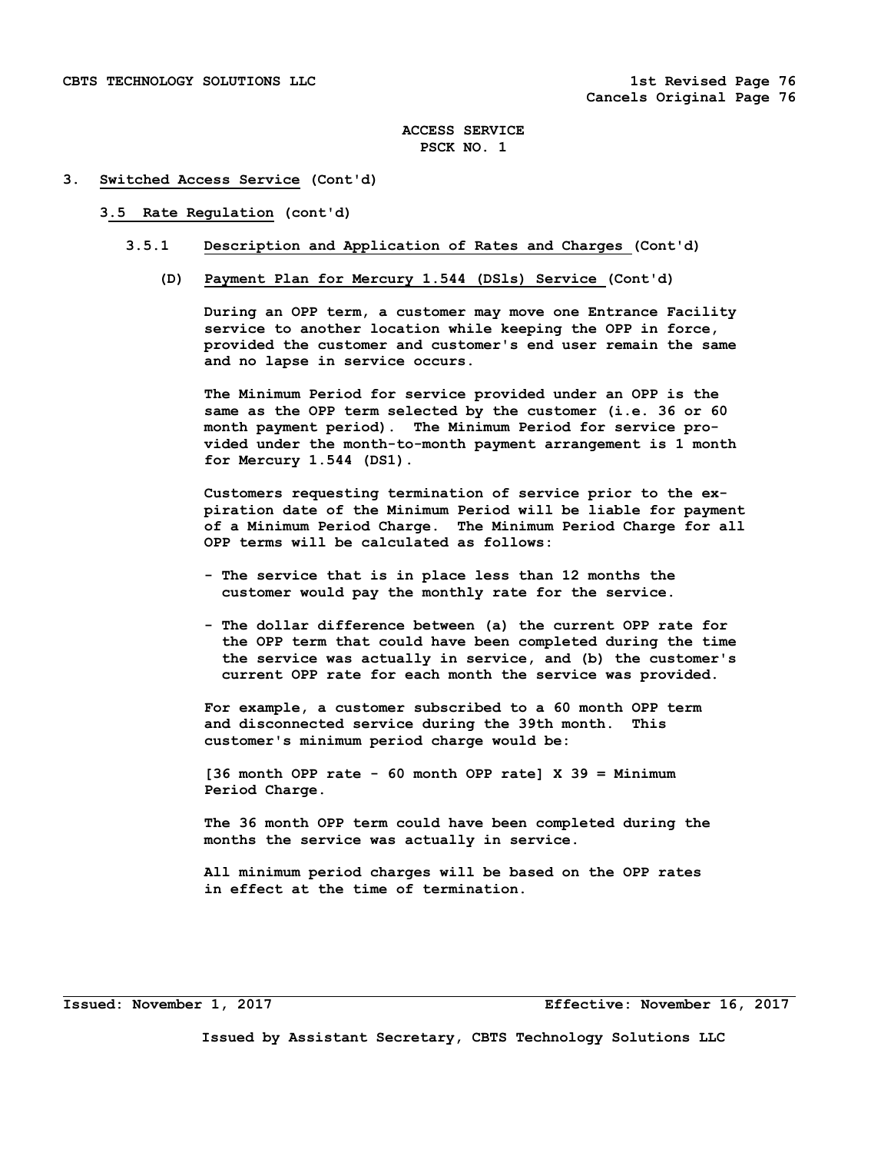#### **3. Switched Access Service (Cont'd)**

#### **3.5 Rate Regulation (cont'd)**

#### **3.5.1 Description and Application of Rates and Charges (Cont'd)**

 **(D) Payment Plan for Mercury 1.544 (DSls) Service (Cont'd)** 

 **During an OPP term, a customer may move one Entrance Facility service to another location while keeping the OPP in force, provided the customer and customer's end user remain the same and no lapse in service occurs.** 

 **The Minimum Period for service provided under an OPP is the same as the OPP term selected by the customer (i.e. 36 or 60 month payment period). The Minimum Period for service pro vided under the month-to-month payment arrangement is 1 month for Mercury 1.544 (DS1).** 

 **Customers requesting termination of service prior to the ex piration date of the Minimum Period will be liable for payment of a Minimum Period Charge. The Minimum Period Charge for all OPP terms will be calculated as follows:** 

- **The service that is in place less than 12 months the customer would pay the monthly rate for the service.**
- **The dollar difference between (a) the current OPP rate for the OPP term that could have been completed during the time the service was actually in service, and (b) the customer's current OPP rate for each month the service was provided.**

 **For example, a customer subscribed to a 60 month OPP term and disconnected service during the 39th month. This customer's minimum period charge would be:** 

 **[36 month OPP rate - 60 month OPP rate] X 39 = Minimum Period Charge.** 

 **The 36 month OPP term could have been completed during the months the service was actually in service.** 

 **All minimum period charges will be based on the OPP rates in effect at the time of termination.** 

**Issued: November 1, 2017 Effective: November 16, 2017**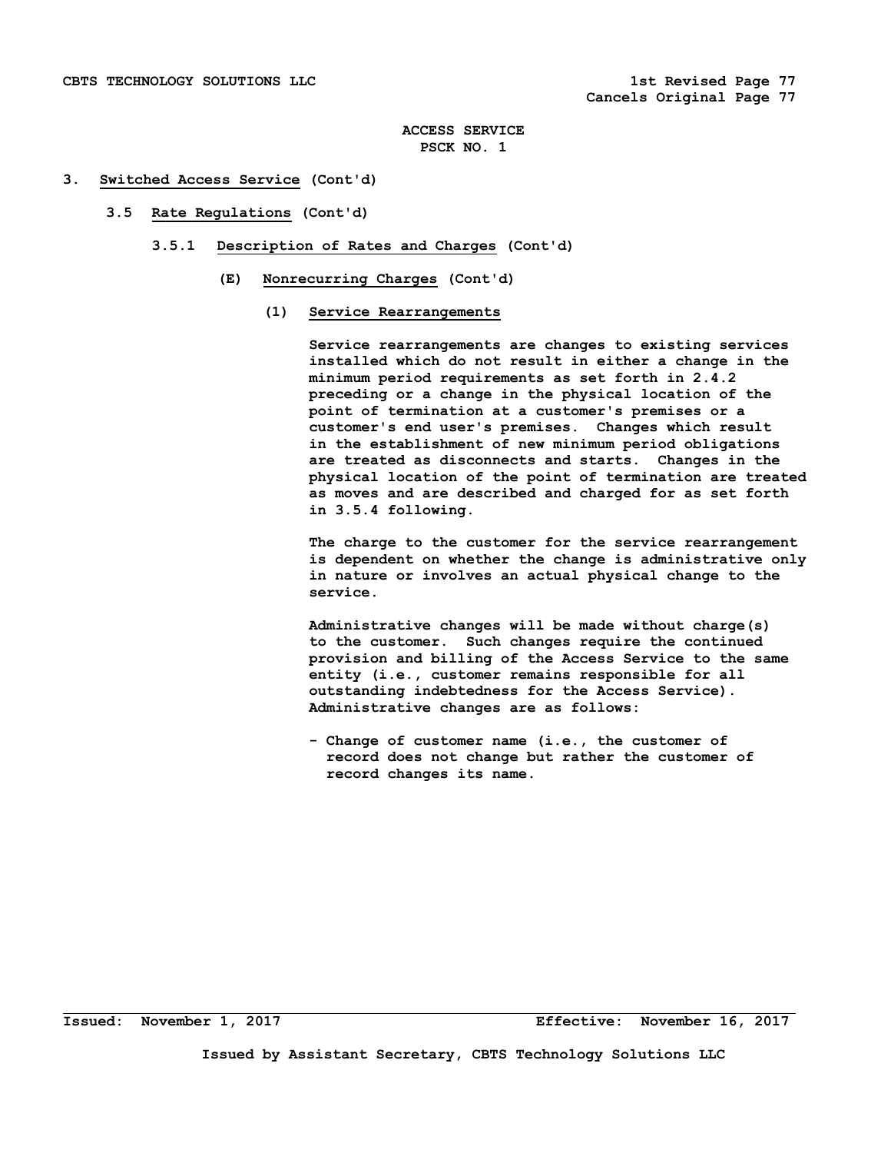#### **3. Switched Access Service (Cont'd)**

- **3.5 Rate Regulations (Cont'd)** 
	- **3.5.1 Description of Rates and Charges (Cont'd)** 
		- **(E) Nonrecurring Charges (Cont'd)** 
			- **(1) Service Rearrangements**

 **Service rearrangements are changes to existing services installed which do not result in either a change in the minimum period requirements as set forth in 2.4.2 preceding or a change in the physical location of the point of termination at a customer's premises or a customer's end user's premises. Changes which result in the establishment of new minimum period obligations are treated as disconnects and starts. Changes in the physical location of the point of termination are treated as moves and are described and charged for as set forth in 3.5.4 following.** 

 **The charge to the customer for the service rearrangement is dependent on whether the change is administrative only in nature or involves an actual physical change to the service.** 

 **Administrative changes will be made without charge(s) to the customer. Such changes require the continued provision and billing of the Access Service to the same entity (i.e., customer remains responsible for all outstanding indebtedness for the Access Service). Administrative changes are as follows:** 

 **- Change of customer name (i.e., the customer of record does not change but rather the customer of record changes its name.**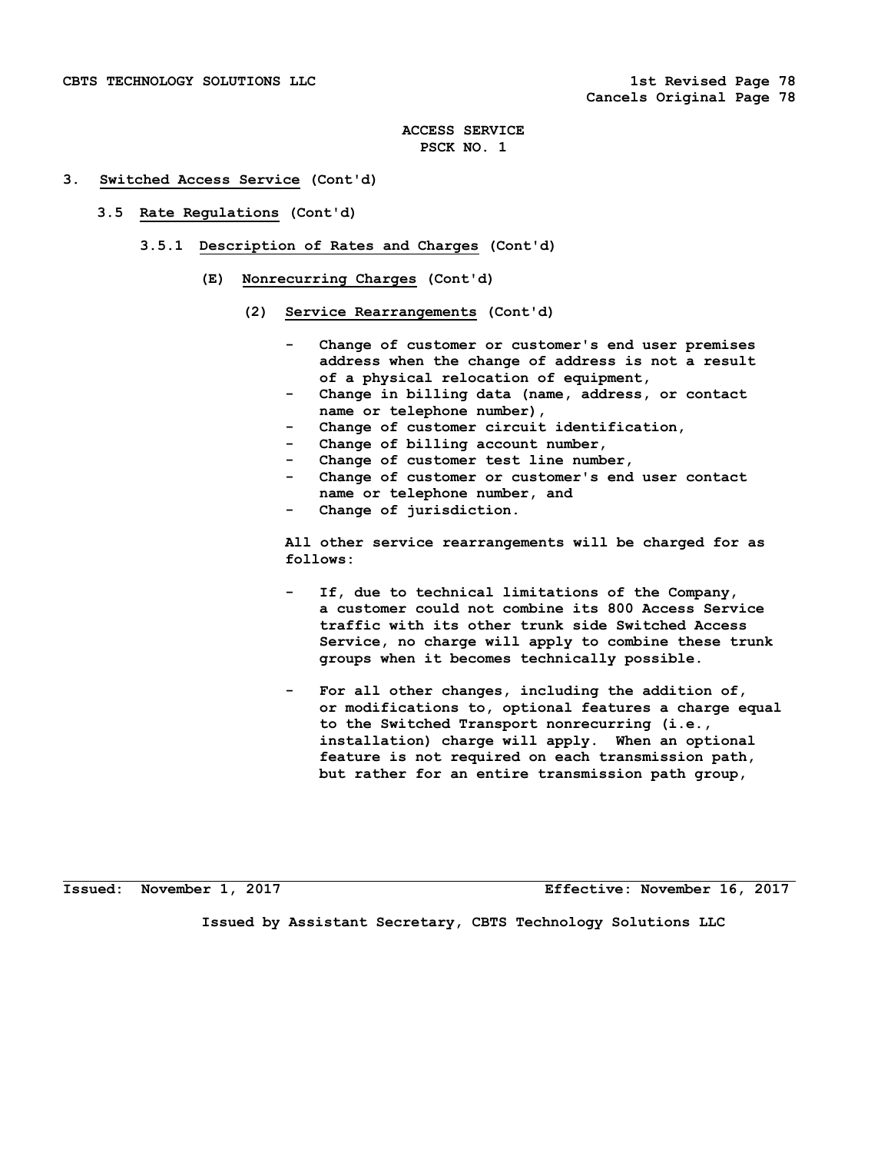#### **3. Switched Access Service (Cont'd)**

- **3.5 Rate Regulations (Cont'd)** 
	- **3.5.1 Description of Rates and Charges (Cont'd)** 
		- **(E) Nonrecurring Charges (Cont'd)** 
			- **(2) Service Rearrangements (Cont'd)** 
				- Change of customer or customer's end user premises  **address when the change of address is not a result of a physical relocation of equipment,**
				- Change in billing data (name, address, or contact  **name or telephone number),**
				- Change of customer circuit identification,
				- Change of billing account number,
				- Change of customer test line number,
				- Change of customer or customer's end user contact  **name or telephone number, and**
				- Change of jurisdiction.

 **All other service rearrangements will be charged for as follows:** 

- If, due to technical limitations of the Company,  **a customer could not combine its 800 Access Service traffic with its other trunk side Switched Access Service, no charge will apply to combine these trunk groups when it becomes technically possible.**
- For all other changes, including the addition of,  **or modifications to, optional features a charge equal to the Switched Transport nonrecurring (i.e., installation) charge will apply. When an optional feature is not required on each transmission path, but rather for an entire transmission path group,**

**Issued: November 1, 2017 Effective: November 16, 2017**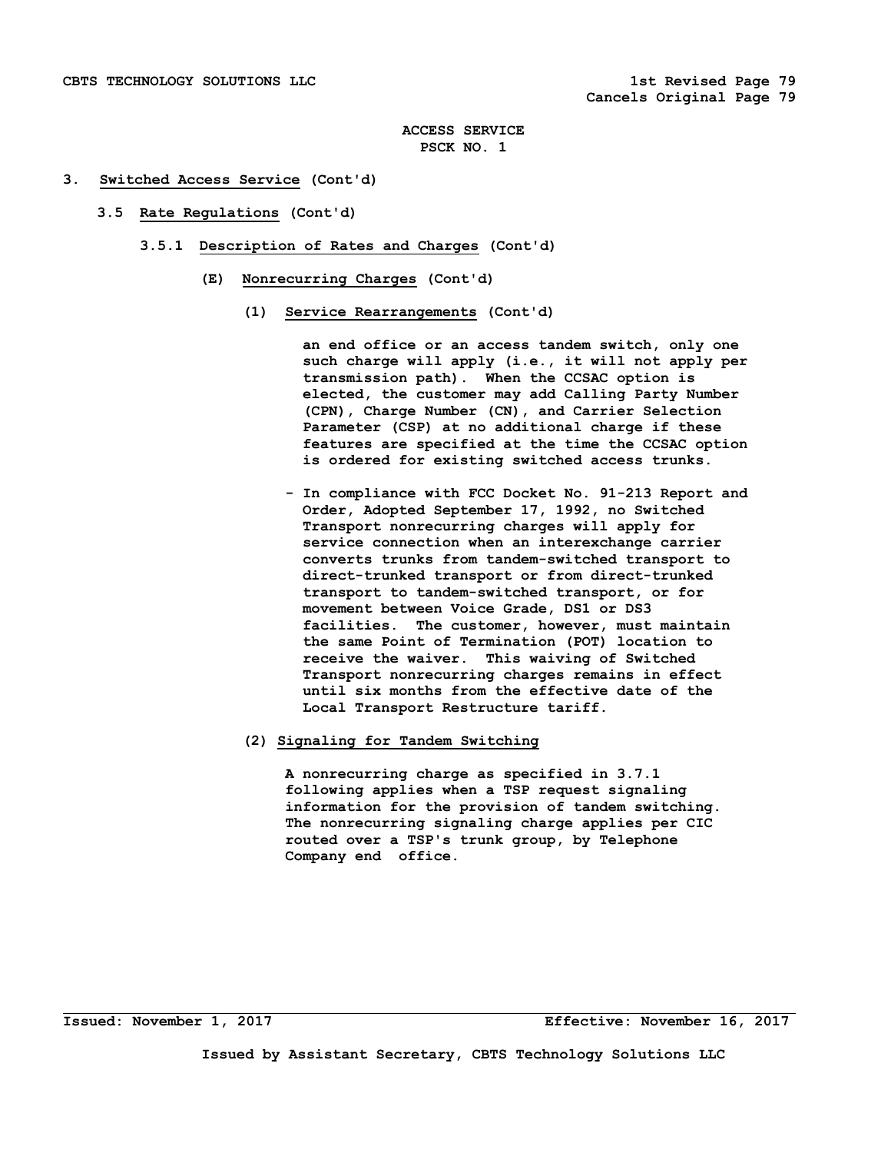#### **3. Switched Access Service (Cont'd)**

- **3.5 Rate Regulations (Cont'd)** 
	- **3.5.1 Description of Rates and Charges (Cont'd)** 
		- **(E) Nonrecurring Charges (Cont'd)** 
			- **(1) Service Rearrangements (Cont'd)**

 **an end office or an access tandem switch, only one such charge will apply (i.e., it will not apply per transmission path). When the CCSAC option is elected, the customer may add Calling Party Number (CPN), Charge Number (CN), and Carrier Selection Parameter (CSP) at no additional charge if these features are specified at the time the CCSAC option is ordered for existing switched access trunks.** 

 **- In compliance with FCC Docket No. 91-213 Report and Order, Adopted September 17, 1992, no Switched Transport nonrecurring charges will apply for service connection when an interexchange carrier converts trunks from tandem-switched transport to direct-trunked transport or from direct-trunked transport to tandem-switched transport, or for movement between Voice Grade, DS1 or DS3 facilities. The customer, however, must maintain the same Point of Termination (POT) location to receive the waiver. This waiving of Switched Transport nonrecurring charges remains in effect until six months from the effective date of the Local Transport Restructure tariff.** 

#### **(2) Signaling for Tandem Switching**

 **A nonrecurring charge as specified in 3.7.1 following applies when a TSP request signaling information for the provision of tandem switching. The nonrecurring signaling charge applies per CIC routed over a TSP's trunk group, by Telephone Company end office.**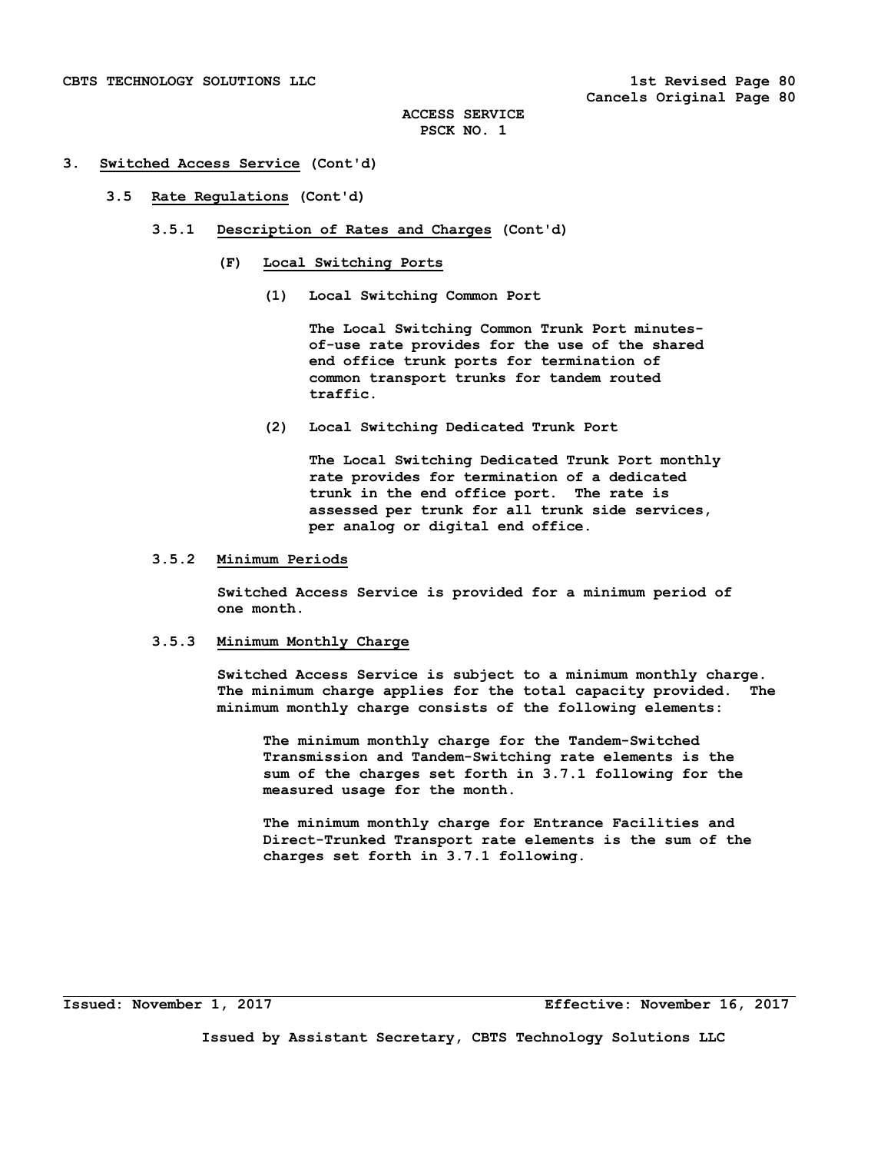#### **3. Switched Access Service (Cont'd)**

#### **3.5 Rate Regulations (Cont'd)**

- **3.5.1 Description of Rates and Charges (Cont'd)** 
	- **(F) Local Switching Ports** 
		- **(1) Local Switching Common Port**

 **The Local Switching Common Trunk Port minutes of-use rate provides for the use of the shared end office trunk ports for termination of common transport trunks for tandem routed traffic.** 

 **(2) Local Switching Dedicated Trunk Port** 

 **The Local Switching Dedicated Trunk Port monthly rate provides for termination of a dedicated trunk in the end office port. The rate is assessed per trunk for all trunk side services, per analog or digital end office.** 

### **3.5.2 Minimum Periods**

 **Switched Access Service is provided for a minimum period of one month.** 

### **3.5.3 Minimum Monthly Charge**

 **Switched Access Service is subject to a minimum monthly charge. The minimum charge applies for the total capacity provided. The minimum monthly charge consists of the following elements:** 

 **The minimum monthly charge for the Tandem-Switched Transmission and Tandem-Switching rate elements is the sum of the charges set forth in 3.7.1 following for the measured usage for the month.** 

 **The minimum monthly charge for Entrance Facilities and Direct-Trunked Transport rate elements is the sum of the charges set forth in 3.7.1 following.**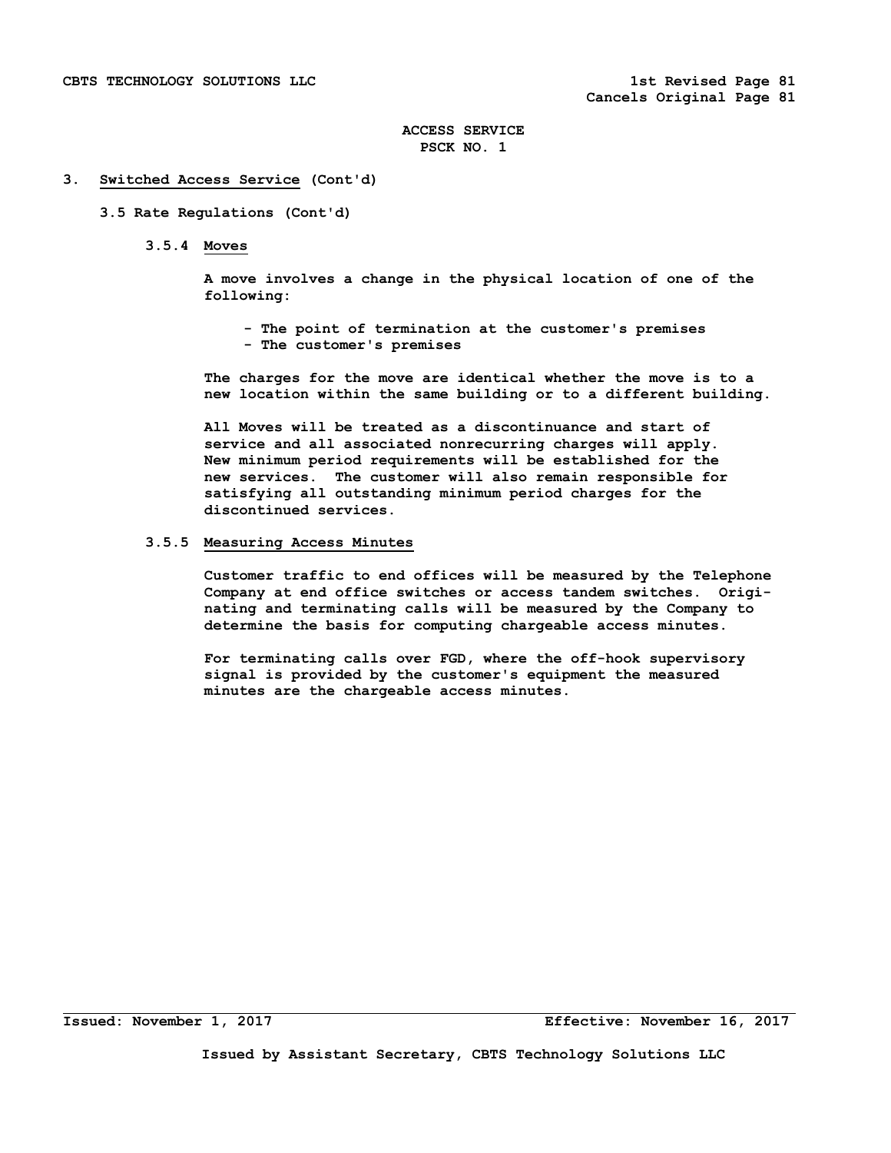#### **3. Switched Access Service (Cont'd)**

#### **3.5 Rate Regulations (Cont'd)**

 **3.5.4 Moves** 

 **A move involves a change in the physical location of one of the following:** 

 **- The point of termination at the customer's premises - The customer's premises** 

 **The charges for the move are identical whether the move is to a new location within the same building or to a different building.** 

 **All Moves will be treated as a discontinuance and start of service and all associated nonrecurring charges will apply. New minimum period requirements will be established for the new services. The customer will also remain responsible for satisfying all outstanding minimum period charges for the discontinued services.** 

## **3.5.5 Measuring Access Minutes**

 **Customer traffic to end offices will be measured by the Telephone Company at end office switches or access tandem switches. Origi nating and terminating calls will be measured by the Company to determine the basis for computing chargeable access minutes.** 

 **For terminating calls over FGD, where the off-hook supervisory signal is provided by the customer's equipment the measured minutes are the chargeable access minutes.**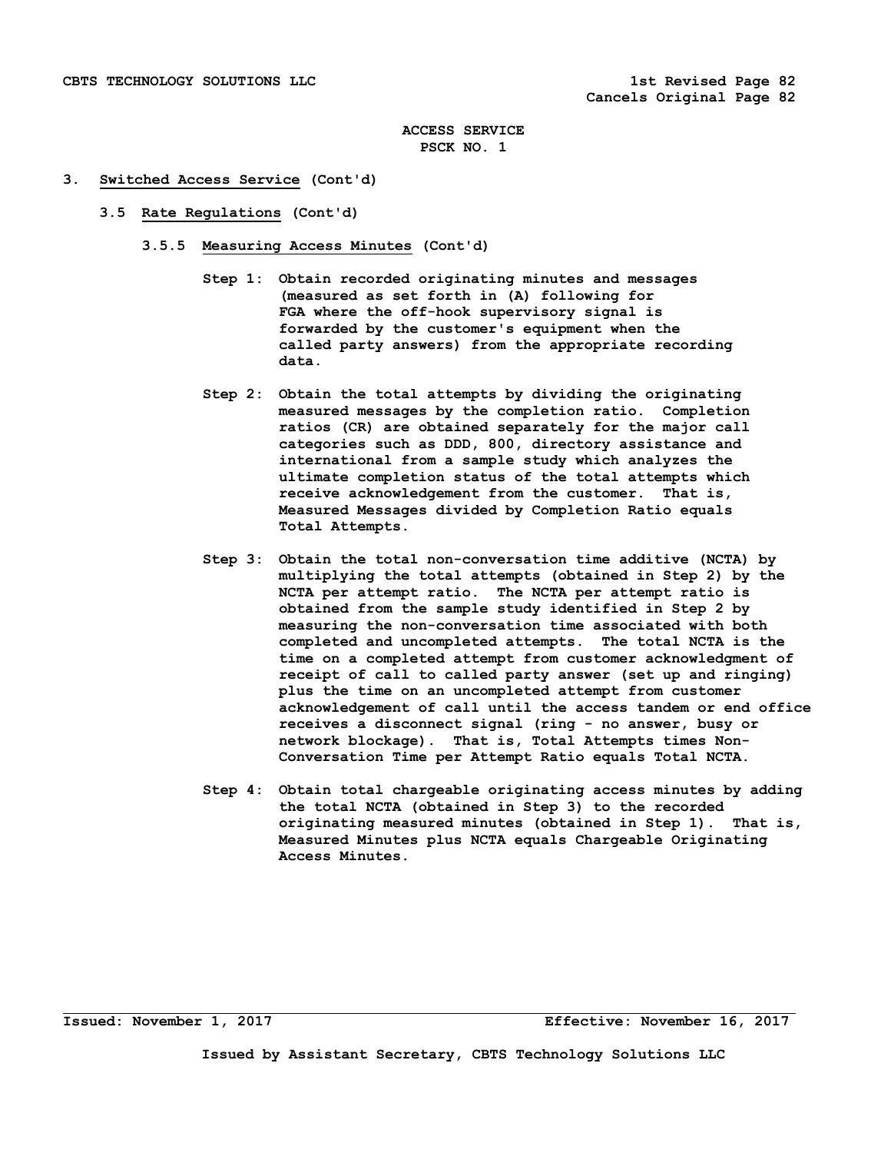#### **3. Switched Access Service (Cont'd)**

- **3.5 Rate Regulations (Cont'd)** 
	- **3.5.5 Measuring Access Minutes (Cont'd)** 
		- **Step 1: Obtain recorded originating minutes and messages (measured as set forth in (A) following for FGA where the off-hook supervisory signal is forwarded by the customer's equipment when the called party answers) from the appropriate recording data.**
		- **Step 2: Obtain the total attempts by dividing the originating measured messages by the completion ratio. Completion ratios (CR) are obtained separately for the major call categories such as DDD, 800, directory assistance and international from a sample study which analyzes the ultimate completion status of the total attempts which receive acknowledgement from the customer. That is, Measured Messages divided by Completion Ratio equals Total Attempts.**
		- **Step 3: Obtain the total non-conversation time additive (NCTA) by multiplying the total attempts (obtained in Step 2) by the NCTA per attempt ratio. The NCTA per attempt ratio is obtained from the sample study identified in Step 2 by measuring the non-conversation time associated with both completed and uncompleted attempts. The total NCTA is the time on a completed attempt from customer acknowledgment of receipt of call to called party answer (set up and ringing) plus the time on an uncompleted attempt from customer acknowledgement of call until the access tandem or end office receives a disconnect signal (ring - no answer, busy or network blockage). That is, Total Attempts times Non- Conversation Time per Attempt Ratio equals Total NCTA.**
		- **Step 4: Obtain total chargeable originating access minutes by adding the total NCTA (obtained in Step 3) to the recorded originating measured minutes (obtained in Step 1). That is, Measured Minutes plus NCTA equals Chargeable Originating Access Minutes.**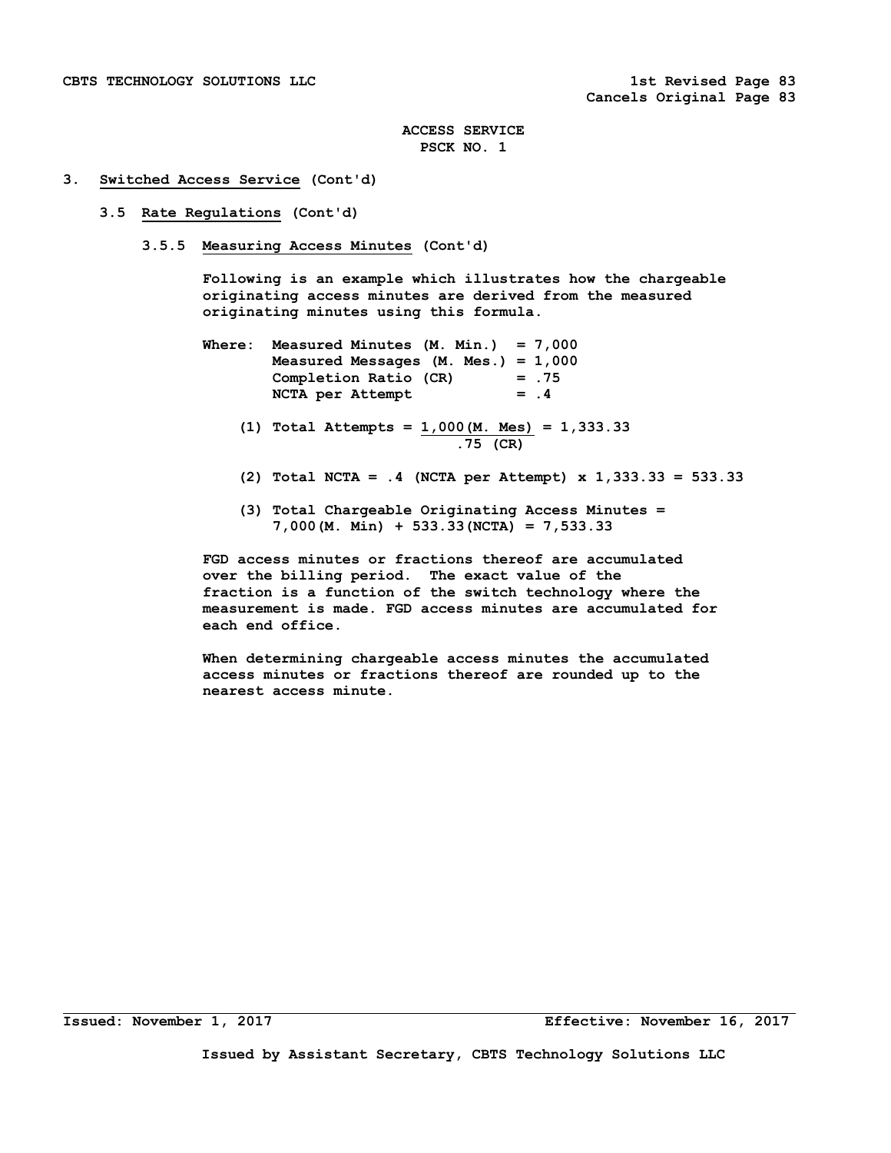#### **3. Switched Access Service (Cont'd)**

#### **3.5 Rate Regulations (Cont'd)**

 **3.5.5 Measuring Access Minutes (Cont'd)** 

 **Following is an example which illustrates how the chargeable originating access minutes are derived from the measured originating minutes using this formula.** 

- **Where: Measured Minutes (M. Min.) = 7,000 Measured Messages (M. Mes.) = 1,000 Completion Ratio (CR) = .75**  NCTA per Attempt = .4
	- **(1) Total Attempts = 1,000(M. Mes) = 1,333.33 .75 (CR)**
	- **(2) Total NCTA = .4 (NCTA per Attempt) x 1,333.33 = 533.33**
	- **(3) Total Chargeable Originating Access Minutes = 7,000(M. Min) + 533.33(NCTA) = 7,533.33**

 **FGD access minutes or fractions thereof are accumulated over the billing period. The exact value of the fraction is a function of the switch technology where the measurement is made. FGD access minutes are accumulated for each end office.** 

 **When determining chargeable access minutes the accumulated access minutes or fractions thereof are rounded up to the nearest access minute.**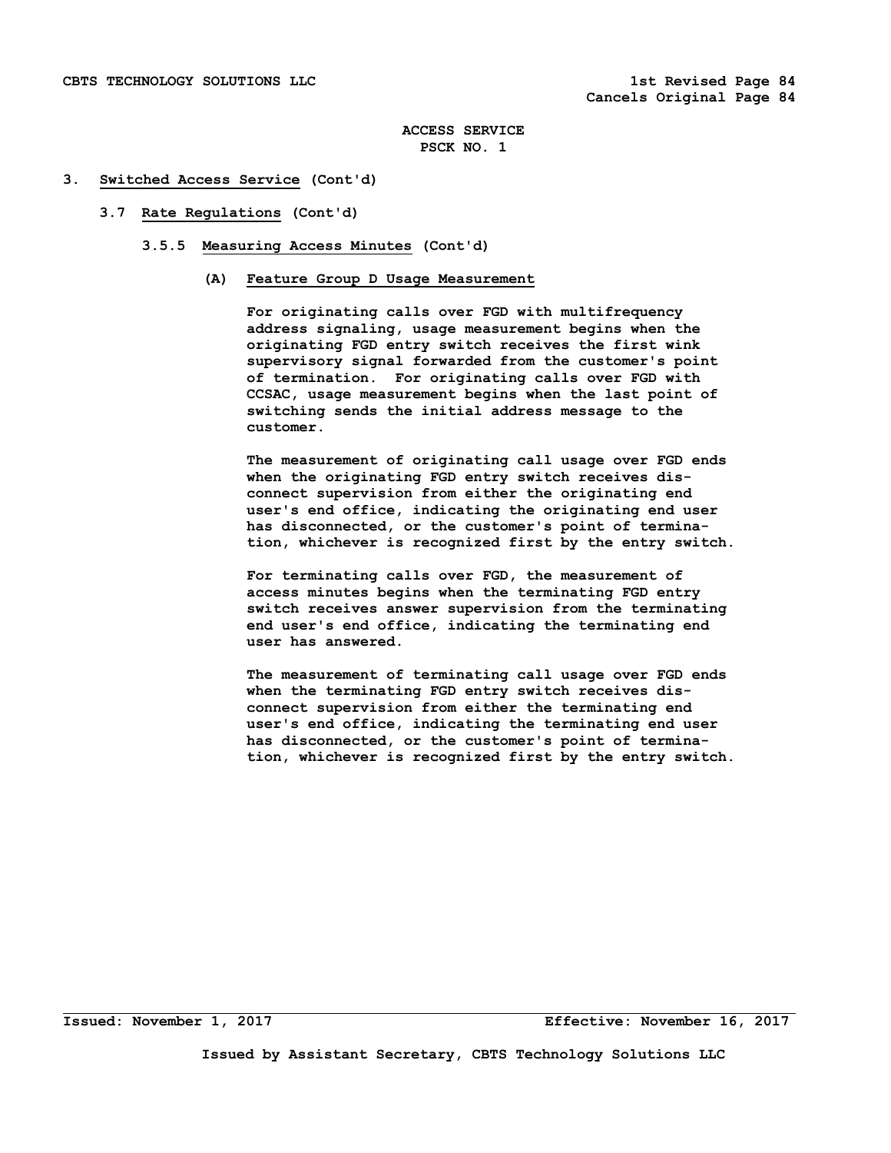#### **3. Switched Access Service (Cont'd)**

#### **3.7 Rate Regulations (Cont'd)**

- **3.5.5 Measuring Access Minutes (Cont'd)** 
	- **(A) Feature Group D Usage Measurement**

 **For originating calls over FGD with multifrequency address signaling, usage measurement begins when the originating FGD entry switch receives the first wink supervisory signal forwarded from the customer's point of termination. For originating calls over FGD with CCSAC, usage measurement begins when the last point of switching sends the initial address message to the customer.** 

 **The measurement of originating call usage over FGD ends when the originating FGD entry switch receives dis connect supervision from either the originating end user's end office, indicating the originating end user has disconnected, or the customer's point of termina tion, whichever is recognized first by the entry switch.** 

 **For terminating calls over FGD, the measurement of access minutes begins when the terminating FGD entry switch receives answer supervision from the terminating end user's end office, indicating the terminating end user has answered.** 

 **The measurement of terminating call usage over FGD ends when the terminating FGD entry switch receives dis connect supervision from either the terminating end user's end office, indicating the terminating end user has disconnected, or the customer's point of termina tion, whichever is recognized first by the entry switch.**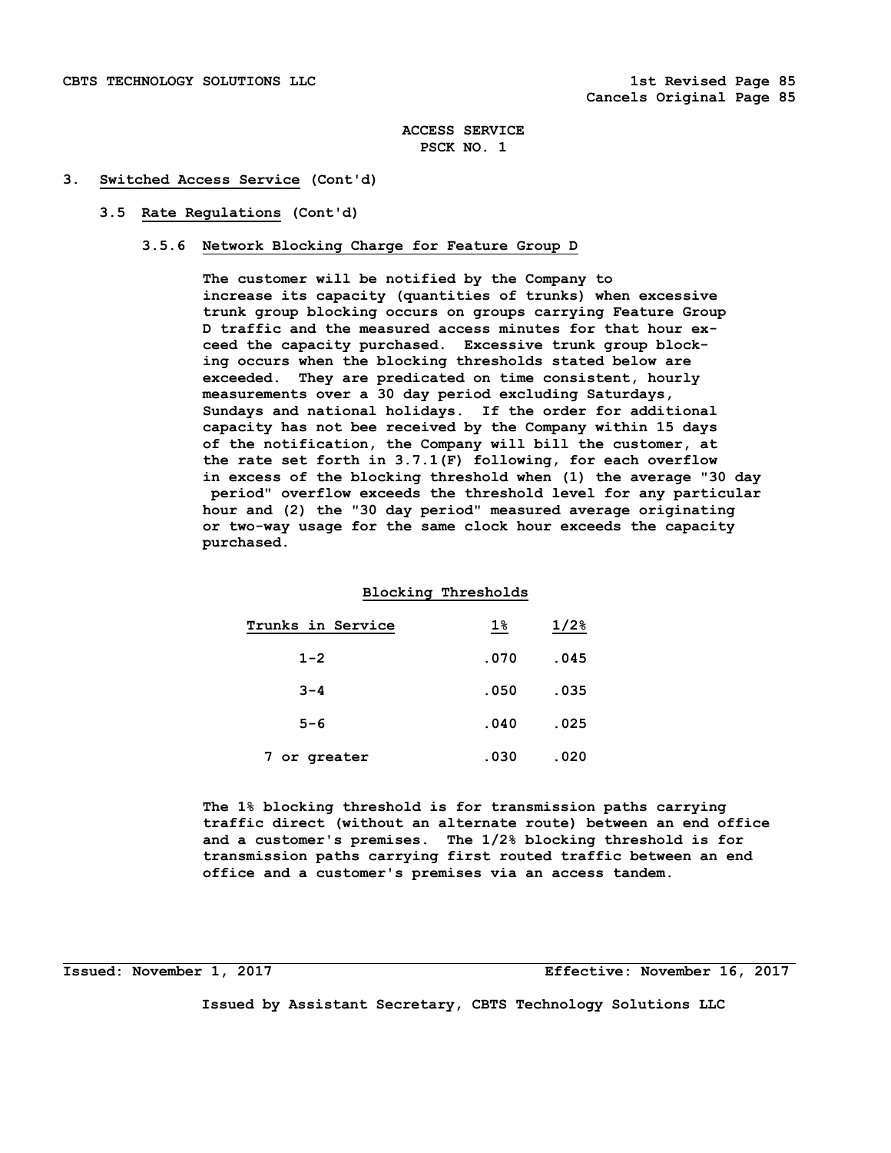#### **3. Switched Access Service (Cont'd)**

#### **3.5 Rate Regulations (Cont'd)**

#### **3.5.6 Network Blocking Charge for Feature Group D**

 **The customer will be notified by the Company to increase its capacity (quantities of trunks) when excessive trunk group blocking occurs on groups carrying Feature Group D traffic and the measured access minutes for that hour ex ceed the capacity purchased. Excessive trunk group block ing occurs when the blocking thresholds stated below are exceeded. They are predicated on time consistent, hourly measurements over a 30 day period excluding Saturdays, Sundays and national holidays. If the order for additional capacity has not bee received by the Company within 15 days of the notification, the Company will bill the customer, at the rate set forth in 3.7.1(F) following, for each overflow in excess of the blocking threshold when (1) the average "30 day period" overflow exceeds the threshold level for any particular hour and (2) the "30 day period" measured average originating or two-way usage for the same clock hour exceeds the capacity purchased.** 

# **Blocking Thresholds**

| Trunks in Service | $1\%$ | $1/2$ <sup>8</sup> |
|-------------------|-------|--------------------|
| $1 - 2$           | .070  | .045               |
| $3 - 4$           | .050  | .035               |
| $5 - 6$           | .040  | .025               |
| 7 or greater      | .030  | .020               |

 **The 1% blocking threshold is for transmission paths carrying traffic direct (without an alternate route) between an end office and a customer's premises. The 1/2% blocking threshold is for transmission paths carrying first routed traffic between an end office and a customer's premises via an access tandem.** 

**Issued: November 1, 2017 Effective: November 16, 2017**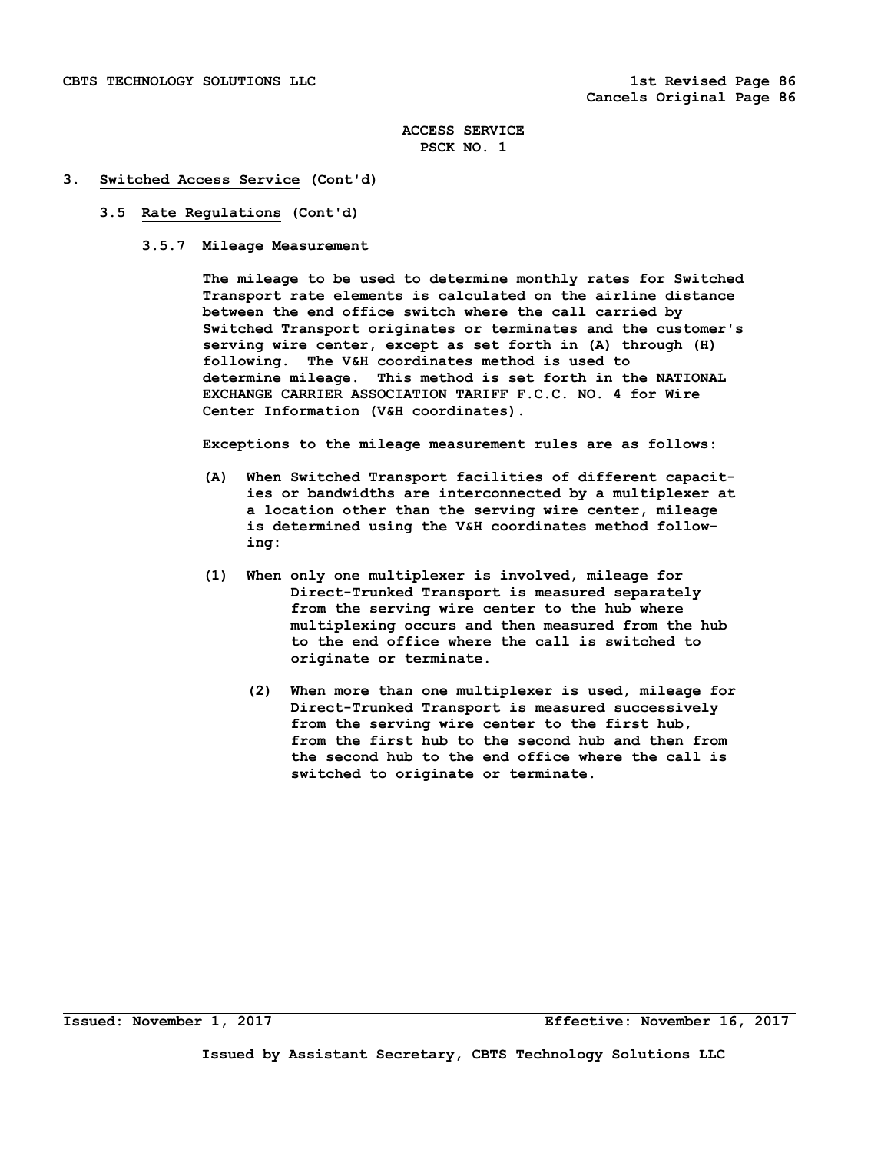#### **3. Switched Access Service (Cont'd)**

#### **3.5 Rate Regulations (Cont'd)**

### **3.5.7 Mileage Measurement**

 **The mileage to be used to determine monthly rates for Switched Transport rate elements is calculated on the airline distance between the end office switch where the call carried by Switched Transport originates or terminates and the customer's serving wire center, except as set forth in (A) through (H) following. The V&H coordinates method is used to determine mileage. This method is set forth in the NATIONAL EXCHANGE CARRIER ASSOCIATION TARIFF F.C.C. NO. 4 for Wire Center Information (V&H coordinates).** 

 **Exceptions to the mileage measurement rules are as follows:** 

- **(A) When Switched Transport facilities of different capacit ies or bandwidths are interconnected by a multiplexer at a location other than the serving wire center, mileage is determined using the V&H coordinates method follow ing:**
- **(1) When only one multiplexer is involved, mileage for Direct-Trunked Transport is measured separately from the serving wire center to the hub where multiplexing occurs and then measured from the hub to the end office where the call is switched to originate or terminate.** 
	- **(2) When more than one multiplexer is used, mileage for Direct-Trunked Transport is measured successively from the serving wire center to the first hub, from the first hub to the second hub and then from the second hub to the end office where the call is switched to originate or terminate.**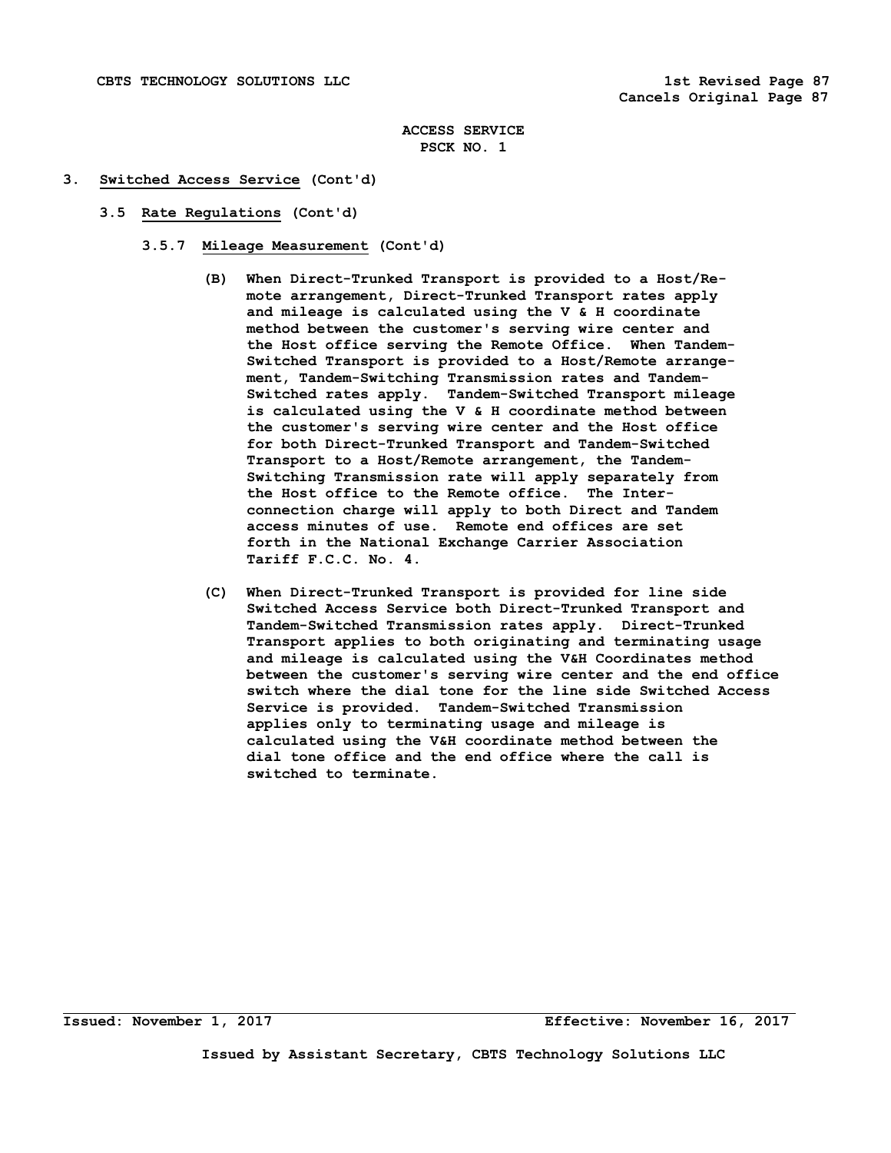### **3. Switched Access Service (Cont'd)**

- **3.5 Rate Regulations (Cont'd)** 
	- **3.5.7 Mileage Measurement (Cont'd)** 
		- **(B) When Direct-Trunked Transport is provided to a Host/Re mote arrangement, Direct-Trunked Transport rates apply and mileage is calculated using the V & H coordinate method between the customer's serving wire center and the Host office serving the Remote Office. When Tandem- Switched Transport is provided to a Host/Remote arrange ment, Tandem-Switching Transmission rates and Tandem- Switched rates apply. Tandem-Switched Transport mileage is calculated using the V & H coordinate method between the customer's serving wire center and the Host office for both Direct-Trunked Transport and Tandem-Switched Transport to a Host/Remote arrangement, the Tandem- Switching Transmission rate will apply separately from the Host office to the Remote office. The Inter connection charge will apply to both Direct and Tandem access minutes of use. Remote end offices are set forth in the National Exchange Carrier Association Tariff F.C.C. No. 4.**
		- **(C) When Direct-Trunked Transport is provided for line side Switched Access Service both Direct-Trunked Transport and Tandem-Switched Transmission rates apply. Direct-Trunked Transport applies to both originating and terminating usage and mileage is calculated using the V&H Coordinates method between the customer's serving wire center and the end office switch where the dial tone for the line side Switched Access Service is provided. Tandem-Switched Transmission applies only to terminating usage and mileage is calculated using the V&H coordinate method between the dial tone office and the end office where the call is switched to terminate.**

**Issued: November 1, 2017 Effective: November 16, 2017**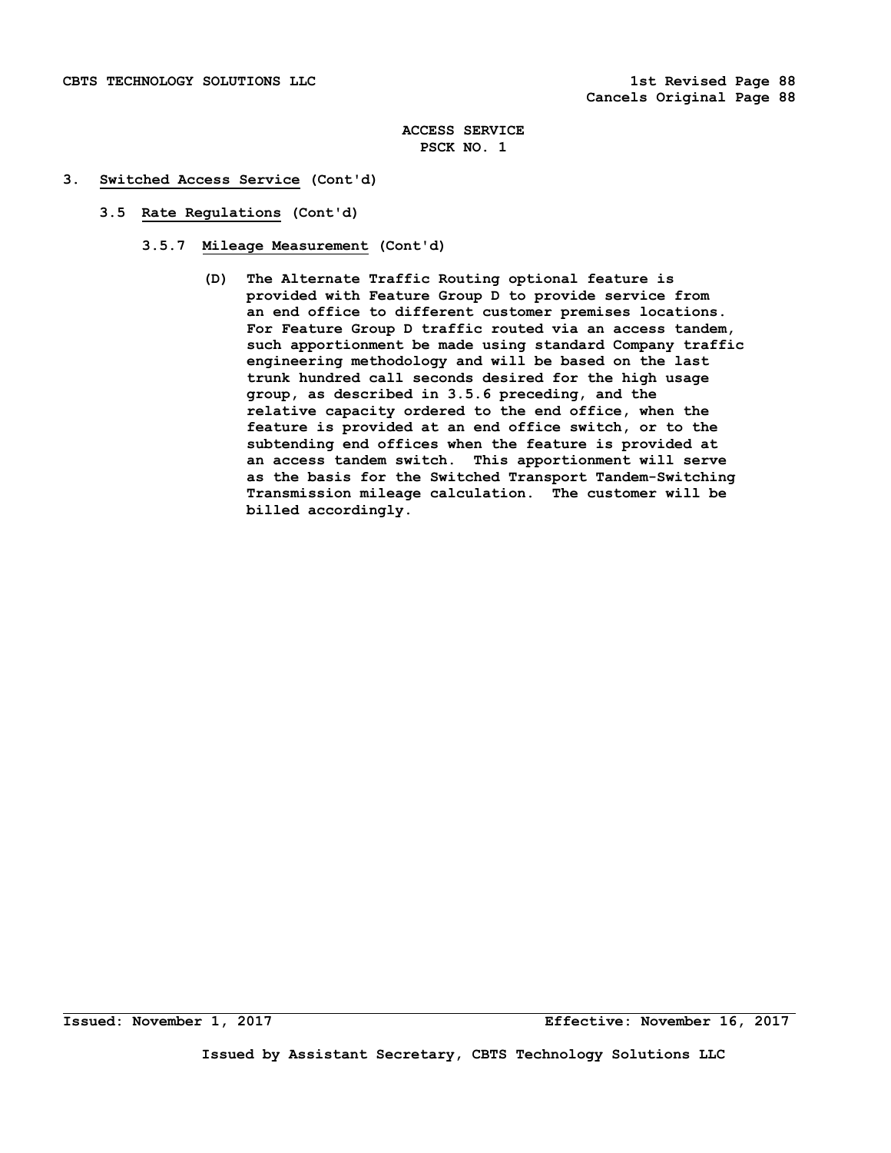## **3. Switched Access Service (Cont'd)**

- **3.5 Rate Regulations (Cont'd)** 
	- **3.5.7 Mileage Measurement (Cont'd)** 
		- **(D) The Alternate Traffic Routing optional feature is provided with Feature Group D to provide service from an end office to different customer premises locations. For Feature Group D traffic routed via an access tandem, such apportionment be made using standard Company traffic engineering methodology and will be based on the last trunk hundred call seconds desired for the high usage group, as described in 3.5.6 preceding, and the relative capacity ordered to the end office, when the feature is provided at an end office switch, or to the subtending end offices when the feature is provided at an access tandem switch. This apportionment will serve as the basis for the Switched Transport Tandem-Switching Transmission mileage calculation. The customer will be billed accordingly.**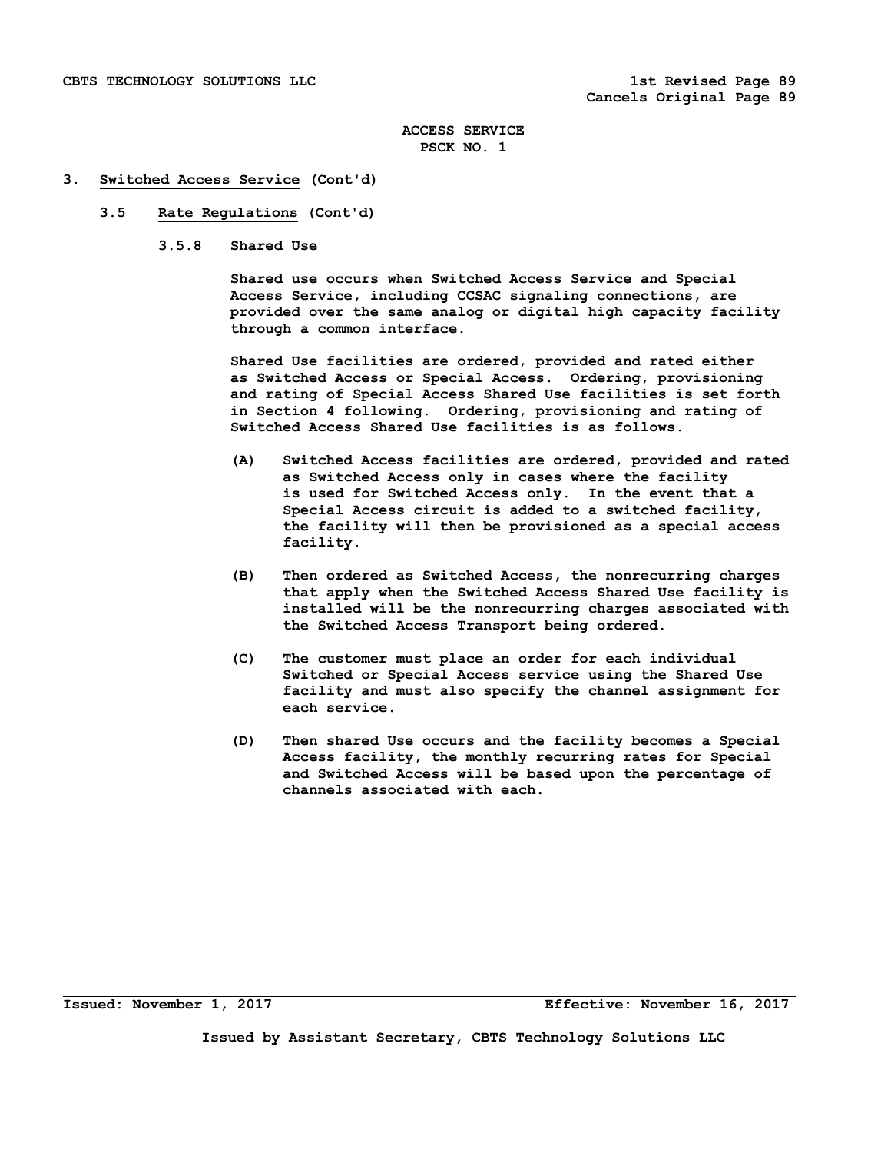#### **3. Switched Access Service (Cont'd)**

## **3.5 Rate Regulations (Cont'd)**

 **3.5.8 Shared Use** 

 **Shared use occurs when Switched Access Service and Special Access Service, including CCSAC signaling connections, are provided over the same analog or digital high capacity facility through a common interface.** 

 **Shared Use facilities are ordered, provided and rated either as Switched Access or Special Access. Ordering, provisioning and rating of Special Access Shared Use facilities is set forth in Section 4 following. Ordering, provisioning and rating of Switched Access Shared Use facilities is as follows.** 

- **(A) Switched Access facilities are ordered, provided and rated as Switched Access only in cases where the facility is used for Switched Access only. In the event that a Special Access circuit is added to a switched facility, the facility will then be provisioned as a special access facility.**
- **(B) Then ordered as Switched Access, the nonrecurring charges that apply when the Switched Access Shared Use facility is installed will be the nonrecurring charges associated with the Switched Access Transport being ordered.**
- **(C) The customer must place an order for each individual Switched or Special Access service using the Shared Use facility and must also specify the channel assignment for each service.**
- **(D) Then shared Use occurs and the facility becomes a Special Access facility, the monthly recurring rates for Special and Switched Access will be based upon the percentage of channels associated with each.**

**Issued: November 1, 2017 Effective: November 16, 2017**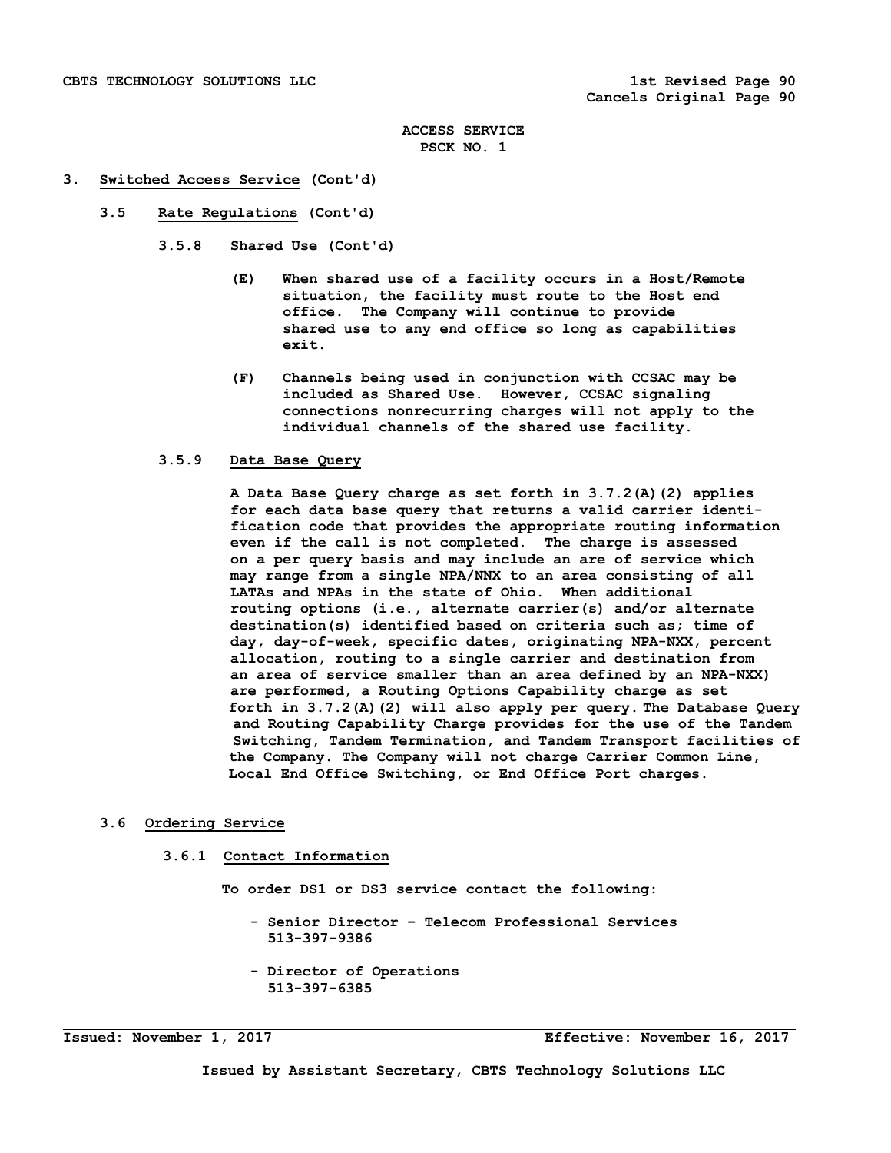#### **3. Switched Access Service (Cont'd)**

 **3.5 Rate Regulations (Cont'd)** 

 **3.5.8 Shared Use (Cont'd)** 

- **(E) When shared use of a facility occurs in a Host/Remote situation, the facility must route to the Host end office. The Company will continue to provide shared use to any end office so long as capabilities exit.**
- **(F) Channels being used in conjunction with CCSAC may be included as Shared Use. However, CCSAC signaling connections nonrecurring charges will not apply to the individual channels of the shared use facility.**

#### **3.5.9 Data Base Query**

 **A Data Base Query charge as set forth in 3.7.2(A)(2) applies for each data base query that returns a valid carrier identi fication code that provides the appropriate routing information even if the call is not completed. The charge is assessed on a per query basis and may include an are of service which may range from a single NPA/NNX to an area consisting of all LATAs and NPAs in the state of Ohio. When additional routing options (i.e., alternate carrier(s) and/or alternate destination(s) identified based on criteria such as; time of day, day-of-week, specific dates, originating NPA-NXX, percent allocation, routing to a single carrier and destination from an area of service smaller than an area defined by an NPA-NXX) are performed, a Routing Options Capability charge as set forth in 3.7.2(A)(2) will also apply per query. The Database Query and Routing Capability Charge provides for the use of the Tandem Switching, Tandem Termination, and Tandem Transport facilities of the Company. The Company will not charge Carrier Common Line, Local End Office Switching, or End Office Port charges.** 

## **3.6 Ordering Service**

#### **3.6.1 Contact Information**

 **To order DS1 or DS3 service contact the following:** 

- **Senior Director Telecom Professional Services 513-397-9386**
- **Director of Operations 513-397-6385**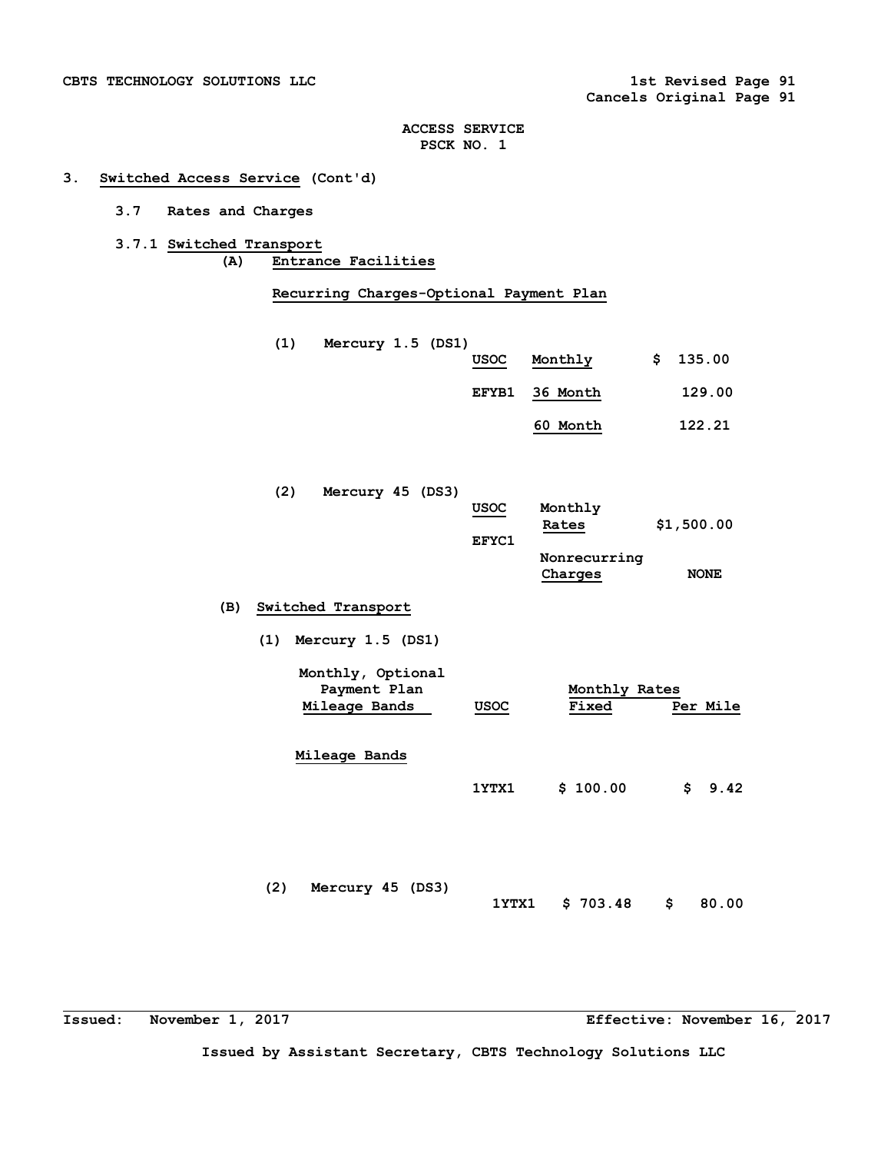# **3. Switched Access Service (Cont'd)**

- **3.7 Rates and Charges**
- **3.7.1 Switched Transport (A) Entrance Facilities**

 **Recurring Charges-Optional Payment Plan** 

- **(1) Mercury 1.5 (DS1)** 
	- **USOC Monthly \$ 135.00**
	- **EFYB1 36 Month 129.00**
		- **60 Month 122.21**

| (2) | Mercury 45 (DS3) |  |             |              |             |
|-----|------------------|--|-------------|--------------|-------------|
|     |                  |  | <b>USOC</b> | Monthly      |             |
|     |                  |  |             | Rates        | \$1,500.00  |
|     |                  |  | EFYC1       |              |             |
|     |                  |  |             | Nonrecurring |             |
|     |                  |  |             | Charges      | <b>NONE</b> |

# **(B) Switched Transport**

 **(1) Mercury 1.5 (DS1)** 

| Monthly, Optional |                                           |               |          |
|-------------------|-------------------------------------------|---------------|----------|
| Payment Plan      |                                           | Monthly Rates |          |
| Mileage Bands     | USOC<br>and the control of the control of | Fixed         | Per Mile |
|                   |                                           |               |          |

 **Mileage Bands** 

|  | 1YTX1 \$100.00 \$9.42 |  |  |
|--|-----------------------|--|--|
|--|-----------------------|--|--|

 **(2) Mercury 45 (DS3) 1YTX1 \$ 703.48 \$ 80.00** 

**Issued: November 1, 2017 Effective: November 16, 2017**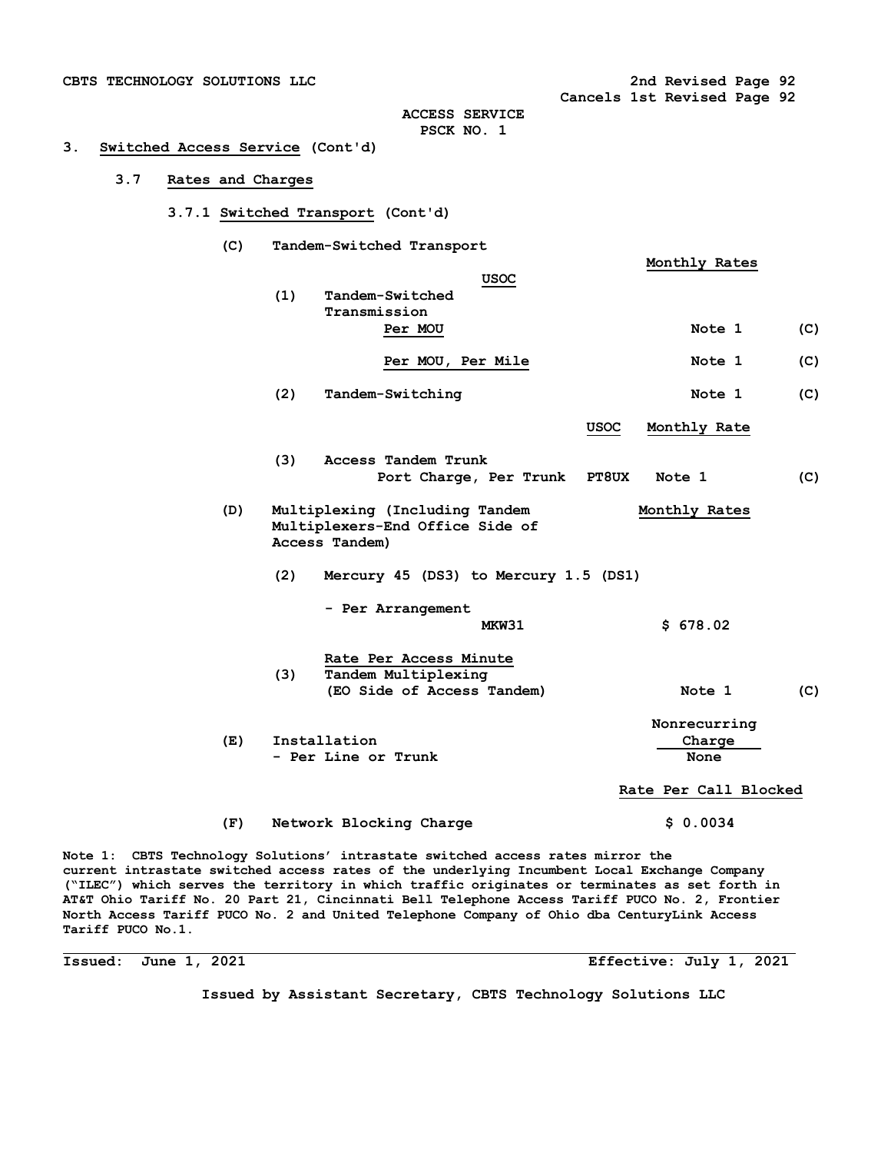**Cancels 1st Revised Page 92** 

**ACCESS SERVICE PSCK NO. 1** 

## **3. Switched Access Service (Cont'd)**

## **3.7 Rates and Charges**

- **3.7.1 Switched Transport (Cont'd)** 
	- **(C) Tandem-Switched Transport**

|     |     |                                                                                     |              | Monthly Rates                  |     |
|-----|-----|-------------------------------------------------------------------------------------|--------------|--------------------------------|-----|
|     | (1) | <b>USOC</b><br>Tandem-Switched                                                      |              |                                |     |
|     |     | Transmission<br>Per MOU                                                             |              | Note 1                         | (C) |
|     |     | Per MOU, Per Mile                                                                   |              | Note 1                         | (C) |
|     | (2) | Tandem-Switching                                                                    |              | Note 1                         | (C) |
|     |     |                                                                                     | <b>USOC</b>  | Monthly Rate                   |     |
|     | (3) | Access Tandem Trunk<br>Port Charge, Per Trunk                                       | <b>PT8UX</b> | Note 1                         | (C) |
| (D) |     | Multiplexing (Including Tandem<br>Multiplexers-End Office Side of<br>Access Tandem) |              | Monthly Rates                  |     |
|     | (2) | Mercury 45 (DS3) to Mercury 1.5 (DS1)                                               |              |                                |     |
|     |     | - Per Arrangement<br>MKW31                                                          |              | \$678.02                       |     |
|     | (3) | Rate Per Access Minute<br>Tandem Multiplexing<br>(EO Side of Access Tandem)         |              | Note 1                         | (C) |
| (E) |     | Installation<br>- Per Line or Trunk                                                 |              | Nonrecurring<br>Charge<br>None |     |
|     |     |                                                                                     |              | Rate Per Call Blocked          |     |
| (F) |     | Network Blocking Charge                                                             |              | \$0.0034                       |     |

**Note 1: CBTS Technology Solutions' intrastate switched access rates mirror the current intrastate switched access rates of the underlying Incumbent Local Exchange Company ("ILEC") which serves the territory in which traffic originates or terminates as set forth in AT&T Ohio Tariff No. 20 Part 21, Cincinnati Bell Telephone Access Tariff PUCO No. 2, Frontier North Access Tariff PUCO No. 2 and United Telephone Company of Ohio dba CenturyLink Access Tariff PUCO No.1.**

**Issued: June 1, 2021 Effective: July 1, 2021**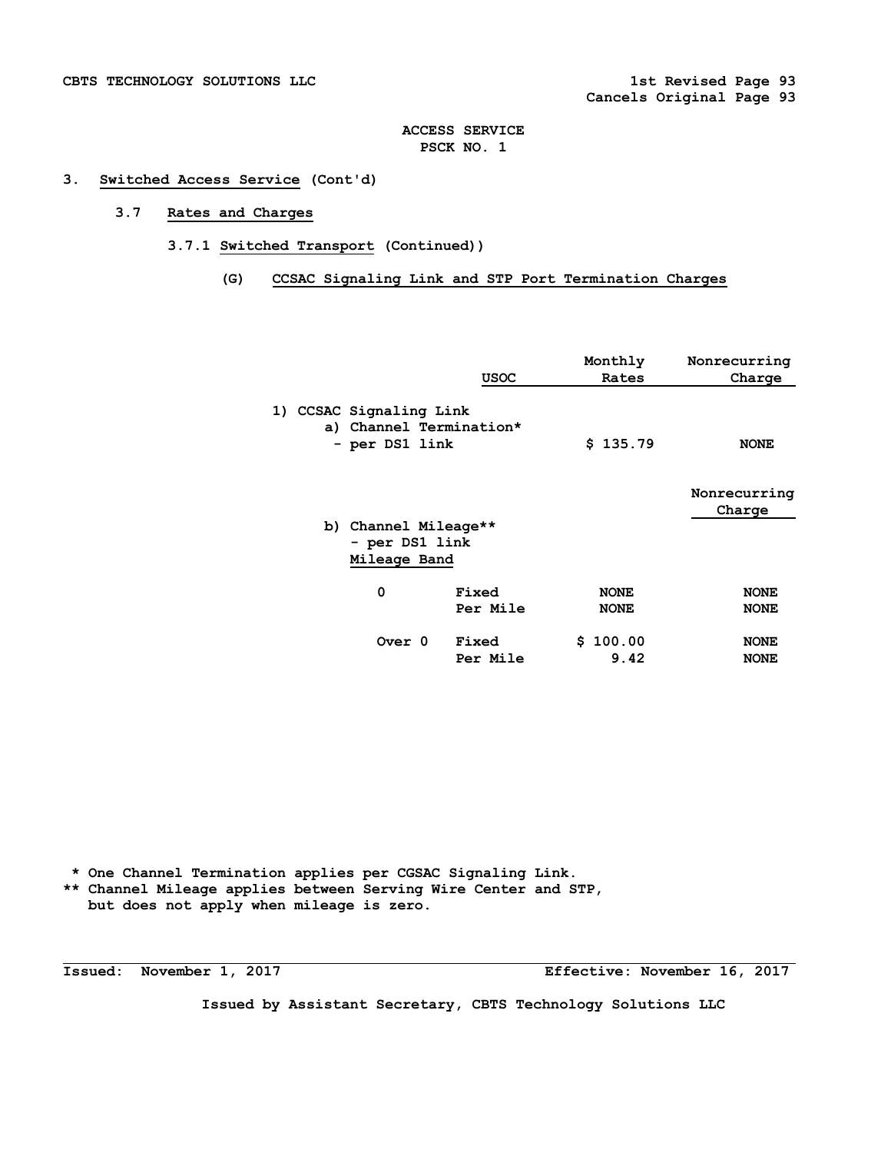## **3. Switched Access Service (Cont'd)**

# **3.7 Rates and Charges**

 **3.7.1 Switched Transport (Continued))** 

## **(G) CCSAC Signaling Link and STP Port Termination Charges**

|                                                                      | <b>USOC</b>       | Monthly<br>Rates           | Nonrecurring<br>Charge     |
|----------------------------------------------------------------------|-------------------|----------------------------|----------------------------|
| 1) CCSAC Signaling Link<br>a) Channel Termination*<br>- per DS1 link |                   | \$135.79                   | <b>NONE</b>                |
| b) Channel Mileage**<br>- per DS1 link                               |                   |                            | Nonrecurring<br>Charge     |
| Mileage Band                                                         |                   |                            |                            |
| 0                                                                    | Fixed<br>Per Mile | <b>NONE</b><br><b>NONE</b> | <b>NONE</b><br><b>NONE</b> |
| Over 0                                                               | Fixed<br>Per Mile | \$100.00<br>9.42           | <b>NONE</b><br><b>NONE</b> |

 **\* One Channel Termination applies per CGSAC Signaling Link. \*\* Channel Mileage applies between Serving Wire Center and STP, but does not apply when mileage is zero.** 

**Issued: November 1, 2017 Effective: November 16, 2017**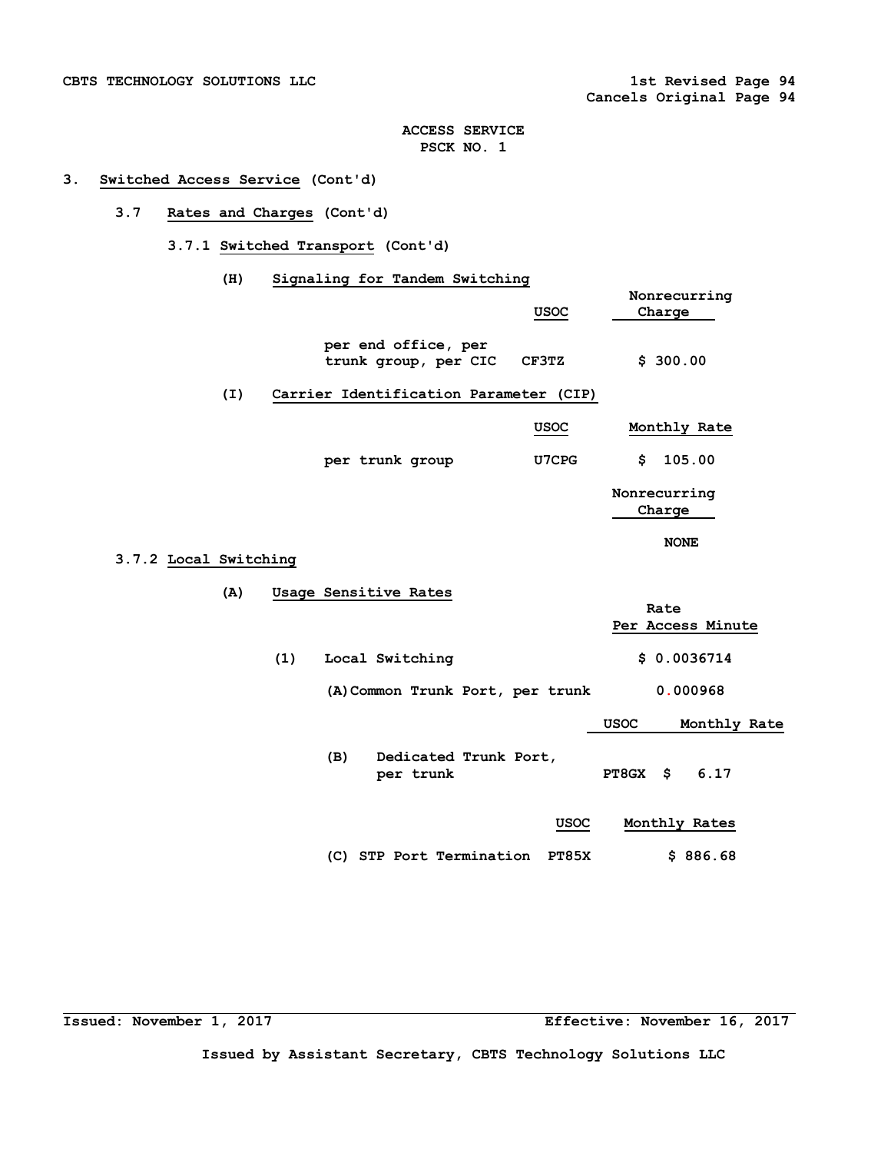# **3. Switched Access Service (Cont'd)**

# **3.7 Rates and Charges (Cont'd)**

 **3.7.1 Switched Transport (Cont'd)** 

# **(H) Signaling for Tandem Switching**

|                              |                                        | Nonrecurring                          |              |
|------------------------------|----------------------------------------|---------------------------------------|--------------|
|                              | USOC                                   | Charge                                |              |
| per end office, per          | trunk group, per CIC<br>CF3TZ          | \$300.00                              |              |
| (I)                          | Carrier Identification Parameter (CIP) |                                       |              |
|                              | <b>USOC</b>                            | Monthly Rate                          |              |
| per trunk group              | U7CPG                                  | \$                                    | 105.00       |
|                              |                                        | Nonrecurring<br>Charge<br><b>NONE</b> |              |
| 3.7.2 Local Switching        |                                        |                                       |              |
|                              |                                        |                                       |              |
| (A)<br>Usage Sensitive Rates |                                        | Rate<br>Per Access Minute             |              |
| (1)<br>Local Switching       |                                        | \$0.0036714                           |              |
|                              | (A) Common Trunk Port, per trunk       |                                       | 0.000968     |
|                              |                                        | <b>USOC</b>                           | Monthly Rate |
| (B)                          | Dedicated Trunk Port,<br>per trunk     | PT8GX \$                              | 6.17         |
|                              |                                        | USOC<br>Monthly Rates                 |              |
|                              | (C) STP Port Termination               | <b>PT85X</b>                          | \$886.68     |

**Issued: November 1, 2017 Effective: November 16, 2017**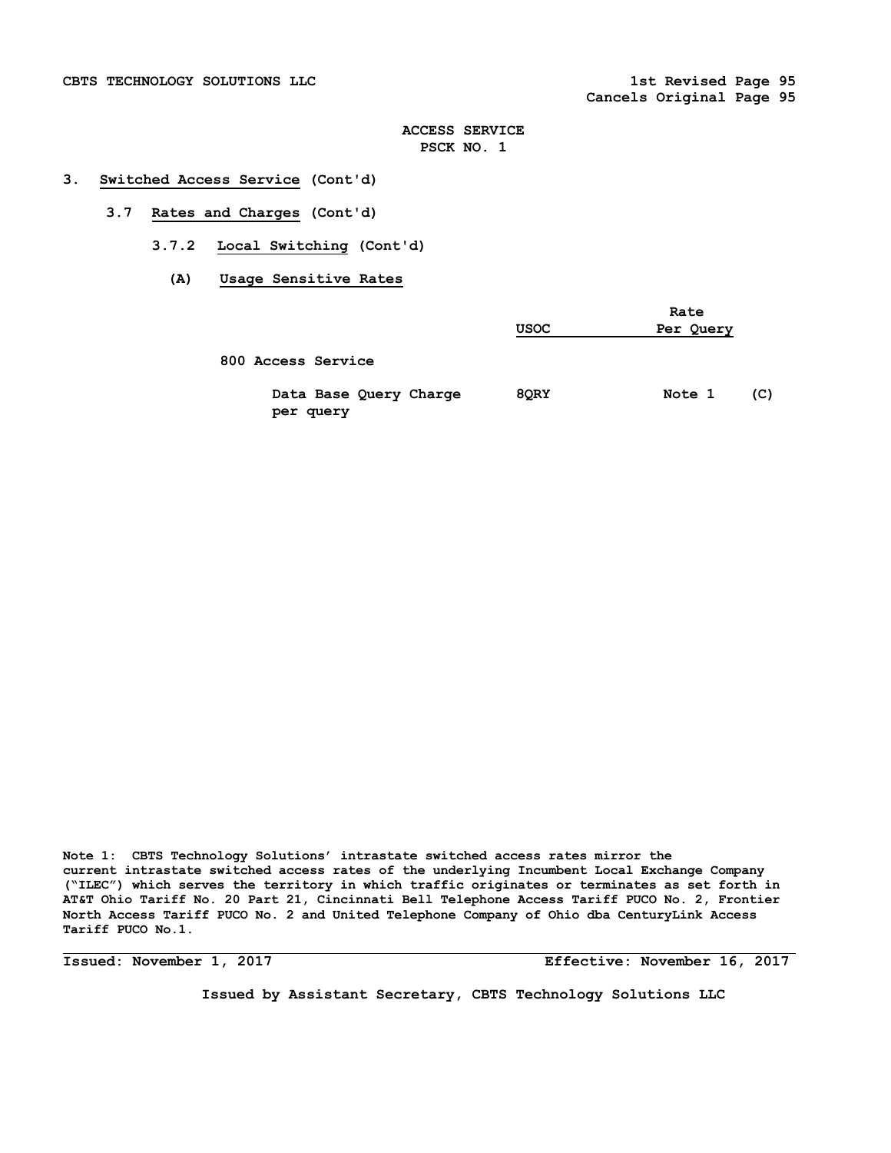## **3. Switched Access Service (Cont'd)**

- **3.7 Rates and Charges (Cont'd)** 
	- **3.7.2 Local Switching (Cont'd)** 
		- **(A) Usage Sensitive Rates**

|                                     | <b>USOC</b> | Rate<br>Per Query |
|-------------------------------------|-------------|-------------------|
| 800 Access Service                  |             |                   |
| Data Base Query Charge<br>per query | 8QRY        | Note 1<br>(C)     |

**Note 1: CBTS Technology Solutions' intrastate switched access rates mirror the current intrastate switched access rates of the underlying Incumbent Local Exchange Company ("ILEC") which serves the territory in which traffic originates or terminates as set forth in AT&T Ohio Tariff No. 20 Part 21, Cincinnati Bell Telephone Access Tariff PUCO No. 2, Frontier North Access Tariff PUCO No. 2 and United Telephone Company of Ohio dba CenturyLink Access Tariff PUCO No.1.**

**Issued: November 1, 2017 Effective: November 16, 2017**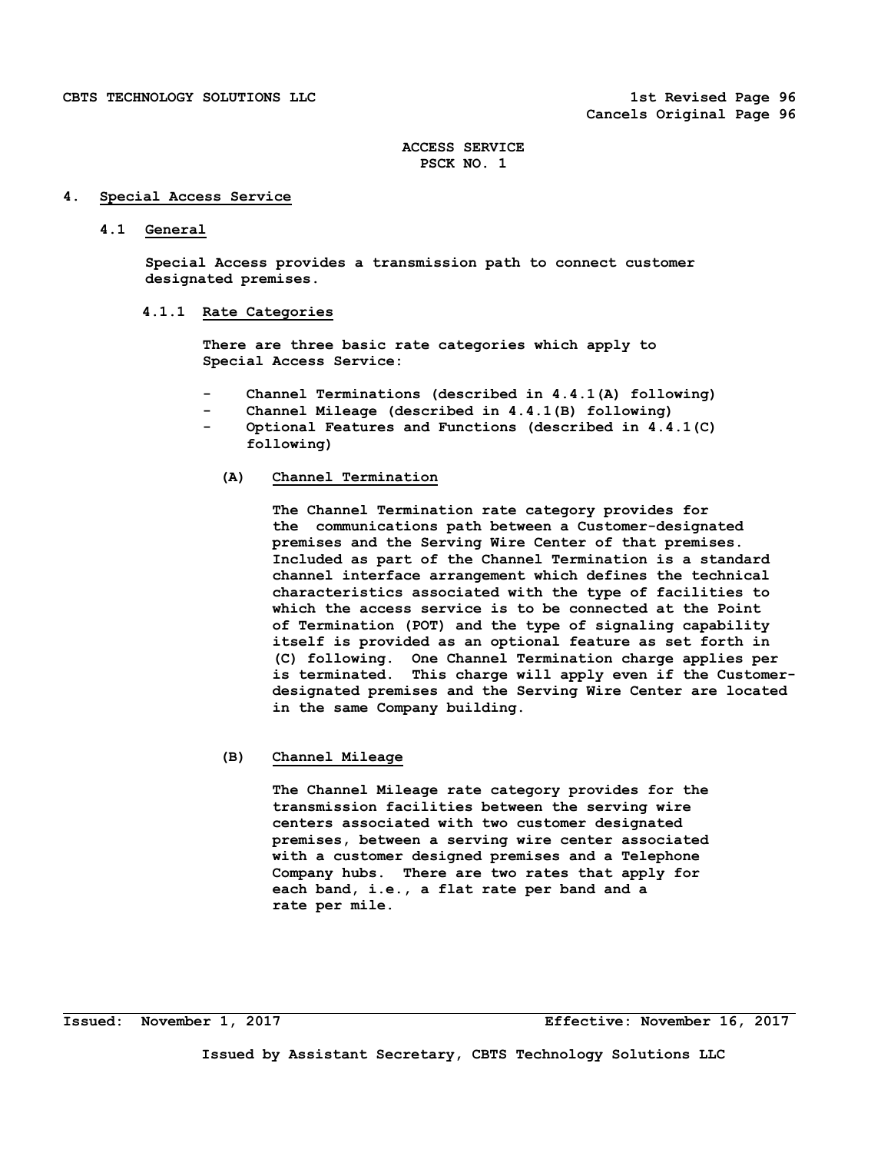## **4. Special Access Service**

#### **4.1 General**

 **Special Access provides a transmission path to connect customer designated premises.** 

## **4.1.1 Rate Categories**

 **There are three basic rate categories which apply to Special Access Service:** 

- Channel Terminations (described in 4.4.1(A) following)
- **Channel Mileage (described in 4.4.1(B) following)**
- Optional Features and Functions (described in 4.4.1(C)  **following)**

#### **(A) Channel Termination**

**The Channel Termination rate category provides for the communications path between a Customer-designated premises and the Serving Wire Center of that premises. Included as part of the Channel Termination is a standard channel interface arrangement which defines the technical characteristics associated with the type of facilities to which the access service is to be connected at the Point of Termination (POT) and the type of signaling capability itself is provided as an optional feature as set forth in (C) following. One Channel Termination charge applies per is terminated. This charge will apply even if the Customerdesignated premises and the Serving Wire Center are located in the same Company building.** 

# **(B) Channel Mileage**

 **The Channel Mileage rate category provides for the transmission facilities between the serving wire centers associated with two customer designated premises, between a serving wire center associated with a customer designed premises and a Telephone Company hubs. There are two rates that apply for each band, i.e., a flat rate per band and a rate per mile.**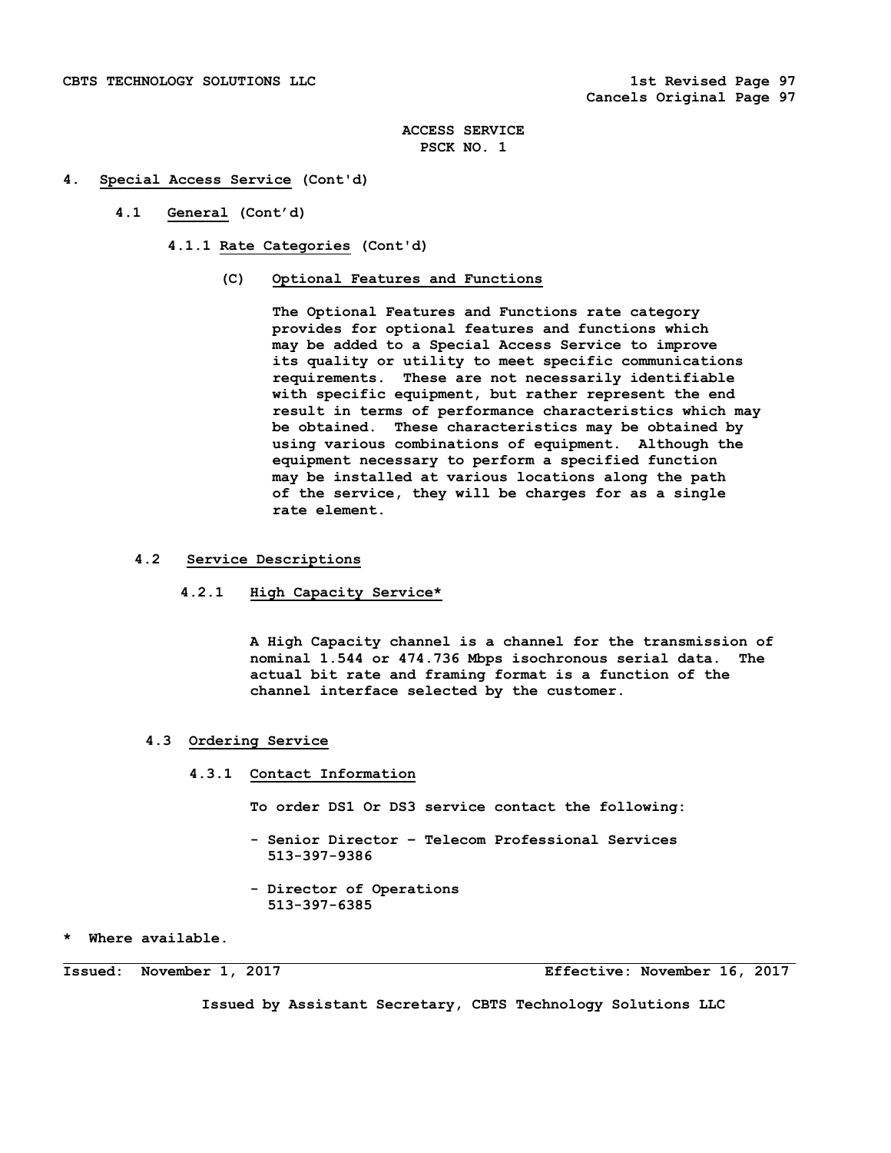### **4. Special Access Service (Cont'd)**

- **4.1 General (Cont'd)** 
	- **4.1.1 Rate Categories (Cont'd)** 
		- **(C) Optional Features and Functions**

**The Optional Features and Functions rate category provides for optional features and functions which may be added to a Special Access Service to improve its quality or utility to meet specific communications requirements. These are not necessarily identifiable with specific equipment, but rather represent the end result in terms of performance characteristics which may be obtained. These characteristics may be obtained by using various combinations of equipment. Although the equipment necessary to perform a specified function may be installed at various locations along the path of the service, they will be charges for as a single rate element.** 

- **4.2 Service Descriptions** 
	- **4.2.1 High Capacity Service\***

 **A High Capacity channel is a channel for the transmission of nominal 1.544 or 474.736 Mbps isochronous serial data. The actual bit rate and framing format is a function of the channel interface selected by the customer.** 

- **4.3 Ordering Service** 
	- **4.3.1 Contact Information**

 **To order DS1 Or DS3 service contact the following:** 

- **Senior Director Telecom Professional Services 513-397-9386**
- **Director of Operations 513-397-6385**

**\* Where available.** 

**Issued: November 1, 2017 Effective: November 16, 2017**